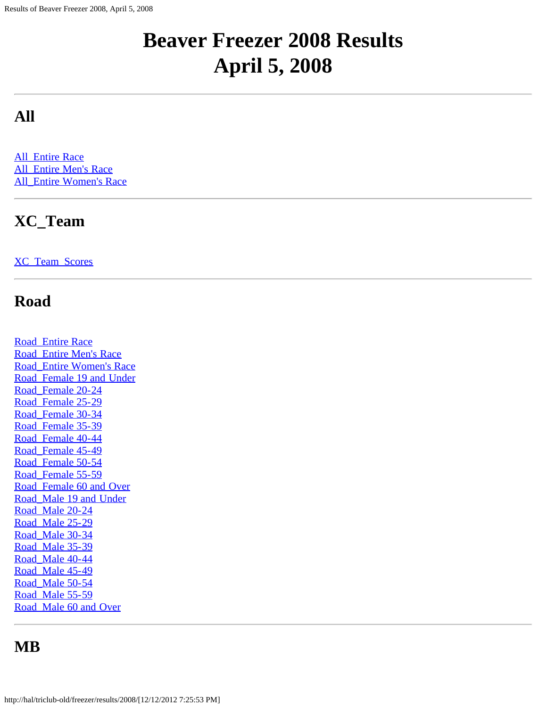# **Beaver Freezer 2008 Results April 5, 2008**

### **All**

**[All\\_Entire Race](#page-2-0)** All Entire Men's Race All Entire Women's Race

## **XC\_Team**

[XC\\_Team\\_Scores](#page-34-0)

#### **Road**

[Road\\_Entire Race](#page-35-0) [Road\\_Entire Men's Race](#page-48-0) [Road\\_Entire Women's Race](#page-55-0) [Road\\_Female 19 and Under](#page-62-0) [Road\\_Female 20-24](#page-63-0) [Road\\_Female 25-29](#page-64-0) [Road\\_Female 30-34](#page-66-0) [Road\\_Female 35-39](#page-68-0) [Road\\_Female 40-44](#page-70-0) [Road\\_Female 45-49](#page-72-0) [Road\\_Female 50-54](#page-73-0) [Road\\_Female 55-59](#page-74-0) [Road\\_Female 60 and Over](#page-75-0) [Road\\_Male 19 and Under](#page-76-0) [Road\\_Male 20-24](#page-77-0) Road Male 25-29 Road Male 30-34 Road Male 35-39 [Road\\_Male 40-44](#page-84-0) Road Male 45-49 [Road\\_Male 50-54](#page-86-0) Road Male 55-59 Road Male 60 and Over

#### **MB**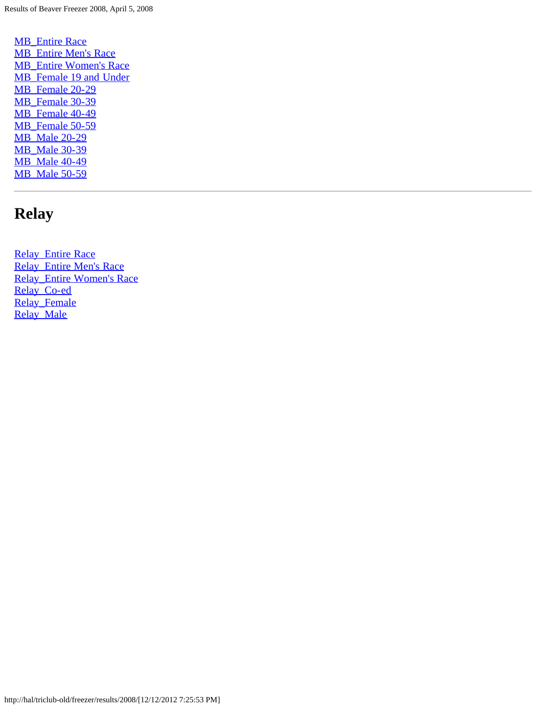**[MB\\_Entire Race](#page-89-0)** [MB\\_Entire Men's Race](#page-92-0) [MB\\_Entire Women's Race](#page-94-0) [MB\\_Female 19 and Under](#page-96-0) [MB\\_Female 20-29](#page-97-0) [MB\\_Female 30-39](#page-98-0) [MB\\_Female 40-49](#page-99-0) [MB\\_Female 50-59](#page-100-0) [MB\\_Male 20-29](#page-101-0) [MB\\_Male 30-39](#page-102-0) [MB\\_Male 40-49](#page-103-0) [MB\\_Male 50-59](#page-104-0)

## **Relay**

[Relay\\_Entire Race](#page-105-0) [Relay\\_Entire Men's Race](#page-107-0) [Relay\\_Entire Women's Race](#page-108-0) [Relay\\_Co-ed](#page-109-0) [Relay\\_Female](#page-110-0) [Relay\\_Male](#page-111-0)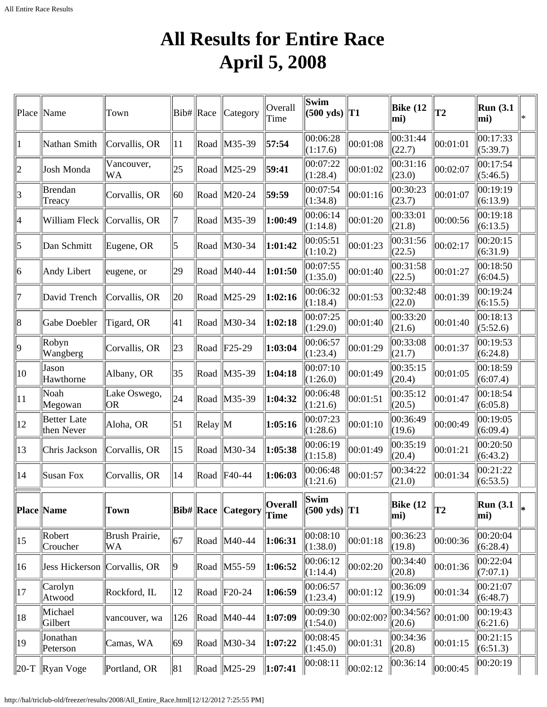## **All Results for Entire Race April 5, 2008**

<span id="page-2-0"></span>

| Place   Name   |                                  | Town                            | $ Bib\# $ Race |                | Category              | Overall<br>Time | Swim<br>$(500 \text{ yds})$    | T1        | Bike $(12)$<br>mi)  | $ _{T2}$       | <b>Run</b> (3.1)<br>mi) | ∗ |
|----------------|----------------------------------|---------------------------------|----------------|----------------|-----------------------|-----------------|--------------------------------|-----------|---------------------|----------------|-------------------------|---|
|                | Nathan Smith                     | Corvallis, OR                   | 11             | Road           | $\ M35-39\ $          | 57:54           | 00:06:28<br>(1:17.6)           | 00:01:08  | 00:31:44<br>(22.7)  | 00:01:01       | 00:17:33<br>(5:39.7)    |   |
| 2              | Josh Monda                       | Vancouver,<br>WA                | 25             | Road           | $\vert$ M25-29        | 59:41           | 00:07:22<br>(1:28.4)           | 00:01:02  | 00:31:16<br>(23.0)  | 00:02:07       | 00:17:54<br>(5:46.5)    |   |
| 3              | Brendan<br>Treacy                | Corvallis, OR                   | 60             |                | Road M20-24           | 59:59           | 00:07:54<br>(1:34.8)           | 00:01:16  | 00:30:23<br>(23.7)  | 00:01:07       | 00:19:19<br>(6:13.9)    |   |
| 4              | William Fleck                    | Corvallis, OR                   |                |                | Road M35-39           | 1:00:49         | 00:06:14<br>(1:14.8)           | 00:01:20  | 00:33:01<br>(21.8)  | 00:00:56       | 00:19:18<br>(6:13.5)    |   |
| 5              | Dan Schmitt                      | Eugene, OR                      | 5              |                | Road   M30-34         | 1:01:42         | 00:05:51<br>(1:10.2)           | 00:01:23  | 00:31:56<br>(22.5)  | 00:02:17       | 00:20:15<br>(6:31.9)    |   |
| $\vert\vert 6$ | Andy Libert                      | eugene, or                      | 29             |                | Road   M40-44         | 1:01:50         | 00:07:55<br>(1:35.0)           | 00:01:40  | 00:31:58<br>(22.5)  | 00:01:27       | 00:18:50<br>(6:04.5)    |   |
| 17             | David Trench                     | Corvallis, OR                   | 20             |                | Road   M25-29         | 1:02:16         | 00:06:32<br>(1:18.4)           | 00:01:53  | 00:32:48<br>(22.0)  | 00:01:39       | 00:19:24<br>(6:15.5)    |   |
| $\ 8$          | Gabe Doebler                     | Tigard, OR                      | 41             |                | Road M30-34           | 1:02:18         | 00:07:25<br>(1:29.0)           | 00:01:40  | 00:33:20<br>(21.6)  | 00:01:40       | 00:18:13<br>(5:52.6)    |   |
| $ 9\rangle$    | Robyn<br>Wangberg                | Corvallis, OR                   | 23             |                | $\ $ Road $\ $ F25-29 | 1:03:04         | 00:06:57<br>(1:23.4)           | 00:01:29  | 00:33:08<br>(21.7)  | 00:01:37       | 00:19:53<br>(6:24.8)    |   |
| 10             | Jason<br>Hawthorne               | Albany, OR                      | 35             |                | Road M35-39           | 1:04:18         | 00:07:10<br>(1:26.0)           | 00:01:49  | 00:35:15<br>(20.4)  | 00:01:05       | 00:18:59<br>(6:07.4)    |   |
| 11             | Noah<br>Megowan                  | Lake Oswego,<br>OR <sub>.</sub> | 24             |                | Road   M35-39         | 1:04:32         | 00:06:48<br>(1:21.6)           | 00:01:51  | 00:35:12<br>(20.5)  | 00:01:47       | 00:18:54<br>(6:05.8)    |   |
| 12             | <b>Better</b> Late<br>then Never | Aloha, OR                       | 51             | $\ Relay\ M$   |                       | 1:05:16         | 00:07:23<br>(1:28.6)           | 00:01:10  | 00:36:49<br>(19.6)  | 00:00:49       | 00:19:05<br>(6:09.4)    |   |
| 13             | Chris Jackson                    | Corvallis, OR                   | 15             |                | Road M30-34           | 1:05:38         | 00:06:19<br>(1:15.8)           | 00:01:49  | 00:35:19<br>(20.4)  | 00:01:21       | 00:20:50<br>(6:43.2)    |   |
| 14             | Susan Fox                        | Corvallis, OR                   | 14             |                | Road F40-44           | 1:06:03         | 00:06:48<br>(1:21.6)           | 00:01:57  | 00:34:22<br>(21.0)  | 00:01:34       | 00:21:22<br>(6:53.5)    |   |
|                | Place  Name                      | Town                            |                | $ Bib\# $ Race | Category              | Overall<br>Time | Swim<br>$(500 \text{ yds})$ T1 |           | Bike $(12)$<br>mi)  | T <sub>2</sub> | Run(3.1)<br>mi)         |   |
| $ 15\rangle$   | Robert<br>Croucher               | Brush Prairie,<br><b>WA</b>     | 67             |                | Road   M40-44         | 1:06:31         | 00:08:10<br>(1:38.0)           | 00:01:18  | 00:36:23<br>(19.8)  | 00:00:36       | 00:20:04<br>(6:28.4)    |   |
| 16             | Jess Hickerson Corvallis, OR     |                                 | 19             |                | Road M55-59           | 1:06:52         | 00:06:12<br>(1:14.4)           | 00:02:20  | 00:34:40<br>(20.8)  | 00:01:36       | 00:22:04<br>(7:07.1)    |   |
| 17             | Carolyn<br>Atwood                | Rockford, IL                    | 12             |                | $\ $ Road $\ $ F20-24 | 1:06:59         | 00:06:57<br>(1:23.4)           | 00:01:12  | 00:36:09<br>(19.9)  | 00:01:34       | 00:21:07<br>(6:48.7)    |   |
| 18             | Michael<br>Gilbert               | vancouver, wa                   | 126            |                | Road   M40-44         | 1:07:09         | 00:09:30<br>(1:54.0)           | 00:02:00? | 00:34:56?<br>(20.6) | 00:01:00       | 00:19:43<br>(6:21.6)    |   |
| 19             | Jonathan<br>Peterson             | Camas, WA                       | 69             |                | Road M30-34           | 1:07:22         | 00:08:45<br>(1:45.0)           | 00:01:31  | 00:34:36<br>(20.8)  | 00:01:15       | 00:21:15<br>(6:51.3)    |   |
| $ 20-T$        | $\ $ Ryan Voge                   | Portland, OR                    | 81             |                | Road M25-29           | 1:07:41         | 00:08:11                       | 00:02:12  | 00:36:14            | 00:00:45       | 00:20:19                |   |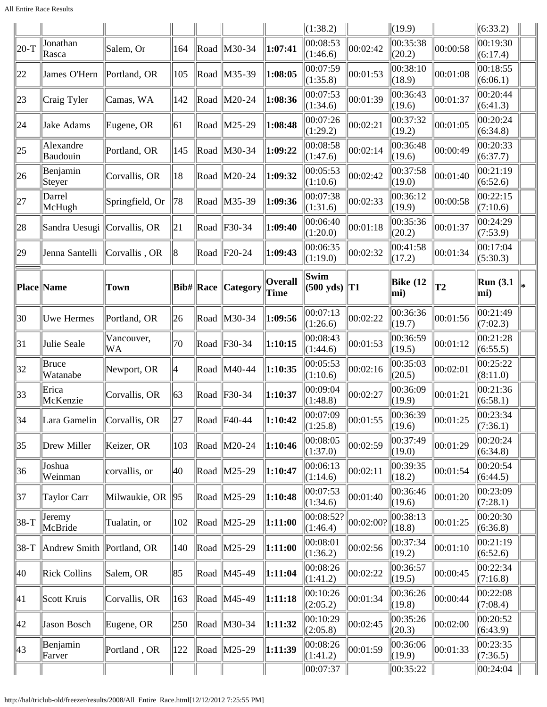|                |                           |                  |     |           |                             |                        | (1:38.2)                                   |           | $\ $ (19.9)                    |          | (6:33.2)                |    |
|----------------|---------------------------|------------------|-----|-----------|-----------------------------|------------------------|--------------------------------------------|-----------|--------------------------------|----------|-------------------------|----|
| $ 20-T$        | Jonathan<br>Rasca         | Salem, Or        | 164 |           | Road   M30-34               | 1:07:41                | 00:08:53<br>(1:46.6)                       | 00:02:42  | 00:35:38<br>(20.2)             | 00:00:58 | 00:19:30<br>(6:17.4)    |    |
| 22             | James O'Hern              | Portland, OR     | 105 |           | Road M35-39                 | 1:08:05                | 00:07:59<br>(1:35.8)                       | 00:01:53  | 00:38:10<br>(18.9)             | 00:01:08 | 00:18:55<br>(6:06.1)    |    |
| 23             | Craig Tyler               | Camas, WA        | 142 | Road      | $\vert$ M20-24              | 1:08:36                | 00:07:53<br>(1:34.6)                       | 00:01:39  | 00:36:43<br>(19.6)             | 00:01:37 | 00:20:44<br>(6:41.3)    |    |
| 24             | Jake Adams                | Eugene, OR       | 61  |           | Road M25-29                 | 1:08:48                | 00:07:26<br>(1:29.2)                       | 00:02:21  | 00:37:32<br>(19.2)             | 00:01:05 | 00:20:24<br>(6:34.8)    |    |
| $ 25\rangle$   | Alexandre<br>Baudouin     | Portland, OR     | 145 |           | Road   M30-34               | 1:09:22                | 00:08:58<br>(1:47.6)                       | 00:02:14  | 00:36:48<br>(19.6)             | 00:00:49 | 00:20:33<br>(6:37.7)    |    |
| 26             | Benjamin<br>Steyer        | Corvallis, OR    | 18  |           | Road   M20-24               | 1:09:32                | 00:05:53<br>(1:10.6)                       | 00:02:42  | 00:37:58<br>(19.0)             | 00:01:40 | 00:21:19<br>(6:52.6)    |    |
| 27             | Darrel<br>McHugh          | Springfield, Or  | 78  |           | Road   M35-39               | 1:09:36                | 00:07:38<br>(1:31.6)                       | 00:02:33  | 00:36:12<br>(19.9)             | 00:00:58 | 00:22:15<br>(7:10.6)    |    |
| 28             | Sandra Uesugi             | Corvallis, OR    | 21  |           | Road $ F30-34 $             | 1:09:40                | 00:06:40<br>(1:20.0)                       | 00:01:18  | 00:35:36<br>(20.2)             | 00:01:37 | 00:24:29<br>(7:53.9)    |    |
| 29             | Jenna Santelli            | Corvallis, OR    | 18  |           | $\vert$ Road $\vert$ F20-24 | 1:09:43                | 00:06:35<br>(1:19.0)                       | 00:02:32  | 00:41:58<br>(17.2)             | 00:01:34 | 00:17:04<br>(5:30.3)    |    |
| Place  Name    |                           | <b>Town</b>      |     | Bib# Race | <b>Category</b>             | Overall<br><b>Time</b> | Swim<br>$(500 \text{ yds})$ T <sub>1</sub> |           | Bike $(12)$<br>mi)             | T2       | <b>Run</b> (3.1)<br>mi) | l* |
| $ 30\rangle$   | Uwe Hermes                | Portland, OR     | 26  | Road      | $\vert$ M30-34              | 1:09:56                | 00:07:13<br>(1:26.6)                       | 00:02:22  | 00:36:36<br>(19.7)             | 00:01:56 | 00:21:49<br>(7:02.3)    |    |
| 31             | Julie Seale               | Vancouver,<br>WA | 70  |           | Road $ F30-34 $             | 1:10:15                | 00:08:43<br>(1:44.6)                       | 00:01:53  | 00:36:59<br>(19.5)             | 00:01:12 | 00:21:28<br>(6:55.5)    |    |
| 32             | Bruce<br>Watanabe         | Newport, OR      | Ι4  |           | Road M40-44                 | 1:10:35                | 00:05:53<br>(1:10.6)                       | 00:02:16  | 00:35:03<br>(20.5)             | 00:02:01 | 00:25:22<br>(8:11.0)    |    |
| $ 33\rangle$   | Erica<br>McKenzie         | Corvallis, OR    | 63  |           | Road F30-34                 | 1:10:37                | 00:09:04<br>(1:48.8)                       | 00:02:27  | 00:36:09<br>(19.9)             | 00:01:21 | 00:21:36<br>(6:58.1)    |    |
| $\parallel$ 34 | Lara Gamelin              | Corvallis, OR    | 27  |           | $\ $ Road $\ $ F40-44       | 1:10:42                | 00:07:09<br>(1:25.8)                       | 00:01:55  | 00:36:39<br>$\parallel$ (19.6) | 00:01:25 | 00:23:34<br>(7:36.1)    |    |
| 35             | Drew Miller               | Keizer, OR       | 103 |           | Road M20-24                 | 1:10:46                | 00:08:05<br>(1:37.0)                       | 00:02:59  | 00:37:49<br>(19.0)             | 00:01:29 | 00:20:24<br>(6:34.8)    |    |
| 36             | Joshua<br>Weinman         | corvallis, or    | 40  |           | Road   M25-29               | 1:10:47                | 00:06:13<br>(1:14.6)                       | 00:02:11  | 00:39:35<br>(18.2)             | 00:01:54 | 00:20:54<br>(6:44.5)    |    |
| 37             | Taylor Carr               | Milwaukie, OR    | 95  |           | Road M25-29                 | 1:10:48                | 00:07:53<br>(1:34.6)                       | 00:01:40  | 00:36:46<br>(19.6)             | 00:01:20 | 00:23:09<br>(7:28.1)    |    |
| $ 38-T$        | Jeremy<br>McBride         | Tualatin, or     | 102 |           | Road M25-29                 | 1:11:00                | 00:08:52?<br>(1:46.4)                      | 00:02:00? | 00:38:13<br>(18.8)             | 00:01:25 | 00:20:30<br>(6:36.8)    |    |
| $ 38-T$        | Andrew Smith Portland, OR |                  | 140 |           | Road M25-29                 | 1:11:00                | 00:08:01<br>(1:36.2)                       | 00:02:56  | 00:37:34<br>(19.2)             | 00:01:10 | 00:21:19<br>(6:52.6)    |    |
| 40             | <b>Rick Collins</b>       | Salem, OR        | 85  |           | Road   M45-49               | 1:11:04                | 00:08:26<br>(1:41.2)                       | 00:02:22  | 00:36:57<br>(19.5)             | 00:00:45 | 00:22:34<br>(7:16.8)    |    |
| 41             | Scott Kruis               | Corvallis, OR    | 163 |           | Road   M45-49               | 1:11:18                | 00:10:26<br>(2:05.2)                       | 00:01:34  | 00:36:26<br>(19.8)             | 00:00:44 | 00:22:08<br>(7:08.4)    |    |
| 42             | Jason Bosch               | Eugene, OR       | 250 |           | Road   M30-34               | 1:11:32                | 00:10:29<br>(2:05.8)                       | 00:02:45  | 00:35:26<br>(20.3)             | 00:02:00 | 00:20:52<br>(6:43.9)    |    |
| 43             | Benjamin<br>Farver        | Portland, OR     | 122 |           | Road   M25-29               | $\ 1:11:39$            | 00:08:26<br>(1:41.2)                       | 00:01:59  | 00:36:06<br>(19.9)             | 00:01:33 | 00:23:35<br>(7:36.5)    |    |
|                |                           |                  |     |           |                             |                        | 00:07:37                                   |           | $\ 00:35:22\ $                 |          | 00:24:04                |    |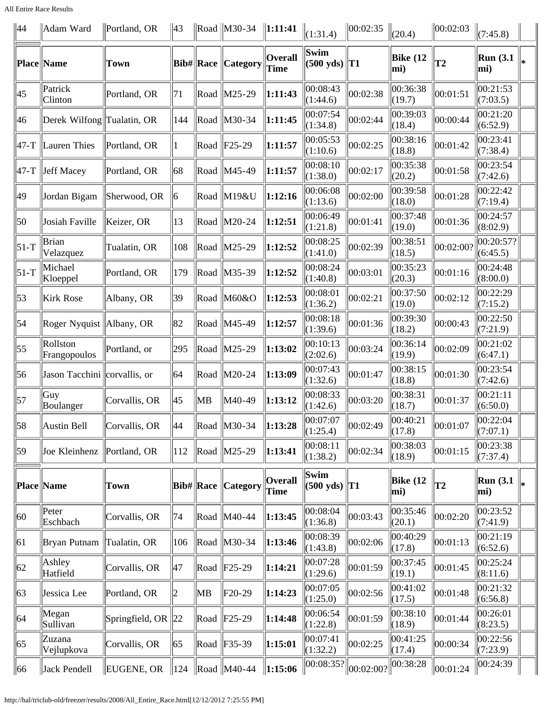All Entire Race Results

| 44               | Adam Ward                    | Portland, OR    | 43              |      | Road $\vert$ M30-34       | $\ 1:11:41$                   | (1:31.4)                       | 00:02:35  | (20.4)             | 00:02:03       | (7:45.8)              |  |
|------------------|------------------------------|-----------------|-----------------|------|---------------------------|-------------------------------|--------------------------------|-----------|--------------------|----------------|-----------------------|--|
|                  | <b>Place Name</b>            | Town            |                 |      | Bib#  Race   Category     | <b>Overall</b><br><b>Time</b> | Swim<br>$(500 \text{ yds})$    | $\ T1\ $  | Bike (12<br>mi)    | T <sub>2</sub> | Run(3.1)<br>mi)       |  |
| 45               | Patrick<br>Clinton           | Portland, OR    | 71              | Road | $\vert M25-29 \rangle$    | 1:11:43                       | 00:08:43<br>(1:44.6)           | 00:02:38  | 00:36:38<br>(19.7) | 00:01:51       | 00:21:53<br>(7:03.5)  |  |
| 46               | Derek Wilfong Tualatin, OR   |                 | 144             |      | Road M30-34               | 1:11:45                       | 00:07:54<br>(1:34.8)           | 00:02:44  | 00:39:03<br>(18.4) | 00:00:44       | 00:21:20<br>(6:52.9)  |  |
| $ 47-T $         | Lauren Thies                 | Portland, OR    | 1               |      | Road $ F25-29$            | 1:11:57                       | 00:05:53<br>(1:10.6)           | 00:02:25  | 00:38:16<br>(18.8) | 00:01:42       | 00:23:41<br>(7:38.4)  |  |
|                  | $\vert$ 47-T   Jeff Macey    | Portland, OR    | 68              |      | Road   M45-49             | 1:11:57                       | 00:08:10<br>(1:38.0)           | 00:02:17  | 00:35:38<br>(20.2) | 00:01:58       | 00:23:54<br>(7:42.6)  |  |
| 49               | Jordan Bigam                 | Sherwood, OR    | 16              |      | Road M19&U                | 1:12:16                       | 00:06:08<br>(1:13.6)           | 00:02:00  | 00:39:58<br>(18.0) | 00:01:28       | 00:22:42<br>(7:19.4)  |  |
| 50               | Josiah Faville               | Keizer, OR      | 13              |      | Road M20-24               | 1:12:51                       | 00:06:49<br>(1:21.8)           | 00:01:41  | 00:37:48<br>(19.0) | 00:01:36       | 00:24:57<br>(8:02.9)  |  |
| $\vert$ 51-T     | Brian<br>Velazquez           | Tualatin, OR    | 108             | Road | $\vert$ M25-29            | 1:12:52                       | 00:08:25<br>(1:41.0)           | 00:02:39  | 00:38:51<br>(18.5) | 00:02:00?      | 00:20:57?<br>(6:45.5) |  |
| $\vert$ 51-T     | Michael<br>Kloeppel          | Portland, OR    | 179             | Road | $\vert M35-39 \rangle$    | 1:12:52                       | 00:08:24<br>(1:40.8)           | 00:03:01  | 00:35:23<br>(20.3) | 00:01:16       | 00:24:48<br>(8:00.0)  |  |
| $\vert$ 53       | Kirk Rose                    | Albany, OR      | 39              |      | Road M60&O                | 1:12:53                       | 00:08:01<br>(1:36.2)           | 00:02:21  | 00:37:50<br>(19.0) | 00:02:12       | 00:22:29<br>(7:15.2)  |  |
| $\vert$ 54       | Roger Nyquist   Albany, OR   |                 | 82              |      | Road   M45-49             | 1:12:57                       | 00:08:18<br>(1:39.6)           | 00:01:36  | 00:39:30<br>(18.2) | 00:00:43       | 00:22:50<br>(7:21.9)  |  |
| $\vert 55 \vert$ | Rollston<br>Frangopoulos     | Portland, or    | 295             | Road | $\vert M25-29 \rangle$    | 1:13:02                       | 00:10:13<br>(2:02.6)           | 00:03:24  | 00:36:14<br>(19.9) | 00:02:09       | 00:21:02<br>(6:47.1)  |  |
| 56               | Jason Tacchini corvallis, or |                 | 64              |      | Road M20-24               | 1:13:09                       | 00:07:43<br>(1:32.6)           | 00:01:47  | 00:38:15<br>(18.8) | 00:01:30       | 00:23:54<br>(7:42.6)  |  |
| $\vert$ 57       | Guy<br>Boulanger             | Corvallis, OR   | 45              | MВ   | M40-49                    | 1:13:12                       | 00:08:33<br>(1:42.6)           | 00:03:20  | 00:38:31<br>(18.7) | 00:01:37       | 00:21:11<br>(6:50.0)  |  |
| 58               | Austin Bell                  | Corvallis, OR   | 44              |      | Road M30-34               | 1:13:28                       | 00:07:07<br>(1:25.4)           | 00:02:49  | 00:40:21<br>(17.8) | 00:01:07       | 00:22:04<br>(7:07.1)  |  |
| 59               | Joe Kleinhenz                | Portland, OR    | 112             |      | Road   M25-29             | 1:13:41                       | 00:08:11<br>(1:38.2)           | 00:02:34  | 00:38:03<br>(18.9) | 00:01:15       | 00:23:38<br>(7:37.4)  |  |
|                  | Place  Name                  | Town            |                 |      | <b>Bib# Race Category</b> | <b>Overall</b><br>Time        | Swim<br>$(500 \text{ yds})$ T1 |           | Bike (12<br>mi)    | <b>T2</b>      | Run(3.1)<br>mi)       |  |
| 60               | Peter<br>Eschbach            | Corvallis, OR   | 74              |      | Road   M40-44             | 1:13:45                       | 00:08:04<br>(1:36.8)           | 00:03:43  | 00:35:46<br>(20.1) | 00:02:20       | 00:23:52<br>(7:41.9)  |  |
| 61               | Bryan Putnam                 | Tualatin, OR    | 106             |      | Road   M30-34             | 1:13:46                       | 00:08:39<br>(1:43.8)           | 00:02:06  | 00:40:29<br>(17.8) | 00:01:13       | 00:21:19<br>(6:52.6)  |  |
| 62               | Ashley<br>Hatfield           | Corvallis, OR   | 47              |      | Road $ F25-29$            | 1:14:21                       | 00:07:28<br>(1:29.6)           | 00:01:59  | 00:37:45<br>(19.1) | 00:01:45       | 00:25:24<br>(8:11.6)  |  |
| 63               | Jessica Lee                  | Portland, OR    | 2               | MB   | F20-29                    | 1:14:23                       | 00:07:05<br>(1:25.0)           | 00:02:56  | 00:41:02<br>(17.5) | 00:01:48       | 00:21:32<br>(6:56.8)  |  |
| 64               | Megan<br>Sullivan            | Springfield, OR | 22              |      | Road $ F25-29$            | 1:14:48                       | 00:06:54<br>(1:22.8)           | 00:01:59  | 00:38:10<br>(18.9) | 00:01:44       | 00:26:01<br>(8:23.5)  |  |
| 65               | Zuzana<br>Vejlupkova         | Corvallis, OR   | 65              |      | Road $ F35-39$            | 1:15:01                       | 00:07:41<br>(1:32.2)           | 00:02:25  | 00:41:25<br>(17.4) | 00:00:34       | 00:22:56<br>(7:23.9)  |  |
| $\vert$ 66       | Jack Pendell                 | EUGENE, OR      | $\parallel$ 124 |      | $\ $ Road $\ $ M40-44     | $\ 1:15:06$                   | 00:08:35?                      | 00:02:00? | 00:38:28           | 00:01:24       | 00:24:39              |  |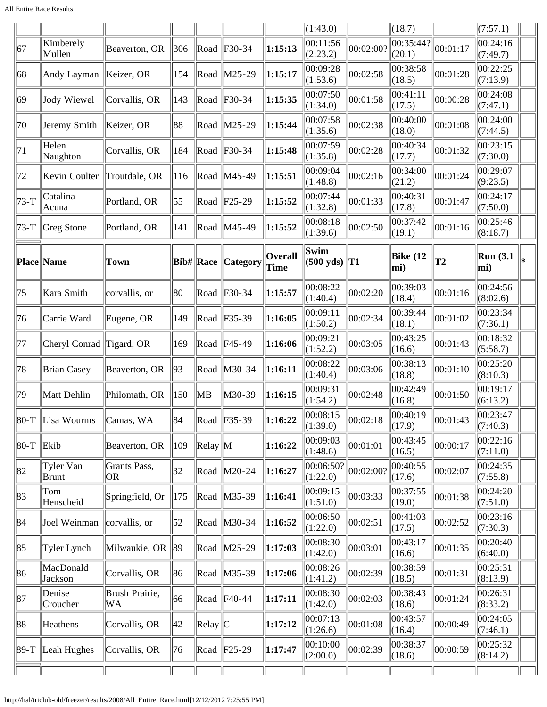|              |                                         |                      |     |                   |                             |                               | (1:43.0)                                   |           | (18.7)              |          | (7:57.1)             |  |
|--------------|-----------------------------------------|----------------------|-----|-------------------|-----------------------------|-------------------------------|--------------------------------------------|-----------|---------------------|----------|----------------------|--|
| 67           | Kimberely<br>Mullen                     | Beaverton, OR        | 306 |                   | $\ $ Road $\ $ F30-34       | 1:15:13                       | 00:11:56<br>(2:23.2)                       | 00:02:00? | 00:35:44?<br>(20.1) | 00:01:17 | 00:24:16<br>(7:49.7) |  |
| 68           | Andy Layman                             | Keizer, OR           | 154 |                   | Road M25-29                 | 1:15:17                       | 00:09:28<br>(1:53.6)                       | 00:02:58  | 00:38:58<br>(18.5)  | 00:01:28 | 00:22:25<br>(7:13.9) |  |
| $ 69\rangle$ | Jody Wiewel                             | Corvallis, OR        | 143 |                   | Road $ F30-34 $             | 1:15:35                       | 00:07:50<br>(1:34.0)                       | 00:01:58  | 00:41:11<br>(17.5)  | 00:00:28 | 00:24:08<br>(7:47.1) |  |
| 70           | Jeremy Smith                            | Keizer, OR           | 88  |                   | Road   M25-29               | 1:15:44                       | 00:07:58<br>(1:35.6)                       | 00:02:38  | 00:40:00<br>(18.0)  | 00:01:08 | 00:24:00<br>(7:44.5) |  |
| 71           | Helen<br>Naughton                       | Corvallis, OR        | 184 |                   | Road $ F30-34 $             | 1:15:48                       | 00:07:59<br>(1:35.8)                       | 00:02:28  | 00:40:34<br>(17.7)  | 00:01:32 | 00:23:15<br>(7:30.0) |  |
| 72           | Kevin Coulter                           | Troutdale, OR        | 116 |                   | Road   M45-49               | 1:15:51                       | 00:09:04<br>(1:48.8)                       | 00:02:16  | 00:34:00<br>(21.2)  | 00:01:24 | 00:29:07<br>(9:23.5) |  |
| $73-T$       | Catalina<br> Acuna                      | Portland, OR         | 55  |                   | Road $ F25-29$              | 1:15:52                       | 00:07:44<br>(1:32.8)                       | 00:01:33  | 00:40:31<br>(17.8)  | 00:01:47 | 00:24:17<br>(7:50.0) |  |
| $ 73-T$      | $\left\Vert \mathrm{Greg}\right.$ Stone | Portland, OR         | 141 |                   | Road   M45-49               | 1:15:52                       | 00:08:18<br>(1:39.6)                       | 00:02:50  | 00:37:42<br>(19.1)  | 00:01:16 | 00:25:46<br>(8:18.7) |  |
|              | Place Name                              | <b>Town</b>          |     | <b>Bib# Race</b>  | <b>Category</b>             | <b>Overall</b><br><b>Time</b> | Swim<br>$(500 \text{ yds})$ T <sub>1</sub> |           | Bike $(12)$<br>mi)  | T2       | Run(3.1)<br>mi)      |  |
| 75           | Kara Smith                              | corvallis, or        | 80  |                   | $\vert$ Road $\vert$ F30-34 | 1:15:57                       | 00:08:22<br>(1:40.4)                       | 00:02:20  | 00:39:03<br>(18.4)  | 00:01:16 | 00:24:56<br>(8:02.6) |  |
| 76           | Carrie Ward                             | Eugene, OR           | 149 |                   | Road   F35-39               | 1:16:05                       | 00:09:11<br>(1:50.2)                       | 00:02:34  | 00:39:44<br>(18.1)  | 00:01:02 | 00:23:34<br>(7:36.1) |  |
| 77           | Cheryl Conrad Tigard, OR                |                      | 169 |                   | $\ $ Road $\ $ F45-49       | 1:16:06                       | 00:09:21<br>(1:52.2)                       | 00:03:05  | 00:43:25<br>(16.6)  | 00:01:43 | 00:18:32<br>(5:58.7) |  |
| 78           | <b>Brian Casey</b>                      | Beaverton, OR        | 93  |                   | Road   M30-34               | 1:16:11                       | 00:08:22<br>(1:40.4)                       | 00:03:06  | 00:38:13<br>(18.8)  | 00:01:10 | 00:25:20<br>(8:10.3) |  |
| 79           | Matt Dehlin                             | Philomath, OR        | 150 | ∥MB               | M30-39                      | 1:16:15                       | 00:09:31<br>(1:54.2)                       | 00:02:48  | 00:42:49<br>(16.8)  | 00:01:50 | 00:19:17<br>(6:13.2) |  |
|              | $\ 80-T\ $ Lisa Wourms $\ $ Camas, WA   |                      | 84  |                   | $\ $ Road $\ $ F35-39       | 1:16:22                       | 00:08:15<br>(1:39.0)                       | 00:02:18  | 00:40:19<br>(17.9)  | 00:01:43 | 00:23:47<br>(7:40.3) |  |
| $\vert$ 80-T | $ EK$ ib                                | Beaverton, OR        | 109 | $\ $ Relay $\ $ M |                             | 1:16:22                       | 00:09:03<br>(1:48.6)                       | 00:01:01  | 00:43:45<br>(16.5)  | 00:00:17 | 00:22:16<br>(7:11.0) |  |
| 82           | Tyler Van<br>Brunt                      | Grants Pass,<br> OR  | 32  |                   | Road M20-24                 | 1:16:27                       | 00:06:50?<br>(1:22.0)                      | 00:02:00? | 00:40:55<br>(17.6)  | 00:02:07 | 00:24:35<br>(7:55.8) |  |
| 83           | Tom<br>Henscheid                        | Springfield, Or      | 175 |                   | Road M35-39                 | 1:16:41                       | 00:09:15<br>(1:51.0)                       | 00:03:33  | 00:37:55<br>(19.0)  | 00:01:38 | 00:24:20<br>(7:51.0) |  |
| 84           | Joel Weinman                            | corvallis, or        | 52  |                   | Road   M30-34               | 1:16:52                       | 00:06:50<br>(1:22.0)                       | 00:02:51  | 00:41:03<br>(17.5)  | 00:02:52 | 00:23:16<br>(7:30.3) |  |
| 85           | Tyler Lynch                             | Milwaukie, OR 89     |     |                   | Road M25-29                 | 1:17:03                       | 00:08:30<br>(1:42.0)                       | 00:03:01  | 00:43:17<br>(16.6)  | 00:01:35 | 00:20:40<br>(6:40.0) |  |
| 86           | MacDonald<br>Jackson                    | Corvallis, OR        | 86  |                   | Road M35-39                 | 1:17:06                       | 00:08:26<br>(1:41.2)                       | 00:02:39  | 00:38:59<br>(18.5)  | 00:01:31 | 00:25:31<br>(8:13.9) |  |
| 87           | Denise<br>Croucher                      | Brush Prairie,<br>WA | 66  |                   | $\ $ Road $\ $ F40-44       | 1:17:11                       | 00:08:30<br>(1:42.0)                       | 00:02:03  | 00:38:43<br>(18.6)  | 00:01:24 | 00:26:31<br>(8:33.2) |  |
| 88           | Heathens                                | Corvallis, OR        | 42  | $\ $ Relay $\ $ C |                             | 1:17:12                       | 00:07:13<br>(1:26.6)                       | 00:01:08  | 00:43:57<br>(16.4)  | 00:00:49 | 00:24:05<br>(7:46.1) |  |
| $ 89-T$      | Leah Hughes                             | Corvallis, OR        | 76  |                   | $\ $ Road $\ $ F25-29       | 1:17:47                       | 00:10:00<br>(2:00.0)                       | 00:02:39  | 00:38:37<br>(18.6)  | 00:00:59 | 00:25:32<br>(8:14.2) |  |
|              |                                         |                      |     |                   |                             |                               |                                            |           |                     |          |                      |  |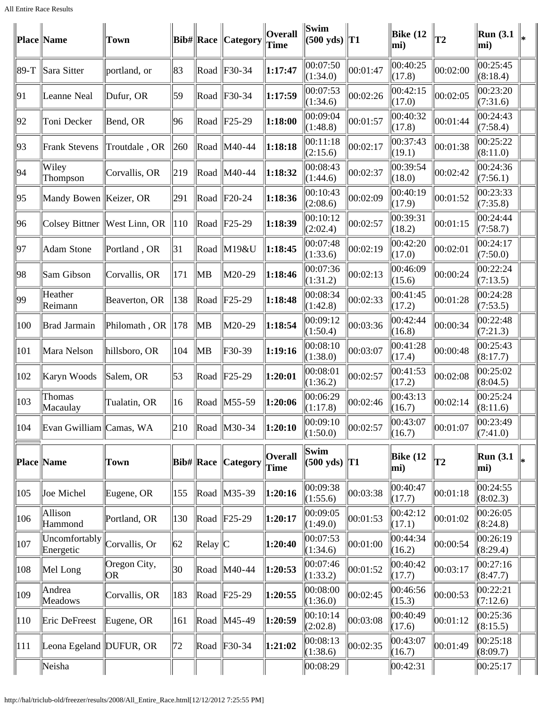|             | Place  Name                | <b>Town</b>                  |     | $Bib\#$ Race      | Category              | <b>Overall</b><br>Time        | Swim<br>$(500 \text{ yds})$   T1           |          | Bike $(12)$<br>mi) | $\overline{12}$ | Run(3.1)<br>mi)      |  |
|-------------|----------------------------|------------------------------|-----|-------------------|-----------------------|-------------------------------|--------------------------------------------|----------|--------------------|-----------------|----------------------|--|
| $ 89-T$     | Sara Sitter                | portland, or                 | 83  |                   | Road $ F30-34 $       | 1:17:47                       | 00:07:50<br>(1:34.0)                       | 00:01:47 | 00:40:25<br>(17.8) | 00:02:00        | 00:25:45<br>(8:18.4) |  |
| 91          | Leanne Neal                | Dufur, OR                    | 59  |                   | Road $ F30-34 $       | 1:17:59                       | 00:07:53<br>(1:34.6)                       | 00:02:26 | 00:42:15<br>(17.0) | 00:02:05        | 00:23:20<br>(7:31.6) |  |
| 92          | Toni Decker                | Bend, OR                     | 96  |                   | Road $ F25-29$        | 1:18:00                       | 00:09:04<br>(1:48.8)                       | 00:01:57 | 00:40:32<br>(17.8) | 00:01:44        | 00:24:43<br>(7:58.4) |  |
| 93          | <b>Frank Stevens</b>       | Troutdale, OR                | 260 |                   | Road   M40-44         | 1:18:18                       | 00:11:18<br>(2:15.6)                       | 00:02:17 | 00:37:43<br>(19.1) | 00:01:38        | 00:25:22<br>(8:11.0) |  |
| 94          | Wiley<br>Thompson          | Corvallis, OR                | 219 | Road              | $ MA0-44 $            | 1:18:32                       | 00:08:43<br>(1:44.6)                       | 00:02:37 | 00:39:54<br>(18.0) | 00:02:42        | 00:24:36<br>(7:56.1) |  |
| 95          | Mandy Bowen   Keizer, OR   |                              | 291 |                   | $\ $ Road $\ $ F20-24 | 1:18:36                       | 00:10:43<br>(2:08.6)                       | 00:02:09 | 00:40:19<br>(17.9) | 00:01:52        | 00:23:33<br>(7:35.8) |  |
| 96          |                            | Colsey Bittner West Linn, OR | 110 |                   | $\ $ Road $\ $ F25-29 | 1:18:39                       | 00:10:12<br>(2:02.4)                       | 00:02:57 | 00:39:31<br>(18.2) | 00:01:15        | 00:24:44<br>(7:58.7) |  |
| 97          | Adam Stone                 | Portland, OR                 | 31  | $\vert$ Road      | M19&U                 | 1:18:45                       | 00:07:48<br>(1:33.6)                       | 00:02:19 | 00:42:20<br>(17.0) | 00:02:01        | 00:24:17<br>(7:50.0) |  |
| 98          | Sam Gibson                 | Corvallis, OR                | 171 | ∥MB               | M20-29                | 1:18:46                       | 00:07:36<br>(1:31.2)                       | 00:02:13 | 00:46:09<br>(15.6) | 00:00:24        | 00:22:24<br>(7:13.5) |  |
| 99          | Heather<br>Reimann         | Beaverton, OR                | 138 |                   | $\ $ Road $\ $ F25-29 | 1:18:48                       | 00:08:34<br>(1:42.8)                       | 00:02:33 | 00:41:45<br>(17.2) | 00:01:28        | 00:24:28<br>(7:53.5) |  |
| 100         | Brad Jarmain               | Philomath, OR                | 178 | ∥MB               | M20-29                | 1:18:54                       | 00:09:12<br>(1:50.4)                       | 00:03:36 | 00:42:44<br>(16.8) | 00:00:34        | 00:22:48<br>(7:21.3) |  |
| 101         | Mara Nelson                | hillsboro, OR                | 104 | MВ                | $F30-39$              | 1:19:16                       | 00:08:10<br>(1:38.0)                       | 00:03:07 | 00:41:28<br>(17.4) | 00:00:48        | 00:25:43<br>(8:17.7) |  |
| 102         | Karyn Woods                | Salem, OR                    | 53  |                   | $\ $ Road $\ $ F25-29 | 1:20:01                       | 00:08:01<br>(1:36.2)                       | 00:02:57 | 00:41:53<br>(17.2) | 00:02:08        | 00:25:02<br>(8:04.5) |  |
| 103         | Thomas<br>Macaulay         | Tualatin, OR                 | 16  |                   | Road   M55-59         | 1:20:06                       | 00:06:29<br>(1:17.8)                       | 00:02:46 | 00:43:13<br>(16.7) | 00:02:14        | 00:25:24<br>(8:11.6) |  |
| 104         | Evan Gwilliam Camas, WA    |                              | 210 |                   | $\ $ Road $\ $ M30-34 | $\ 1:20:10\ $                 | 00:09:10<br>(1:50.0)                       | 00:02:57 | 00:43:07<br>(16.7) | 00:01:07        | 00:23:49<br>(7:41.0) |  |
| Place  Name |                            | Town                         |     | <b>Bib# Race</b>  | Category              | <b>Overall</b><br><b>Time</b> | Swim<br>$(500 \text{ yds})$ T <sub>1</sub> |          | Bike $(12)$<br>mi) | T2              | Run(3.1)<br>mi)      |  |
| 105         | Joe Michel                 | Eugene, OR                   | 155 |                   | Road M35-39           | 1:20:16                       | 00:09:38<br>(1:55.6)                       | 00:03:38 | 00:40:47<br>(17.7) | 00:01:18        | 00:24:55<br>(8:02.3) |  |
| 106         | Allison<br>Hammond         | Portland, OR                 | 130 |                   | $\ $ Road $\ $ F25-29 | 1:20:17                       | 00:09:05<br>(1:49.0)                       | 00:01:53 | 00:42:12<br>(17.1) | 00:01:02        | 00:26:05<br>(8:24.8) |  |
| 107         | Uncomfortably<br>Energetic | Corvallis, Or                | 62  | $\ $ Relay $\ $ C |                       | 1:20:40                       | 00:07:53<br>(1:34.6)                       | 00:01:00 | 00:44:34<br>(16.2) | 00:00:54        | 00:26:19<br>(8:29.4) |  |
| 108         | Mel Long                   | Oregon City,<br>OR           | 30  |                   | Road   M40-44         | 1:20:53                       | 00:07:46<br>(1:33.2)                       | 00:01:52 | 00:40:42<br>(17.7) | 00:03:17        | 00:27:16<br>(8:47.7) |  |
| 109         | Andrea<br>Meadows          | Corvallis, OR                | 183 |                   | $\ $ Road $\ $ F25-29 | 1:20:55                       | 00:08:00<br>(1:36.0)                       | 00:02:45 | 00:46:56<br>(15.3) | 00:00:53        | 00:22:21<br>(7:12.6) |  |
| 110         | Eric DeFreest              | Eugene, OR                   | 161 |                   | Road M45-49           | 1:20:59                       | 00:10:14<br>(2:02.8)                       | 00:03:08 | 00:40:49<br>(17.6) | 00:01:12        | 00:25:36<br>(8:15.5) |  |
| 111         | Leona Egeland DUFUR, OR    |                              | 72  |                   | Road F30-34           | 1:21:02                       | 00:08:13<br>(1:38.6)                       | 00:02:35 | 00:43:07<br>(16.7) | 00:01:49        | 00:25:18<br>(8:09.7) |  |
|             | Neisha                     |                              |     |                   |                       |                               | 00:08:29                                   |          | 00:42:31           |                 | 00:25:17             |  |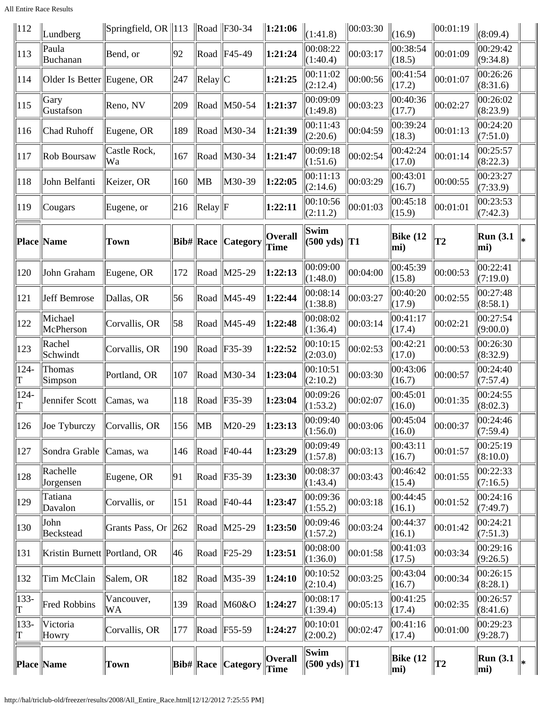All Entire Race Results

| $\parallel$ 112 | Lundberg                     | Springfield, OR   113   Road   F30-34 |           |                   |                       | $\ 1:21:06\ $          | (1:41.8)                           | $\ 00:03:30$ | (16.9)             | 00:01:19       | (8:09.4)                |   |
|-----------------|------------------------------|---------------------------------------|-----------|-------------------|-----------------------|------------------------|------------------------------------|--------------|--------------------|----------------|-------------------------|---|
| $ 113\rangle$   | Paula<br>Buchanan            | Bend, or                              | 92        |                   | Road $ F45-49$        | 1:21:24                | 00:08:22<br>(1:40.4)               | 00:03:17     | 00:38:54<br>(18.5) | 00:01:09       | 00:29:42<br>(9:34.8)    |   |
| 114             | Older Is Better Eugene, OR   |                                       | 247       | $\ $ Relay $\ $ C |                       | 1:21:25                | 00:11:02<br>(2:12.4)               | 00:00:56     | 00:41:54<br>(17.2) | 00:01:07       | 00:26:26<br>(8:31.6)    |   |
| 115             | Gary<br>Gustafson            | Reno, NV                              | 209       |                   | Road   M50-54         | 1:21:37                | 00:09:09<br>(1:49.8)               | 00:03:23     | 00:40:36<br>(17.7) | 00:02:27       | 00:26:02<br>(8:23.9)    |   |
| 116             | Chad Ruhoff                  | Eugene, OR                            | 189       |                   | Road M30-34           | 1:21:39                | 00:11:43<br>(2:20.6)               | 00:04:59     | 00:39:24<br>(18.3) | 00:01:13       | 00:24:20<br>(7:51.0)    |   |
| 117             | Rob Boursaw                  | Castle Rock,<br>Wa                    | 167       |                   | Road M30-34           | 1:21:47                | 00:09:18<br>(1:51.6)               | 00:02:54     | 00:42:24<br>(17.0) | 00:01:14       | 00:25:57<br>(8:22.3)    |   |
| 118             | John Belfanti                | Keizer, OR                            | 160       | ∥MB               | M30-39                | 1:22:05                | 00:11:13<br>(2:14.6)               | 00:03:29     | 00:43:01<br>(16.7) | 00:00:55       | 00:23:27<br>(7:33.9)    |   |
| 119             | Cougars                      | Eugene, or                            | 216       | $\ $ Relay $\ $ F |                       | 1:22:11                | 00:10:56<br>(2:11.2)               | 00:01:03     | 00:45:18<br>(15.9) | 00:01:01       | 00:23:53<br>(7:42.3)    |   |
|                 | <b>Place Name</b>            | Town                                  |           | $Bib\# Race$      | Category              | <b>Overall</b><br>Time | Swim<br>(500 yds)                  | $\ T1$       | Bike (12<br>mi)    | T <sub>2</sub> | Run(3.1)<br>mi)         | × |
| 120             | John Graham                  | Eugene, OR                            | 172       |                   | Road M25-29           | 1:22:13                | 00:09:00<br>(1:48.0)               | 00:04:00     | 00:45:39<br>(15.8) | 00:00:53       | 00:22:41<br>(7:19.0)    |   |
| 121             | Jeff Bemrose                 | Dallas, OR                            | 56        |                   | Road M45-49           | 1:22:44                | 00:08:14<br>(1:38.8)               | 00:03:27     | 00:40:20<br>(17.9) | 00:02:55       | 00:27:48<br>(8:58.1)    |   |
| 122             | Michael<br>McPherson         | Corvallis, OR                         | 58        |                   | Road   M45-49         | 1:22:48                | 00:08:02<br>(1:36.4)               | 00:03:14     | 00:41:17<br>(17.4) | 00:02:21       | 00:27:54<br>(9:00.0)    |   |
| 123             | Rachel<br>Schwindt           | Corvallis, OR                         | 190       |                   | Road   F35-39         | 1:22:52                | 00:10:15<br>(2:03.0)               | 00:02:53     | 00:42:21<br>(17.0) | 00:00:53       | 00:26:30<br>(8:32.9)    |   |
| $124 -$<br>T    | Thomas<br>Simpson            | Portland, OR                          | 107       |                   | Road M30-34           | 1:23:04                | 00:10:51<br>(2:10.2)               | 00:03:30     | 00:43:06<br>(16.7) | 00:00:57       | 00:24:40<br>(7:57.4)    |   |
| $ 124 -$<br>T   | Jennifer Scott               | Camas, wa                             | 118       |                   | Road F35-39           | 1:23:04                | 00:09:26<br>(1:53.2)               | 00:02:07     | 00:45:01<br>(16.0) | 00:01:35       | 00:24:55<br>(8:02.3)    |   |
| 126             | $\vert$ Joe Tyburczy         | Corvallis, OR                         | 156       | $\parallel$ MB    | M20-29                | $\ 1:23:13$            | $[00:09:\overline{40}$<br>(1:56.0) | 00:03:06     | 00:45:04<br>(16.0) | 00:00:37       | 00:24:46 <br>(7:59.4)   |   |
| 127             | Sondra Grable   Camas, wa    |                                       | 146       |                   | $\ $ Road $\ $ F40-44 | 1:23:29                | 00:09:49<br>(1:57.8)               | 00:03:13     | 00:43:11<br>(16.7) | 00:01:57       | 00:25:19<br>(8:10.0)    |   |
| 128             | Rachelle<br>Jorgensen        | Eugene, OR                            | 91        |                   | $\ $ Road $\ $ F35-39 | 1:23:30                | 00:08:37<br>(1:43.4)               | 00:03:43     | 00:46:42<br>(15.4) | 00:01:55       | 00:22:33<br>(7:16.5)    |   |
| 129             | Tatiana<br>Davalon           | Corvallis, or                         | 151       |                   | Road   F40-44         | 1:23:47                | 00:09:36<br>(1:55.2)               | 00:03:18     | 00:44:45<br>(16.1) | 00:01:52       | 00:24:16<br>(7:49.7)    |   |
| 130             | John<br>Beckstead            | Grants Pass, Or                       | $\ 262\ $ |                   | Road   M25-29         | 1:23:50                | 00:09:46<br>(1:57.2)               | 00:03:24     | 00:44:37<br>(16.1) | 00:01:42       | 00:24:21<br>(7:51.3)    |   |
| 131             | Kristin Burnett Portland, OR |                                       | 46        |                   | $\ $ Road $\ $ F25-29 | 1:23:51                | 00:08:00<br>(1:36.0)               | 00:01:58     | 00:41:03<br>(17.5) | 00:03:34       | 00:29:16<br>(9:26.5)    |   |
| 132             | Tim McClain                  | Salem, OR                             | 182       |                   | Road   M35-39         | 1:24:10                | 00:10:52<br>(2:10.4)               | 00:03:25     | 00:43:04<br>(16.7) | 00:00:34       | 00:26:15<br>(8:28.1)    |   |
| $ 133-$<br>T    | Fred Robbins                 | Vancouver,<br>WA                      | 139       |                   | Road   M60&O          | 1:24:27                | 00:08:17<br>(1:39.4)               | 00:05:13     | 00:41:25<br>(17.4) | 00:02:35       | 00:26:57<br>(8:41.6)    |   |
| $ 133-$<br> T   | Victoria<br>Howry            | Corvallis, OR                         | 177       |                   | $\ $ Road $\ $ F55-59 | 1:24:27                | 00:10:01<br>(2:00.2)               | 00:02:47     | 00:41:16<br>(17.4) | 00:01:00       | 00:29:23<br>(9:28.7)    |   |
| Place  Name     |                              | Town                                  |           | $ Bib\# $ Race    | <b>Category</b>       | Overall<br><b>Time</b> | Swim<br>$(500 \text{ yds})$ T1     |              | Bike (12<br>mi)    | T2             | <b>Run</b> (3.1)<br>mi) | ∗ |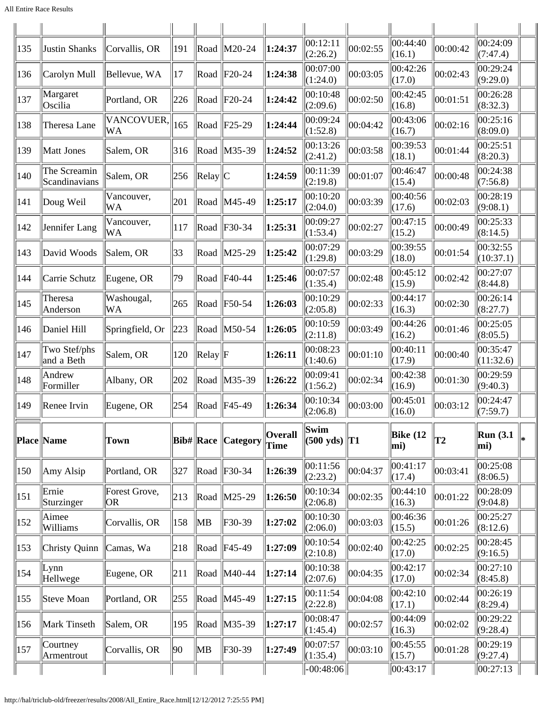| 135 | Justin Shanks                 | Corvallis, OR        | 191         | Road                            | $\vert$ M20-24            | 1:24:37                | 00:12:11<br>(2:26.2)             | 00:02:55 | 00:44:40<br>(16.1)     | 00:00:42 | 00:24:09<br>(7:47.4)  |     |
|-----|-------------------------------|----------------------|-------------|---------------------------------|---------------------------|------------------------|----------------------------------|----------|------------------------|----------|-----------------------|-----|
| 136 | Carolyn Mull                  | Bellevue, WA         | 17          |                                 | Road $ F20-24 $           | 1:24:38                | 00:07:00<br>(1:24.0)             | 00:03:05 | 00:42:26<br>(17.0)     | 00:02:43 | 00:29:24<br>(9:29.0)  |     |
| 137 | Margaret<br>Oscilia           | Portland, OR         | 226         |                                 | Road $ F20-24 $           | 1:24:42                | 00:10:48<br>(2:09.6)             | 00:02:50 | 00:42:45<br>(16.8)     | 00:01:51 | 00:26:28<br>(8:32.3)  |     |
| 138 | Theresa Lane                  | VANCOVUER,<br>WA     | 165         |                                 | Road $ F25-29$            | 1:24:44                | 00:09:24<br>(1:52.8)             | 00:04:42 | 00:43:06<br>(16.7)     | 00:02:16 | 00:25:16<br>(8:09.0)  |     |
| 139 | Matt Jones                    | Salem, OR            | 316         |                                 | Road M35-39               | 1:24:52                | 00:13:26<br>(2:41.2)             | 00:03:58 | 00:39:53<br>(18.1)     | 00:01:44 | 00:25:51<br>(8:20.3)  |     |
| 140 | The Screamin<br>Scandinavians | Salem, OR            | 256         | $\text{Relay}$ $\text{IC}$      |                           | 1:24:59                | 00:11:39<br>(2:19.8)             | 00:01:07 | 00:46:47<br>(15.4)     | 00:00:48 | 00:24:38<br>(7:56.8)  |     |
| 141 | Doug Weil                     | Vancouver,<br>WA     | 201         |                                 | Road $\text{IM45-49}$     | 1:25:17                | 00:10:20<br>(2:04.0)             | 00:03:39 | 00:40:56<br>(17.6)     | 00:02:03 | 00:28:19<br>(9:08.1)  |     |
| 142 | Jennifer Lang                 | Vancouver,<br>WA     | 117         |                                 | Road   F30-34             | 1:25:31                | 00:09:27<br>(1:53.4)             | 00:02:27 | 00:47:15<br>(15.2)     | 00:00:49 | 00:25:33<br>(8:14.5)  |     |
| 143 | David Woods                   | Salem, OR            | 33          |                                 | Road M25-29               | 1:25:42                | 00:07:29<br>(1:29.8)             | 00:03:29 | 00:39:55<br>(18.0)     | 00:01:54 | 00:32:55<br>(10:37.1) |     |
| 144 | Carrie Schutz                 | Eugene, OR           | 79          |                                 | Road $ $ F40-44           | 1:25:46                | 00:07:57<br>(1:35.4)             | 00:02:48 | 00:45:12<br>(15.9)     | 00:02:42 | 00:27:07<br>(8:44.8)  |     |
| 145 | Theresa<br>Anderson           | Washougal,<br>WA     | 265         |                                 | Road $ F50-54 $           | 1:26:03                | 00:10:29<br>(2:05.8)             | 00:02:33 | 00:44:17<br>(16.3)     | 00:02:30 | 00:26:14<br>(8:27.7)  |     |
| 146 | Daniel Hill                   | Springfield, Or      | $\ 223\ $   |                                 | Road   M50-54             | 1:26:05                | 00:10:59<br>(2:11.8)             | 00:03:49 | 00:44:26<br>(16.2)     | 00:01:46 | 00:25:05<br>(8:05.5)  |     |
| 147 | Two Stef/phs<br>and a Beth    | Salem, OR            | 120         | $\text{Relay}$ $\vert \text{F}$ |                           | 1:26:11                | 00:08:23<br>(1:40.6)             | 00:01:10 | 00:40:11<br>(17.9)     | 00:00:40 | 00:35:47<br>(11:32.6) |     |
| 148 | Andrew<br>Formiller           | Albany, OR           | 202         | Road                            | $\vert M35-39 \vert$      | 1:26:22                | 00:09:41<br>(1:56.2)             | 00:02:34 | 00:42:38<br>(16.9)     | 00:01:30 | 00:29:59<br>(9:40.3)  |     |
| 149 | Renee Irvin                   | Eugene, OR           | $\vert$ 254 |                                 | $\ $ Road $\ $ F45-49     | 1:26:34                | 00:10:34<br>(2:06.8)             | 00:03:00 | 00:45:01<br>(16.0)     | 00:03:12 | 00:24:47<br>(7:59.7)  |     |
|     | <b>Place Name</b>             | Town                 |             |                                 | <b>Bib# Race Category</b> | <b>Overall</b><br>Time | Swim<br>$ (500 \text{ yds})  T1$ |          | <b>Bike (12</b><br>mi) | T2       | Run(3.1)<br>mi)       | l∗. |
| 150 | Amy Alsip                     | Portland, OR         | 327         | Road                            | $\left $ F30-34           | 1:26:39                | 00:11:56<br>(2:23.2)             | 00:04:37 | 00:41:17<br>(17.4)     | 00:03:41 | 00:25:08<br>(8:06.5)  |     |
| 151 | Ernie<br>Sturzinger           | Forest Grove,<br>OR) | $\vert$ 213 |                                 | Road M25-29               | 1:26:50                | 00:10:34<br>(2:06.8)             | 00:02:35 | 00:44:10<br>(16.3)     | 00:01:22 | 00:28:09<br>(9:04.8)  |     |
| 152 | Aimee<br>Williams             | Corvallis, OR        | 158         | MВ                              | F30-39                    | 1:27:02                | 00:10:30<br>(2:06.0)             | 00:03:03 | 00:46:36<br>(15.5)     | 00:01:26 | 00:25:27<br>(8:12.6)  |     |
| 153 | Christy Quinn                 | Camas, Wa            | 218         | Road                            | $ F45-49$                 | 1:27:09                | 00:10:54<br>(2:10.8)             | 00:02:40 | 00:42:25<br>(17.0)     | 00:02:25 | 00:28:45<br>(9:16.5)  |     |
| 154 | Lynn<br>Hellwege              | Eugene, OR           | 211         |                                 | Road   M40-44             | 1:27:14                | 00:10:38<br>(2:07.6)             | 00:04:35 | 00:42:17<br>(17.0)     | 00:02:34 | 00:27:10<br>(8:45.8)  |     |
| 155 | Steve Moan                    | Portland, OR         | 255         |                                 | Road   M45-49             | 1:27:15                | 00:11:54<br>(2:22.8)             | 00:04:08 | 00:42:10<br>(17.1)     | 00:02:44 | 00:26:19<br>(8:29.4)  |     |
| 156 | Mark Tinseth                  | Salem, OR            | 195         | Road                            | $\vert M35-39 \vert$      | 1:27:17                | 00:08:47<br>(1:45.4)             | 00:02:57 | 00:44:09<br>(16.3)     | 00:02:02 | 00:29:22<br>(9:28.4)  |     |
| 157 | Courtney<br>Armentrout        | Corvallis, OR        | 90          | MB                              | F30-39                    | 1:27:49                | 00:07:57<br>(1:35.4)             | 00:03:10 | 00:45:55<br> (15.7)    | 00:01:28 | 00:29:19<br>(9:27.4)  |     |
|     |                               |                      |             |                                 |                           |                        | $-.00:48:06$                     |          | 00:43:17               |          | $\ 00:27:13$          |     |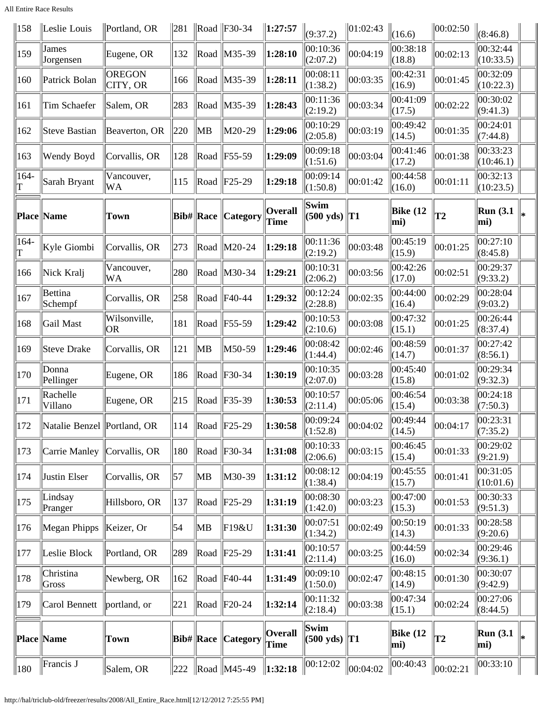All Entire Race Results

| 158             | Leslie Louis                | Portland, OR        | 281 |                  | $\ $ Road $\ $ F30-34                            | $\ 1:27:57$                   | (9:37.2)                                   | 01:02:43 | (16.6)             | 00:02:50      | (8:46.8)                |    |
|-----------------|-----------------------------|---------------------|-----|------------------|--------------------------------------------------|-------------------------------|--------------------------------------------|----------|--------------------|---------------|-------------------------|----|
| 159             | James<br>Jorgensen          | Eugene, OR          | 132 |                  | Road   M35-39                                    | 1:28:10                       | 00:10:36<br>(2:07.2)                       | 00:04:19 | 00:38:18<br>(18.8) | 00:02:13      | 00:32:44<br>(10:33.5)   |    |
| 160             | Patrick Bolan               | OREGON<br>CITY, OR  | 166 |                  | Road   M35-39                                    | 1:28:11                       | 00:08:11<br>(1:38.2)                       | 00:03:35 | 00:42:31<br>(16.9) | 00:01:45      | 00:32:09<br>(10:22.3)   |    |
| 161             | Tim Schaefer                | Salem, OR           | 283 | Road             | M35-39                                           | 1:28:43                       | 00:11:36<br>(2:19.2)                       | 00:03:34 | 00:41:09<br>(17.5) | 00:02:22      | 00:30:02<br>(9:41.3)    |    |
| 162             | Steve Bastian               | Beaverton, OR       | 220 | MB               | M20-29                                           | 1:29:06                       | 00:10:29<br>(2:05.8)                       | 00:03:19 | 00:49:42<br>(14.5) | 00:01:35      | 00:24:01<br>(7:44.8)    |    |
| 163             | Wendy Boyd                  | Corvallis, OR       | 128 |                  | Road   F55-59                                    | 1:29:09                       | 00:09:18<br>(1:51.6)                       | 00:03:04 | 00:41:46<br>(17.2) | 00:01:38      | 00:33:23<br>(10:46.1)   |    |
| $164-$<br>T     | Sarah Bryant                | Vancouver,<br>WA    | 115 |                  | $\text{Read }\text{[F25-29]}$                    | 1:29:18                       | 00:09:14<br>(1:50.8)                       | 00:01:42 | 00:44:58<br>(16.0) | 00:01:11      | 00:32:13<br>(10:23.5)   |    |
|                 | Place Name                  | <b>Town</b>         |     | <b>Bib# Race</b> | <b>Category</b>                                  | <b>Overall</b><br><b>Time</b> | Swim<br>(500 yds)                          | $\ T1\ $ | Bike (12<br>mi)    | T2            | <b>Run</b> (3.1)<br>mi) |    |
| $164-$<br>T     | Kyle Giombi                 | Corvallis, OR       | 273 |                  | Road M20-24                                      | 1:29:18                       | 00:11:36<br>(2:19.2)                       | 00:03:48 | 00:45:19<br>(15.9) | 00:01:25      | 00:27:10<br>(8:45.8)    |    |
| 166             | Nick Kralj                  | Vancouver,<br>WA    | 280 |                  | Road   M30-34                                    | 1:29:21                       | 00:10:31<br>(2:06.2)                       | 00:03:56 | 00:42:26<br>(17.0) | 00:02:51      | 00:29:37<br>(9:33.2)    |    |
| 167             | Bettina<br>Schempf          | Corvallis, OR       | 258 |                  | $\ $ Road $\ $ F40-44                            | 1:29:32                       | 00:12:24<br>(2:28.8)                       | 00:02:35 | 00:44:00<br>(16.4) | 00:02:29      | 00:28:04<br>(9:03.2)    |    |
| 168             | Gail Mast                   | Wilsonville,<br> OR | 181 |                  | $\ $ Road $\ $ F55-59                            | 1:29:42                       | 00:10:53<br>(2:10.6)                       | 00:03:08 | 00:47:32<br>(15.1) | 00:01:25      | 00:26:44<br>(8:37.4)    |    |
| 169             | Steve Drake                 | Corvallis, OR       | 121 | ∥MB              | M50-59                                           | 1:29:46                       | 00:08:42<br>(1:44.4)                       | 00:02:46 | 00:48:59<br>(14.7) | 00:01:37      | 00:27:42<br>(8:56.1)    |    |
| 170             | Donna<br>Pellinger          | Eugene, OR          | 186 | Road             | $ F30-34$                                        | 1:30:19                       | 00:10:35<br>(2:07.0)                       | 00:03:28 | 00:45:40<br>(15.8) | 00:01:02      | 00:29:34<br>(9:32.3)    |    |
| 171             | Rachelle<br>Villano         | Eugene, OR          | 215 |                  | Road F35-39                                      | 1:30:53                       | 00:10:57<br>(2:11.4)                       | 00:05:06 | 00:46:54<br>(15.4) | 00:03:38      | 00:24:18<br>(7:50.3)    |    |
| 172             | Natalie Benzel Portland, OR |                     | 114 |                  | $\ $ Road $\ $ F25-29                            | 1:30:58                       | 00:09:24<br>(1:52.8)                       | 00:04:02 | 00:49:44<br>(14.5) | 00:04:17      | 00:23:31<br>(7:35.2)    |    |
| $ 173\rangle$   | Carrie Manley Corvallis, OR |                     | 180 |                  | $\ $ Road $\ $ F30-34                            | 1:31:08                       | 00:10:33<br>(2:06.6)                       | 00:03:15 | 00:46:45<br>(15.4) | 00:01:33      | 00:29:02<br>(9:21.9)    |    |
| 174             | Justin Elser                | Corvallis, OR       | 57  | ∥MB              | M30-39                                           | 1:31:12                       | 00:08:12<br>(1:38.4)                       | 00:04:19 | 00:45:55<br>(15.7) | 00:01:41      | 00:31:05<br>(10:01.6)   |    |
| $ 175\rangle$   | Lindsay<br>Pranger          | Hillsboro, OR       | 137 |                  | $\ $ Road $\ $ F25-29                            | 1:31:19                       | 00:08:30<br>(1:42.0)                       | 00:03:23 | 00:47:00<br>(15.3) | 00:01:53      | 00:30:33<br>(9:51.3)    |    |
| 176             | Megan Phipps                | Keizer, Or          | 54  | MB               | F19&U                                            | 1:31:30                       | 00:07:51<br>(1:34.2)                       | 00:02:49 | 00:50:19<br>(14.3) | 00:01:33      | 00:28:58<br>(9:20.6)    |    |
| 177             | Leslie Block                | Portland, OR        | 289 |                  | $\ $ Road $\ $ F25-29                            | 1:31:41                       | 00:10:57<br>(2:11.4)                       | 00:03:25 | 00:44:59<br>(16.0) | 00:02:34      | 00:29:46<br>(9:36.1)    |    |
| 178             | Christina<br>Gross          | Newberg, OR         | 162 |                  | Road   F40-44                                    | 1:31:49                       | 00:09:10<br>(1:50.0)                       | 00:02:47 | 00:48:15<br>(14.9) | 00:01:30      | 00:30:07<br>(9:42.9)    |    |
| 179             | Carol Bennett               | portland, or        | 221 |                  | $\ $ Road $\ $ F20-24                            | 1:32:14                       | 00:11:32<br>(2:18.4)                       | 00:03:38 | 00:47:34<br>(15.1) | 00:02:24      | 00:27:06<br>(8:44.5)    |    |
|                 | Place  Name                 | Town                |     | $Bib\#$ Race     | Category                                         | Overall<br>Time               | Swim<br>$(500 \text{ yds})$ T <sub>1</sub> |          | Bike (12<br>mi)    | $\mathbf{T2}$ | Run(3.1)<br>mi)         | l∗ |
| $\parallel$ 180 | Francis J                   | Salem, OR           |     |                  | $\left 222 \right $ Road $\left  M45-49 \right $ | $\ 1:32:18$                   | 00:12:02                                   | 00:04:02 | 00:40:43           | 00:02:21      | 00:33:10                |    |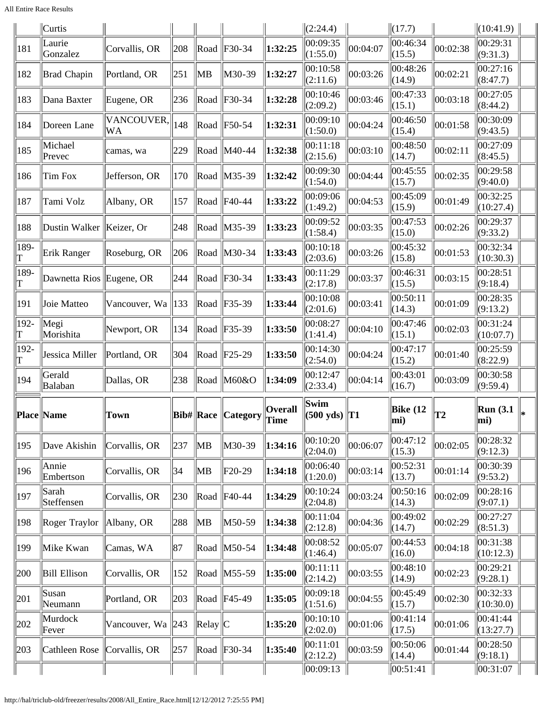All Entire Race Results

|               | $\vert$ Curtis           |                   |                 |                                |                        |                        | (2:24.4)                                                   |          | $\Vert$ (17.7)             |          | $\parallel$ (10:41.9) $\parallel$ |  |
|---------------|--------------------------|-------------------|-----------------|--------------------------------|------------------------|------------------------|------------------------------------------------------------|----------|----------------------------|----------|-----------------------------------|--|
| 181           | Laurie<br>Gonzalez       | Corvallis, OR     | 208             | Road                           | F30-34                 | 1:32:25                | 00:09:35<br>(1:55.0)                                       | 00:04:07 | 00:46:34<br>(15.5)         | 00:02:38 | 00:29:31<br>(9:31.3)              |  |
| 182           | <b>Brad Chapin</b>       | Portland, OR      | 251             | MВ                             | M30-39                 | 1:32:27                | 00:10:58<br>(2:11.6)                                       | 00:03:26 | 00:48:26<br>(14.9)         | 00:02:21 | 00:27:16<br>(8:47.7)              |  |
| 183           | Dana Baxter              | Eugene, OR        | 236             |                                | Road $ F30-34 $        | 1:32:28                | 00:10:46<br>(2:09.2)                                       | 00:03:46 | 00:47:33<br>(15.1)         | 00:03:18 | 00:27:05<br>(8:44.2)              |  |
| 184           | Doreen Lane              | VANCOUVER,<br>WA  | 148             | Road                           | $\ F50-54$             | 1:32:31                | 00:09:10<br>(1:50.0)                                       | 00:04:24 | 00:46:50<br>(15.4)         | 00:01:58 | 00:30:09<br>(9:43.5)              |  |
| 185           | Michael<br>Prevec        | camas, wa         | 229             |                                | Road   M40-44          | 1:32:38                | 00:11:18<br>(2:15.6)                                       | 00:03:10 | 00:48:50<br>(14.7)         | 00:02:11 | 00:27:09<br>(8:45.5)              |  |
| 186           | Tim Fox                  | Jefferson, OR     | 170             |                                | Road   M35-39          | 1:32:42                | 00:09:30<br>(1:54.0)                                       | 00:04:44 | 00:45:55<br>(15.7)         | 00:02:35 | 00:29:58<br>(9:40.0)              |  |
| 187           | Tami Volz                | Albany, OR        | 157             |                                | Road $ $ F40-44        | 1:33:22                | 00:09:06<br>(1:49.2)                                       | 00:04:53 | 00:45:09<br>(15.9)         | 00:01:49 | 00:32:25<br>(10:27.4)             |  |
| 188           | Dustin Walker            | Keizer, Or        | 248             | Road                           | $\vert M35-39 \rangle$ | 1:33:23                | 00:09:52<br>(1:58.4)                                       | 00:03:35 | 00:47:53<br>(15.0)         | 00:02:26 | 00:29:37<br>(9:33.2)              |  |
| 189-<br>T     | Erik Ranger              | Roseburg, OR      | 206             |                                | Road   M30-34          | 1:33:43                | 00:10:18<br>(2:03.6)                                       | 00:03:26 | 00:45:32<br>(15.8)         | 00:01:53 | 00:32:34<br>(10:30.3)             |  |
| 189-<br>T     | Dawnetta Rios Eugene, OR |                   | 244             |                                | Road $ F30-34 $        | 1:33:43                | 00:11:29<br>(2:17.8)                                       | 00:03:37 | 00:46:31<br>(15.5)         | 00:03:15 | 00:28:51<br>(9:18.4)              |  |
| 191           | Joie Matteo              | Vancouver, Wa     | $\parallel$ 133 |                                | Road   F35-39          | 1:33:44                | 00:10:08<br>(2:01.6)                                       | 00:03:41 | 00:50:11<br>(14.3)         | 00:01:09 | 00:28:35<br>(9:13.2)              |  |
| 192-<br>T     | Megi<br>Morishita        | Newport, OR       | 134             | Road                           | $\ F35-39\ $           | 1:33:50                | 00:08:27<br>(1:41.4)                                       | 00:04:10 | 00:47:46<br>(15.1)         | 00:02:03 | 00:31:24<br>(10:07.7)             |  |
| $ 192 -$<br>T | Jessica Miller           | Portland, OR      | 304             |                                | Road $ F25-29 $        | 1:33:50                | 00:14:30<br>(2:54.0)                                       | 00:04:24 | 00:47:17<br>(15.2)         | 00:01:40 | 00:25:59<br>(8:22.9)              |  |
| 194           | Gerald<br>Balaban        | Dallas, OR        | 238             |                                | Road $M60&O$           | 1:34:09                | 00:12:47<br>(2:33.4)                                       | 00:04:14 | 00:43:01<br>(16.7)         | 00:03:09 | 00:30:58<br>(9:59.4)              |  |
|               | Place  Name              | Town              |                 |                                | Bib#  Race   Category  | <b>Overall</b><br>Time | Swim<br>$\left  \left( 500 \text{ yds} \right) \right $ T1 |          | Bike $(12)$<br>$\vert$ mi) | T2       | Run(3.1)<br>mi)                   |  |
| 195           | Dave Akishin             | Corvallis, OR     | 237             | ∥MB                            | M30-39                 | 1:34:16                | 00:10:20<br>(2:04.0)                                       | 00:06:07 | 00:47:12<br>(15.3)         | 00:02:05 | 00:28:32<br>(9:12.3)              |  |
| 196           | Annie<br>Embertson       | Corvallis, OR     | 34              | ∥MB                            | $F20-29$               | 1:34:18                | 00:06:40<br>(1:20.0)                                       | 00:03:14 | 00:52:31<br>(13.7)         | 00:01:14 | 00:30:39<br>(9:53.2)              |  |
| 197           | Sarah<br>Steffensen      | Corvallis, OR     | 230             | Road                           | $\parallel$ F40-44     | 1:34:29                | 00:10:24<br>(2:04.8)                                       | 00:03:24 | 00:50:16<br>(14.3)         | 00:02:09 | 00:28:16<br>(9:07.1)              |  |
| 198           | Roger Traylor            | Albany, OR        | 288             | ∥MB                            | M50-59                 | 1:34:38                | 00:11:04<br>(2:12.8)                                       | 00:04:36 | 00:49:02<br>(14.7)         | 00:02:29 | 00:27:27<br>(8:51.3)              |  |
| 199           | Mike Kwan                | Camas, WA         | 87              |                                | Road $\vert$ M50-54    | 1:34:48                | 00:08:52<br>(1:46.4)                                       | 00:05:07 | 00:44:53<br>(16.0)         | 00:04:18 | 00:31:38<br>(10:12.3)             |  |
| 200           | <b>Bill Ellison</b>      | Corvallis, OR     | 152             |                                | Road   M55-59          | 1:35:00                | 00:11:11<br>(2:14.2)                                       | 00:03:55 | 00:48:10<br>(14.9)         | 00:02:23 | 00:29:21<br>(9:28.1)              |  |
| 201           | Susan<br>Neumann         | Portland, OR      | 203             |                                | Road F45-49            | 1:35:05                | 00:09:18<br>(1:51.6)                                       | 00:04:55 | 00:45:49<br>(15.7)         | 00:02:30 | 00:32:33<br>(10:30.0)             |  |
| 202           | Murdock<br>Fever         | Vancouver, Wa 243 |                 | $\text{Relay}$ $\vert\text{C}$ |                        | 1:35:20                | 00:10:10<br>(2:02.0)                                       | 00:01:06 | 00:41:14<br> (17.5)        | 00:01:06 | 00:41:44<br>(13:27.7)             |  |
| 203           | Cathleen Rose            | Corvallis, OR     | 257             |                                | $\ $ Road $\ $ F30-34  | 1:35:40                | 00:11:01<br>(2:12.2)                                       | 00:03:59 | 00:50:06<br> (14.4)        | 00:01:44 | 00:28:50<br>(9:18.1)              |  |
|               |                          |                   |                 |                                |                        |                        | 00:09:13                                                   |          | 00:51:41                   |          | 00:31:07                          |  |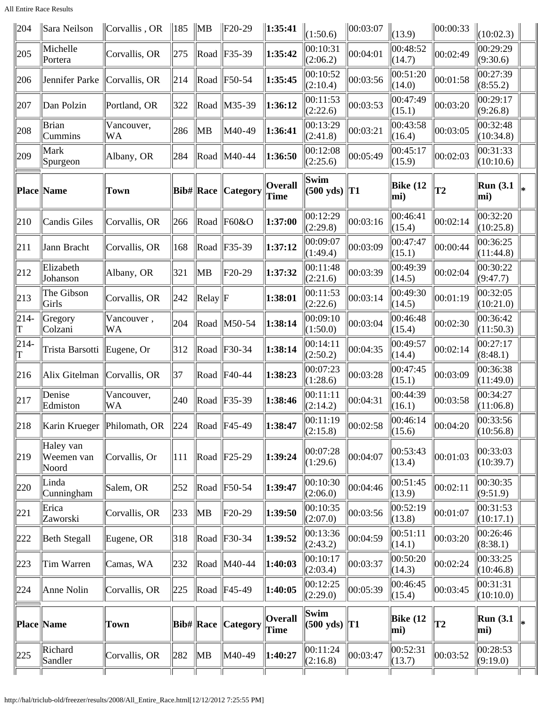All Entire Race Results

| 204                           | Sara Neilson                     | Corvallis, OR                 | $\parallel$ 185 $\parallel$ MB |                                 | $ F20-29$              | $\ 1:35:41$                   | (1:50.6)                    | $\ 00:03:07$ | (13.9)             | 00:00:33 | (10:02.3)                 |    |
|-------------------------------|----------------------------------|-------------------------------|--------------------------------|---------------------------------|------------------------|-------------------------------|-----------------------------|--------------|--------------------|----------|---------------------------|----|
| 205                           | Michelle<br>Portera              | Corvallis, OR                 | 275                            |                                 | $\ $ Road $\ $ F35-39  | 1:35:42                       | 00:10:31<br>(2:06.2)        | 00:04:01     | 00:48:52<br>(14.7) | 00:02:49 | 00:29:29<br>(9:30.6)      |    |
| 206                           | Jennifer Parke                   | Corvallis, OR                 | 214                            |                                 | $\ $ Road $\ $ F50-54  | 1:35:45                       | 00:10:52<br>(2:10.4)        | 00:03:56     | 00:51:20<br>(14.0) | 00:01:58 | 00:27:39<br>(8:55.2)      |    |
| 207                           | Dan Polzin                       | Portland, OR                  | 322                            |                                 | Road $\vert$ M35-39    | 1:36:12                       | 00:11:53<br>(2:22.6)        | 00:03:53     | 00:47:49<br>(15.1) | 00:03:20 | 00:29:17<br>(9:26.8)      |    |
| 208                           | Brian<br>Cummins                 | Vancouver,<br>WA              | 286                            | ∥MB                             | M40-49                 | $\ 1:36:41$                   | 00:13:29<br>(2:41.8)        | 00:03:21     | 00:43:58<br>(16.4) | 00:03:05 | 00:32:48<br>(10:34.8)     |    |
| 209                           | Mark<br>Spurgeon                 | Albany, OR                    | 284                            |                                 | Road   M40-44          | $\ 1:36:50$                   | 00:12:08<br>(2:25.6)        | 00:05:49     | 00:45:17<br>(15.9) | 00:02:03 | 00:31:33<br>(10:10.6)     |    |
|                               | Place Name                       | <b>Town</b>                   |                                | <b>Bib#</b> Race                | <b>Category</b>        | <b>Overall</b><br><b>Time</b> | Swim<br>$(500 \text{ yds})$ | T1           | Bike (12<br>mi)    | T2       | Run(3.1)<br>mi)           |    |
| 210                           | Candis Giles                     | Corvallis, OR                 | 266                            |                                 | $\ $ Road $\ $ F60&O   | 1:37:00                       | 00:12:29<br>(2:29.8)        | 00:03:16     | 00:46:41<br>(15.4) | 00:02:14 | 00:32:20<br>(10:25.8)     |    |
| 211                           | Jann Bracht                      | Corvallis, OR                 | 168                            |                                 | $\ $ Road $\ $ F35-39  | 1:37:12                       | 00:09:07<br>(1:49.4)        | 00:03:09     | 00:47:47<br>(15.1) | 00:00:44 | 00:36:25<br>(11:44.8)     |    |
| 212                           | Elizabeth<br>Johanson            | Albany, OR                    | 321                            | MB                              | $F20-29$               | 1:37:32                       | 00:11:48<br>(2:21.6)        | 00:03:39     | 00:49:39<br>(14.5) | 00:02:04 | 00:30:22<br>(9:47.7)      |    |
| 213                           | The Gibson<br>Girls              | Corvallis, OR                 | 242                            | $\text{Relay}$ $\vert \text{F}$ |                        | 1:38:01                       | 00:11:53<br>(2:22.6)        | 00:03:14     | 00:49:30<br>(14.5) | 00:01:19 | 00:32:05<br>(10:21.0)     |    |
| $ 214-$<br>T                  | Gregory<br>Colzani               | Vancouver,<br>WA              | 204                            |                                 | Road $\vert$ M50-54    | $\ 1:38:14$                   | 00:09:10<br>(1:50.0)        | 00:03:04     | 00:46:48<br>(15.4) | 00:02:30 | 00:36:42<br>(11:50.3)     |    |
| $ 214-$<br>$\vert \mathrm{T}$ | Trista Barsotti                  | Eugene, Or                    | 312                            |                                 | Road $ F30-34 $        | 1:38:14                       | 00:14:11<br>(2:50.2)        | 00:04:35     | 00:49:57<br>(14.4) | 00:02:14 | 00:27:17<br>(8:48.1)      |    |
| 216                           | Alix Gitelman                    | Corvallis, OR                 | 37                             |                                 | Road $ $ F40-44        | 1:38:23                       | 00:07:23<br>(1:28.6)        | 00:03:28     | 00:47:45<br>(15.1) | 00:03:09 | 00:36:38<br>(11:49.0)     |    |
| 217                           | Denise<br>Edmiston               | Vancouver,<br>WA              | 240                            |                                 | Road $ F35-39$         | 1:38:46                       | 00:11:11<br>(2:14.2)        | 00:04:31     | 00:44:39<br>(16.1) | 00:03:58 | 00:34:27<br>(11:06.8)     |    |
| 218                           |                                  | Karin Krueger   Philomath, OR | $\parallel$ 224                |                                 | $\ $ Road $\ $ F45-49  | $\ 1:38:47$                   | 00:11:19<br>(2:15.8)        | 00:02:58     | 00:46:14<br>(15.6) | 00:04:20 | $\ 00:33:56$<br>(10:56.8) |    |
| 219                           | Haley van<br>Weemen van<br>Noord | Corvallis, Or                 | 111                            |                                 | $\ $ Road $\ $ F25-29  | 1:39:24                       | 00:07:28<br>(1:29.6)        | 00:04:07     | 00:53:43<br>(13.4) | 00:01:03 | 00:33:03<br>(10:39.7)     |    |
| 220                           | Linda<br>Cunningham              | Salem, OR                     | 252                            |                                 | $\ $ Road $\ $ F50-54  | 1:39:47                       | 00:10:30<br>(2:06.0)        | 00:04:46     | 00:51:45<br>(13.9) | 00:02:11 | 00:30:35<br>(9:51.9)      |    |
| 221                           | Erica<br>Zaworski                | Corvallis, OR                 | 233                            | MB                              | $F20-29$               | 1:39:50                       | 00:10:35<br>(2:07.0)        | 00:03:56     | 00:52:19<br>(13.8) | 00:01:07 | 00:31:53 <br>(10:17.1)    |    |
| 222                           | Beth Stegall                     | Eugene, OR                    | 318                            |                                 | $\ $ Road $\ $ F30-34  | 1:39:52                       | 00:13:36<br>(2:43.2)        | 00:04:59     | 00:51:11<br>(14.1) | 00:03:20 | 00:26:46<br>(8:38.1)      |    |
| 223                           | Tim Warren                       | Camas, WA                     | 232                            |                                 | Road   M40-44          | $\ 1:40:03\ $                 | 00:10:17<br>(2:03.4)        | 00:03:37     | 00:50:20<br>(14.3) | 00:02:24 | 00:33:25<br>(10:46.8)     |    |
| 224                           | Anne Nolin                       | Corvallis, OR                 | 225                            |                                 | Road   F45-49          | 1:40:05                       | 00:12:25<br>(2:29.0)        | 00:05:39     | 00:46:45<br>(15.4) | 00:03:45 | 00:31:31<br>(10:10.0)     |    |
|                               | Place Name                       | <b>Town</b>                   |                                | <b>Bib# Race</b>                | <i><b>Category</b></i> | <b>Overall</b><br>Time        | Swim<br>$(500 \text{ yds})$ | $\ {\bf T1}$ | Bike (12<br>mi)    | T2       | Run(3.1)<br>mi)           | l∗ |
| 225                           | Richard<br>Sandler               | Corvallis, OR                 | 282                            | MB                              | M40-49                 | $\ 1:40:27$                   | 00:11:24<br>(2:16.8)        | 00:03:47     | 00:52:31<br>(13.7) | 00:03:52 | 00:28:53<br>(9:19.0)      |    |
|                               |                                  |                               |                                |                                 |                        |                               |                             |              |                    |          |                           |    |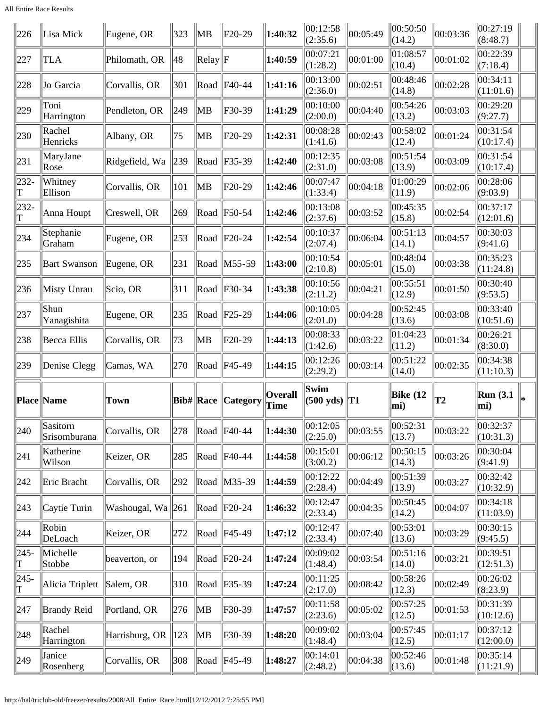All Entire Race Results

| 226           | Lisa Mick                | Eugene, OR        | 323 | $\parallel$ MB                  | $F20-29$                    | 1:40:32                       | 00:12:58<br>(2:35.6)        | 00:05:49 | 00:50:50<br>(14.2) | $\vert$ 00:03:36 | $\ 00:27:19$<br>(8:48.7) |  |
|---------------|--------------------------|-------------------|-----|---------------------------------|-----------------------------|-------------------------------|-----------------------------|----------|--------------------|------------------|--------------------------|--|
| 227           | <b>TLA</b>               | Philomath, OR     | 48  | $\text{Relay}$ $\vert \text{F}$ |                             | 1:40:59                       | 00:07:21<br>(1:28.2)        | 00:01:00 | 01:08:57<br>(10.4) | 00:01:02         | 00:22:39<br>(7:18.4)     |  |
| 228           | Jo Garcia                | Corvallis, OR     | 301 | Road                            | F40-44                      | 1:41:16                       | 00:13:00<br>(2:36.0)        | 00:02:51 | 00:48:46<br>(14.8) | 00:02:28         | 00:34:11<br>(11:01.6)    |  |
| 229           | Toni<br>Harrington       | Pendleton, OR     | 249 | MB                              | $F30-39$                    | 1:41:29                       | 00:10:00<br>(2:00.0)        | 00:04:40 | 00:54:26<br>(13.2) | 00:03:03         | 00:29:20<br>(9:27.7)     |  |
| 230           | Rachel<br>Henricks       | Albany, OR        | 75  | MB                              | $F20-29$                    | 1:42:31                       | 00:08:28<br>(1:41.6)        | 00:02:43 | 00:58:02<br>(12.4) | 00:01:24         | 00:31:54<br>(10:17.4)    |  |
| 231           | MaryJane<br>Rose         | Ridgefield, Wa    | 239 | Road                            | F35-39                      | 1:42:40                       | 00:12:35<br>(2:31.0)        | 00:03:08 | 00:51:54<br>(13.9) | 00:03:09         | 00:31:54<br>(10:17.4)    |  |
| 232-<br>Т     | Whitney<br>Ellison       | Corvallis, OR     | 101 | ∥MB                             | $F20-29$                    | 1:42:46                       | 00:07:47<br>(1:33.4)        | 00:04:18 | 01:00:29<br>(11.9) | 00:02:06         | 00:28:06<br>(9:03.9)     |  |
| 232-          | Anna Houpt               | Creswell, OR      | 269 |                                 | Road $ F50-54 $             | 1:42:46                       | 00:13:08<br>(2:37.6)        | 00:03:52 | 00:45:35<br>(15.8) | 00:02:54         | 00:37:17<br>(12:01.6)    |  |
| 234           | Stephanie<br>Graham      | Eugene, OR        | 253 |                                 | Road $ F20-24$              | 1:42:54                       | 00:10:37<br>(2:07.4)        | 00:06:04 | 00:51:13<br>(14.1) | 00:04:57         | 00:30:03<br>(9:41.6)     |  |
| 235           | <b>Bart Swanson</b>      | Eugene, OR        | 231 |                                 | Road   M55-59               | 1:43:00                       | 00:10:54<br>(2:10.8)        | 00:05:01 | 00:48:04<br>(15.0) | 00:03:38         | 00:35:23<br>(11:24.8)    |  |
| 236           | Misty Unrau              | Scio, OR          | 311 |                                 | Road $ F30-34 $             | 1:43:38                       | 00:10:56<br>(2:11.2)        | 00:04:21 | 00:55:51<br>(12.9) | 00:01:50         | 00:30:40<br>(9:53.5)     |  |
| 237           | Shun<br>Yanagishita      | Eugene, OR        | 235 |                                 | Road $ F25-29$              | 1:44:06                       | 00:10:05<br>(2:01.0)        | 00:04:28 | 00:52:45<br>(13.6) | 00:03:08         | 00:33:40<br>(10:51.6)    |  |
| 238           | Becca Ellis              | Corvallis, OR     | 73  | ∥MB                             | $F20-29$                    | 1:44:13                       | 00:08:33<br>(1:42.6)        | 00:03:22 | 01:04:23<br>(11.2) | 00:01:34         | 00:26:21<br>(8:30.0)     |  |
| 239           | Denise Clegg             | Camas, WA         | 270 |                                 | $\ $ Road $\ $ F45-49       | 1:44:15                       | 00:12:26<br>(2:29.2)        | 00:03:14 | 00:51:22<br>(14.0) | 00:02:35         | 00:34:38<br>(11:10.3)    |  |
|               | Place Name               | <b>Town</b>       |     | <b>Bib# Race</b>                | <b>Category</b>             | <b>Overall</b><br><b>Time</b> | Swim<br>$(500 \text{ yds})$ | T1       | Bike $(12)$<br>mi) | T2               | Run(3.1)<br>$\vert$ mi)  |  |
| $ 240\rangle$ | Sasitorn<br>Srisomburana | Corvallis, OR     | 278 |                                 | Road F40-44                 | 1:44:30                       | 00:12:05<br>(2:25.0)        | 00:03:55 | 00:52:31<br>(13.7) | $\ 00:03:22\ $   | 00:32:37<br>(10:31.3)    |  |
| 241           | Katherine<br>Wilson      | Keizer, OR        | 285 |                                 | Road   F40-44               | 1:44:58                       | 00:15:01<br>(3:00.2)        | 00:06:12 | 00:50:15<br>(14.3) | 00:03:26         | 00:30:04<br>(9:41.9)     |  |
| 242           | Eric Bracht              | Corvallis, OR     | 292 |                                 | Road   M35-39               | 1:44:59                       | 00:12:22<br>(2:28.4)        | 00:04:49 | 00:51:39<br>(13.9) | 00:03:27         | 00:32:42<br>(10:32.9)    |  |
| 243           | Caytie Turin             | Washougal, Wa 261 |     |                                 | $\ $ Road $\ $ F20-24       | 1:46:32                       | 00:12:47<br>(2:33.4)        | 00:04:35 | 00:50:45<br>(14.2) | 00:04:07         | 00:34:18<br>(11:03.9)    |  |
| 244           | Robin<br>DeLoach         | Keizer, OR        | 272 |                                 | $\ $ Road $\ $ F45-49       | 1:47:12                       | 00:12:47<br>(2:33.4)        | 00:07:40 | 00:53:01<br>(13.6) | 00:03:29         | 00:30:15<br>(9:45.5)     |  |
| $ 245-$<br>T  | Michelle<br>Stobbe       | beaverton, or     | 194 |                                 | $\vert$ Road $\vert$ F20-24 | 1:47:24                       | 00:09:02<br>(1:48.4)        | 00:03:54 | 00:51:16<br>(14.0) | 00:03:21         | 00:39:51<br>(12:51.3)    |  |
| $ 245-$       | Alicia Triplett          | Salem, OR         | 310 |                                 | Road   F35-39               | 1:47:24                       | 00:11:25<br>(2:17.0)        | 00:08:42 | 00:58:26<br>(12.3) | 00:02:49         | 00:26:02<br>(8:23.9)     |  |
| 247           | <b>Brandy Reid</b>       | Portland, OR      | 276 | MB                              | $F30-39$                    | 1:47:57                       | 00:11:58<br>(2:23.6)        | 00:05:02 | 00:57:25<br>(12.5) | 00:01:53         | 00:31:39<br>(10:12.6)    |  |
| 248           | Rachel<br>Harrington     | Harrisburg, OR    | 123 | $\parallel$ MB                  | $F30-39$                    | 1:48:20                       | 00:09:02<br>(1:48.4)        | 00:03:04 | 00:57:45<br>(12.5) | 00:01:17         | 00:37:12<br>(12:00.0)    |  |
| $ 249\rangle$ | Janice<br>Rosenberg      | Corvallis, OR     | 308 |                                 | $\ $ Road $\ $ F45-49       | 1:48:27                       | 00:14:01<br>(2:48.2)        | 00:04:38 | 00:52:46<br>(13.6) | 00:01:48         | 00:35:14<br>(11:21.9)    |  |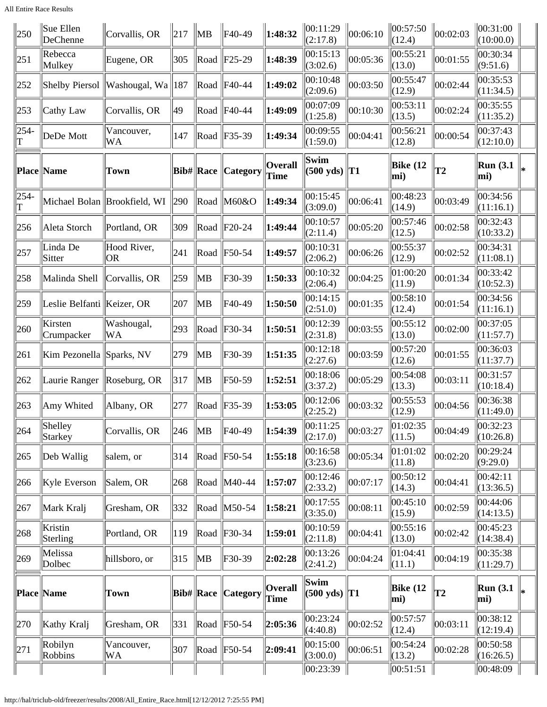All Entire Race Results

| 250       | Sue Ellen<br>DeChenne       | Corvallis, OR                | 217 | ∥MB              | F40-49                | 1:48:32                | 00:11:29<br>(2:17.8)        | 00:06:10 | 00:57:50<br>(12.4)     | 00:02:03        | 00:31:00<br>(10:00.0)                   |  |
|-----------|-----------------------------|------------------------------|-----|------------------|-----------------------|------------------------|-----------------------------|----------|------------------------|-----------------|-----------------------------------------|--|
| 251       | Rebecca<br>Mulkey           | Eugene, OR                   | 305 |                  | $\ $ Road $\ $ F25-29 | 1:48:39                | 00:15:13<br>(3:02.6)        | 00:05:36 | 00:55:21<br>(13.0)     | 00:01:55        | 00:30:34<br>(9:51.6)                    |  |
| 252       | Shelby Piersol              | Washougal, Wa   187          |     |                  | Road   F40-44         | 1:49:02                | 00:10:48<br>(2:09.6)        | 00:03:50 | 00:55:47<br>(12.9)     | 00:02:44        | 00:35:53<br>(11:34.5)                   |  |
| 253       | Cathy Law                   | Corvallis, OR                | 49  |                  | Road   F40-44         | 1:49:09                | 00:07:09<br>(1:25.8)        | 00:10:30 | 00:53:11<br>(13.5)     | 00:02:24        | 00:35:55<br>(11:35.2)                   |  |
| 254-<br>T | DeDe Mott                   | Vancouver,<br>WA             | 147 |                  | $\ $ Road $\ $ F35-39 | 1:49:34                | 00:09:55<br>(1:59.0)        | 00:04:41 | 00:56:21<br>(12.8)     | 00:00:54        | 00:37:43<br>(12:10.0)                   |  |
|           | <b>Place Name</b>           | Town                         |     | <b>Bib#</b> Race | Category              | <b>Overall</b><br>Time | Swim<br>$(500 \text{ yds})$ | T1       | <b>Bike (12</b><br>mi) | $\overline{12}$ | <b>Run</b> (3.1)<br>mi)                 |  |
| 254-<br>T |                             | Michael Bolan Brookfield, WI | 290 | Road             | M60&O                 | 1:49:34                | 00:15:45<br>(3:09.0)        | 00:06:41 | 00:48:23<br>(14.9)     | 00:03:49        | 00:34:56<br>(11:16.1)                   |  |
| 256       | Aleta Storch                | Portland, OR                 | 309 |                  | $\ $ Road $\ $ F20-24 | 1:49:44                | 00:10:57<br>(2:11.4)        | 00:05:20 | 00:57:46<br>(12.5)     | 00:02:58        | 00:32:43<br>(10:33.2)                   |  |
| 257       | Linda De<br>Sitter          | Hood River,<br><b>OR</b>     | 241 |                  | $\ $ Road $\ $ F50-54 | 1:49:57                | 00:10:31<br>(2:06.2)        | 00:06:26 | 00:55:37<br>(12.9)     | 00:02:52        | 00:34:31<br>(11:08.1)                   |  |
| 258       | Malinda Shell               | Corvallis, OR                | 259 | MB               | $F30-39$              | 1:50:33                | 00:10:32<br>(2:06.4)        | 00:04:25 | 01:00:20<br>(11.9)     | 00:01:34        | 00:33:42<br>(10:52.3)                   |  |
| 259       | Leslie Belfanti  Keizer, OR |                              | 207 | MB               | F40-49                | 1:50:50                | 00:14:15<br>(2:51.0)        | 00:01:35 | 00:58:10<br>(12.4)     | 00:01:54        | 00:34:56<br>(11:16.1)                   |  |
| 260       | Kirsten<br>Crumpacker       | Washougal,<br>WA             | 293 | Road             | F30-34                | 1:50:51                | 00:12:39<br>(2:31.8)        | 00:03:55 | 00:55:12<br>(13.0)     | 00:02:00        | 00:37:05<br>(11:57.7)                   |  |
| 261       | Kim Pezonella Sparks, NV    |                              | 279 | MB               | F30-39                | 1:51:35                | 00:12:18<br>(2:27.6)        | 00:03:59 | 00:57:20<br>(12.6)     | 00:01:55        | 00:36:03<br>(11:37.7)                   |  |
| 262       | Laurie Ranger               | $\vert$ Roseburg, OR         | 317 | MB               | F50-59                | 1:52:51                | 00:18:06<br>(3:37.2)        | 00:05:29 | 00:54:08<br>(13.3)     | 00:03:11        | 00:31:57<br>(10:18.4)                   |  |
| 263       | Amy Whited                  | Albany, OR                   | 277 |                  | Road   F35-39         | 1:53:05                | 00:12:06<br>(2:25.2)        | 00:03:32 | 00:55:53<br>(12.9)     | 00:04:56        | 00:36:38<br>(11:49.0)                   |  |
| 264       | Shelley<br>Starkey          | Corvallis, OR                | 246 | ∥MB              | F40-49                | 1:54:39                | 00:11:25<br>(2:17.0)        | 00:03:27 | 01:02:35<br>(11.5)     | 00:04:49        | 00:32:23<br>(10:26.8)                   |  |
| 265       | Deb Wallig                  | salem, or                    | 314 |                  | $\ $ Road $\ $ F50-54 | 1:55:18                | 00:16:58<br>(3:23.6)        | 00:05:34 | 01:01:02<br>(11.8)     | 00:02:20        | 00:29:24<br>(9:29.0)                    |  |
| 266       | Kyle Everson                | Salem, OR                    | 268 |                  | Road   M40-44         | 1:57:07                | 00:12:46<br>(2:33.2)        | 00:07:17 | 00:50:12<br>(14.3)     | 00:04:41        | 00:42:11<br>(13:36.5)                   |  |
| 267       | Mark Kralj                  | Gresham, OR                  | 332 |                  | Road   M50-54         | 1:58:21                | 00:17:55<br>(3:35.0)        | 00:08:11 | 00:45:10<br>(15.9)     | 00:02:59        | 00:44:06<br>(14:13.5)                   |  |
| 268       | Kristin<br>Sterling         | Portland, OR                 | 119 |                  | $\ $ Road $\ $ F30-34 | 1:59:01                | 00:10:59<br>(2:11.8)        | 00:04:41 | 00:55:16<br>(13.0)     | 00:02:42        | 00:45:23<br>(14:38.4)                   |  |
| 269       | Melissa<br>Dolbec           | hillsboro, or                | 315 | ∥MB              | $F30-39$              | 2:02:28                | 00:13:26<br>(2:41.2)        | 00:04:24 | 01:04:41<br>(11.1)     | 00:04:19        | 00:35:38<br>(11:29.7)                   |  |
|           | Place Name                  | Town                         |     | <b>Bib#</b> Race | <b>Category</b>       | <b>Overall</b><br>Time | Swim<br>$(500 \text{ yds})$ | $\ T1\ $ | <b>Bike (12</b><br>mi) | T <sub>2</sub>  | <b>Run</b> (3.1)<br>$ \text{mi}\rangle$ |  |
| 270       | Kathy Kralj                 | Gresham, OR                  | 331 | Road             | F50-54                | 2:05:36                | 00:23:24<br>(4:40.8)        | 00:02:52 | 00:57:57<br>(12.4)     | 00:03:11        | 00:38:12<br>(12:19.4)                   |  |
| 271       | Robilyn<br>Robbins          | Vancouver,<br>WA             | 307 |                  | $\ $ Road $\ $ F50-54 | 2:09:41                | 00:15:00<br>(3:00.0)        | 00:06:51 | 00:54:24<br>(13.2)     | 00:02:28        | 00:50:58<br>(16:26.5)                   |  |
|           |                             |                              |     |                  |                       |                        | 00:23:39                    |          | 00:51:51               |                 | 00:48:09                                |  |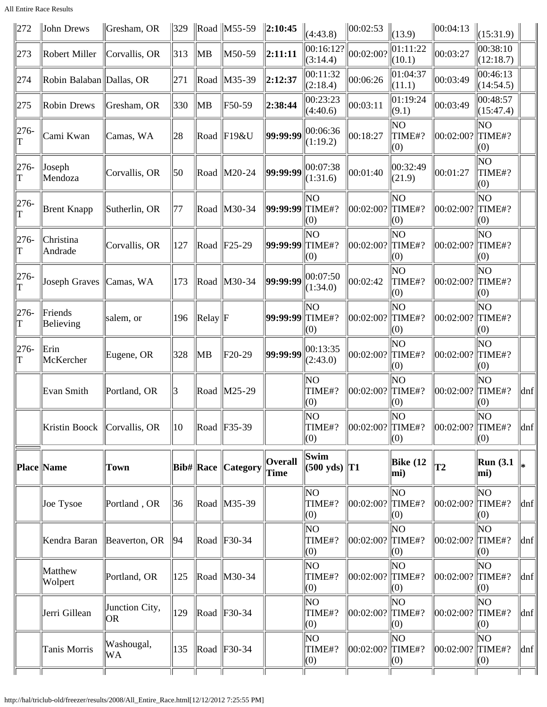All Entire Race Results

| $\parallel$ 272 | John Drews                    | Gresham, OR           | $ 329\rangle$ |                   | $\ $ Road $\ $ M55-59     | $\ 2:10:45$     | (4:43.8)                         | 00:02:53             | (13.9)                       | 00:04:13               | (15:31.9)             |                             |
|-----------------|-------------------------------|-----------------------|---------------|-------------------|---------------------------|-----------------|----------------------------------|----------------------|------------------------------|------------------------|-----------------------|-----------------------------|
| 273             | Robert Miller                 | Corvallis, OR         | 313           | ∥MB               | M50-59                    | $\ 2:11:11$     | 00:16:12?<br>(3:14.4)            | 00:02:00?            | 01:11:22<br>(10.1)           | 00:03:27               | 00:38:10<br>(12:18.7) |                             |
| 274             | Robin Balaban Dallas, OR      |                       | 271           |                   | Road   M35-39             | 2:12:37         | 00:11:32<br>(2:18.4)             | 00:06:26             | 01:04:37<br>(11.1)           | 00:03:49               | 00:46:13<br>(14:54.5) |                             |
| 275             | Robin Drews                   | Gresham, OR           | 330           | ∥MB               | F50-59                    | 2:38:44         | 00:23:23<br>(4:40.6)             | 00:03:11             | 01:19:24<br>(9.1)            | 00:03:49               | 00:48:57<br>(15:47.4) |                             |
| $ 276-$<br>lΤ   | Cami Kwan                     | Camas, WA             | 28            | Road              | $\parallel$ F19&U         | 99:99:99        | 00:06:36<br>(1:19.2)             | 00:18:27             | ΝO<br>TIME#?<br>(0)          | 00:02:00?              | ΝO<br>TIME#?<br>(0)   |                             |
| $ 276-$<br> T   | Joseph<br>Mendoza             | Corvallis, OR         | 50            | Road              | $ M20-24$                 | 99:99:99        | 00:07:38<br>(1:31.6)             | 00:01:40             | 00:32:49<br>(21.9)           | 00:01:27               | ΝO<br>TIME#?<br>(0)   |                             |
| $ 276-$<br>lΤ   | Brent Knapp                   | Sutherlin, OR         | 77            | Road              | $\parallel$ M30-34        | 99:99:99        | NO<br>TIME#?<br>(0)              | 00:02:00?            | ΝO<br>TIME#?<br>(0)          | 00:02:00?              | lΝO<br>TIME#?<br>(0)  |                             |
| $ 276-$<br>T    | Christina<br>Andrade          | Corvallis, OR         | 127           |                   | $\ $ Road $\ $ F25-29     | 99:99:99        | ΝO<br>TIME#?<br>(0)              | 00:02:00?            | lΝO<br>$\Vert$ TIME#?<br>(0) | $ 00:02:00? $ TIME#?   | ΝO<br>(0)             |                             |
| $ 276-$         | Joseph Graves   Camas, WA     |                       | 173           |                   | Road M30-34               | 99:99:99        | 00:07:50<br>(1:34.0)             | 00:02:42             | ΝO<br>TIME#?<br>(0)          | 00:02:00? TIME#?       | ΝO<br>(0)             |                             |
| $ 276-$<br>ľΤ   | Friends<br>Believing          | salem, or             | 196           | $\ $ Relay $\ $ F |                           | 99:99:99        | NΟ<br>TIME#?<br>(0)              | 00:02:00?            | ΝO<br>TIME#?<br>(0)          | 00:02:00? TIME#?       | ΝO<br>(0)             |                             |
| $ 276-$<br> T   | Erin<br>McKercher             | Eugene, OR            | 328           | ∥MB               | F20-29                    | 99:99:99        | 00:13:35<br>(2:43.0)             | 00:02:00?            | ΝO<br>TIME#?<br>(0)          | 00:02:00?              | ΝO<br>TIME#?<br>(0)   |                             |
|                 | Evan Smith                    | Portland, OR          | 13            |                   | $\ $ Road $\ $ M25-29     |                 | NO<br>TIME#?<br>(0)              | 00:02:00?            | ΝO<br>TIME#?<br>(0)          | $ 00:02:00? $ TIME#?   | ΝO<br>(0)             | $\left  \text{dnf} \right $ |
|                 | Kristin Boock   Corvallis, OR |                       | 10            |                   | $\ $ Road $\ $ F35-39     |                 | NO<br>TIME#?<br>(0)              | $ 00:02:00? $ TIME#? | NO<br>(0)                    | $\ 00:02:00?\ $ TIME#? | NO<br>(0)             | $\vert$ dnf $\vert$         |
|                 | Place  Name                   | Town                  |               |                   | <b>Bib# Race Category</b> | Overall<br>Time | Swim<br>$ (500 \text{ yds})  T1$ |                      | Bike (12<br>mi)              | T2                     | Run(3.1)<br>mi)       | l*                          |
|                 | Joe Tysoe                     | Portland, OR          | 36            |                   | Road M35-39               |                 | NO<br>TIME#?<br>(0)              | 00:02:00?            | NO<br>TIME#?<br>(0)          | $ 00:02:00? $ TIME#?   | ΝO<br>(0)             | dnf                         |
|                 | Kendra Baran                  | Beaverton, OR         | 94            |                   | $\ $ Road $\ $ F30-34     |                 | NO.<br>TIME#?<br>(0)             | 00:02:00?            | ΝO<br>$\ $ TIME#?<br>(0)     | $ 00:02:00? $ TIME#?   | ΝO<br>(0)             | dnf                         |
|                 | Matthew<br>Wolpert            | Portland, OR          | 125           |                   | $\ $ Road $\ $ M30-34     |                 | NO.<br>TIME#?<br>(0)             | 00:02:00?  TIME#?    | lΝO<br>(0)                   | $ 00:02:00? $ TIME#?   | ΝO<br>(0)             | dnf                         |
|                 | Jerri Gillean                 | Junction City,<br> OR | 129           |                   | $\ $ Road $\ $ F30-34     |                 | NO<br>TIME#?<br>(0)              | 00:02:00?            | ΝO<br>$\ $ TIME#?<br>(0)     | $ 00:02:00? $ TIME#?   | ΝO<br>(0)             | dnf                         |
|                 | Tanis Morris                  | Washougal,<br>WA      | 135           |                   | $\ $ Road $\ $ F30-34     |                 | NO.<br>TIME#?<br>(0)             | 00:02:00?            | NO<br>$\vert$ TIME#?<br>(0)  | $ 00:02:00? $ TIME#?   | ΝO<br>(0)             | dnf                         |
|                 |                               |                       |               |                   |                           |                 |                                  |                      |                              |                        |                       |                             |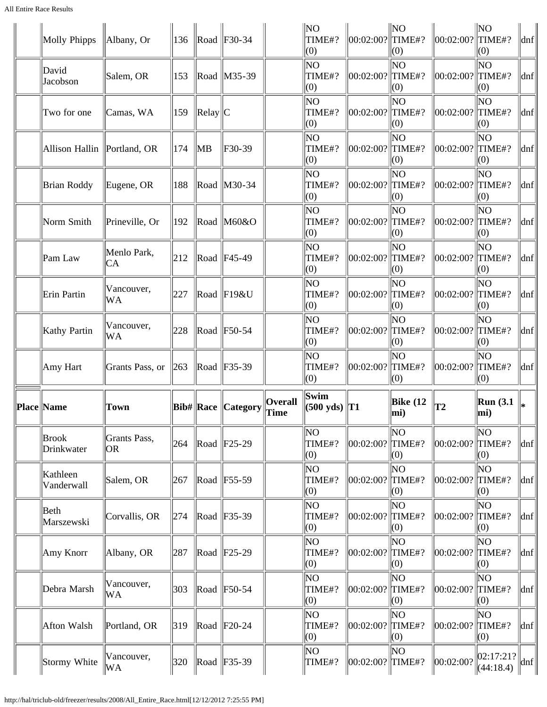| Molly Phipps                  | Albany, Or          | 136 |                | $\ $ Road $\ $ F30-34     |                               | N <sub>O</sub><br>TIME#?<br>(0) | 00:02:00?  TIME#?    | ∥NO<br>$\vert(0)$            | $ 00:02:00? $ TIME#? | NO<br>(0)            | dnf                         |
|-------------------------------|---------------------|-----|----------------|---------------------------|-------------------------------|---------------------------------|----------------------|------------------------------|----------------------|----------------------|-----------------------------|
| David<br>Jacobson             | Salem, OR           | 153 |                | Road   M35-39             |                               | NO<br>TIME#?<br>(0)             | 00:02:00?  TIME#?    | N <sub>O</sub><br>$\vert(0)$ | $ 00:02:00? $ TIME#? | NO<br>(0)            | dnf                         |
| Two for one                   | Camas, WA           | 159 | $\ Relay\ C$   |                           |                               | ΝO<br>TIME#?<br>(0)             | 00:02:00?  TIME#?    | NO<br>(0)                    | $ 00:02:00? $ TIME#? | lΝO<br>(0)           | dnf                         |
| Allison Hallin   Portland, OR |                     | 174 | $\parallel$ MB | F30-39                    |                               | ΝO<br>TIME#?<br>(0)             | 00:02:00? TIME#?     | NO<br>(0)                    | $ 00:02:00? $ TIME#? | lΝO<br>(0)           | dnf                         |
| Brian Roddy                   | Eugene, OR          | 188 |                | Road   M30-34             |                               | ΝO<br>TIME#?<br>(0)             | 00:02:00?  TIME#?    | N <sub>O</sub><br>$\vert(0)$ | 00:02:00? TIME#?     | lΝO<br>(0)           | dnf                         |
| Norm Smith                    | Prineville, Or      | 192 |                | Road M60&O                |                               | ΝO<br>TIME#?<br>(0)             | 00:02:00?  TIME#?    | NO<br>(0)                    | 00:02:00?            | ΝO<br>TIME#?<br>(0)  | dnf                         |
| Pam Law                       | Menlo Park,<br>CA   | 212 |                | $\ $ Road $\ $ F45-49     |                               | NO<br>TIME#?<br>(0)             | 00:02:00?  TIME#?    | NO<br>$\vert(0)$             | 00:02:00?            | lΝO<br>TIME#?<br>(0) | $\left  \text{dnf} \right $ |
| Erin Partin                   | Vancouver,<br>WA    | 227 |                | Road F19&U                |                               | ΝO<br>TIME#?<br>(0)             | 00:02:00?  TIME#?    | ΝO<br>(0)                    | 00:02:00?            | ΝO<br>TIME#?<br>(0)  | $\left  \text{dnf} \right $ |
| Kathy Partin                  | Vancouver,<br>WA    | 228 |                | $\ $ Road $\ $ F50-54     |                               | ΝO<br>TIME#?<br>(0)             | 00:02:00? TIME#?     | ΝO<br>(0)                    | $ 00:02:00? $ TIME#? | ΝO<br>(0)            | dnf                         |
| Amy Hart                      | Grants Pass, or     | 263 |                | $\ $ Road $\ $ F35-39     |                               | ΝO<br>TIME#?<br>(0)             | 00:02:00?  TIME#?    | ΝO<br>(0)                    | 00:02:00? TIME#?     | ΝO<br>(0)            | dnf                         |
| Place Name                    | <b>Town</b>         |     |                | <b>Bib# Race Category</b> | <b>Overall</b><br><b>Time</b> | Swim<br>$(500 \text{ yds})$     | $\ {\bf T1}$         | Bike $(12)$<br>mi)           | T2                   | Run(3.1)<br>mi)      |                             |
| <b>Brook</b><br>Drinkwater    | Grants Pass,<br>OR. | 264 |                | $\ $ Road $\ $ F25-29     |                               | NO.<br>TIME#?<br>(0)            | 00:02:00? TIME#?     | NO<br>(0)                    | $ 00:02:00? $ TIME#? | NO<br>(0)            | $\left  \text{dnf} \right $ |
| Kathleen<br>Vanderwall        | Salem, OR           | 267 |                | $\ $ Road $\ $ F55-59     |                               | ΝO<br>TIME#?<br>(0)             | 00:02:00? TIME#?     | lΝO<br>(0)                   | $ 00:02:00? $ TIME#? | ΝO<br>(0)            | $\left  \text{dnf} \right $ |
| Beth<br>Marszewski            | Corvallis, OR       | 274 |                | Road   F35-39             |                               | ΝO<br>TIME#?<br>(0)             | 00:02:00? TIME#?     | NO.<br>(0)                   | 00:02:00? TIME#?     | ΝO<br>(0)            | $\left  \text{dnf} \right $ |
| Amy Knorr                     | Albany, OR          | 287 |                | $\ $ Road $\ $ F25-29     |                               | ΝO<br>TIME#?<br>(0)             | 00:02:00? TIME#?     | NO<br>(0)                    | 00:02:00?            | ΝO<br>TIME#?<br>(0)  | dnf                         |
| Debra Marsh                   | Vancouver,<br>WA    | 303 |                | $\ $ Road $\ $ F50-54     |                               | NO.<br>TIME#?<br>(0)            | $ 00:02:00? $ TIME#? | ΝO<br>(0)                    | $ 00:02:00? $ TIME#? | ΝO<br>(0)            | dnf                         |
|                               |                     |     |                |                           |                               | ΝO                              |                      | NO                           |                      | ΝO                   |                             |
| Afton Walsh                   | Portland, OR        | 319 |                | $\ $ Road $\ $ F20-24     |                               | TIME#?<br>(0)                   | 00:02:00? TIME#?     | (0)                          | $ 00:02:00? $ TIME#? | (0)                  | dnf                         |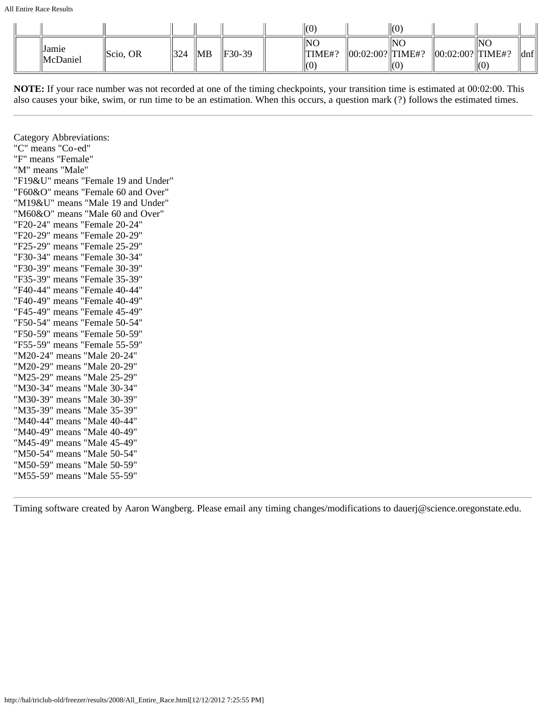All Entire Race Results

|                                       |                      |     |                |        | (0)                  |                        | (0  |                        |     |      |
|---------------------------------------|----------------------|-----|----------------|--------|----------------------|------------------------|-----|------------------------|-----|------|
| <sup>'</sup> Jamie<br><b>McDaniel</b> | $\parallel$ Scio, OR | 324 | $\parallel$ MB | F30-39 | INC<br>TIME#?<br>(0) | $  00:02:00?  $ TIME#? | INO | $  00:02:00?  $ TIME#? | INO | ∥dnf |

**NOTE:** If your race number was not recorded at one of the timing checkpoints, your transition time is estimated at 00:02:00. This also causes your bike, swim, or run time to be an estimation. When this occurs, a question mark (?) follows the estimated times.

Category Abbreviations: "C" means "Co-ed" "F" means "Female" "M" means "Male" "F19&U" means "Female 19 and Under" "F60&O" means "Female 60 and Over" "M19&U" means "Male 19 and Under" "M60&O" means "Male 60 and Over" "F20-24" means "Female 20-24" "F20-29" means "Female 20-29" "F25-29" means "Female 25-29" "F30-34" means "Female 30-34" "F30-39" means "Female 30-39" "F35-39" means "Female 35-39" "F40-44" means "Female 40-44" "F40-49" means "Female 40-49" "F45-49" means "Female 45-49" "F50-54" means "Female 50-54" "F50-59" means "Female 50-59" "F55-59" means "Female 55-59" "M20-24" means "Male 20-24" "M20-29" means "Male 20-29" "M25-29" means "Male 25-29" "M30-34" means "Male 30-34" "M30-39" means "Male 30-39" "M35-39" means "Male 35-39" "M40-44" means "Male 40-44" "M40-49" means "Male 40-49" "M45-49" means "Male 45-49" "M50-54" means "Male 50-54" "M50-59" means "Male 50-59" "M55-59" means "Male 55-59"

Timing software created by Aaron Wangberg. Please email any timing changes/modifications to dauerj@science.oregonstate.edu.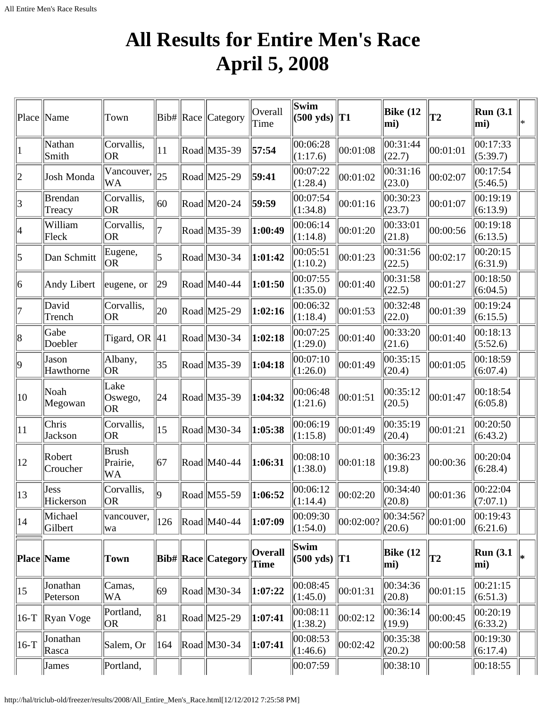# **All Results for Entire Men's Race April 5, 2008**

<span id="page-17-0"></span>

| Place   Name |                      | Town                           |              | $ Bib\# $ Race $ $ Category                          | Overall<br>Time        | Swim<br>$(500 \text{ yds})$                | T <sub>1</sub> | <b>Bike</b> (12<br>mi) | T <sub>2</sub> | <b>Run</b> (3.1<br>mi)  | ∗ |
|--------------|----------------------|--------------------------------|--------------|------------------------------------------------------|------------------------|--------------------------------------------|----------------|------------------------|----------------|-------------------------|---|
| 1            | Nathan<br>Smith      | Corvallis,<br><b>OR</b>        | 11           | Road M35-39                                          | 57:54                  | 00:06:28<br>(1:17.6)                       | 00:01:08       | 00:31:44<br>(22.7)     | 00:01:01       | 00:17:33<br>(5:39.7)    |   |
| $ 2\rangle$  | Josh Monda           | Vancouver,<br><b>WA</b>        | 25           | Road M25-29                                          | 59:41                  | 00:07:22<br>(1:28.4)                       | 00:01:02       | 00:31:16<br>(23.0)     | 00:02:07       | 00:17:54<br>(5:46.5)    |   |
| 3            | Brendan<br>Treacy    | Corvallis,<br><b>OR</b>        | 60           | Road M20-24                                          | 59:59                  | 00:07:54<br>(1:34.8)                       | 00:01:16       | 00:30:23<br>(23.7)     | 00:01:07       | 00:19:19<br>(6:13.9)    |   |
| 4            | William<br>Fleck     | Corvallis,<br><b>OR</b>        |              | Road M35-39                                          | 1:00:49                | 00:06:14<br>(1:14.8)                       | 00:01:20       | 00:33:01<br>(21.8)     | 00:00:56       | 00:19:18<br>(6:13.5)    |   |
| 5            | Dan Schmitt          | Eugene,<br><b>OR</b>           | 5            | Road M30-34                                          | 1:01:42                | 00:05:51<br>(1:10.2)                       | 00:01:23       | 00:31:56<br>(22.5)     | 00:02:17       | 00:20:15<br>(6:31.9)    |   |
| 6            | Andy Libert          | eugene, or                     | 29           | Road M40-44                                          | 1:01:50                | 00:07:55<br>(1:35.0)                       | 00:01:40       | 00:31:58<br>(22.5)     | 00:01:27       | 00:18:50<br>(6:04.5)    |   |
| 17           | David<br>Trench      | Corvallis,<br><b>OR</b>        | 20           | Road M25-29                                          | 1:02:16                | 00:06:32<br>(1:18.4)                       | 00:01:53       | 00:32:48<br>(22.0)     | 00:01:39       | 00:19:24<br>(6:15.5)    |   |
| 8            | Gabe<br>Doebler      | Tigard, OR $  41$              |              | Road M30-34                                          | 1:02:18                | 00:07:25<br>(1:29.0)                       | 00:01:40       | 00:33:20<br>(21.6)     | 00:01:40       | 00:18:13<br>(5:52.6)    |   |
| 9            | Jason<br>Hawthorne   | Albany,<br><b>OR</b>           | $ 35\rangle$ | Road M35-39                                          | 1:04:18                | 00:07:10<br>(1:26.0)                       | 00:01:49       | 00:35:15<br>(20.4)     | 00:01:05       | 00:18:59<br>(6:07.4)    |   |
| 10           | Noah<br>Megowan      | Lake<br>Oswego,<br><b>OR</b>   | 24           | Road M35-39                                          | 1:04:32                | 00:06:48<br>(1:21.6)                       | 00:01:51       | 00:35:12<br>(20.5)     | 00:01:47       | 00:18:54<br>(6:05.8)    |   |
| $ 11\rangle$ | Chris<br>Jackson     | Corvallis,<br><b>OR</b>        | $ 15\rangle$ | Road M30-34                                          | 1:05:38                | 00:06:19<br>(1:15.8)                       | 00:01:49       | 00:35:19<br>(20.4)     | 00:01:21       | 00:20:50<br>(6:43.2)    |   |
| $ 12\rangle$ | Robert<br>Croucher   | <b>Brush</b><br>Prairie,<br>WA | 67           | $\text{Rad}$ M40-44                                  | 1:06:31                | 00:08:10<br>(1:38.0)                       | 00:01:18       | 00:36:23<br>(19.8)     | 00:00:36       | 00:20:04<br>(6:28.4)    |   |
| $ 13\rangle$ | Jess<br>Hickerson    | Corvallis,<br><b>OR</b>        | $ 9\rangle$  | $\text{Rad}$ M55-59                                  | 1:06:52                | 00:06:12<br>(1:14.4)                       | 00:02:20       | 00:34:40<br>(20.8)     | 00:01:36       | 00:22:04<br>(7:07.1)    |   |
| 14           | Michael<br>Gilbert   | vancouver,<br>wa               | 126          | $\left \text{Read}\right \left \text{M40-44}\right $ | 1:07:09                | 00:09:30<br>(1:54.0)                       | 00:02:00?      | 00:34:56? <br>(20.6)   | 00:01:00       | 00:19:43<br>(6:21.6)    |   |
|              | Place Name           | <b>Town</b>                    |              | <b>Bib# Race Category</b>                            | <b>Overall</b><br>Time | Swim<br>$(500 \text{ yds})$ T <sub>1</sub> |                | <b>Bike</b> (12<br>mi) | T2             | <b>Run</b> (3.1)<br>mi) |   |
| $ 15\rangle$ | Jonathan<br>Peterson | Camas,<br>WA                   | 69           | $\text{Rad}$ M30-34                                  | 1:07:22                | 00:08:45<br>(1:45.0)                       | 00:01:31       | 00:34:36<br>(20.8)     | 00:01:15       | 00:21:15<br>(6:51.3)    |   |
| $ 16-T$      | Ryan Voge            | Portland,<br>OR                | 81           | $\text{Rad}$ M25-29                                  | 1:07:41                | 00:08:11<br>(1:38.2)                       | 00:02:12       | 00:36:14<br>(19.9)     | 00:00:45       | 00:20:19<br>(6:33.2)    |   |
| $ 16-T$      | Jonathan<br>Rasca    | Salem, Or                      | 164          | $\left \text{Read}\right \left \text{M30-34}\right $ | 1:07:41                | 00:08:53<br>(1:46.6)                       | 00:02:42       | 00:35:38<br>(20.2)     | 00:00:58       | 00:19:30<br>(6:17.4)    |   |
|              | James                | Portland,                      |              |                                                      |                        | 00:07:59                                   |                | 00:38:10               |                | 00:18:55                |   |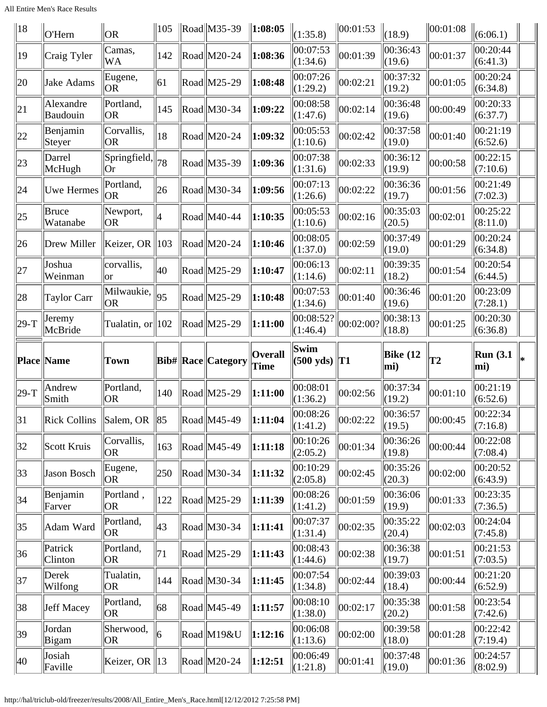All Entire Men's Race Results

| 18       | O'Hern                                   | <b>OR</b>           | 105            | $\ \text{Read}\ $ M35-39                             | $\ 1:08:05$                   | (1:35.8)              | 00:01:53  | (18.9)             | 00:01:08       | (6:06.1)                |  |
|----------|------------------------------------------|---------------------|----------------|------------------------------------------------------|-------------------------------|-----------------------|-----------|--------------------|----------------|-------------------------|--|
| 19       | Craig Tyler                              | Camas,<br>WA        | 142            | $\left \text{Read}\right \left \text{M20-24}\right $ | $\vert 1:08:36 \rangle$       | 00:07:53<br>(1:34.6)  | 00:01:39  | 00:36:43<br>(19.6) | 00:01:37       | 00:20:44<br>(6:41.3)    |  |
| 20       | Jake Adams                               | Eugene,<br> OR      | 61             | $\text{Rad}$ M25-29                                  | 1:08:48                       | 00:07:26<br>(1:29.2)  | 00:02:21  | 00:37:32<br>(19.2) | 00:01:05       | 00:20:24<br>(6:34.8)    |  |
| 21       | Alexandre<br>Baudouin                    | Portland,<br> OR    | 145            | $\left \text{Read}\right \right $ M30-34             | 1:09:22                       | 00:08:58<br>(1:47.6)  | 00:02:14  | 00:36:48<br>(19.6) | 00:00:49       | 00:20:33<br>(6:37.7)    |  |
| 22       | Benjamin<br>Steyer                       | Corvallis,<br> OR   | 18             | $\text{Rad}$ M20-24                                  | 1:09:32                       | 00:05:53<br>(1:10.6)  | 00:02:42  | 00:37:58<br>(19.0) | 00:01:40       | 00:21:19<br>(6:52.6)    |  |
| 23       | Darrel<br>McHugh                         | Springfield,<br> Or | 78             | $\text{Rad}$ M35-39                                  | 1:09:36                       | 00:07:38<br>(1:31.6)  | 00:02:33  | 00:36:12<br>(19.9) | 00:00:58       | 00:22:15<br>(7:10.6)    |  |
| 24       | Uwe Hermes                               | Portland,<br> OR    | 26             | $\text{Rad}$ M30-34                                  | 1:09:56                       | 00:07:13<br>(1:26.6)  | 00:02:22  | 00:36:36<br>(19.7) | 00:01:56       | 00:21:49<br>(7:02.3)    |  |
| 25       | Bruce<br>Watanabe                        | Newport,<br> OR     | $\overline{4}$ | $\text{Road}$ M40-44                                 | 1:10:35                       | 00:05:53<br>(1:10.6)  | 00:02:16  | 00:35:03<br>(20.5) | 00:02:01       | 00:25:22<br>(8:11.0)    |  |
| 26       | Drew Miller                              | Keizer, OR          | $ 103\rangle$  | $\left \text{Read}\right \left \text{M20-24}\right $ | 1:10:46                       | 00:08:05<br>(1:37.0)  | 00:02:59  | 00:37:49<br>(19.0) | 00:01:29       | 00:20:24<br>(6:34.8)    |  |
| 27       | Joshua<br>Weinman                        | corvallis,<br> or   | 40             | $\text{Rad}$ M25-29                                  | $\ 1:10:47$                   | 00:06:13<br>(1:14.6)  | 00:02:11  | 00:39:35<br>(18.2) | 00:01:54       | 00:20:54<br>(6:44.5)    |  |
| 28       | Taylor Carr                              | Milwaukie,<br> OR   | 95             | $\text{Rad}$ M25-29                                  | 1:10:48                       | 00:07:53<br>(1:34.6)  | 00:01:40  | 00:36:46<br>(19.6) | 00:01:20       | 00:23:09<br>(7:28.1)    |  |
| $ 29-T $ | Jeremy<br>McBride                        | Tualatin, or  102   |                | $\ $ Road $\ $ M25-29                                | $\ 1:11:00\ $                 | 00:08:52?<br>(1:46.4) | 00:02:00? | 00:38:13<br>(18.8) | 00:01:25       | 00:20:30<br>(6:36.8)    |  |
|          |                                          |                     |                |                                                      |                               | Swim                  |           |                    |                |                         |  |
|          | Place Name                               | Town                |                | Bib#  Race  Category                                 | <b>Overall</b><br><b>Time</b> | $(500 \text{ yds})$   | T1        | Bike $(12)$<br>mi) | T <sub>2</sub> | <b>Run</b> (3.1)<br>mi) |  |
| $ 29-T $ | Andrew<br>Smith                          | Portland,<br> OR    | 140            | $\left \text{Read}\right \left \text{M25-29}\right $ | $\vert 1:11:00$               | 00:08:01<br>(1:36.2)  | 00:02:56  | 00:37:34<br>(19.2) | 00:01:10       | 00:21:19<br>(6:52.6)    |  |
| 31       | $\ $ Rick Collins $\ $ Salem, OR $\ $ 85 |                     |                | $\ \text{Read}\ $ M45-49                             | $\ 1:11:04$                   | 00:08:26<br>(1:41.2)  | 00:02:22  | 00:36:57<br>(19.5) | 00:00:45       | 00:22:34<br>(7:16.8)    |  |
| 32       | Scott Kruis                              | Corvallis,<br>OR)   | 163            | Road  M45-49                                         | $\ 1:11:18$                   | 00:10:26<br>(2:05.2)  | 00:01:34  | 00:36:26<br>(19.8) | 00:00:44       | 00:22:08<br>(7:08.4)    |  |
| 33       | Jason Bosch                              | Eugene,<br> OR      | 250            | Road  M30-34                                         | $\ 1:11:32\ $                 | 00:10:29<br>(2:05.8)  | 00:02:45  | 00:35:26<br>(20.3) | 00:02:00       | 00:20:52<br>(6:43.9)    |  |
| 34       | Benjamin<br>Farver                       | Portland,<br> OR    | 122            | $\left \text{Read}\right \left \text{M25-29}\right $ | $\ 1:11:39$                   | 00:08:26<br>(1:41.2)  | 00:01:59  | 00:36:06<br>(19.9) | 00:01:33       | 00:23:35<br>(7:36.5)    |  |
| 35       | Adam Ward                                | Portland,<br> OR    | 43             | $\left \text{Read}\right \left \text{M30-34}\right $ | 1:11:41                       | 00:07:37<br>(1:31.4)  | 00:02:35  | 00:35:22<br>(20.4) | 00:02:03       | 00:24:04<br>(7:45.8)    |  |
| 36       | Patrick<br>Clinton                       | Portland,<br> OR    | 71             | $\text{Rad}$ M25-29                                  | $\ 1:11:43$                   | 00:08:43<br>(1:44.6)  | 00:02:38  | 00:36:38<br>(19.7) | 00:01:51       | 00:21:53<br>(7:03.5)    |  |
| 37       | Derek<br>Wilfong                         | Tualatin,<br> OR    | 144            | Road  M30-34                                         | 1:11:45                       | 00:07:54<br>(1:34.8)  | 00:02:44  | 00:39:03<br>(18.4) | 00:00:44       | 00:21:20<br>(6:52.9)    |  |
| 38       | Jeff Macey                               | Portland,<br> OR    | 68             | $\text{Rad}$ M45-49                                  | $\ 1:11:57$                   | 00:08:10<br>(1:38.0)  | 00:02:17  | 00:35:38<br>(20.2) | 00:01:58       | 00:23:54<br>(7:42.6)    |  |
| 39       | Jordan<br>Bigam                          | Sherwood,<br> OR    | 6              | Road M19&U                                           | 1:12:16                       | 00:06:08<br>(1:13.6)  | 00:02:00  | 00:39:58<br>(18.0) | 00:01:28       | 00:22:42<br>(7:19.4)    |  |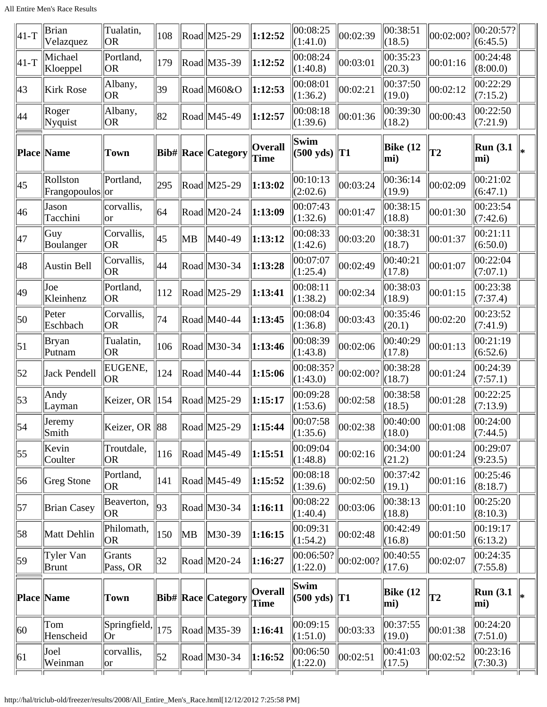| $ 41-T$          | Brian<br>Velazquez        | Tualatin,<br> OR        | 108 |    | Road M25-29                                          | 1:12:52                | 00:08:25<br>(1:41.0)           | 00:02:39  | 00:38:51<br>(18.5)     | 00:02:00?      | 00:20:57?<br>(6:45.5)   |     |
|------------------|---------------------------|-------------------------|-----|----|------------------------------------------------------|------------------------|--------------------------------|-----------|------------------------|----------------|-------------------------|-----|
| $ 41-T$          | Michael<br>Kloeppel       | Portland,<br>OR.        | 179 |    | Road M35-39                                          | 1:12:52                | 00:08:24<br>(1:40.8)           | 00:03:01  | 00:35:23<br>(20.3)     | 00:01:16       | 00:24:48<br>(8:00.0)    |     |
| 43               | <b>Kirk Rose</b>          | Albany,<br>OR.          | 39  |    | Road M60&O                                           | 1:12:53                | 00:08:01<br>(1:36.2)           | 00:02:21  | 00:37:50<br>(19.0)     | 00:02:12       | 00:22:29<br>(7:15.2)    |     |
| 44               | Roger<br>Nyquist          | Albany,<br> OR          | 82  |    | Road M45-49                                          | 1:12:57                | 00:08:18<br>(1:39.6)           | 00:01:36  | 00:39:30<br>(18.2)     | 00:00:43       | 00:22:50<br>(7:21.9)    |     |
|                  | <b>Place Name</b>         | <b>Town</b>             |     |    | Bib#  Race  Category                                 | <b>Overall</b><br>Time | Swim<br>$(500 \text{ yds})$    | T1        | <b>Bike</b> (12<br>mi) | T <sub>2</sub> | <b>Run</b> (3.1)<br>mi) | ∣∗∗ |
| 45               | Rollston<br>Frangopoulos  | Portland,<br>$\ $ or    | 295 |    | Road M25-29                                          | 1:13:02                | 00:10:13<br>(2:02.6)           | 00:03:24  | 00:36:14<br>(19.9)     | 00:02:09       | 00:21:02<br>(6:47.1)    |     |
| 46               | Jason<br>Tacchini         | corvallis,<br>lor       | 64  |    | Road M20-24                                          | 1:13:09                | 00:07:43<br>(1:32.6)           | 00:01:47  | 00:38:15<br>(18.8)     | 00:01:30       | 00:23:54<br>(7:42.6)    |     |
| 47               | Guy<br>Boulanger          | Corvallis,<br><b>OR</b> | 45  | MB | M40-49                                               | 1:13:12                | 00:08:33<br>(1:42.6)           | 00:03:20  | 00:38:31<br>(18.7)     | 00:01:37       | 00:21:11<br>(6:50.0)    |     |
| 48               | Austin Bell               | Corvallis,<br>lor       | 44  |    | Road M30-34                                          | 1:13:28                | 00:07:07<br>(1:25.4)           | 00:02:49  | 00:40:21<br>(17.8)     | 00:01:07       | 00:22:04<br>(7:07.1)    |     |
| 49               | Joe<br>Kleinhenz          | Portland,<br>OR.        | 112 |    | $\text{Rad}$ M25-29                                  | 1:13:41                | 00:08:11<br>(1:38.2)           | 00:02:34  | 00:38:03<br>(18.9)     | 00:01:15       | 00:23:38<br>(7:37.4)    |     |
| 50               | Peter<br>Eschbach         | Corvallis,<br> OR       | 74  |    | Road M40-44                                          | 1:13:45                | 00:08:04<br>(1:36.8)           | 00:03:43  | 00:35:46<br>(20.1)     | 00:02:20       | 00:23:52<br>(7:41.9)    |     |
| $\vert 51 \vert$ | Bryan<br>Putnam           | Tualatin,<br>OR.        | 106 |    | $\left \text{Read}\right \left \text{M30-34}\right $ | 1:13:46                | 00:08:39<br>(1:43.8)           | 00:02:06  | 00:40:29<br>(17.8)     | 00:01:13       | 00:21:19<br>(6:52.6)    |     |
| 52               | Jack Pendell              | EUGENE,<br><b>OR</b>    | 124 |    | Road M40-44                                          | 1:15:06                | 00:08:35?<br>(1:43.0)          | 00:02:00? | 00:38:28<br>(18.7)     | 00:01:24       | 00:24:39<br>(7:57.1)    |     |
| 53               | Andy<br>Layman            | Keizer, OR              | 154 |    | $\text{Rad}$ M25-29                                  | 1:15:17                | 00:09:28<br>(1:53.6)           | 00:02:58  | 00:38:58<br>(18.5)     | 00:01:28       | 00:22:25<br>(7:13.9)    |     |
| $\vert$ 54       | Jeremy<br>Smith           | Keizer, OR 88           |     |    | $\left \text{Road}\right $ M25-29                    | 1:15:44                | 00:07:58<br>(1:35.6)           | 00:02:38  | 00:40:00<br>(18.0)     | 00:01:08       | 00:24:00<br>(7:44.5)    |     |
| $\vert 55 \vert$ | Kevin<br>Coulter          | Troutdale,<br> OR       | 116 |    | $\left \text{Read}\right \left \text{M45-49}\right $ | 1:15:51                | 00:09:04<br>(1:48.8)           | 00:02:16  | 00:34:00<br>(21.2)     | 00:01:24       | 00:29:07<br>(9:23.5)    |     |
| 56               | Greg Stone                | Portland,<br>OR.        | 141 |    | $\left \text{Read}\right \left \text{M45-49}\right $ | 1:15:52                | 00:08:18<br>(1:39.6)           | 00:02:50  | 00:37:42<br>(19.1)     | 00:01:16       | 00:25:46<br>(8:18.7)    |     |
| $\vert 57 \vert$ | <b>Brian Casey</b>        | Beaverton,<br>OR.       | 93  |    | Road M30-34                                          | 1:16:11                | 00:08:22<br>(1:40.4)           | 00:03:06  | 00:38:13<br>(18.8)     | 00:01:10       | 00:25:20<br>(8:10.3)    |     |
| 58               | Matt Dehlin               | Philomath,<br>OR.       | 150 | MB | M30-39                                               | 1:16:15                | 00:09:31<br>(1:54.2)           | 00:02:48  | 00:42:49<br>(16.8)     | 00:01:50       | 00:19:17<br>(6:13.2)    |     |
| 59               | Tyler Van<br><b>Brunt</b> | Grants<br>Pass, OR      | 32  |    | $\text{Rad}$ M20-24                                  | 1:16:27                | 00:06:50?<br>(1:22.0)          | 00:02:00? | 00:40:55<br>(17.6)     | 00:02:07       | 00:24:35<br>(7:55.8)    |     |
|                  | Place  Name               | Town                    |     |    | <b>Bib# Race Category</b>                            | Overall<br>Time        | Swim<br>$(500 \text{ yds})$ T1 |           | <b>Bike</b> (12<br>mi) | T2             | <b>Run</b> (3.1)<br>mi) | lж  |
| $ 60\rangle$     | Tom<br>Henscheid          | Springfield,<br>Or      | 175 |    | $\text{Rad}$ M35-39                                  | 1:16:41                | 00:09:15<br>(1:51.0)           | 00:03:33  | 00:37:55<br>(19.0)     | 00:01:38       | 00:24:20<br>(7:51.0)    |     |
| 61               | Joel<br>Weinman           | corvallis,<br> or       | 52  |    | Road M30-34                                          | 1:16:52                | 00:06:50<br>(1:22.0)           | 00:02:51  | 00:41:03<br>(17.5)     | 00:02:52       | 00:23:16<br>(7:30.3)    |     |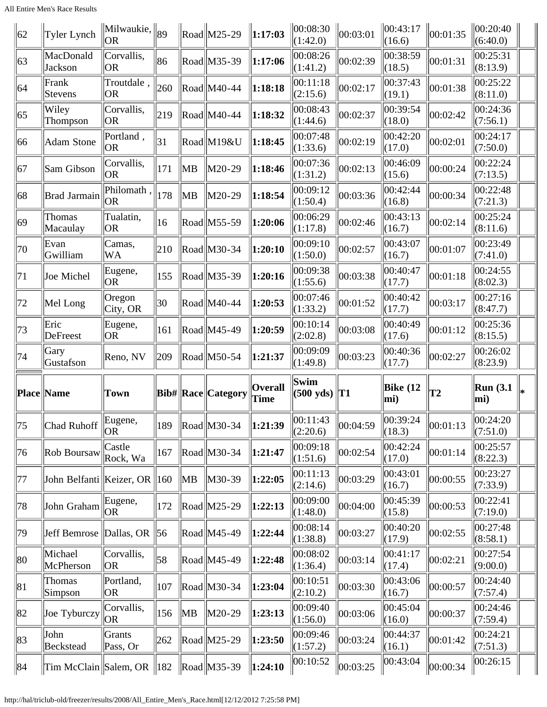All Entire Men's Race Results

| 62           | Tyler Lynch                      | $\Vert$ Milwaukie, $\Vert_{89}$<br> OR |     |                | $\ $ Road $\ $ M25-29                                | $\ 1:17:03$                 | 00:08:30 <br>(1:42.0)       | 00:03:01 | $\ 00:43:17$<br>(16.6) | 00:01:35 | 00:20:40 <br>(6:40.0)   |  |
|--------------|----------------------------------|----------------------------------------|-----|----------------|------------------------------------------------------|-----------------------------|-----------------------------|----------|------------------------|----------|-------------------------|--|
| 63           | MacDonald<br>Jackson             | Corvallis,<br> OR                      | 86  |                | Road M35-39                                          | 1:17:06                     | 00:08:26<br>(1:41.2)        | 00:02:39 | 00:38:59<br>(18.5)     | 00:01:31 | 00:25:31<br>(8:13.9)    |  |
| 64           | Frank<br>Stevens                 | Troutdale,<br> OR                      | 260 |                | Road  M40-44                                         | 1:18:18                     | 00:11:18<br>(2:15.6)        | 00:02:17 | 00:37:43<br> (19.1)    | 00:01:38 | 00:25:22<br>(8:11.0)    |  |
| 65           | Wiley<br>Thompson                | Corvallis,<br> OR                      | 219 |                | Road  M40-44                                         | 1:18:32                     | 00:08:43<br>(1:44.6)        | 00:02:37 | 00:39:54<br>(18.0)     | 00:02:42 | 00:24:36<br>(7:56.1)    |  |
| 66           | Adam Stone                       | Portland,<br> OR                       | 31  |                | Road  M19&U                                          | 1:18:45                     | 00:07:48<br>(1:33.6)        | 00:02:19 | 00:42:20<br>(17.0)     | 00:02:01 | 00:24:17<br>(7:50.0)    |  |
| 67           | Sam Gibson                       | Corvallis,<br> OR                      | 171 | ∥MB            | M20-29                                               | 1:18:46                     | 00:07:36<br>(1:31.2)        | 00:02:13 | 00:46:09<br>(15.6)     | 00:00:24 | 00:22:24<br>(7:13.5)    |  |
| 68           | Brad Jarmain                     | Philomath,<br> OR                      | 178 | ∥MB            | M20-29                                               | 1:18:54                     | 00:09:12<br>(1:50.4)        | 00:03:36 | 00:42:44<br>(16.8)     | 00:00:34 | 00:22:48<br>(7:21.3)    |  |
| 69           | Thomas<br>Macaulay               | Tualatin,<br> OR                       | 16  |                | $\ $ Road $\ $ M55-59                                | 1:20:06                     | 00:06:29<br>(1:17.8)        | 00:02:46 | 00:43:13<br> (16.7)    | 00:02:14 | 00:25:24<br>(8:11.6)    |  |
| 70           | Evan<br>Gwilliam                 | Camas,<br>WA                           | 210 |                | Road  M30-34                                         | $\ket{1:20:10}$             | 00:09:10<br>(1:50.0)        | 00:02:57 | 00:43:07<br> (16.7)    | 00:01:07 | 00:23:49<br>(7:41.0)    |  |
| 71           | Joe Michel                       | Eugene,<br> OR                         | 155 |                | $\ $ Road $\ $ M35-39                                | 1:20:16                     | 00:09:38<br>(1:55.6)        | 00:03:38 | 00:40:47<br>(17.7)     | 00:01:18 | 00:24:55<br>(8:02.3)    |  |
| 72           | Mel Long                         | Oregon<br>City, OR                     | 30  |                | Road  M40-44                                         | 1:20:53                     | 00:07:46<br>(1:33.2)        | 00:01:52 | 00:40:42<br>(17.7)     | 00:03:17 | 00:27:16<br>(8:47.7)    |  |
| 73           | Eric<br>DeFreest                 | Eugene,<br> OR                         | 161 |                | Road  M45-49                                         | 1:20:59                     | 00:10:14<br>(2:02.8)        | 00:03:08 | 00:40:49<br>(17.6)     | 00:01:12 | 00:25:36<br>(8:15.5)    |  |
|              |                                  |                                        |     |                |                                                      |                             |                             |          |                        |          |                         |  |
| 74           | Gary<br>Gustafson                | Reno, NV                               | 209 |                | $\ $ Road $\ $ M50-54                                | 1:21:37                     | 00:09:09<br>(1:49.8)        | 00:03:23 | 00:40:36<br>(17.7)     | 00:02:27 | 00:26:02<br>(8:23.9)    |  |
|              | <b>Place Name</b>                | Town                                   |     |                | <b>Bib#</b> Race Category                            | <b>Overall</b><br>$\ $ Time | Swim<br>$(500 \text{ yds})$ | T1       | Bike $(12)$<br>mi)     | T2       | <b>Run</b> (3.1)<br>mi) |  |
| 75           | Chad Ruhoff                      | Eugene,<br> OR                         | 189 |                | $\left \right $ Road $\left \right $ M30-34          | $\ 1:21:39$                 | 00:11:43<br>(2:20.6)        | 00:04:59 | 00:39:24<br>(18.3)     | 00:01:13 | 00:24:20<br>(7:51.0)    |  |
| 76           | Rob Boursaw                      | Castle<br>Rock, Wa                     | 167 |                | Road  M30-34                                         | 1:21:47                     | 00:09:18<br>(1:51.6)        | 00:02:54 | 00:42:24<br>(17.0)     | 00:01:14 | 00:25:57<br>(8:22.3)    |  |
| 77           | John Belfanti   Keizer, OR   160 |                                        |     | $\parallel$ MB | M30-39                                               | 1:22:05                     | 00:11:13<br>(2:14.6)        | 00:03:29 | 00:43:01<br>(16.7)     | 00:00:55 | 00:23:27<br>(7:33.9)    |  |
| 78           | John Graham                      | Eugene,<br><b>OR</b>                   | 172 |                | $\left \text{Read}\right \left \text{M25-29}\right $ | 1:22:13                     | 00:09:00<br>(1:48.0)        | 00:04:00 | 00:45:39<br>(15.8)     | 00:00:53 | 00:22:41<br>(7:19.0)    |  |
| 79           | Jeff Bemrose                     | $\Delta$ Dallas, OR                    | 56  |                | $\left \text{Read}\right \left \text{M45-49}\right $ | 1:22:44                     | 00:08:14<br>(1:38.8)        | 00:03:27 | 00:40:20<br>(17.9)     | 00:02:55 | 00:27:48<br>(8:58.1)    |  |
| 80           | Michael<br>McPherson             | Corvallis,<br> OR                      | 58  |                | $\left \text{Read}\right \left \text{M45-49}\right $ | 1:22:48                     | 00:08:02<br>(1:36.4)        | 00:03:14 | 00:41:17<br>(17.4)     | 00:02:21 | 00:27:54<br>(9:00.0)    |  |
| 81           | Thomas<br>Simpson                | Portland,<br> OR                       | 107 |                | Road  M30-34                                         | 1:23:04                     | 00:10:51<br>(2:10.2)        | 00:03:30 | 00:43:06<br>(16.7)     | 00:00:57 | 00:24:40<br>(7:57.4)    |  |
| 82           | Joe Tyburczy                     | Corvallis,<br>OR <sub>1</sub>          | 156 | $\parallel$ MB | M20-29                                               | 1:23:13                     | 00:09:40<br>(1:56.0)        | 00:03:06 | 00:45:04<br>(16.0)     | 00:00:37 | 00:24:46<br>(7:59.4)    |  |
| $ 83\rangle$ | John<br>Beckstead                | Grants<br>Pass, Or                     | 262 |                | $\left \text{Read}\right \left \text{M25-29}\right $ | 1:23:50                     | 00:09:46<br>(1:57.2)        | 00:03:24 | 00:44:37<br>(16.1)     | 00:01:42 | 00:24:21<br>(7:51.3)    |  |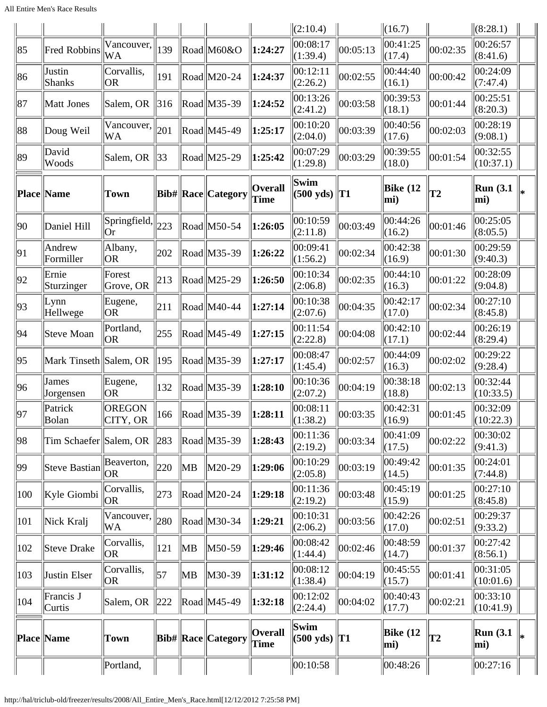|            |                        |                         |     |    |                                                      |                        | (2:10.4)                    |                | $\ (16.7)$         |          | (8:28.1)                |    |
|------------|------------------------|-------------------------|-----|----|------------------------------------------------------|------------------------|-----------------------------|----------------|--------------------|----------|-------------------------|----|
| 85         | <b>Fred Robbins</b>    | Vancouver,<br> WA       | 139 |    | Road M60&O                                           | 1:24:27                | 00:08:17<br>(1:39.4)        | 00:05:13       | 00:41:25<br>(17.4) | 00:02:35 | 00:26:57<br>(8:41.6)    |    |
| 86         | Justin<br>Shanks       | Corvallis,<br><b>OR</b> | 191 |    | Road M20-24                                          | 1:24:37                | 00:12:11<br>(2:26.2)        | 00:02:55       | 00:44:40<br>(16.1) | 00:00:42 | 00:24:09<br>(7:47.4)    |    |
| 87         | Matt Jones             | Salem, OR               | 316 |    | Road M35-39                                          | 1:24:52                | 00:13:26<br>(2:41.2)        | 00:03:58       | 00:39:53<br>(18.1) | 00:01:44 | 00:25:51<br>(8:20.3)    |    |
| 88         | Doug Weil              | Vancouver,<br>WA        | 201 |    | $\text{Rad}$ M45-49                                  | 1:25:17                | 00:10:20<br>(2:04.0)        | 00:03:39       | 00:40:56<br>(17.6) | 00:02:03 | 00:28:19<br>(9:08.1)    |    |
| 89         | David<br>Woods         | Salem, OR               | 33  |    | Road M25-29                                          | 1:25:42                | 00:07:29<br>(1:29.8)        | 00:03:29       | 00:39:55<br>(18.0) | 00:01:54 | 00:32:55<br>(10:37.1)   |    |
|            | <b>Place Name</b>      | <b>Town</b>             |     |    | Bib#  Race  Category                                 | Overall<br>Time        | Swim<br>$(500 \text{ yds})$ | T <sub>1</sub> | Bike $(12)$<br>mi) | T2       | <b>Run</b> (3.1)<br>mi) | l∗ |
| 90         | Daniel Hill            | Springfield,<br> Or     | 223 |    | Road M50-54                                          | 1:26:05                | 00:10:59<br>(2:11.8)        | 00:03:49       | 00:44:26<br>(16.2) | 00:01:46 | 00:25:05<br>(8:05.5)    |    |
| 91         | Andrew<br>Formiller    | Albany,<br> OR          | 202 |    | Road M35-39                                          | 1:26:22                | 00:09:41<br>(1:56.2)        | 00:02:34       | 00:42:38<br>(16.9) | 00:01:30 | 00:29:59<br>(9:40.3)    |    |
| 92         | Ernie<br>Sturzinger    | Forest<br>Grove, OR     | 213 |    | $\text{Rad}$ M25-29                                  | 1:26:50                | 00:10:34<br>(2:06.8)        | 00:02:35       | 00:44:10<br>(16.3) | 00:01:22 | 00:28:09<br>(9:04.8)    |    |
| 93         | Lymn<br>Hellwege       | Eugene,<br><b>OR</b>    | 211 |    | $\text{Rad}$ M40-44                                  | 1:27:14                | 00:10:38<br>(2:07.6)        | 00:04:35       | 00:42:17<br>(17.0) | 00:02:34 | 00:27:10<br>(8:45.8)    |    |
| 94         | Steve Moan             | Portland,<br>OR.        | 255 |    | $\text{Rad}$ M45-49                                  | 1:27:15                | 00:11:54<br>(2:22.8)        | 00:04:08       | 00:42:10<br>(17.1) | 00:02:44 | 00:26:19<br>(8:29.4)    |    |
| 95         | Mark Tinseth Salem, OR |                         | 195 |    | Road M35-39                                          | 1:27:17                | 00:08:47<br>(1:45.4)        | 00:02:57       | 00:44:09<br>(16.3) | 00:02:02 | 00:29:22<br>(9:28.4)    |    |
| 96         | James<br>Jorgensen     | Eugene,<br><b>OR</b>    | 132 |    | Road M35-39                                          | 1:28:10                | 00:10:36<br>(2:07.2)        | 00:04:19       | 00:38:18<br>(18.8) | 00:02:13 | 00:32:44<br>(10:33.5)   |    |
| $\vert$ 97 | Patrick<br>Bolan       | OREGON<br>CITY, OR      | 166 |    | $\left \text{Read}\right \left \text{M35-39}\right $ | 1:28:11                | 00:08:11<br>(1:38.2)        | 00:03:35       | 00:42:31<br>(16.9) | 00:01:45 | 00:32:09<br>(10:22.3)   |    |
| 98         | Tim Schaefer Salem, OR |                         | 283 |    | $\text{Rad}$ M35-39                                  | 1:28:43                | 00:11:36<br>(2:19.2)        | 00:03:34       | 00:41:09<br>(17.5) | 00:02:22 | 00:30:02<br>(9:41.3)    |    |
| 99         | Steve Bastian          | Beaverton,<br><b>OR</b> | 220 | MB | M20-29                                               | 1:29:06                | 00:10:29<br>(2:05.8)        | 00:03:19       | 00:49:42<br>(14.5) | 00:01:35 | 00:24:01<br>(7:44.8)    |    |
| 100        | Kyle Giombi            | Corvallis,<br><b>OR</b> | 273 |    | $\text{Rad}$ M20-24                                  | 1:29:18                | 00:11:36<br>(2:19.2)        | 00:03:48       | 00:45:19<br>(15.9) | 00:01:25 | 00:27:10<br>(8:45.8)    |    |
| 101        | Nick Kralj             | Vancouver,<br>WA        | 280 |    | $\text{Rad}$ M30-34                                  | 1:29:21                | 00:10:31<br>(2:06.2)        | 00:03:56       | 00:42:26<br>(17.0) | 00:02:51 | 00:29:37<br>(9:33.2)    |    |
| 102        | Steve Drake            | Corvallis,<br>OR.       | 121 | MB | M50-59                                               | 1:29:46                | 00:08:42<br>(1:44.4)        | 00:02:46       | 00:48:59<br>(14.7) | 00:01:37 | 00:27:42<br>(8:56.1)    |    |
| 103        | Justin Elser           | Corvallis,<br>OR)       | 57  | MB | M30-39                                               | 1:31:12                | 00:08:12<br>(1:38.4)        | 00:04:19       | 00:45:55<br>(15.7) | 00:01:41 | 00:31:05<br>(10:01.6)   |    |
| 104        | Francis J<br>Curtis    | Salem, OR               | 222 |    | $\left \text{Read}\right \left \text{M45-49}\right $ | 1:32:18                | 00:12:02<br>(2:24.4)        | 00:04:02       | 00:40:43<br>(17.7) | 00:02:21 | 00:33:10<br>(10:41.9)   |    |
|            | Place  Name            | Town                    |     |    | <b>Bib# Race Category</b>                            | Overall<br><b>Time</b> | Swim<br>$(500 \text{ yds})$ | T1             | Bike $(12)$<br>mi) | T2       | <b>Run</b> (3.1)<br>mi) | lж |
|            |                        | Portland,               |     |    |                                                      |                        | 00:10:58                    |                | 00:48:26           |          | 00:27:16                |    |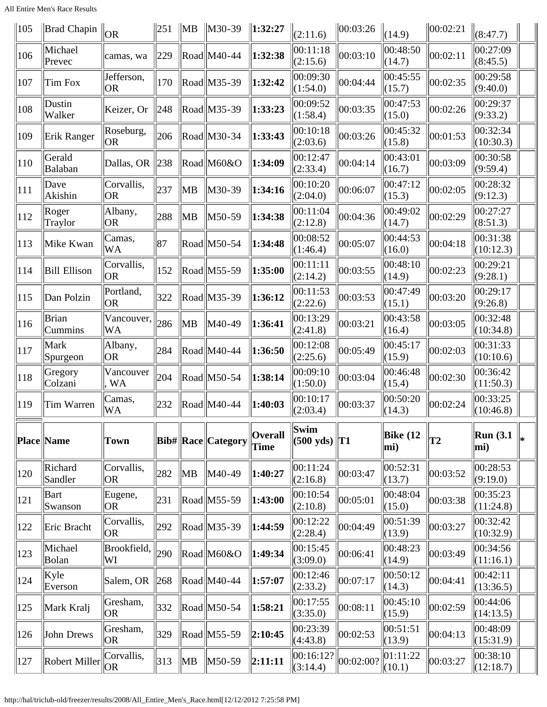All Entire Men's Race Results

| 105           | Brad Chapin         | OR                      | 251 | $\ MB\ $ | $\ $ M30-39               | $\ 1:32:27$     | (2:11.6)                       | 00:03:26  | (14.9)             | 00:02:21 | (8:47.7)              |  |
|---------------|---------------------|-------------------------|-----|----------|---------------------------|-----------------|--------------------------------|-----------|--------------------|----------|-----------------------|--|
| 106           | Michael<br>Prevec   | camas, wa               | 229 |          | $\text{Rad}$ M40-44       | 1:32:38         | 00:11:18<br>(2:15.6)           | 00:03:10  | 00:48:50<br>(14.7) | 00:02:11 | 00:27:09<br>(8:45.5)  |  |
| 107           | Tim Fox             | Jefferson,<br><b>OR</b> | 170 |          | $\text{Rad}$ M35-39       | 1:32:42         | 00:09:30<br>(1:54.0)           | 00:04:44  | 00:45:55<br>(15.7) | 00:02:35 | 00:29:58<br>(9:40.0)  |  |
| 108           | Dustin<br>Walker    | Keizer, Or              | 248 |          | Road M35-39               | 1:33:23         | 00:09:52<br>(1:58.4)           | 00:03:35  | 00:47:53<br>(15.0) | 00:02:26 | 00:29:37<br>(9:33.2)  |  |
| 109           | Erik Ranger         | Roseburg,<br> OR        | 206 |          | $\text{Rad}$ M30-34       | 1:33:43         | 00:10:18<br>(2:03.6)           | 00:03:26  | 00:45:32<br>(15.8) | 00:01:53 | 00:32:34<br>(10:30.3) |  |
| $ 110\rangle$ | Gerald<br>Balaban   | Dallas, OR              | 238 |          | Road M60&O                | 1:34:09         | 00:12:47<br>(2:33.4)           | 00:04:14  | 00:43:01<br>(16.7) | 00:03:09 | 00:30:58<br>(9:59.4)  |  |
| 111           | Dave<br>Akishin     | Corvallis,<br><b>OR</b> | 237 | MB       | M30-39                    | 1:34:16         | 00:10:20<br>(2:04.0)           | 00:06:07  | 00:47:12<br>(15.3) | 00:02:05 | 00:28:32<br>(9:12.3)  |  |
| 112           | Roger<br>Traylor    | Albany,<br> OR          | 288 | MB       | M50-59                    | 1:34:38         | 00:11:04<br>(2:12.8)           | 00:04:36  | 00:49:02<br>(14.7) | 00:02:29 | 00:27:27<br>(8:51.3)  |  |
| 113           | Mike Kwan           | Camas,<br>WA            | 87  |          | $\text{Rad}$ M50-54       | 1:34:48         | 00:08:52<br>(1:46.4)           | 00:05:07  | 00:44:53<br>(16.0) | 00:04:18 | 00:31:38<br>(10:12.3) |  |
| 114           | <b>Bill Ellison</b> | Corvallis,<br><b>OR</b> | 152 |          | $\text{Rad}$ M55-59       | 1:35:00         | 00:11:11<br>(2:14.2)           | 00:03:55  | 00:48:10<br>(14.9) | 00:02:23 | 00:29:21<br>(9:28.1)  |  |
| 115           | Dan Polzin          | Portland,<br> OR        | 322 |          | Road M35-39               | 1:36:12         | 00:11:53<br>(2:22.6)           | 00:03:53  | 00:47:49<br>(15.1) | 00:03:20 | 00:29:17<br>(9:26.8)  |  |
| 116           | Brian<br>Cummins    | Vancouver,<br>WA        | 286 | MB       | M40-49                    | 1:36:41         | 00:13:29<br>(2:41.8)           | 00:03:21  | 00:43:58<br>(16.4) | 00:03:05 | 00:32:48<br>(10:34.8) |  |
| 117           | Mark<br>Spurgeon    | Albany,<br> OR          | 284 |          | $\text{Rad}$ M40-44       | 1:36:50         | 00:12:08<br>(2:25.6)           | 00:05:49  | 00:45:17<br>(15.9) | 00:02:03 | 00:31:33<br>(10:10.6) |  |
| 118           | Gregory<br>Colzani  | Vancouver<br>, WA       | 204 |          | $\text{Rad}$ M50-54       | 1:38:14         | 00:09:10<br>(1:50.0)           | 00:03:04  | 00:46:48<br>(15.4) | 00:02:30 | 00:36:42<br>(11:50.3) |  |
| 119           | Tim Warren          | Camas,<br>WA            | 232 |          | $\text{Rad}$ M40-44       | 1:40:03         | 00:10:17<br>(2:03.4)           | 00:03:37  | 00:50:20<br>(14.3) | 00:02:24 | 00:33:25<br>(10:46.8) |  |
|               | Place Name          | <b>Town</b>             |     |          | <b>Bib# Race Category</b> | Overall<br>Time | Swim<br>$(500 \text{ yds})$ T1 |           | Bike $(12)$<br>mi) | T2       | Run(3.1)<br>mi)       |  |
| 120           | Richard<br>Sandler  | Corvallis,<br> OR       | 282 | MB       | M40-49                    | 1:40:27         | 00:11:24<br>(2:16.8)           | 00:03:47  | 00:52:31<br>(13.7) | 00:03:52 | 00:28:53<br>(9:19.0)  |  |
| 121           | Bart<br>Swanson     | Eugene,<br> OR          | 231 |          | $\text{Rad}$ M55-59       | 1:43:00         | 00:10:54<br>(2:10.8)           | 00:05:01  | 00:48:04<br>(15.0) | 00:03:38 | 00:35:23<br>(11:24.8) |  |
| 122           | Eric Bracht         | Corvallis,<br> OR       | 292 |          | $\text{Rad}$ M35-39       | 1:44:59         | 00:12:22<br>(2:28.4)           | 00:04:49  | 00:51:39<br>(13.9) | 00:03:27 | 00:32:42<br>(10:32.9) |  |
| 123           | Michael<br>Bolan    | Brookfield,<br>WI       | 290 |          | Road M60&O                | 1:49:34         | 00:15:45<br>(3:09.0)           | 00:06:41  | 00:48:23<br>(14.9) | 00:03:49 | 00:34:56<br>(11:16.1) |  |
| 124           | Kyle<br>Everson     | Salem, OR               | 268 |          | $\text{Rad}$ M40-44       | 1:57:07         | 00:12:46<br>(2:33.2)           | 00:07:17  | 00:50:12<br>(14.3) | 00:04:41 | 00:42:11<br>(13:36.5) |  |
| 125           | Mark Kralj          | Gresham,<br>OR.         | 332 |          | $\text{Read}$ M50-54      | 1:58:21         | 00:17:55<br>(3:35.0)           | 00:08:11  | 00:45:10<br>(15.9) | 00:02:59 | 00:44:06<br>(14:13.5) |  |
| 126           | John Drews          | Gresham,<br> OR         | 329 |          | $\text{Rad}$ M55-59       | 2:10:45         | 00:23:39<br>(4:43.8)           | 00:02:53  | 00:51:51<br>(13.9) | 00:04:13 | 00:48:09<br>(15:31.9) |  |
| 127           | Robert Miller       | Corvallis,<br><b>OR</b> | 313 | ∥MB      | M50-59                    | 2:11:11         | 00:16:12?<br>(3:14.4)          | 00:02:00? | 01:11:22<br>(10.1) | 00:03:27 | 00:38:10<br>(12:18.7) |  |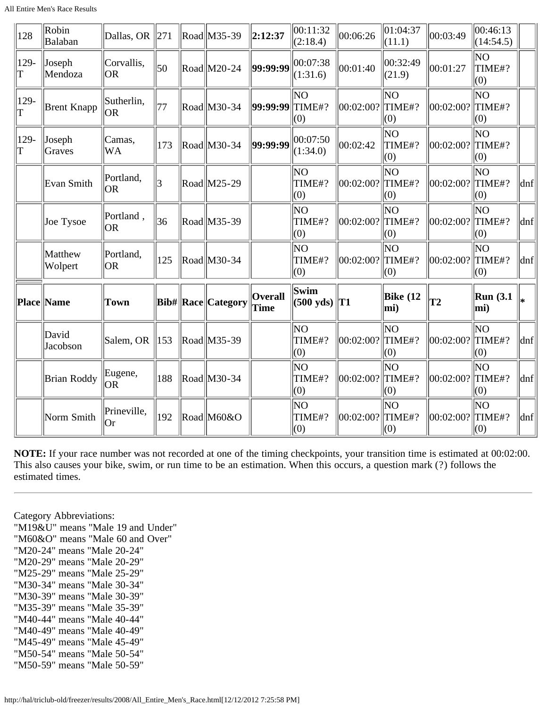All Entire Men's Race Results

| 128       | Robin<br>Balaban   | Dallas, OR             | 271 | Road M35-39               | 2:12:37                | 00:11:32<br>(2:18.4)               | 00:06:26          | 01:04:37<br>(11.1)        | 00:03:49  | 00:46:13<br>(14:54.5)            |     |
|-----------|--------------------|------------------------|-----|---------------------------|------------------------|------------------------------------|-------------------|---------------------------|-----------|----------------------------------|-----|
| 129-<br>T | Joseph<br>Mendoza  | Corvallis,<br> OR      | 50  | Road M20-24               | 99:99:99               | 00:07:38<br>(1:31.6)               | 00:01:40          | 00:32:49<br>(21.9)        | 00:01:27  | NO<br>TIME#?<br>(0)              |     |
| 129-      | <b>Brent Knapp</b> | Sutherlin,<br>lor      | 77  | Road M30-34               | <b>99:99:99 TIME#?</b> | NO<br>(0)                          | 00:02:00?  TIME#? | lΝO<br>(0)                | 00:02:00? | ΝO<br>TIME#?<br>(0)              |     |
| 129-<br>T | Joseph<br>Graves   | Camas.<br><b>WA</b>    | 173 | Road M30-34               | 99:99:99               | 00:07:50<br>(1:34.0)               | 00:02:42          | lΝO<br>TIME#?<br>(0)      | 00:02:00? | <b>NO</b><br>$\ $ TIME#?<br>(0)  |     |
|           | Evan Smith         | Portland,<br><b>OR</b> | 3   | Road M25-29               |                        | NO.<br>TIME#?<br>(0)               | 00:02:00?         | lΝO<br>$\ $ TIME#?<br>(0) | 00:02:00? | ΝO<br>$\ $ TIME#?<br>(0)         | dnf |
|           | Joe Tysoe          | Portland,<br>lor       | 36  | Road M35-39               |                        | N <sub>O</sub><br>TIME#?<br>(0)    | 00:02:00?         | lΝO<br>$\ $ TIME#?<br>(0) | 00:02:00? | NO <sub>1</sub><br>TIME#?<br>(0) | dnf |
|           | Matthew<br>Wolpert | Portland,<br> OR       | 125 | Road M30-34               |                        | ΝO<br>TIME#?<br>(0)                | 00:02:00?         | lΝO<br>$\ $ TIME#?<br>(0) | 00:02:00? | NO<br>$\ $ TIME#?<br>(0)         | dnf |
|           | <b>Place Name</b>  | <b>Town</b>            |     | <b>Bib# Race Category</b> | Overall<br>Time        | <b>Swim</b><br>$(500 \text{ yds})$ | T <sub>1</sub>    | Bike $(12)$<br>mi)        | T2        | <b>Run</b> (3.1)<br>mi)          |     |
|           | David<br>Jacobson  | Salem, OR              | 153 | Road M35-39               |                        | ΝO<br>TIME#?<br>(0)                | 00:02:00?         | lΝO<br>TIME#?<br>(0)      | 00:02:00? | <b>NO</b><br>TIME#?<br>(0)       | dnf |
|           | <b>Brian Roddy</b> | Eugene,<br>lor         | 188 | Road M30-34               |                        | NO<br>TIME#?<br>(0)                | 00:02:00?         | lΝO<br>TIME#?<br>(0)      | 00:02:00? | İΝΟ<br>TIME#?<br>(0)             | dnf |
|           | Norm Smith         | Prineville,<br> Or     | 192 | Road M60&O                |                        | ΝO<br>TIME#?<br>(0)                | 00:02:00?         | lΝO<br>TIME#?<br>(0)      | 00:02:00? | İΝΟ<br>TIME#?<br>(0)             | dnf |

**NOTE:** If your race number was not recorded at one of the timing checkpoints, your transition time is estimated at 00:02:00. This also causes your bike, swim, or run time to be an estimation. When this occurs, a question mark (?) follows the estimated times.

Category Abbreviations:

"M19&U" means "Male 19 and Under" "M60&O" means "Male 60 and Over" "M20-24" means "Male 20-24" "M20-29" means "Male 20-29" "M25-29" means "Male 25-29" "M30-34" means "Male 30-34" "M30-39" means "Male 30-39" "M35-39" means "Male 35-39" "M40-44" means "Male 40-44" "M40-49" means "Male 40-49" "M45-49" means "Male 45-49" "M50-54" means "Male 50-54" "M50-59" means "Male 50-59"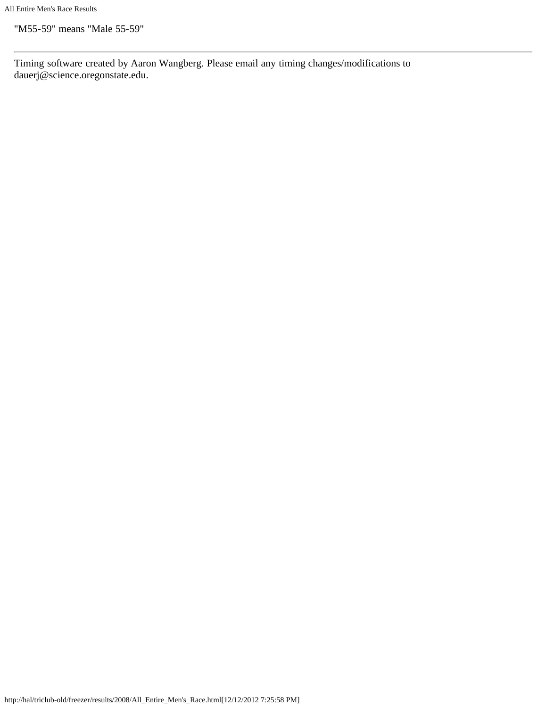"M55-59" means "Male 55-59"

Timing software created by Aaron Wangberg. Please email any timing changes/modifications to dauerj@science.oregonstate.edu.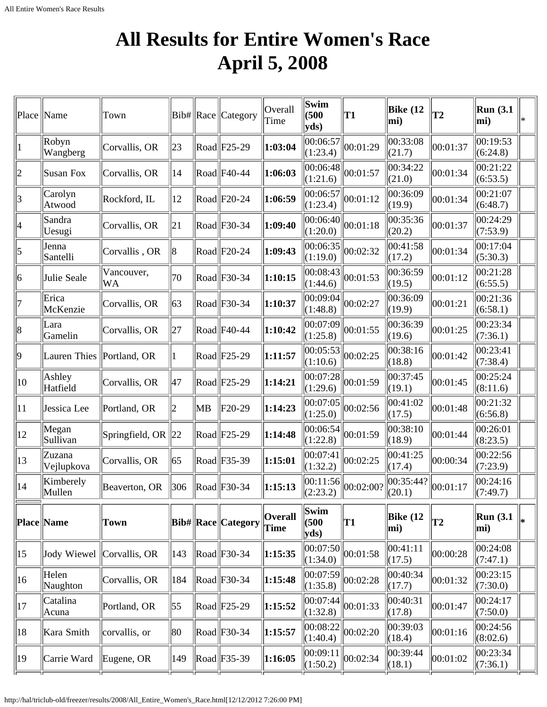## **All Results for Entire Women's Race April 5, 2008**

<span id="page-25-0"></span>

|    | Place   Name              | Town                      |              |    | $ Bib\# $ Race $ $ Category                          | Overall<br>Time               | Swim<br>(500)<br>yds  | T1        | Bike $(12)$<br>mi)     | T2       | <b>Run</b> (3.1)<br>mi) | ∗ |
|----|---------------------------|---------------------------|--------------|----|------------------------------------------------------|-------------------------------|-----------------------|-----------|------------------------|----------|-------------------------|---|
|    | Robyn<br>Wangberg         | Corvallis, OR             | 23           |    | $\text{Rad}$ F25-29                                  | 1:03:04                       | 00:06:57 <br>(1:23.4) | 00:01:29  | 00:33:08<br>(21.7)     | 00:01:37 | 00:19:53<br>(6:24.8)    |   |
| 2  | Susan Fox                 | Corvallis, OR             | 14           |    | Road F40-44                                          | 1:06:03                       | 00:06:48 <br>(1:21.6) | 00:01:57  | 00:34:22<br>(21.0)     | 00:01:34 | 00:21:22<br>(6:53.5)    |   |
| 3  | Carolyn<br>Atwood         | Rockford, IL              | $ 12\rangle$ |    | $\text{Rad}$ F20-24                                  | 1:06:59                       | 00:06:57 <br>(1:23.4) | 00:01:12  | 00:36:09<br>(19.9)     | 00:01:34 | 00:21:07<br>(6:48.7)    |   |
| 4  | Sandra<br>Uesugi          | Corvallis, OR             | 21           |    | $\text{Rad}$ F30-34                                  | 1:09:40                       | 00:06:40 <br>(1:20.0) | 00:01:18  | 00:35:36<br>(20.2)     | 00:01:37 | 00:24:29<br>(7:53.9)    |   |
| 5  | Jenna<br>Santelli         | Corvallis, OR             | 8            |    | $\text{Rad}$ F20-24                                  | 1:09:43                       | 00:06:35 <br>(1:19.0) | 00:02:32  | 00:41:58<br>(17.2)     | 00:01:34 | 00:17:04<br>(5:30.3)    |   |
| 6  | Julie Seale               | Vancouver,<br><b>WA</b>   | 70           |    | $\text{Road}$ F30-34                                 | 1:10:15                       | 00:08:43 <br>(1:44.6) | 00:01:53  | 00:36:59<br>(19.5)     | 00:01:12 | 00:21:28<br>(6:55.5)    |   |
|    | Erica<br>McKenzie         | Corvallis, OR             | $ 63\rangle$ |    | $\text{Road}$ F30-34                                 | 1:10:37                       | 00:09:04 <br>(1:48.8) | 00:02:27  | 00:36:09<br>(19.9)     | 00:01:21 | 00:21:36<br>(6:58.1)    |   |
| 8  | Lara<br>Gamelin           | Corvallis, OR             | 27           |    | $\text{Rad}$ F40-44                                  | 1:10:42                       | 00:07:09 <br>(1:25.8) | 00:01:55  | 00:36:39<br>(19.6)     | 00:01:25 | 00:23:34<br>(7:36.1)    |   |
| 9  | Lauren Thies Portland, OR |                           |              |    | $\text{Rad}$ F25-29                                  | 1:11:57                       | 00:05:53 <br>(1:10.6) | 00:02:25  | 00:38:16<br>(18.8)     | 00:01:42 | 00:23:41<br>(7:38.4)    |   |
| 10 | Ashley<br>Hatfield        | Corvallis, OR             | 47           |    | $\text{Rad}$ F25-29                                  | 1:14:21                       | 00:07:28 <br>(1:29.6) | 00:01:59  | 00:37:45<br>(19.1)     | 00:01:45 | 00:25:24<br>(8:11.6)    |   |
| 11 | Jessica Lee               | Portland, OR              | 2            | MВ | $F20-29$                                             | 1:14:23                       | 00:07:05 <br>(1:25.0) | 00:02:56  | 00:41:02<br>(17.5)     | 00:01:48 | 00:21:32<br>(6:56.8)    |   |
| 12 | Megan<br>Sullivan         | Springfield, OR $\ 22\ $  |              |    | $\text{Rad}$ F25-29                                  | 1:14:48                       | 00:06:54 <br>(1:22.8) | 00:01:59  | 00:38:10<br>(18.9)     | 00:01:44 | 00:26:01<br>(8:23.5)    |   |
| 13 | Zuzana<br>Vejlupkova      | Corvallis, OR             | 65           |    | $\text{Road}$ F35-39                                 | 1:15:01                       | 00:07:41 <br>(1:32.2) | 00:02:25  | 00:41:25<br>(17.4)     | 00:00:34 | 00:22:56<br>(7:23.9)    |   |
| 14 | Kimberely<br>Mullen       | Beaverton, OR             | 306          |    | $\left \text{Read}\right \text{F30-34}$              | 1:15:13                       | 00:11:56 <br>(2:23.2) | 00:02:00? | 00:35:44?<br>(20.1)    | 00:01:17 | 00:24:16<br>(7:49.7)    |   |
|    | Place Name                | <b>Town</b>               |              |    | <b>Bib# Race Category</b>                            | <b>Overall</b><br><b>Time</b> | Swim<br>(500)<br>yds  | T1        | <b>Bike (12</b><br>mi) | T2       | <b>Run</b> (3.1)<br>mi) |   |
| 15 |                           | Jody Wiewel Corvallis, OR | 143          |    | $\left \text{Read}\right \left $ F30-34              | 1:15:35                       | 00:07:50 <br>(1:34.0) | 00:01:58  | 00:41:11<br>(17.5)     | 00:00:28 | 00:24:08<br>(7:47.1)    |   |
| 16 | Helen<br>Naughton         | Corvallis, OR             | 184          |    | $\left \text{Read}\right \left $ F30-34              | 1:15:48                       | 00:07:59 <br>(1:35.8) | 00:02:28  | 00:40:34<br>(17.7)     | 00:01:32 | 00:23:15<br>(7:30.0)    |   |
| 17 | Catalina<br>Acuna         | Portland, OR              | 55           |    | $\left \text{Read}\right \left \text{F25-29}\right $ | 1:15:52                       | 00:07:44 <br>(1:32.8) | 00:01:33  | 00:40:31<br>(17.8)     | 00:01:47 | 00:24:17<br>(7:50.0)    |   |
| 18 | Kara Smith                | corvallis, or             | 80           |    | $\text{Rad}$ F30-34                                  | 1:15:57                       | 00:08:22 <br>(1:40.4) | 00:02:20  | 00:39:03<br>(18.4)     | 00:01:16 | 00:24:56<br>(8:02.6)    |   |
| 19 | Carrie Ward               | Eugene, OR                | 149          |    | $\ $ Road $\ $ F35-39                                | 1:16:05                       | 00:09:11<br> (1:50.2) | 00:02:34  | 00:39:44<br>(18.1)     | 00:01:02 | 00:23:34<br>(7:36.1)    |   |
|    |                           |                           |              |    |                                                      |                               |                       |           |                        |          |                         |   |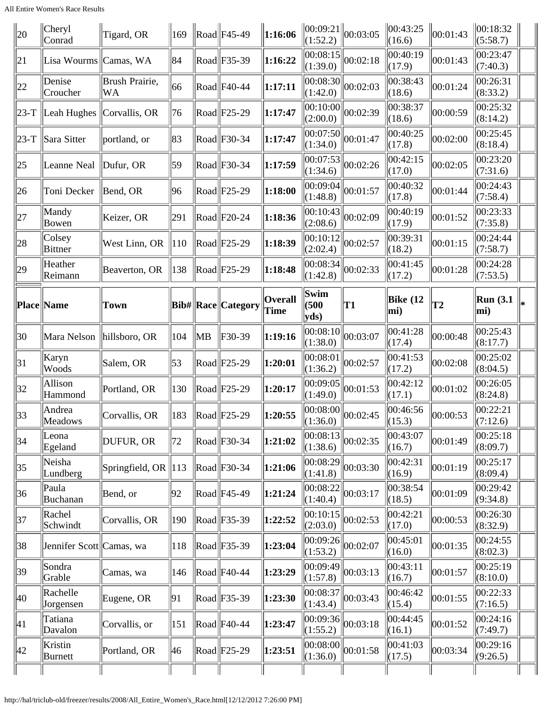| 20           | Cheryl<br>Conrad                      | Tigard, OR                      | $\parallel$ 169 |    | $\ $ Road $\ $ F45-49                                | 1:16:06                | (1:52.2)                        | $\ 00:09:21\ _{00:03:05}$        | $\ 00:43:25$<br>(16.6) | 00:01:43       | 00:18:32<br>(5:58.7)    |  |
|--------------|---------------------------------------|---------------------------------|-----------------|----|------------------------------------------------------|------------------------|---------------------------------|----------------------------------|------------------------|----------------|-------------------------|--|
| 21           | Lisa Wourms Camas, WA                 |                                 | 84              |    | $\text{Road}$ F35-39                                 | 1:16:22                | 00:08:15 <br>(1:39.0)           | 00:02:18                         | 00:40:19<br>(17.9)     | 00:01:43       | 00:23:47<br>(7:40.3)    |  |
| 22           | Denise<br>Croucher                    | Brush Prairie,<br>WA            | 66              |    | $\text{Road}$ F40-44                                 | 1:17:11                | 00:08:30 <br>(1:42.0)           | 00:02:03                         | 00:38:43<br>(18.6)     | 00:01:24       | 00:26:31<br>(8:33.2)    |  |
|              | $ 23-T $ Leah Hughes $ Corvallis, OR$ |                                 | 76              |    | $\left \text{Read}\right \left \text{F25-29}\right $ | 1:17:47                | 00:10:00 <br>(2:00.0)           | 00:02:39                         | 00:38:37<br>(18.6)     | 00:00:59       | 00:25:32<br>(8:14.2)    |  |
| $23-T$       | Sara Sitter                           | portland, or                    | 83              |    | $\left \text{Read}\right \left $ F30-34              | 1:17:47                | 00:07:50 <br>(1:34.0)           | 00:01:47                         | 00:40:25<br>(17.8)     | 00:02:00       | 00:25:45<br>(8:18.4)    |  |
| $ 25\rangle$ | Leanne Neal                           | Dufur, OR                       | 59              |    | $\text{Rad}$ F30-34                                  | 1:17:59                | 00:07:53 <br>(1:34.6)           | 00:02:26                         | 00:42:15<br>(17.0)     | 00:02:05       | 00:23:20<br>(7:31.6)    |  |
| 26           | Toni Decker                           | Bend, OR                        | 96              |    | $\left \text{Read}\right \left \text{F25-29}\right $ | 1:18:00                | 00:09:04 <br>(1:48.8)           | 00:01:57                         | 00:40:32<br>(17.8)     | 00:01:44       | 00:24:43<br>(7:58.4)    |  |
| 27           | Mandy<br>Bowen                        | Keizer, OR                      | 291             |    | $\left \text{Read}\right \left \text{F20-24}\right $ | 1:18:36                | 00:10:43 <br>(2:08.6)           | 00:02:09                         | 00:40:19<br>(17.9)     | 00:01:52       | 00:23:33<br>(7:35.8)    |  |
| 28           | Colsey<br>Bittner                     | West Linn, OR                   | $\parallel$ 10  |    | $\left \text{Read}\right \left \text{F25-29}\right $ | 1:18:39                | 00:10:12 <br>(2:02.4)           | 00:02:57                         | 00:39:31<br>(18.2)     | 00:01:15       | 00:24:44<br>(7:58.7)    |  |
| 29           | Heather<br>Reimann                    | Beaverton, OR                   | 138             |    | $\left \text{Read}\right \left \text{F25-29}\right $ | 1:18:48                | 00:08:34 <br>(1:42.8)           | 00:02:33                         | 00:41:45<br>(17.2)     | 00:01:28       | 00:24:28<br>(7:53.5)    |  |
|              | Place Name                            | <b>Town</b>                     |                 |    | Bib#  Race  Category                                 | <b>Overall</b><br>Time | Swim<br>(500)<br>yds)           | T1                               | Bike $(12)$<br>mi)     | T <sub>2</sub> | <b>Run</b> (3.1)<br>mi) |  |
| 30           | Mara Nelson   hillsboro, OR           |                                 | 104             | MB | F30-39                                               | 1:19:16                | 00:08:10 <br>(1:38.0)           | 00:03:07                         | 00:41:28<br> (17.4)    | 00:00:48       | 00:25:43<br>(8:17.7)    |  |
| 31           | Karyn<br>Woods                        | Salem, OR                       | 53              |    | $\vert$ Road $\vert$ F25-29                          | 1:20:01                | 00:08:01<br>(1:36.2)            | 00:02:57                         | 00:41:53<br>(17.2)     | 00:02:08       | 00:25:02<br>(8:04.5)    |  |
| 32           | Allison<br>Hammond                    | Portland, OR                    | 130             |    | $\left \text{Read}\right \left \text{F25-29}\right $ | 1:20:17                | 00:09:05<br>(1:49.0)            | 00:01:53                         | 00:42:12<br>(17.1)     | 00:01:02       | 00:26:05<br>(8:24.8)    |  |
| 33           | Andrea<br>Meadows                     | Corvallis, OR                   | 183             |    | $\ $ Road $\ $ F25-29                                | 1:20:55                | 00:08:00 <br>$\ $ (1:36.0) $\ $ | 00:02:45                         | 00:46:56<br>(15.3)     | 00:00:53       | 00:22:21<br>(7:12.6)    |  |
| 34           | Leona<br>Egeland                      | DUFUR, OR                       | 72              |    | $\left \text{Read}\right \left $ F30-34              | 1:21:02                | (1:38.6)                        | $\overline{ 00:08:13 } 00:02:35$ | 00:43:07<br>(16.7)     | 00:01:49       | 00:25:18<br>(8:09.7)    |  |
| 35           | Neisha<br>Lundberg                    | Springfield, OR $\parallel$ 113 |                 |    | $\left \text{Read}\right \text{F30-34}$              | 1:21:06                | 00:08:29 <br>(1:41.8)           | 00:03:30                         | 00:42:31<br>(16.9)     | 00:01:19       | 00:25:17<br>(8:09.4)    |  |
| 36           | Paula<br>Buchanan                     | Bend, or                        | 92              |    | $\left \text{Read}\right \left $ F45-49              | 1:21:24                | 00:08:22 <br>(1:40.4)           | 00:03:17                         | 00:38:54<br>(18.5)     | 00:01:09       | 00:29:42<br>(9:34.8)    |  |
| 37           | Rachel<br>Schwindt                    | Corvallis, OR                   | 190             |    | $\ $ Road $\ $ F35-39                                | 1:22:52                | 00:10:15 <br>(2:03.0)           | 00:02:53                         | 00:42:21<br>(17.0)     | 00:00:53       | 00:26:30<br>(8:32.9)    |  |
| 38           | Jennifer Scott Camas, wa              |                                 | 118             |    | $\left \right $ Road $\left \right $ F35-39          | 1:23:04                | 00:09:26 <br>(1:53.2)           | 00:02:07                         | 00:45:01<br>(16.0)     | 00:01:35       | 00:24:55<br>(8:02.3)    |  |
| 39           | Sondra<br>Grable                      | Camas, wa                       | 146             |    | $\left \right $ Road $\left \right $ F40-44          | 1:23:29                | 00:09:49 <br>(1:57.8)           | 00:03:13                         | 00:43:11<br>(16.7)     | 00:01:57       | 00:25:19<br>(8:10.0)    |  |
| 40           | Rachelle<br>Jorgensen                 | Eugene, OR                      | 91              |    | $\left \text{Read}\right \left \text{F35-39}\right $ | 1:23:30                | 00:08:37 <br>(1:43.4)           | 00:03:43                         | 00:46:42<br>(15.4)     | 00:01:55       | 00:22:33<br>(7:16.5)    |  |
| 41           | Tatiana<br>Davalon                    | Corvallis, or                   | 151             |    | $\left \text{Read}\right $ F40-44                    | 1:23:47                | (1:55.2)                        | $\overline{ 00:09:36 } 00:03:18$ | 00:44:45<br>(16.1)     | 00:01:52       | 00:24:16<br>(7:49.7)    |  |
| 42           |                                       |                                 |                 |    |                                                      |                        |                                 |                                  |                        |                |                         |  |
|              | Kristin<br>Burnett                    | Portland, OR                    | 46              |    | $\left \text{Read}\right \left \text{F25-29}\right $ | 1:23:51                | 00:08:00 <br>(1:36.0)           | 00:01:58                         | 00:41:03<br>(17.5)     | 00:03:34       | 00:29:16<br>(9:26.5)    |  |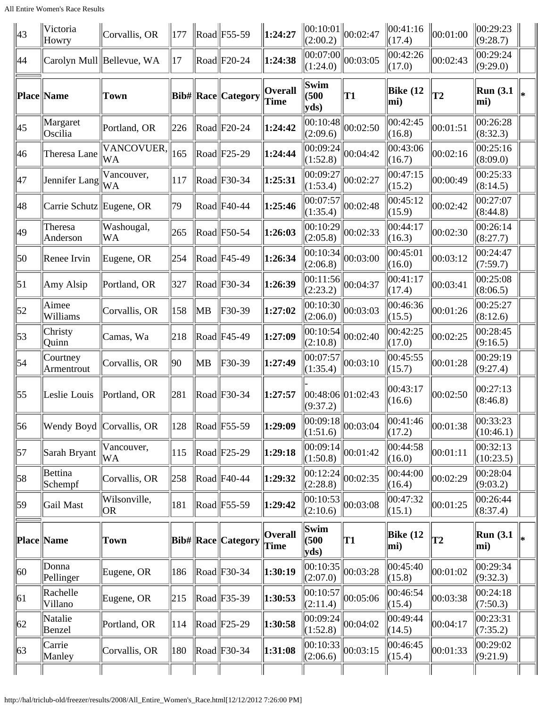| 43               | Victoria<br>Howry        | Corvallis, OR             | $\parallel$ 177 |    | $\ $ Road $\ $ F55-59                                | 1:24:27                | (2:00.2)              | $\ 00:10:01\ _{00:02:47}$ | $\ 00:41:16$<br> (17.4)      | 00:01:00       | 00:29:23<br>(9:28.7)  |  |
|------------------|--------------------------|---------------------------|-----------------|----|------------------------------------------------------|------------------------|-----------------------|---------------------------|------------------------------|----------------|-----------------------|--|
| 44               |                          | Carolyn Mull Bellevue, WA | 17              |    | $\text{Rad}$ F20-24                                  | 1:24:38                | 00:07:00 <br>(1:24.0) | 00:03:05                  | 00:42:26<br>(17.0)           | 00:02:43       | 00:29:24<br>(9:29.0)  |  |
|                  | Place Name               | <b>Town</b>               |                 |    | Bib#  Race  Category                                 | <b>Overall</b><br>Time | Swim<br>(500)<br>yds) | T1                        | Bike $(12)$<br>mi)           | T <sub>2</sub> | Run(3.1)<br>mi)       |  |
| 45               | Margaret<br>Oscilia      | Portland, OR              | 226             |    | $\left \text{Read}\right \left \text{F20-24}\right $ | 1:24:42                | 00:10:48 <br>(2:09.6) | 00:02:50                  | 00:42:45<br> (16.8)          | 00:01:51       | 00:26:28<br>(8:32.3)  |  |
| 46               | Theresa Lane             | VANCOVUER,<br><b>WA</b>   | 165             |    | $\text{Rad}$ F25-29                                  | 1:24:44                | 00:09:24 <br>(1:52.8) | 00:04:42                  | 00:43:06<br>(16.7)           | 00:02:16       | 00:25:16<br>(8:09.0)  |  |
| 47               | Jennifer Lang            | Vancouver,<br><b>WA</b>   | 117             |    | $\left \text{Read}\right \left \text{F30-34}\right $ | 1:25:31                | 00:09:27<br>(1:53.4)  | 00:02:27                  | 00:47:15<br>(15.2)           | 00:00:49       | 00:25:33<br>(8:14.5)  |  |
| 48               | Carrie Schutz Eugene, OR |                           | 79              |    | $\text{Road}$ F40-44                                 | 1:25:46                | 00:07:57<br>(1:35.4)  | 00:02:48                  | 00:45:12<br>(15.9)           | 00:02:42       | 00:27:07<br>(8:44.8)  |  |
| 49               | Theresa<br>Anderson      | Washougal,<br>WA          | 265             |    | $\left \text{Read}\right \left \text{F50-54}\right $ | 1:26:03                | 00:10:29 <br>(2:05.8) | 00:02:33                  | 00:44:17<br>(16.3)           | 00:02:30       | 00:26:14<br>(8:27.7)  |  |
| 50               | Renee Irvin              | Eugene, OR                | 254             |    | $\left \text{Read}\right $ F45-49                    | 1:26:34                | 00:10:34 <br>(2:06.8) | 00:03:00                  | 00:45:01<br>(16.0)           | 00:03:12       | 00:24:47<br>(7:59.7)  |  |
| $\vert 51 \vert$ | Amy Alsip                | Portland, OR              | 327             |    | $\ $ Road $\ $ F30-34                                | 1:26:39                | 00:11:56 <br>(2:23.2) | 00:04:37                  | 00:41:17<br>(17.4)           | 00:03:41       | 00:25:08<br>(8:06.5)  |  |
| 52               | Aimee<br>Williams        | Corvallis, OR             | 158             | MB | F30-39                                               | 1:27:02                | 00:10:30 <br>(2:06.0) | 00:03:03                  | 00:46:36<br>(15.5)           | 00:01:26       | 00:25:27<br>(8:12.6)  |  |
| $\vert 53 \vert$ | Christy<br>Quinn         | Camas, Wa                 | 218             |    | $\left \text{Read}\right $ F45-49                    | 1:27:09                | 00:10:54 <br>(2:10.8) | 00:02:40                  | 00:42:25<br>(17.0)           | 00:02:25       | 00:28:45<br>(9:16.5)  |  |
| 54               | Courtney<br>Armentrout   | Corvallis, OR             | $ 90\rangle$    | MB | F30-39                                               | 1:27:49                | 00:07:57<br>(1:35.4)  | 00:03:10                  | 00:45:55<br>(15.7)           | 00:01:28       | 00:29:19<br>(9:27.4)  |  |
| $\vert 55 \vert$ | Leslie Louis             | Portland, OR              | 281             |    | $\left \text{Read}\right \text{F30-34}$              | 1:27:57                | (9:37.2)              | 00:48:06 01:02:43         | 00:43:17<br>(16.6)           | 00:02:50       | 00:27:13<br>(8:46.8)  |  |
| 56               |                          | Wendy Boyd Corvallis, OR  | 128             |    | $\ $ Road $\ $ F55-59                                | $\ 1:29:09$            | 00:09:18 <br>(1:51.6) | 00:03:04                  | 00:41:46<br>(17.2)           | 00:01:38       | 00:33:23<br>(10:46.1) |  |
| 57               | Sarah Bryant             | Vancouver,<br>WA          | 115             |    | $\ $ Road $\ $ F25-29                                | 1:29:18                | 00:09:14 <br>(1:50.8) | 00:01:42                  | 00:44:58<br>(16.0)           | 00:01:11       | 00:32:13<br>(10:23.5) |  |
| 58               | Bettina<br>Schempf       | Corvallis, OR             | 258             |    | $\left \text{Read}\right $ F40-44                    | 1:29:32                | 00:12:24 <br>(2:28.8) | 00:02:35                  | 00:44:00<br>(16.4)           | 00:02:29       | 00:28:04<br>(9:03.2)  |  |
| 59               | Gail Mast                | Wilsonville,<br>OR.       | 181             |    | $\left \right $ Road $\left \right $ F55-59          | 1:29:42                | 00:10:53 <br>(2:10.6) | 00:03:08                  | 00:47:32<br>(15.1)           | 00:01:25       | 00:26:44<br>(8:37.4)  |  |
|                  | <b>Place Name</b>        | Town                      |                 |    | Bib#  Race  Category                                 | <b>Overall</b><br>Time | Swim<br>(500)<br>yds  | T1                        | Bike $(12)$<br>mi)           | T <sub>2</sub> | Run(3.1)<br>mi)       |  |
| 60               | Donna<br>Pellinger       | Eugene, OR                | 186             |    | $\left \text{Read}\right \text{F30-34}$              | 1:30:19                | 00:10:35 <br>(2:07.0) | 00:03:28                  | $ 00:45:40\rangle$<br>(15.8) | 00:01:02       | 00:29:34<br>(9:32.3)  |  |
| 61               | Rachelle<br>Villano      | Eugene, OR                | 215             |    | $\left \text{Read}\right $ F35-39                    | 1:30:53                | 00:10:57 <br>(2:11.4) | 00:05:06                  | 00:46:54<br>(15.4)           | 00:03:38       | 00:24:18<br>(7:50.3)  |  |
| 62               | Natalie<br>Benzel        | Portland, OR              | 114             |    | $\left \text{Read}\right \left \text{F25-29}\right $ | 1:30:58                | 00:09:24 <br>(1:52.8) | 00:04:02                  | 00:49:44<br>(14.5)           | 00:04:17       | 00:23:31<br>(7:35.2)  |  |
| 63               | Carrie<br>Manley         | Corvallis, OR             | 180             |    | $\left \text{Read}\right \text{F30-34}$              | 1:31:08                | 00:10:33 <br>(2:06.6) | 00:03:15                  | 00:46:45<br>(15.4)           | 00:01:33       | 00:29:02<br>(9:21.9)  |  |
|                  |                          |                           |                 |    |                                                      |                        |                       |                           |                              |                |                       |  |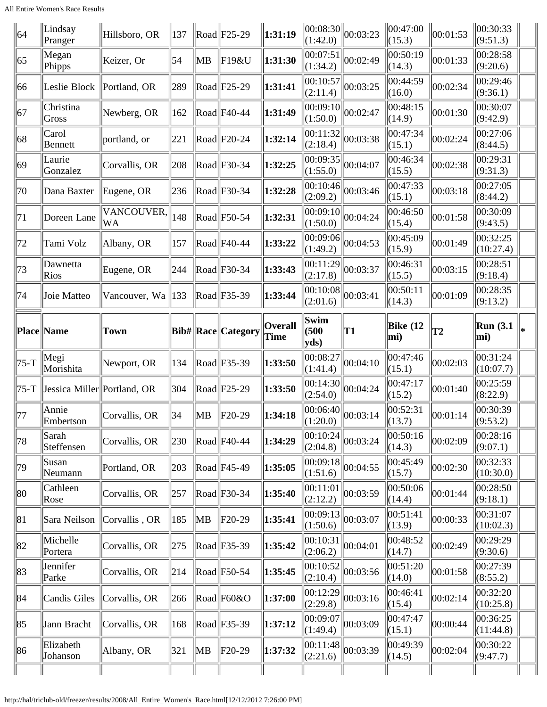| 64     | Lindsay<br>Pranger           | Hillsboro, OR           | $\parallel$ 137 |                | $\ $ Road $\ $ F25-29                                | 1:31:19                | (1:42.0)                                                     | $\ 00:08:30\ _{00:03:23}$ | 00:47:00<br>(15.3) | 00:01:53       | 00:30:33<br>(9:51.3)    |  |
|--------|------------------------------|-------------------------|-----------------|----------------|------------------------------------------------------|------------------------|--------------------------------------------------------------|---------------------------|--------------------|----------------|-------------------------|--|
| 65     | Megan<br>Phipps              | Keizer, Or              | 54              | <b>MB</b>      | F19&U                                                | 1:31:30                | 00:07:51 <br>(1:34.2)                                        | 00:02:49                  | 00:50:19<br>(14.3) | 00:01:33       | 00:28:58<br>(9:20.6)    |  |
| 66     | Leslie Block                 | Portland, OR            | 289             |                | $\text{Road}$ F25-29                                 | 1:31:41                | 00:10:57 <br>(2:11.4)                                        | 00:03:25                  | 00:44:59<br>(16.0) | 00:02:34       | 00:29:46<br>(9:36.1)    |  |
| 67     | Christina<br>Gross           | Newberg, OR             | 162             |                | $\text{Road}$ F40-44                                 | 1:31:49                | 00:09:10 <br>(1:50.0)                                        | 00:02:47                  | 00:48:15<br>(14.9) | 00:01:30       | 00:30:07<br>(9:42.9)    |  |
| 68     | Carol<br><b>Bennett</b>      | portland, or            | 221             |                | $\text{Rad}$ F20-24                                  | 1:32:14                | 00:11:32 <br>(2:18.4)                                        | 00:03:38                  | 00:47:34<br>(15.1) | 00:02:24       | 00:27:06<br>(8:44.5)    |  |
| 69     | Laurie<br>Gonzalez           | Corvallis, OR           | 208             |                | $\left \text{Read}\right \text{F30-34}$              | 1:32:25                | 00:09:35 <br>(1:55.0)                                        | 00:04:07                  | 00:46:34<br>(15.5) | 00:02:38       | 00:29:31<br>(9:31.3)    |  |
| 70     | Dana Baxter                  | Eugene, OR              | 236             |                | $\left \text{Read}\right \text{F30-34}$              | 1:32:28                | 00:10:46 <br>(2:09.2)                                        | 00:03:46                  | 00:47:33<br>(15.1) | 00:03:18       | 00:27:05<br>(8:44.2)    |  |
| 71     | Doreen Lane                  | VANCOUVER,<br><b>WA</b> | 148             |                | $\left \right $ Road $\left \right $ F50-54          | 1:32:31                | 00:09:10 <br>(1:50.0)                                        | 00:04:24                  | 00:46:50<br>(15.4) | 00:01:58       | 00:30:09<br>(9:43.5)    |  |
| 72     | Tami Volz                    | Albany, OR              | 157             |                | $\text{Road}$ F40-44                                 | 1:33:22                | 00:09:06 <br>(1:49.2)                                        | 00:04:53                  | 00:45:09<br>(15.9) | 00:01:49       | 00:32:25<br>(10:27.4)   |  |
| 73     | Dawnetta<br>Rios             | Eugene, OR              | 244             |                | $\left \text{Read}\right \text{F30-34}$              | 1:33:43                | 00:11:29 <br>(2:17.8)                                        | 00:03:37                  | 00:46:31<br>(15.5) | 00:03:15       | 00:28:51<br>(9:18.4)    |  |
| 74     | Joie Matteo                  | Vancouver, Wa   133     |                 |                | $\left \text{Read}\right \text{F35-39}$              | 1:33:44                | 00:10:08 <br>(2:01.6)                                        | 00:03:41                  | 00:50:11<br>(14.3) | 00:01:09       | 00:28:35<br>(9:13.2)    |  |
|        | <b>Place Name</b>            | Town                    |                 |                | Bib#  Race  Category                                 | <b>Overall</b><br>Time | Swim<br>(500)<br>$ yds\rangle$                               | T1                        | Bike $(12)$<br>mi) | T <sub>2</sub> | <b>Run</b> (3.1)<br>mi) |  |
|        |                              |                         |                 |                |                                                      |                        |                                                              |                           |                    |                |                         |  |
| $75-T$ | Megi<br>Morishita            | Newport, OR             | 134             |                | $\text{Road}$ F35-39                                 | 1:33:50                | 00:08:27 <br> (1:41.4)                                       | 00:04:10                  | 00:47:46<br>(15.1) | 00:02:03       | 00:31:24<br>(10:07.7)   |  |
| 75-T   | Jessica Miller  Portland, OR |                         | 304             |                | $\left \text{Read}\right \left \text{F25-29}\right $ | 1:33:50                | 00:14:30 <br>(2:54.0)                                        | 00:04:24                  | 00:47:17<br>(15.2) | 00:01:40       | 00:25:59<br>(8:22.9)    |  |
| 77     | Annie<br>Embertson           | Corvallis, OR           | 34              | $\ MB\ $       | $ F20-29$                                            | 1:34:18                | $\begin{array}{c} 00:06:40 \\ (1:20.0) \end{array}$ 00:03:14 |                           | 00:52:31<br>(13.7) | 00:01:14       | 00:30:39<br>(9:53.2)    |  |
| 78     | Sarah<br>Steffensen          | Corvallis, OR           | 230             |                | $\left \right $ Road $\left \right $ F40-44          | 1:34:29                | $\ 00:10:24\ $<br>(2:04.8)                                   | $\ 00:03:24$              | 00:50:16<br>(14.3) | 00:02:09       | 00:28:16<br>(9:07.1)    |  |
| 79     | Susan<br>Neumann             | Portland, OR            | 203             |                | $\left \text{Read}\right \left $ F45-49              | 1:35:05                | 00:09:18 <br>(1:51.6)                                        | 00:04:55                  | 00:45:49<br>(15.7) | 00:02:30       | 00:32:33<br>(10:30.0)   |  |
| 80     | Cathleen<br>Rose             | Corvallis, OR           | 257             |                | $\left \right $ Road $\left \right $ F30-34          | 1:35:40                | 00:11:01 <br>(2:12.2)                                        | 00:03:59                  | 00:50:06<br>(14.4) | 00:01:44       | 00:28:50<br>(9:18.1)    |  |
| 81     | Sara Neilson                 | Corvallis, OR           | 185             | $\parallel$ MB | F20-29                                               | 1:35:41                | 00:09:13 <br>(1:50.6)                                        | 00:03:07                  | 00:51:41<br>(13.9) | 00:00:33       | 00:31:07<br>(10:02.3)   |  |
| 82     | Michelle<br>Portera          | Corvallis, OR           | 275             |                | $\left \right $ Road $\left \right $ F35-39          | 1:35:42                | 00:10:31 <br>(2:06.2)                                        | 00:04:01                  | 00:48:52<br>(14.7) | 00:02:49       | 00:29:29<br>(9:30.6)    |  |
| 83     | Jennifer<br>Parke            | Corvallis, OR           | 214             |                | $\left \right $ Road $\left \right $ F50-54          | 1:35:45                | 00:10:52 <br>(2:10.4)                                        | 00:03:56                  | 00:51:20<br>(14.0) | 00:01:58       | 00:27:39<br>(8:55.2)    |  |
| 84     | Candis Giles                 | Corvallis, OR           | 266             |                | $\ $ Road $\ $ F60&O                                 | 1:37:00                | 00:12:29 <br>(2:29.8)                                        | 00:03:16                  | 00:46:41<br>(15.4) | 00:02:14       | 00:32:20<br>(10:25.8)   |  |
| 85     | Jann Bracht                  | Corvallis, OR           | 168             |                | $\left \text{Read}\right \left \text{F35-39}\right $ | 1:37:12                | 00:09:07 <br>(1:49.4)                                        | $\ 00:03:09$              | 00:47:47<br>(15.1) | 00:00:44       | 00:36:25<br>(11:44.8)   |  |
| 86     | Elizabeth<br>Johanson        | Albany, OR              | 321             | MB             | $ F20-29$                                            | 1:37:32                | 00:11:48 <br>(2:21.6)                                        | 00:03:39                  | 00:49:39<br>(14.5) | 00:02:04       | 00:30:22<br>(9:47.7)    |  |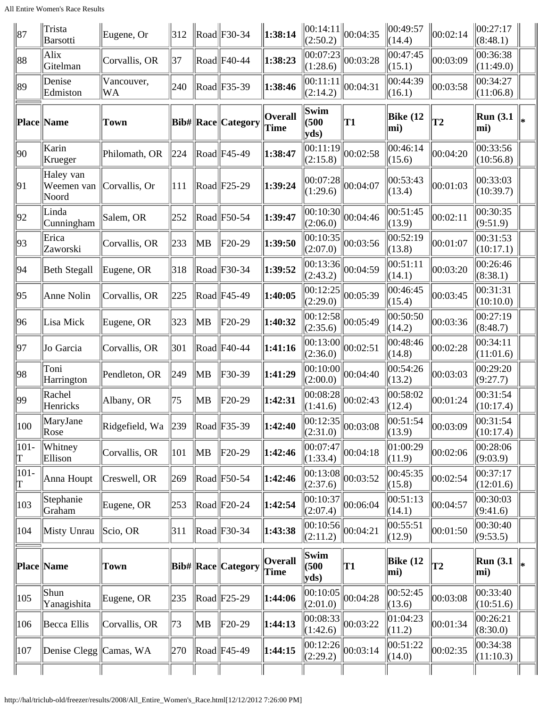| 87           | Trista<br>Barsotti               | Eugene, Or               | 312 |           | $\vert$ Road $\vert$ F30-34                           | 1:38:14                       | (2:50.2)                                     | $\ 00:14:11\ _{00:04:35}$ | 00:49:57<br>(14.4) | 00:02:14       | 00:27:17<br>(8:48.1)       |     |
|--------------|----------------------------------|--------------------------|-----|-----------|-------------------------------------------------------|-------------------------------|----------------------------------------------|---------------------------|--------------------|----------------|----------------------------|-----|
| 88           | Alix<br>Gitelman                 | Corvallis, OR            | 37  |           | $\text{Rad}$ F40-44                                   | 1:38:23                       | 00:07:23 <br>(1:28.6)                        | 00:03:28                  | 00:47:45<br>(15.1) | 00:03:09       | 00:36:38<br>(11:49.0)      |     |
| 89           | Denise<br>Edmiston               | Vancouver,<br>WA         | 240 |           | $\text{Road}$ F35-39                                  | 1:38:46                       | 00:11:11 <br>(2:14.2)                        | 00:04:31                  | 00:44:39<br>(16.1) | 00:03:58       | 00:34:27<br>(11:06.8)      |     |
|              | <b>Place Name</b>                | <b>Town</b>              |     |           | Bib#  Race  Category                                  | <b>Overall</b><br><b>Time</b> | Swim<br>(500)<br>yds                         | T1                        | Bike $(12)$<br>mi) | T <sub>2</sub> | <b>Run</b> (3.1)<br>mi)    | lж. |
| 90           | Karin<br>Krueger                 | Philomath, OR            | 224 |           | $\text{Road}$ F45-49                                  | 1:38:47                       | 00:11:19 <br>(2:15.8)                        | 00:02:58                  | 00:46:14<br>(15.6) | 00:04:20       | 00:33:56<br>(10:56.8)      |     |
| 91           | Haley van<br>Weemen van<br>Noord | Corvallis, Or            | 111 |           | $\text{Rad}$ F25-29                                   | 1:39:24                       | 00:07:28 <br>(1:29.6)                        | 00:04:07                  | 00:53:43<br>(13.4) | 00:01:03       | 00:33:03<br>(10:39.7)      |     |
| 92           | Linda<br>Cunningham              | Salem, OR                | 252 |           | $\text{Road}$ F50-54                                  | 1:39:47                       | 00:10:30 <br>(2:06.0)                        | 00:04:46                  | 00:51:45<br>(13.9) | 00:02:11       | 00:30:35<br>(9:51.9)       |     |
| 93           | Erica<br>Zaworski                | Corvallis, OR            | 233 | <b>MB</b> | F20-29                                                | 1:39:50                       | 00:10:35 <br>(2:07.0)                        | 00:03:56                  | 00:52:19<br>(13.8) | 00:01:07       | 00:31:53<br>(10:17.1)      |     |
| 94           | Beth Stegall                     | Eugene, OR               | 318 |           | $\text{Road}$ F30-34                                  | 1:39:52                       | 00:13:36 <br>(2:43.2)                        | 00:04:59                  | 00:51:11<br>(14.1) | 00:03:20       | 00:26:46<br>(8:38.1)       |     |
| 95           | Anne Nolin                       | Corvallis, OR            | 225 |           | $\text{Road}$ F45-49                                  | 1:40:05                       | 00:12:25 <br>(2:29.0)                        | 00:05:39                  | 00:46:45<br>(15.4) | 00:03:45       | 00:31:31<br>(10:10.0)      |     |
| 96           | Lisa Mick                        | Eugene, OR               | 323 | MB        | $ F20-29$                                             | 1:40:32                       | 00:12:58 <br>(2:35.6)                        | 00:05:49                  | 00:50:50<br>(14.2) | 00:03:36       | 00:27:19<br>(8:48.7)       |     |
| 97           | Jo Garcia                        | Corvallis, OR            | 301 |           | $\left \text{Read}\right \left $ F40-44               | 1:41:16                       | 00:13:00 <br>(2:36.0)                        | 00:02:51                  | 00:48:46<br>(14.8) | 00:02:28       | 00:34:11<br>(11:01.6)      |     |
| 98           | Toni<br>Harrington               | Pendleton, OR            | 249 | MB        | F30-39                                                | 1:41:29                       | 00:10:00 <br>(2:00.0)                        | 00:04:40                  | 00:54:26<br>(13.2) | 00:03:03       | 00:29:20<br>(9:27.7)       |     |
| 99           | Rachel<br>Henricks               | Albany, OR               | 75  | <b>MB</b> | F20-29                                                | 1:42:31                       | 00:08:28 <br>(1:41.6)                        | 00:02:43                  | 00:58:02<br>(12.4) | 00:01:24       | 00:31:54<br>(10:17.4)      |     |
| 100          | MaryJane<br>Rose                 | Ridgefield, Wa $\ 239\ $ |     |           | $\left \text{Read}\right \left \text{F35-39}\right $  | 1:42:40                       | 00:12:35 <br>(2:31.0)                        | 00:03:08                  | 00:51:54<br>(13.9) | 00:03:09       | 00:31:54<br>$\ $ (10:17.4) |     |
| $101 -$<br>T | Whitney<br>Ellison               | Corvallis, OR            | 101 | MB        | $ F20-29$                                             | 1:42:46                       | 00:07:47 <br>(1:33.4)                        | 00:04:18                  | 01:00:29<br>(11.9) | 00:02:06       | 00:28:06<br>(9:03.9)       |     |
| $101 -$<br>T | Anna Houpt                       | Creswell, OR             | 269 |           | $\left \text{Read}\right \left \text{F50-54}\right $  | 1:42:46                       | 00:13:08 <br>(2:37.6)                        | 00:03:52                  | 00:45:35<br>(15.8) | 00:02:54       | 00:37:17<br>(12:01.6)      |     |
| 103          | Stephanie<br>Graham              | Eugene, OR               | 253 |           | $\left \text{Read}\right \left \text{F20-24}\right $  | 1:42:54                       | 00:10:37 <br>(2:07.4)                        | 00:06:04                  | 00:51:13<br>(14.1) | 00:04:57       | 00:30:03<br>(9:41.6)       |     |
| 104          | Misty Unrau                      | Scio, OR                 | 311 |           | $\left \text{Read}\right \left \text{F30-34}\right $  | 1:43:38                       | $\overline{ 00:10:56 }$ 00:04:21<br>(2:11.2) |                           | 00:55:51<br>(12.9) | 00:01:50       | 00:30:40<br>(9:53.5)       |     |
|              | Place Name                       | Town                     |     |           | Bib#  Race  Category                                  | <b>Overall</b><br>Time        | Swim<br>(500)<br>yds                         | T <sub>1</sub>            | Bike $(12)$<br>mi) | T2             | <b>Run</b> (3.1)<br>mi)    |     |
| 105          | Shun<br>Yanagishita              | Eugene, OR               | 235 |           | $\left \text{Read}\right \left \text{F25-29}\right $  | 1:44:06                       | 00:10:05 <br>(2:01.0)                        | 00:04:28                  | 00:52:45<br>(13.6) | 00:03:08       | 00:33:40<br>(10:51.6)      |     |
| 106          | Becca Ellis                      | Corvallis, OR            | 73  | MB        | $ F20-29$                                             | 1:44:13                       | 00:08:33 <br>(1:42.6)                        | 00:03:22                  | 01:04:23<br>(11.2) | 00:01:34       | 00:26:21<br>(8:30.0)       |     |
| 107          | Denise Clegg   Camas, WA         |                          | 270 |           | $\left \text{Read}\right \left  \text{F45-49}\right $ | 1:44:15                       | 00:12:26 <br>(2:29.2)                        | 00:03:14                  | 00:51:22<br>(14.0) | 00:02:35       | 00:34:38<br>(11:10.3)      |     |
|              |                                  |                          |     |           |                                                       |                               |                                              |                           |                    |                |                            |     |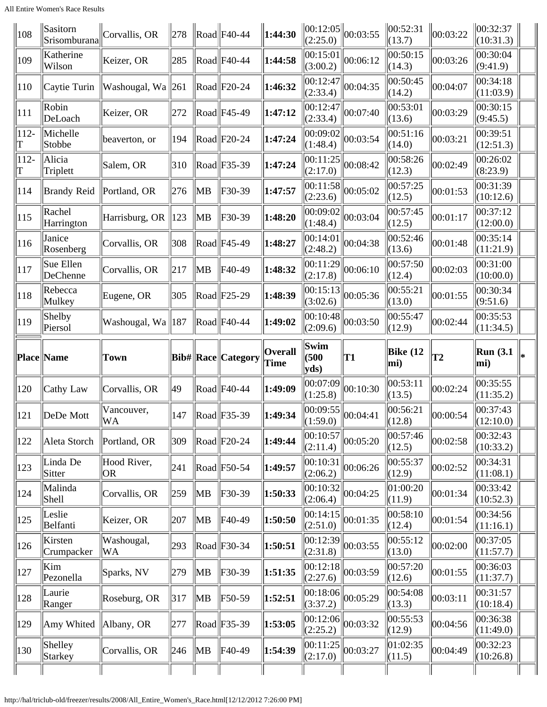All Entire Women's Race Results

| 108          | Sasitorn<br>Srisomburana | Corvallis, OR           | $\ 278\ $ |          | $\ \text{road}\ $ F40-44                             | 1:44:30                | (2:25.0)              | $\ 00:12:05\ _{00:03:55}$ | 00:52:31<br> (13.7) | 00:03:22 | 00:32:37<br>(10:31.3)           |     |
|--------------|--------------------------|-------------------------|-----------|----------|------------------------------------------------------|------------------------|-----------------------|---------------------------|---------------------|----------|---------------------------------|-----|
| 109          | Katherine<br>Wilson      | Keizer, OR              | 285       |          | $\left \text{Read}\right \left $ F40-44              | 1:44:58                | 00:15:01 <br>(3:00.2) | 00:06:12                  | 00:50:15<br>(14.3)  | 00:03:26 | 00:30:04<br>(9:41.9)            |     |
| 110          | Caytie Turin             | Washougal, Wa $\ 261\ $ |           |          | $\ $ Road $\ $ F20-24                                | 1:46:32                | 00:12:47 <br>(2:33.4) | 00:04:35                  | 00:50:45<br>(14.2)  | 00:04:07 | 00:34:18<br>(11:03.9)           |     |
| 111          | Robin<br>DeLoach         | Keizer, OR              | 272       |          | $\left \text{Read}\right \left $ F45-49              | 1:47:12                | 00:12:47 <br>(2:33.4) | 00:07:40                  | 00:53:01<br>(13.6)  | 00:03:29 | 00:30:15<br>(9:45.5)            |     |
| $112 -$<br>T | Michelle<br>Stobbe       | beaverton, or           | 194       |          | $\left \text{Read}\right \left \text{F20-24}\right $ | 1:47:24                | 00:09:02<br>(1:48.4)  | 00:03:54                  | 00:51:16<br>(14.0)  | 00:03:21 | 00:39:51<br>(12:51.3)           |     |
| $112 -$<br>T | Alicia<br>Triplett       | Salem, OR               | 310       |          | $\left \text{Read}\right \text{F35-39}$              | 1:47:24                | 00:11:25 <br>(2:17.0) | 00:08:42                  | 00:58:26<br>(12.3)  | 00:02:49 | 00:26:02<br>(8:23.9)            |     |
| 114          | <b>Brandy Reid</b>       | Portland, OR            | 276       | MB       | F30-39                                               | 1:47:57                | 00:11:58 <br>(2:23.6) | 00:05:02                  | 00:57:25<br>(12.5)  | 00:01:53 | 00:31:39<br>(10:12.6)           |     |
| 115          | Rachel<br>Harrington     | Harrisburg, OR          | 123       | $\ MB\ $ | F30-39                                               | 1:48:20                | 00:09:02<br>(1:48.4)  | 00:03:04                  | 00:57:45<br>(12.5)  | 00:01:17 | 00:37:12<br>(12:00.0)           |     |
| 116          | Janice<br>Rosenberg      | Corvallis, OR           | 308       |          | $\left \text{Read}\right \left $ F45-49              | 1:48:27                | 00:14:01 <br>(2:48.2) | 00:04:38                  | 00:52:46<br>(13.6)  | 00:01:48 | 00:35:14<br>(11:21.9)           |     |
| 117          | Sue Ellen<br>DeChenne    | Corvallis, OR           | 217       | $\ MB\ $ | F40-49                                               | 1:48:32                | 00:11:29 <br>(2:17.8) | 00:06:10                  | 00:57:50<br>(12.4)  | 00:02:03 | 00:31:00<br>(10:00.0)           |     |
| 118          | Rebecca<br>Mulkey        | Eugene, OR              | 305       |          | $\left \text{Read}\right \left \text{F25-29}\right $ | 1:48:39                | 00:15:13 <br>(3:02.6) | 00:05:36                  | 00:55:21<br>(13.0)  | 00:01:55 | 00:30:34<br>(9:51.6)            |     |
| 119          | Shelby<br>Piersol        | Washougal, Wa   187     |           |          | $\left \text{Read}\right \left $ F40-44              | 1:49:02                | 00:10:48 <br>(2:09.6) | 00:03:50                  | 00:55:47<br>(12.9)  | 00:02:44 | 00:35:53<br>(11:34.5)           |     |
|              |                          |                         |           |          |                                                      |                        | Swim                  |                           |                     |          |                                 |     |
|              | Place Name               | Town                    |           |          | Bib#  Race  Category                                 | <b>Overall</b><br>Time | (500)<br>yds          | T1                        | Bike $(12)$<br>mi)  | T2       | <b>Run</b> (3.1)<br>mi)         | l*. |
| 120          | Cathy Law                | Corvallis, OR           | 49        |          | $\left \text{Read}\right \left $ F40-44              | 1:49:09                | 00:07:09<br>(1:25.8)  | 00:10:30                  | 00:53:11<br>(13.5)  | 00:02:24 | 00:35:55<br>(11:35.2)           |     |
| 121          | DeDe Mott                | Vancouver,<br><b>WA</b> | 147       |          | $\ $ Road $\ $ F35-39                                | 1:49:34                | 00:09:55 <br>(1:59.0) | 00:04:41                  | 00:56:21<br>(12.8)  | 00:00:54 | 00:37:43<br>(12:10.0)           |     |
| 122          | Aleta Storch             | Portland, OR            | 309       |          | $\ $ Road $\ $ F20-24                                | 1:49:44                | 00:10:57 <br>(2:11.4) | 00:05:20                  | 00:57:46<br>(12.5)  | 00:02:58 | 00:32:43<br>(10:33.2)           |     |
| 123          | Linda De<br>Sitter       | Hood River,<br> OR      | 241       |          | $\ $ Road $\ $ F50-54                                | 1:49:57                | 00:10:31 <br>(2:06.2) | 00:06:26                  | 00:55:37<br>(12.9)  | 00:02:52 | 00:34:31<br>(11:08.1)           |     |
| 124          | Malinda<br>Shell         | Corvallis, OR           | 259       | MB       | F30-39                                               | 1:50:33                | 00:10:32 <br>(2:06.4) | 00:04:25                  | 01:00:20<br>(11.9)  | 00:01:34 | $ 00:33:42\rangle$<br>(10:52.3) |     |
| 125          | Leslie<br>Belfanti       | Keizer, OR              | 207       | ∥MB      | F40-49                                               | 1:50:50                | 00:14:15 <br>(2:51.0) | 00:01:35                  | 00:58:10<br>(12.4)  | 00:01:54 | 00:34:56<br>(11:16.1)           |     |
| 126          | Kirsten<br>Crumpacker    | Washougal,<br>WA        | 293       |          | $\left \right $ Road $\left \right $ F30-34          | 1:50:51                | 00:12:39 <br>(2:31.8) | 00:03:55                  | 00:55:12<br>(13.0)  | 00:02:00 | 00:37:05<br>(11:57.7)           |     |
| 127          | Kim<br>Pezonella         | Sparks, NV              | 279       | ∥MB      | F30-39                                               | 1:51:35                | 00:12:18 <br>(2:27.6) | 00:03:59                  | 00:57:20<br>(12.6)  | 00:01:55 | 00:36:03<br>(11:37.7)           |     |
| 128          | Laurie<br>Ranger         | Roseburg, OR            | 317       | ∥MB      | F50-59                                               | 1:52:51                | 00:18:06 <br>(3:37.2) | 00:05:29                  | 00:54:08<br>(13.3)  | 00:03:11 | 00:31:57<br>(10:18.4)           |     |
| 129          | Amy Whited               | Albany, OR              | 277       |          | $\left \text{Read}\right \left \text{F35-39}\right $ | 1:53:05                | 00:12:06 <br>(2:25.2) | 00:03:32                  | 00:55:53<br>(12.9)  | 00:04:56 | 00:36:38<br>(11:49.0)           |     |
| 130          | Shelley<br>Starkey       | Corvallis, OR           | 246       | MB       | F40-49                                               | 1:54:39                | 00:11:25 <br>(2:17.0) | 00:03:27                  | 01:02:35<br>(11.5)  | 00:04:49 | 00:32:23<br>(10:26.8)           |     |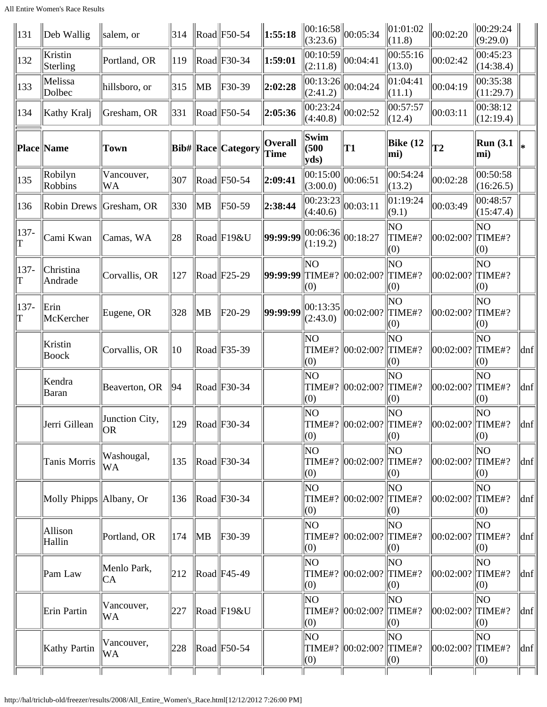| 131           | $\ $ Deb Wallig         | salem, or               | 314 |           | $\ $ Road $\ $ F50-54                                | 1:55:18                | (3:23.6)                                                     | $\ 00:16:58\ _{00:05:34}$        | $\ 01:01:02$<br>(11.8) | 00:02:20            | 00:29:24<br>(9:29.0)    |                     |
|---------------|-------------------------|-------------------------|-----|-----------|------------------------------------------------------|------------------------|--------------------------------------------------------------|----------------------------------|------------------------|---------------------|-------------------------|---------------------|
| 132           | Kristin<br>Sterling     | Portland, OR            | 119 |           | $\text{Road}$ F30-34                                 | 1:59:01                | $\left\  \frac{1}{00:10:59} \right\ _{00:04:41}$<br>(2:11.8) |                                  | 00:55:16<br>(13.0)     | 00:02:42            | 00:45:23<br>(14:38.4)   |                     |
| 133           | Melissa<br>Dolbec       | hillsboro, or           | 315 | MB        | F30-39                                               | 2:02:28                | (2:41.2)                                                     | $\overline{ 00:13:26 } 00:04:24$ | 01:04:41<br>(11.1)     | 00:04:19            | 00:35:38<br>(11:29.7)   |                     |
| 134           | Kathy Kralj             | Gresham, OR             | 331 |           | $\text{Rad}$ F50-54                                  | 2:05:36                | (4:40.8)                                                     | $\overline{ 00:23:24 } 00:02:52$ | 00:57:57<br>(12.4)     | 00:03:11            | 00:38:12<br>(12:19.4)   |                     |
|               | Place Name              | Town                    |     |           | Bib#  Race  Category                                 | <b>Overall</b><br>Time | Swim<br>$ $ (500<br>yds                                      | T1                               | Bike $(12)$<br>mi)     | T <sub>2</sub>      | <b>Run</b> (3.1)<br>mi) |                     |
| 135           | Robilyn<br>Robbins      | Vancouver,<br><b>WA</b> | 307 |           | $\text{Rad}$ F50-54                                  | 2:09:41                | 00:15:00 <br>(3:00.0)                                        | 00:06:51                         | 00:54:24<br>(13.2)     | 00:02:28            | 00:50:58<br>(16:26.5)   |                     |
| 136           | Robin Drews Gresham, OR |                         | 330 | <b>MB</b> | F50-59                                               | 2:38:44                | 00:23:23 <br>(4:40.6)                                        | 00:03:11                         | 01:19:24<br>(9.1)      | 00:03:49            | 00:48:57<br>(15:47.4)   |                     |
| 137-<br>T     | Cami Kwan               | Camas, WA               | 28  |           | Road F19&U                                           | 99:99:99               | $\ 00:06:36\ _{00:18:27}$<br>(1:19.2)                        |                                  | ΝO<br>TIME#?<br>(0)    | 00:02:00? TIME#?    | N <sub>O</sub><br>(0)   |                     |
| 137-<br>T     | Christina<br>Andrade    | Corvallis, OR           | 127 |           | $\text{Rad}$ F25-29                                  | 99:99:99               | ΝO<br>(0)                                                    | TIME#? 00:02:00?                 | ΝO<br>TIME#?<br>(0)    | 00:02:00? TIME#?    | N <sub>O</sub><br>(0)   |                     |
| $137 -$<br>lΤ | Erin<br>McKercher       | Eugene, OR              | 328 | MB        | $F20-29$                                             | 99:99:99               | 00:13:35 <br>(2:43.0)                                        | 00:02:00?                        | ΝO<br>TIME#?<br>(0)    | 00:02:00? TIME#?    | NO <sub>1</sub><br>(0)  |                     |
|               | Kristin<br>Boock        | Corvallis, OR           | 10  |           | $\text{Rad}$ F35-39                                  |                        | ΝO<br>(0)                                                    | TIME#? 00:02:00?                 | ΝO<br>TIME#?<br>(0)    | 00:02:00?  TIME#?   | N <sub>O</sub><br>(0)   | dnf                 |
|               | Kendra<br>Baran         | Beaverton, OR           | 94  |           | $\text{Road}$ F30-34                                 |                        | NO<br>(0)                                                    | TIME#?   00:02:00?               | ΝO<br>TIME#?<br>(0)    | 00:02:00? TIME#?    | <b>NO</b><br>(0)        | dnf                 |
|               | Jerri Gillean           | Junction City,<br> OR   | 129 |           | Road  F30-34                                         |                        | NO<br>(0)                                                    | TIME#?  00:02:00?  TIME#?        | NO<br>(0)              | $[00:02:00?$ TIME#? | NO<br>(0)               | $\vert$ dnf $\vert$ |
|               | Tanis Morris            | Washougal,<br>WA        | 135 |           | $\text{Rad}$ F30-34                                  |                        | ΝO<br>(0)                                                    | TIME#?  00:02:00?  TIME#?        | ΝO<br>(0)              | 00:02:00? TIME#?    | NO.<br>(0)              | dnf                 |
|               | Molly Phipps Albany, Or |                         | 136 |           | $\text{Road}$ F30-34                                 |                        | ΝO<br>(0)                                                    | TIME#?   00:02:00?               | NO<br>TIME#?<br>(0)    | 00:02:00? TIME#?    | NO.<br>(0)              | dnf                 |
|               | Allison<br>Hallin       | Portland, OR            | 174 | MB        | F30-39                                               |                        | NO.<br>(0)                                                   | TIME#?   00:02:00?   TIME#?      | ΝO<br>(0)              | 00:02:00? TIME#?    | NO <sub>1</sub><br>(0)  | dnf                 |
|               | Pam Law                 | Menlo Park,<br>CA       | 212 |           | $\text{Rad}$ F45-49                                  |                        | NO.<br>(0)                                                   | TIME#?   00:02:00?               | NO<br>TIME#?<br>(0)    | 00:02:00? TIME#?    | NO.<br>(0)              | dnf                 |
|               | Erin Partin             | Vancouver,<br>WA        | 227 |           | $\text{Rad}$ F19&U                                   |                        | ΝO<br>(0)                                                    | TIME#?   00:02:00?   TIME#?      | NO<br>(0)              | 00:02:00?  TIME#?   | NO.<br>(0)              | dnf                 |
|               | Kathy Partin            | Vancouver,<br><b>WA</b> | 228 |           | $\left \text{Read}\right \left \text{F50-54}\right $ |                        | ΝO<br>(0)                                                    | TIME#? 00:02:00?                 | NO.<br>TIME#?<br>(0)   | 00:02:00? TIME#?    | NO.<br>$\vert(0)$       | $\vert$ dnf $\vert$ |
|               |                         |                         |     |           |                                                      |                        |                                                              |                                  |                        |                     |                         |                     |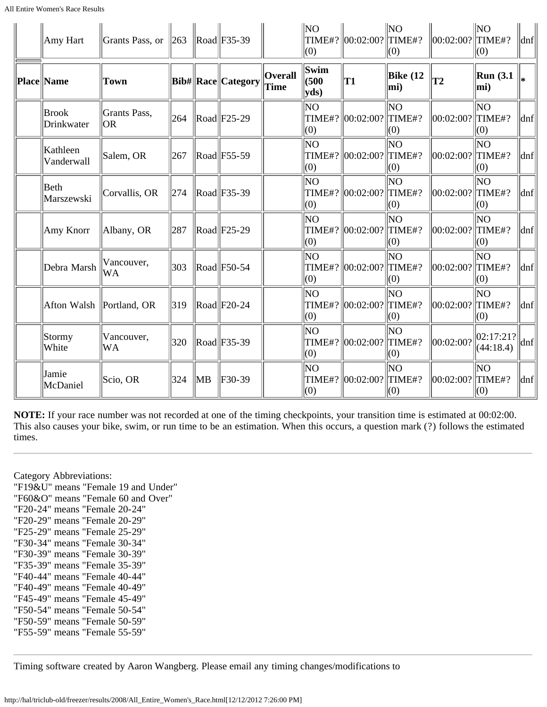| Amy Hart                   | Grants Pass, or           | $ 263\rangle$ |    | $\ $ Road $\ $ F35-39                                |                        | NO.<br>(0)                         | TIME#?  00:02:00?  TIME#?   | NO<br>(0)            | 00:02:00? TIME#?     | NO<br>(0)               | $\vert$ dnf $\vert$ |
|----------------------------|---------------------------|---------------|----|------------------------------------------------------|------------------------|------------------------------------|-----------------------------|----------------------|----------------------|-------------------------|---------------------|
| Place Name                 | <b>Town</b>               |               |    | Bib#  Race  Category                                 | <b>Overall</b><br>Time | <b>Swim</b><br>$\vert$ (500<br>yds | T1                          | Bike $(12)$<br>mi)   | $ {\bf T2} $         | <b>Run</b> (3.1)<br>mi) |                     |
| <b>Brook</b><br>Drinkwater | Grants Pass,<br><b>OR</b> | 264           |    | $\ $ Road $\ $ F25-29                                |                        | N <sub>O</sub><br>(0)              | TIME#?  00:02:00?  TIME#?   | lΝO<br>(0)           | $ 00:02:00? $ TIME#? | N <sub>O</sub><br>(0)   | $ d$ nf             |
| Kathleen<br>Vanderwall     | Salem, OR                 | 267           |    | $\ $ Road $\ $ F55-59                                |                        | NO <sub></sub><br>(0)              | TIME#? 00:02:00?            | lΝO<br>TIME#?<br>(0) | $ 00:02:00? $ TIME#? | ΝO<br>(0)               | dnf                 |
| Beth<br>Marszewski         | Corvallis, OR             | 274           |    | $\text{Rad}$ F35-39                                  |                        | NO <sub></sub><br>(0)              | TIME#?   00:02:00?   TIME#? | lΝO<br>(0)           | 00:02:00? TIME#?     | ΝO<br>(0)               | $\vert$ dnf $\vert$ |
| Amy Knorr                  | Albany, OR                | 287           |    | $\ $ Road $\ $ F25-29                                |                        | lΝO<br>TIME#?<br>(0)               | $\ 00:02:00?$ TIME#?        | lΝO<br>(0)           | 00:02:00? TIME#?     | <b>NO</b><br>(0)        | $\vert$ dnf $\vert$ |
| Debra Marsh                | Vancouver,<br><b>WA</b>   | 303           |    | $\left \text{Read}\right \left \text{F50-54}\right $ |                        | lΝO<br>(0)                         | TIME#?  00:02:00?  TIME#?   | lΝO<br>(0)           | 00:02:00? TIME#?     | <b>NO</b><br>(0)        | $\vert$ dnf $\vert$ |
| Afton Walsh                | Portland, OR              | 319           |    | $\ $ Road $\ $ F20-24                                |                        | NO<br>(0)                          | TIME#?  00:02:00?  TIME#?   | lΝO<br>(0)           | 00:02:00? TIME#?     | ΝO<br>(0)               | $\vert$ dnf $\vert$ |
| Stormy<br>White            | Vancouver,<br>WA          | 320           |    | $\ $ Road $\ $ F35-39                                |                        | ΝO<br>(0)                          | TIME#?  00:02:00?  TIME#?   | ΝO<br>(0)            | 00:02:00?            | 02:17:21?<br>(44:18.4)  | $\vert$ dnf $\vert$ |
| Jamie<br>McDaniel          | Scio, OR                  | 324           | MB | F30-39                                               |                        | ΝO<br>(0)                          | TIME#? 00:02:00?            | ΝO<br>TIME#?<br>(0)  | 00:02:00? TIME#?     | ΝO<br>(0)               | dnf                 |

**NOTE:** If your race number was not recorded at one of the timing checkpoints, your transition time is estimated at 00:02:00. This also causes your bike, swim, or run time to be an estimation. When this occurs, a question mark (?) follows the estimated times.

Category Abbreviations: "F19&U" means "Female 19 and Under" "F60&O" means "Female 60 and Over" "F20-24" means "Female 20-24" "F20-29" means "Female 20-29" "F25-29" means "Female 25-29" "F30-34" means "Female 30-34" "F30-39" means "Female 30-39" "F35-39" means "Female 35-39" "F40-44" means "Female 40-44" "F40-49" means "Female 40-49" "F45-49" means "Female 45-49" "F50-54" means "Female 50-54" "F50-59" means "Female 50-59" "F55-59" means "Female 55-59"

Timing software created by Aaron Wangberg. Please email any timing changes/modifications to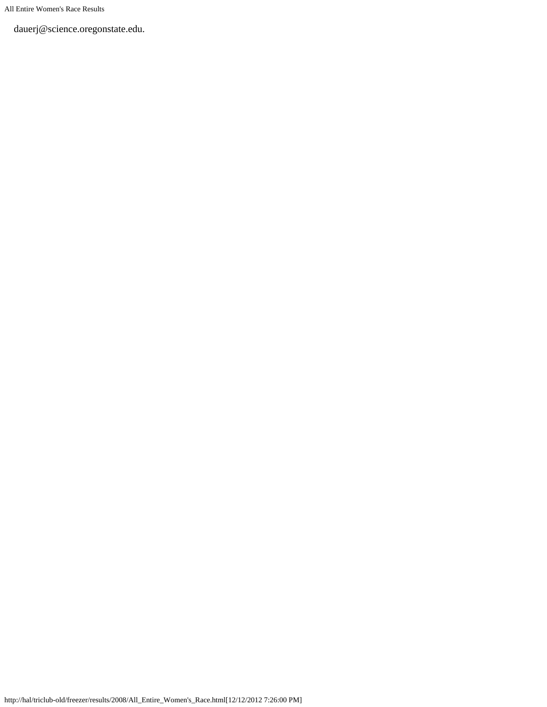All Entire Women's Race Results

dauerj@science.oregonstate.edu.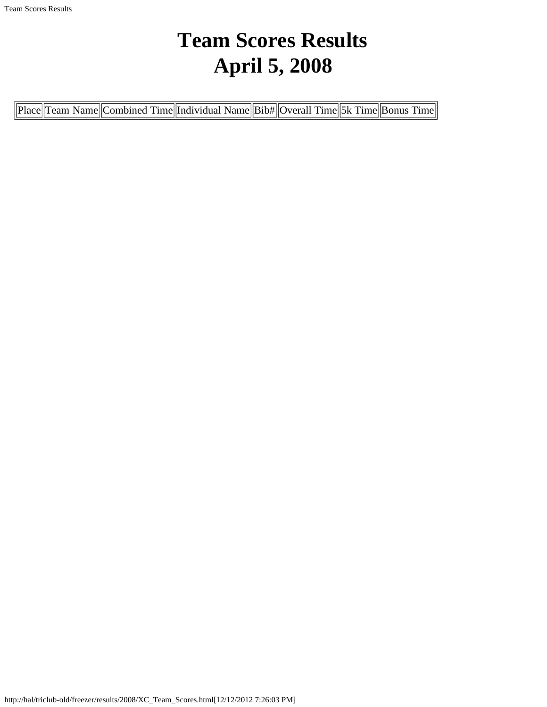# **Team Scores Results April 5, 2008**

<span id="page-34-0"></span>

| Place  Team Name  Combined Time  Individual Name  Bib#  Overall Time  5k Time  Bonus Time |
|-------------------------------------------------------------------------------------------|
|-------------------------------------------------------------------------------------------|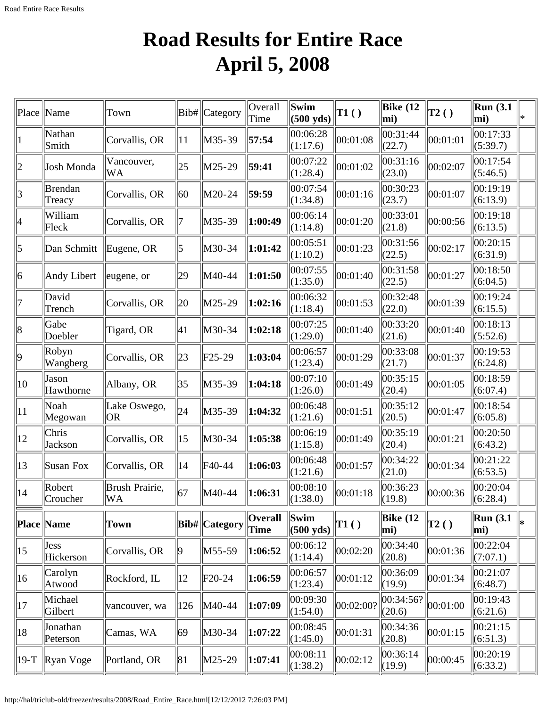# **Road Results for Entire Race April 5, 2008**

<span id="page-35-0"></span>

|                          | Town                                                                                    |                                       |          | Overall<br>Time                          | Swim<br>$(500 \text{ yds})$ | $\vert$ T1 $\left( \ \right)$ | Bike $(12)$<br>mi) | T2()         | Run(3.1)<br>mi)         | ∗                                                                   |
|--------------------------|-----------------------------------------------------------------------------------------|---------------------------------------|----------|------------------------------------------|-----------------------------|-------------------------------|--------------------|--------------|-------------------------|---------------------------------------------------------------------|
| Nathan<br>Smith          | Corvallis, OR                                                                           | 11                                    | M35-39   | 57:54                                    | 00:06:28<br>(1:17.6)        | 00:01:08                      | 00:31:44<br>(22.7) | 00:01:01     | 00:17:33<br>(5:39.7)    |                                                                     |
| Josh Monda               | Vancouver,<br>WA                                                                        | 25                                    | M25-29   | 59:41                                    | 00:07:22<br>(1:28.4)        | 00:01:02                      | 00:31:16<br>(23.0) | 00:02:07     | 00:17:54<br>(5:46.5)    |                                                                     |
| <b>Brendan</b><br>Treacy | Corvallis, OR                                                                           | 60                                    | M20-24   | 59:59                                    | 00:07:54<br>(1:34.8)        | 00:01:16                      | 00:30:23<br>(23.7) | 00:01:07     | 00:19:19<br>(6:13.9)    |                                                                     |
| William<br>Fleck         | Corvallis, OR                                                                           | 7                                     | M35-39   | 1:00:49                                  | 00:06:14<br>(1:14.8)        | 00:01:20                      | 00:33:01<br>(21.8) | 00:00:56     | 00:19:18<br>(6:13.5)    |                                                                     |
| Dan Schmitt              |                                                                                         | 5                                     | M30-34   | 1:01:42                                  | 00:05:51<br>(1:10.2)        | 00:01:23                      | 00:31:56<br>(22.5) | 00:02:17     | 00:20:15<br>(6:31.9)    |                                                                     |
| Andy Libert              |                                                                                         | 29                                    | M40-44   | 1:01:50                                  | 00:07:55<br>(1:35.0)        | 00:01:40                      | 00:31:58<br>(22.5) | 00:01:27     | 00:18:50<br>(6:04.5)    |                                                                     |
| David<br>Trench          | Corvallis, OR                                                                           | 20                                    | M25-29   | 1:02:16                                  | 00:06:32<br>(1:18.4)        | 00:01:53                      | 00:32:48<br>(22.0) | 00:01:39     | 00:19:24<br>(6:15.5)    |                                                                     |
| Gabe<br>Doebler          | Tigard, OR                                                                              | 41                                    | M30-34   | 1:02:18                                  | 00:07:25<br>(1:29.0)        | 00:01:40                      | 00:33:20<br>(21.6) | 00:01:40     | 00:18:13                |                                                                     |
| Robyn<br>Wangberg        | Corvallis, OR                                                                           | 23                                    | $F25-29$ | 1:03:04                                  | 00:06:57<br>(1:23.4)        | 00:01:29                      | 00:33:08<br>(21.7) | 00:01:37     | 00:19:53<br>(6:24.8)    |                                                                     |
| Jason<br>Hawthorne       | Albany, OR                                                                              | 35                                    | M35-39   | 1:04:18                                  | 00:07:10<br>(1:26.0)        | 00:01:49                      | 00:35:15<br>(20.4) | 00:01:05     | 00:18:59                |                                                                     |
| Noah                     | Lake Oswego,<br>OR <sub>1</sub>                                                         | 24                                    | M35-39   | 1:04:32                                  | 00:06:48<br>(1:21.6)        | 00:01:51                      | 00:35:12<br>(20.5) | 00:01:47     | 00:18:54<br>(6:05.8)    |                                                                     |
| Chris<br>Jackson         | Corvallis, OR                                                                           | 15                                    | M30-34   | 1:05:38                                  | 00:06:19<br>(1:15.8)        | 00:01:49                      | 00:35:19<br>(20.4) | 00:01:21     | 00:20:50<br>(6:43.2)    |                                                                     |
| Susan Fox                | Corvallis, OR                                                                           | 14                                    | F40-44   | 1:06:03                                  | 00:06:48<br>(1:21.6)        | 00:01:57                      | 00:34:22<br>(21.0) | 00:01:34     | 00:21:22                |                                                                     |
| Robert                   | Brush Prairie,                                                                          | 67                                    | M40-44   | 1:06:31                                  | 00:08:10<br>(1:38.0)        | 00:01:18                      | 00:36:23           | 00:00:36     | 00:20:04                |                                                                     |
|                          | Town                                                                                    |                                       |          | Overall<br>Time                          | Swim<br>$(500 \text{ yds})$ | $\vert$ T1()                  | Bike $(12)$<br>mi) | $\vert$ T2() | <b>Run</b> (3.1)        | l*                                                                  |
| Hickerson                | Corvallis, OR                                                                           | $ 9\rangle$                           | M55-59   | 1:06:52                                  | 00:06:12<br>(1:14.4)        | 00:02:20                      | 00:34:40<br>(20.8) | 00:01:36     | 00:22:04                |                                                                     |
| Carolyn<br>Atwood        | Rockford, IL                                                                            | $ 12\rangle$                          | $F20-24$ | 1:06:59                                  | 00:06:57<br>(1:23.4)        | 00:01:12                      | 00:36:09<br>(19.9) | 00:01:34     | 00:21:07<br>(6:48.7)    |                                                                     |
| Michael<br>Gilbert       | vancouver, wa                                                                           | 126                                   |          | 1:07:09                                  | 00:09:30<br>(1:54.0)        | 00:02:00?                     | (20.6)             |              | 00:19:43<br>(6:21.6)    |                                                                     |
| Jonathan                 | Camas, WA                                                                               | 69                                    | M30-34   | 1:07:22                                  | 00:08:45<br>(1:45.0)        | 00:01:31                      | 00:34:36<br>(20.8) | 00:01:15     | 00:21:15<br>(6:51.3)    |                                                                     |
|                          | Portland, OR                                                                            | 81                                    | M25-29   | 1:07:41                                  | 00:08:11<br>(1:38.2)        | 00:02:12                      | 00:36:14<br>(19.9) | 00:00:45     | 00:20:19<br>(6:33.2)    |                                                                     |
|                          | Place Name<br>Megowan<br>Croucher<br><b>Place Name</b><br>Jess<br>Peterson<br>Ryan Voge | Eugene, OR<br>eugene, or<br><b>WA</b> |          | Bib# Category<br>Bib# Category<br>M40-44 |                             |                               |                    | (19.8)       | 00:34:56? <br> 00:01:00 | (5:52.6)<br>(6:07.4)<br>(6:53.5)<br>$\ (6:28.4)$<br>mi)<br>(7:07.1) |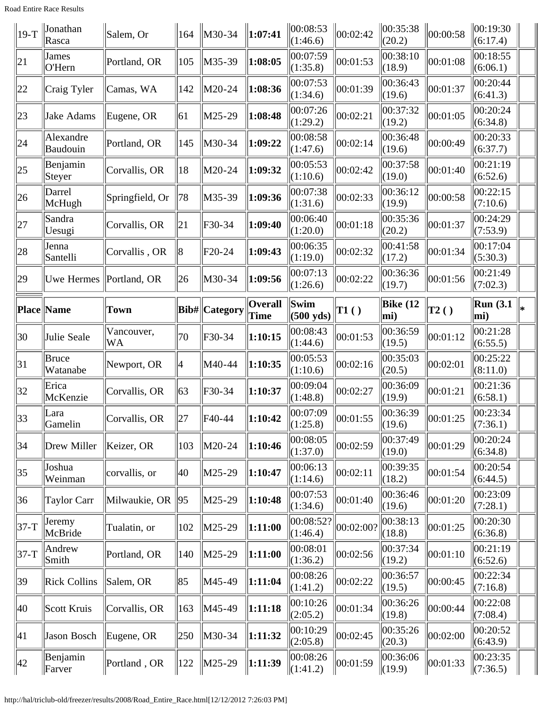Road Entire Race Results

| $ 19-T$ | Jonathan<br>Rasca        | Salem, Or        | 164          | $\ $ M30-34           | 1:07:41                | 00:08:53<br>(1:46.6)             | 00:02:42  | 00:35:38<br>(20.2)         | 00:00:58          | 00:19:30<br>(6:17.4)    |    |
|---------|--------------------------|------------------|--------------|-----------------------|------------------------|----------------------------------|-----------|----------------------------|-------------------|-------------------------|----|
| 21      | James<br>O'Hern          | Portland, OR     | 105          | M35-39                | 1:08:05                | 00:07:59<br>(1:35.8)             | 00:01:53  | 00:38:10<br>(18.9)         | 00:01:08          | 00:18:55<br>(6:06.1)    |    |
| 22      | Craig Tyler              | Camas, WA        | 142          | M20-24                | 1:08:36                | 00:07:53<br>(1:34.6)             | 00:01:39  | 00:36:43<br>(19.6)         | 00:01:37          | 00:20:44<br>(6:41.3)    |    |
| 23      | Jake Adams               | Eugene, OR       | 61           | M25-29                | 1:08:48                | 00:07:26<br>(1:29.2)             | 00:02:21  | 00:37:32<br>(19.2)         | 00:01:05          | 00:20:24<br>(6:34.8)    |    |
| 24      | Alexandre<br>Baudouin    | Portland, OR     | 145          | M30-34                | 1:09:22                | 00:08:58<br>(1:47.6)             | 00:02:14  | 00:36:48<br>(19.6)         | 00:00:49          | 00:20:33<br>(6:37.7)    |    |
| 25      | Benjamin<br>Steyer       | Corvallis, OR    | 18           | M20-24                | 1:09:32                | 00:05:53<br>(1:10.6)             | 00:02:42  | 00:37:58<br>(19.0)         | 00:01:40          | 00:21:19<br>(6:52.6)    |    |
| 26      | Darrel<br>McHugh         | Springfield, Or  | 78           | M35-39                | 1:09:36                | 00:07:38<br>(1:31.6)             | 00:02:33  | 00:36:12<br>(19.9)         | 00:00:58          | 00:22:15<br>(7:10.6)    |    |
| 27      | Sandra<br>Uesugi         | Corvallis, OR    | 21           | F30-34                | 1:09:40                | 00:06:40<br>(1:20.0)             | 00:01:18  | 00:35:36<br>(20.2)         | 00:01:37          | 00:24:29<br>(7:53.9)    |    |
| 28      | Jenna<br>Santelli        | Corvallis, OR    | 8            | $F20-24$              | 1:09:43                | 00:06:35<br>(1:19.0)             | 00:02:32  | 00:41:58<br>(17.2)         | 00:01:34          | 00:17:04<br>(5:30.3)    |    |
| 29      | <b>Uwe Hermes</b>        | Portland, OR     | $ 26\rangle$ | M30-34                | 1:09:56                | 00:07:13<br>(1:26.6)             | 00:02:22  | 00:36:36<br>(19.7)         | 00:01:56          | 00:21:49<br>(7:02.3)    |    |
|         | <b>Place Name</b>        | Town             |              | <b>Bib#</b>  Category | <b>Overall</b><br>Time | Swim<br>$(500 \text{ yds})$      | TI( )     | <b>Bike</b> (12<br>mi)     | $\overline{12}()$ | <b>Run</b> (3.1)<br>mi) | l* |
| 30      | Julie Seale              | Vancouver,<br>WA | 70           | $F30-34$              | 1:10:15                | 00:08:43<br>(1:44.6)             | 00:01:53  | 00:36:59<br>(19.5)         | 00:01:12          | 00:21:28<br>(6:55.5)    |    |
|         |                          |                  |              |                       |                        |                                  |           |                            |                   |                         |    |
| 31      | <b>Bruce</b><br>Watanabe | Newport, OR      | 4            | M40-44                | 1:10:35                | 00:05:53<br>(1:10.6)             | 00:02:16  | 00:35:03<br>(20.5)         | 00:02:01          | 00:25:22<br>(8:11.0)    |    |
| 32      | Erica<br>McKenzie        | Corvallis, OR    | 63           | $F30-34$              | 1:10:37                | 00:09:04<br>(1:48.8)             | 00:02:27  | 00:36:09<br>(19.9)         | 00:01:21          | 00:21:36<br>(6:58.1)    |    |
| 33      | Lara<br>Gamelin          | Corvallis, OR    | 27           | F40-44                | 1:10:42                | 00:07:09<br>$\Vert(1:25.8)\Vert$ | 00:01:55  | 00:36:39<br>$\Vert$ (19.6) | 00:01:25          | 00:23:34<br>(7:36.1)    |    |
| 34      | Drew Miller              | Keizer, OR       | 103          | M20-24                | 1:10:46                | 00:08:05<br>(1:37.0)             | 00:02:59  | 00:37:49<br>(19.0)         | 00:01:29          | 00:20:24<br>(6:34.8)    |    |
| 35      | Joshua<br>Weinman        | corvallis, or    | 40           | M25-29                | 1:10:47                | 00:06:13<br>(1:14.6)             | 00:02:11  | 00:39:35<br>(18.2)         | 00:01:54          | 00:20:54<br>(6:44.5)    |    |
| 36      | Taylor Carr              | Milwaukie, OR    | 95           | M25-29                | 1:10:48                | 00:07:53<br>(1:34.6)             | 00:01:40  | 00:36:46<br>(19.6)         | 00:01:20          | 00:23:09<br>(7:28.1)    |    |
| $37-T$  | Jeremy<br>McBride        | Tualatin, or     | 102          | $ M25-29$             | 1:11:00                | 00:08:52? <br> (1:46.4)          | 00:02:00? | 00:38:13<br>(18.8)         | 00:01:25          | 00:20:30<br>(6:36.8)    |    |
| $37-T$  | Andrew<br>Smith          | Portland, OR     | 140          | $ M25-29 $            | 1:11:00                | 00:08:01<br>(1:36.2)             | 00:02:56  | 00:37:34<br>(19.2)         | 00:01:10          | 00:21:19<br>(6:52.6)    |    |
| 39      | <b>Rick Collins</b>      | Salem, OR        | 85           | M45-49                | 1:11:04                | 00:08:26<br> (1:41.2)            | 00:02:22  | 00:36:57<br>(19.5)         | 00:00:45          | 00:22:34<br>(7:16.8)    |    |
| 40      | Scott Kruis              | Corvallis, OR    | 163          | M45-49                | 1:11:18                | 00:10:26<br>(2:05.2)             | 00:01:34  | 00:36:26<br>(19.8)         | 00:00:44          | 00:22:08<br>(7:08.4)    |    |
| 41      | <b>Jason Bosch</b>       | Eugene, OR       | 250          | M30-34                | 1:11:32                | 00:10:29<br>(2:05.8)             | 00:02:45  | 00:35:26<br>(20.3)         | 00:02:00          | 00:20:52<br>(6:43.9)    |    |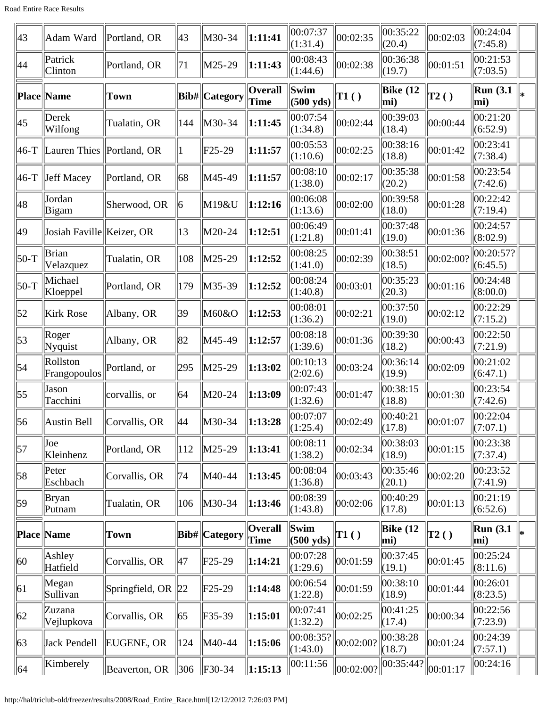| 43               | Adam Ward                 | Portland, OR             | 43              | M30-34               | 1:11:41                | 00:07:37<br>(1:31.4)                                 | 00:02:35                           | 00:35:22<br>(20.4)     | 00:02:03       | 00:24:04<br>(7:45.8)    |    |
|------------------|---------------------------|--------------------------|-----------------|----------------------|------------------------|------------------------------------------------------|------------------------------------|------------------------|----------------|-------------------------|----|
| 44               | Patrick<br>Clinton        | Portland, OR             | 71              | $\vert$ M25-29       | 1:11:43                | 00:08:43<br>(1:44.6)                                 | 00:02:38                           | 00:36:38<br>(19.7)     | 00:01:51       | 00:21:53<br>(7:03.5)    |    |
|                  | <b>Place Name</b>         | <b>Town</b>              |                 | Bib#  Category       | <b>Overall</b><br>Time | $\sqrt{\textbf{S}\textbf{w}}$<br>$(500 \text{ yds})$ | TI( )                              | <b>Bike (12</b><br>mi) | $\vert$ T2 ( ) | <b>Run</b> (3.1)<br>mi) | I∗ |
| 45               | Derek<br>Wilfong          | Tualatin, OR             | 144             | M30-34               | 1:11:45                | 00:07:54<br>(1:34.8)                                 | 00:02:44                           | 00:39:03<br>(18.4)     | 00:00:44       | 00:21:20<br>(6:52.9)    |    |
| $ 46-T$          | Lauren Thies              | Portland, OR             | $ 1\rangle$     | $F25-29$             | 1:11:57                | 00:05:53<br>(1:10.6)                                 | 00:02:25                           | 00:38:16<br>(18.8)     | 00:01:42       | 00:23:41<br>(7:38.4)    |    |
| $ 46-T$          | Jeff Macey                | Portland, OR             | 68              | M45-49               | 1:11:57                | 00:08:10<br>(1:38.0)                                 | 00:02:17                           | 00:35:38<br>(20.2)     | 00:01:58       | 00:23:54<br>(7:42.6)    |    |
| 48               | Jordan<br>Bigam           | Sherwood, OR             | 6               | M19&U                | 1:12:16                | 00:06:08<br>(1:13.6)                                 | 00:02:00                           | 00:39:58<br>(18.0)     | 00:01:28       | 00:22:42<br>(7:19.4)    |    |
| 49               | Josiah Faville Keizer, OR |                          | 13              | M20-24               | 1:12:51                | 00:06:49<br>(1:21.8)                                 | 00:01:41                           | 00:37:48<br>(19.0)     | 00:01:36       | 00:24:57<br>(8:02.9)    |    |
| $ 50-T$          | Brian<br>Velazquez        | Tualatin, OR             | 108             | M25-29               | 1:12:52                | 00:08:25<br>(1:41.0)                                 | 00:02:39                           | 00:38:51<br>(18.5)     | 00:02:00?      | 00:20:57?<br>(6:45.5)   |    |
| $50-T$           | Michael<br>Kloeppel       | Portland, OR             | 179             | M35-39               | 1:12:52                | 00:08:24<br>(1:40.8)                                 | 00:03:01                           | 00:35:23<br>(20.3)     | 00:01:16       | 00:24:48<br>(8:00.0)    |    |
| $\vert 52 \vert$ | Kirk Rose                 | Albany, OR               | 39              | M60&O                | 1:12:53                | 00:08:01<br>(1:36.2)                                 | 00:02:21                           | 00:37:50<br>(19.0)     | 00:02:12       | 00:22:29<br>(7:15.2)    |    |
| $\vert$ 53       | Roger<br>Nyquist          | Albany, OR               | 82              | M45-49               | 1:12:57                | 00:08:18<br>(1:39.6)                                 | 00:01:36                           | 00:39:30<br>(18.2)     | 00:00:43       | 00:22:50<br>(7:21.9)    |    |
| $\vert$ 54       | Rollston<br>Frangopoulos  | Portland, or             | 295             | M25-29               | 1:13:02                | 00:10:13<br>(2:02.6)                                 | 00:03:24                           | 00:36:14<br>(19.9)     | 00:02:09       | 00:21:02<br>(6:47.1)    |    |
| $\vert$ 55       | Jason<br>Tacchini         | corvallis, or            | 64              | M20-24               | 1:13:09                | 00:07:43<br>(1:32.6)                                 | 00:01:47                           | 00:38:15<br>(18.8)     | 00:01:30       | 00:23:54<br>(7:42.6)    |    |
| $\vert$ 56       | Austin Bell               | $ $ Corvallis, OR        | 44              | $\big $ M30-34       | $\ 1:13:28$            | 00:07:07<br> (1:25.4)                                | 00:02:49                           | 00:40:21<br>(17.8)     | 00:01:07       | 00:22:04<br>(7:07.1)    |    |
| $\vert$ 57       | Joe<br>Kleinhenz          | Portland, OR             | 112             | M25-29               | 1:13:41                | 00:08:11<br>(1:38.2)                                 | 00:02:34                           | 00:38:03<br>(18.9)     | 00:01:15       | 00:23:38<br>(7:37.4)    |    |
| $\vert$ 58       | Peter<br>Eschbach         | Corvallis, OR            | 74              | M40-44               | 1:13:45                | 00:08:04<br>(1:36.8)                                 | 00:03:43                           | 00:35:46<br>(20.1)     | 00:02:20       | 00:23:52<br>(7:41.9)    |    |
| 59               | <b>Bryan</b><br>Putnam    | Tualatin, OR             | 106             | $ M30-34$            | 1:13:46                | 00:08:39<br>(1:43.8)                                 | 00:02:06                           | 00:40:29<br>(17.8)     | 00:01:13       | 00:21:19<br>(6:52.6)    |    |
|                  | Place Name                | <b>Town</b>              |                 | <b>Bib#</b> Category | Overall<br>Time        | Swim<br>$(500 \text{ yds})$                          | T1()                               | <b>Bike</b> (12<br>mi) | $\vert$ T2()   | Run(3.1)<br>mi)         |    |
| 60               | Ashley<br>Hatfield        | Corvallis, OR            | 47              | $\text{F25-29}$      | 1:14:21                | 00:07:28<br>(1:29.6)                                 | 00:01:59                           | 00:37:45<br>(19.1)     | 00:01:45       | 00:25:24<br>(8:11.6)    |    |
| $\vert 61 \vert$ | Megan<br>Sullivan         | Springfield, OR $\ 22\ $ |                 | $\text{F25-29}$      | 1:14:48                | 00:06:54<br>(1:22.8)                                 | 00:01:59                           | 00:38:10<br>(18.9)     | 00:01:44       | 00:26:01<br>(8:23.5)    |    |
| 62               | Zuzana<br>Vejlupkova      | Corvallis, OR            | 65              | F35-39               | 1:15:01                | 00:07:41<br>(1:32.2)                                 | 00:02:25                           | 00:41:25<br>(17.4)     | 00:00:34       | 00:22:56<br>(7:23.9)    |    |
| 63               | Jack Pendell              | <b>EUGENE, OR</b>        | 124             | M40-44               | 1:15:06                | (1:43.0)                                             | $\overline{ 00:08:35? } 00:02:00?$ | 00:38:28<br>(18.7)     | 00:01:24       | 00:24:39<br>(7:57.1)    |    |
| $\parallel 64$   | Kimberely                 | Beaverton, OR            | $\parallel$ 306 | $\ F30-34\ $         | $\ 1:15:13$            | 00:11:56                                             | $\ 00:02:00?$                      | 00:35:44?              | 00:01:17       | 00:24:16                |    |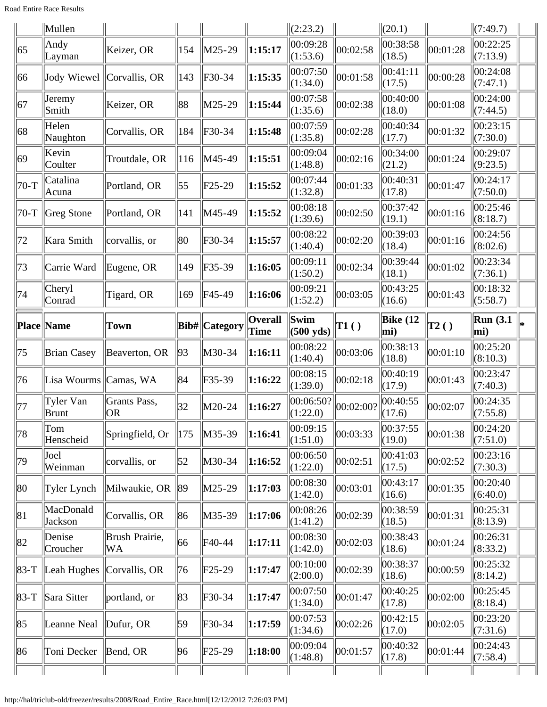Road Entire Race Results

|                  | $\ $ Mullen               |                           |                  |                 |                        | (2:23.2)                    |           | (20.1)             |          | (7:49.7)                |    |
|------------------|---------------------------|---------------------------|------------------|-----------------|------------------------|-----------------------------|-----------|--------------------|----------|-------------------------|----|
| 65               | Andy<br>Layman            | Keizer, OR                | 154              | M25-29          | 1:15:17                | 00:09:28<br>(1:53.6)        | 00:02:58  | 00:38:58<br>(18.5) | 00:01:28 | 00:22:25<br>(7:13.9)    |    |
| 66               |                           | Jody Wiewel Corvallis, OR | 143              | $F30-34$        | 1:15:35                | 00:07:50<br>(1:34.0)        | 00:01:58  | 00:41:11<br>(17.5) | 00:00:28 | 00:24:08<br>(7:47.1)    |    |
| 67               | Jeremy<br>Smith           | Keizer, OR                | 88               | M25-29          | 1:15:44                | 00:07:58<br>(1:35.6)        | 00:02:38  | 00:40:00<br>(18.0) | 00:01:08 | 00:24:00<br>(7:44.5)    |    |
| 68               | Helen<br>Naughton         | Corvallis, OR             | 184              | $F30-34$        | 1:15:48                | 00:07:59<br>(1:35.8)        | 00:02:28  | 00:40:34<br>(17.7) | 00:01:32 | 00:23:15<br>(7:30.0)    |    |
| 69               | Kevin<br>Coulter          | Troutdale, OR             | 116              | M45-49          | 1:15:51                | 00:09:04<br>(1:48.8)        | 00:02:16  | 00:34:00<br>(21.2) | 00:01:24 | 00:29:07<br>(9:23.5)    |    |
| $70-T$           | Catalina<br>Acuna         | Portland, OR              | $\vert 55 \vert$ | $F25-29$        | 1:15:52                | 00:07:44<br>(1:32.8)        | 00:01:33  | 00:40:31<br>(17.8) | 00:01:47 | 00:24:17<br>(7:50.0)    |    |
| $70-T$           | Greg Stone                | Portland, OR              | 141              | M45-49          | 1:15:52                | 00:08:18<br>(1:39.6)        | 00:02:50  | 00:37:42<br>(19.1) | 00:01:16 | 00:25:46<br>(8:18.7)    |    |
| 72               | Kara Smith                | corvallis, or             | 80               | $F30-34$        | 1:15:57                | 00:08:22<br>(1:40.4)        | 00:02:20  | 00:39:03<br>(18.4) | 00:01:16 | 00:24:56<br>(8:02.6)    |    |
| 73               | Carrie Ward               | Eugene, OR                | 149              | F35-39          | 1:16:05                | 00:09:11<br>(1:50.2)        | 00:02:34  | 00:39:44<br>(18.1) | 00:01:02 | 00:23:34<br>(7:36.1)    |    |
| 74               | Cheryl<br>Conrad          | Tigard, OR                | 169              | F45-49          | 1:16:06                | 00:09:21<br>(1:52.2)        | 00:03:05  | 00:43:25<br>(16.6) | 00:01:43 | 00:18:32<br>(5:58.7)    |    |
|                  | <b>Place Name</b>         | <b>Town</b>               |                  | Bib#  Category  | <b>Overall</b><br>Time | Swim<br>$(500 \text{ yds})$ | T1()      | Bike $(12)$<br>mi) | T2()     | <b>Run</b> (3.1)<br>mi) | l* |
| 75               | <b>Brian Casey</b>        | Beaverton, OR             | 93               | M30-34          | 1:16:11                | 00:08:22<br>(1:40.4)        | 00:03:06  | 00:38:13<br>(18.8) | 00:01:10 | 00:25:20<br>(8:10.3)    |    |
| 76               | Lisa Wourms Camas, WA     |                           | 84               | $F35-39$        | 1:16:22                | 00:08:15<br>(1:39.0)        | 00:02:18  | 00:40:19<br>(17.9) | 00:01:43 | 00:23:47<br>(7:40.3)    |    |
| 77               | Tyler Van<br><b>Brunt</b> | Grants Pass,<br>OR        | 32               | M20-24          | 1:16:27                | 00:06:50?<br>(1:22.0)       | 00:02:00? | 00:40:55<br>(17.6) | 00:02:07 | 00:24:35<br>(7:55.8)    |    |
| 78               | Tom<br>Henscheid          | Springfield, Or           | 175              | M35-39          | 1:16:41                | 00:09:15<br>(1:51.0)        | 00:03:33  | 00:37:55<br>(19.0) | 00:01:38 | 00:24:20<br>(7:51.0)    |    |
| 79               | Joel<br>Weinman           | corvallis, or             | 52               | M30-34          | 1:16:52                | 00:06:50<br>(1:22.0)        | 00:02:51  | 00:41:03<br>(17.5) | 00:02:52 | 00:23:16<br>(7:30.3)    |    |
| 80               | Tyler Lynch               | Milwaukie, OR             | 89               | M25-29          | 1:17:03                | 00:08:30                    | 00:03:01  | 00:43:17           | 00:01:35 | 00:20:40<br>(6:40.0)    |    |
| $\vert 81 \vert$ |                           |                           |                  |                 |                        | (1:42.0)                    |           | (16.6)             |          |                         |    |
|                  | MacDonald<br>Jackson      | Corvallis, OR             | 86               | M35-39          | 1:17:06                | 00:08:26<br>(1:41.2)        | 00:02:39  | 00:38:59<br>(18.5) | 00:01:31 | 00:25:31<br>(8:13.9)    |    |
| 82               | Denise<br>Croucher        | Brush Prairie,<br>WA      | 66               | F40-44          | 1:17:11                | 00:08:30<br>(1:42.0)        | 00:02:03  | 00:38:43<br>(18.6) | 00:01:24 | 00:26:31<br>(8:33.2)    |    |
| $ 83-T $         | Leah Hughes               | Corvallis, OR             | 76               | $ F25-29$       | 1:17:47                | 00:10:00<br>(2:00.0)        | 00:02:39  | 00:38:37<br>(18.6) | 00:00:59 | 00:25:32<br>(8:14.2)    |    |
| $ 83-T$          | Sara Sitter               | portland, or              | 83               | F30-34          | 1:17:47                | 00:07:50<br>(1:34.0)        | 00:01:47  | 00:40:25<br>(17.8) | 00:02:00 | 00:25:45<br>(8:18.4)    |    |
| 85               | Leanne Neal               | Dufur, OR                 | 59               | F30-34          | 1:17:59                | 00:07:53<br>(1:34.6)        | 00:02:26  | 00:42:15<br>(17.0) | 00:02:05 | 00:23:20<br>(7:31.6)    |    |
| 86               | Toni Decker               | Bend, OR                  | 96               | $\text{F25-29}$ | 1:18:00                | 00:09:04<br>(1:48.8)        | 00:01:57  | 00:40:32<br>(17.8) | 00:01:44 | 00:24:43<br>(7:58.4)    |    |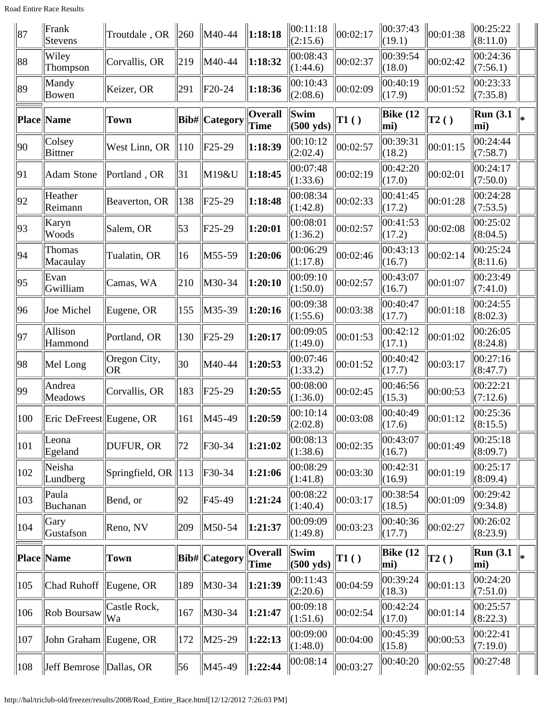Road Entire Race Results

| 87           | Frank<br>Stevens          | Troutdale, OR                   | $ 260\rangle$ | M40-44                | $\ 1:18:18$            | 00:11:18<br>(2:15.6)        | 00:02:17 | 00:37:43<br>(19.1)     | 00:01:38     | 00:25:22<br>(8:11.0)                    |    |
|--------------|---------------------------|---------------------------------|---------------|-----------------------|------------------------|-----------------------------|----------|------------------------|--------------|-----------------------------------------|----|
| 88           | Wiley<br>Thompson         | Corvallis, OR                   | 219           | M40-44                | 1:18:32                | 00:08:43<br>(1:44.6)        | 00:02:37 | 00:39:54<br>(18.0)     | 00:02:42     | 00:24:36<br>(7:56.1)                    |    |
| 89           | Mandy<br>Bowen            | Keizer, OR                      | 291           | $ F20-24$             | 1:18:36                | 00:10:43<br>(2:08.6)        | 00:02:09 | 00:40:19<br>(17.9)     | 00:01:52     | 00:23:33<br>(7:35.8)                    |    |
|              | <b>Place Name</b>         | Town                            |               | <b>Bib#</b>  Category | <b>Overall</b><br>Time | Swim<br>$(500 \text{ yds})$ | T1()     | <b>Bike</b> (12<br>mi) | $\vert$ T2() | <b>Run</b> (3.1)<br>$ \text{mi}\rangle$ | l⋇ |
| $ 90\rangle$ | Colsey<br><b>Bittner</b>  | West Linn, OR                   | 110           | $ $ F25-29            | 1:18:39                | 00:10:12<br>(2:02.4)        | 00:02:57 | 00:39:31<br>(18.2)     | 00:01:15     | 00:24:44<br>(7:58.7)                    |    |
| 91           | <b>Adam Stone</b>         | Portland, OR                    | 31            | M19&U                 | 1:18:45                | 00:07:48<br>(1:33.6)        | 00:02:19 | 00:42:20<br>(17.0)     | 00:02:01     | 00:24:17<br>(7:50.0)                    |    |
| 92           | Heather<br>Reimann        | Beaverton, OR                   | 138           | $ F25-29$             | 1:18:48                | 00:08:34<br>(1:42.8)        | 00:02:33 | 00:41:45<br>(17.2)     | 00:01:28     | 00:24:28<br>(7:53.5)                    |    |
| 93           | Karyn<br>Woods            | Salem, OR                       | 53            | $F25-29$              | 1:20:01                | 00:08:01<br>(1:36.2)        | 00:02:57 | 00:41:53<br>(17.2)     | 00:02:08     | 00:25:02<br>(8:04.5)                    |    |
| 94           | <b>Thomas</b><br>Macaulay | Tualatin, OR                    | 16            | $\vert$ M55-59        | 1:20:06                | 00:06:29<br>(1:17.8)        | 00:02:46 | 00:43:13<br>(16.7)     | 00:02:14     | 00:25:24<br>(8:11.6)                    |    |
| 95           | Evan<br>Gwilliam          | Camas, WA                       | 210           | M30-34                | 1:20:10                | 00:09:10<br>(1:50.0)        | 00:02:57 | 00:43:07<br>(16.7)     | 00:01:07     | 00:23:49<br>(7:41.0)                    |    |
| 96           | Joe Michel                | Eugene, OR                      | 155           | M35-39                | 1:20:16                | 00:09:38<br>(1:55.6)        | 00:03:38 | 00:40:47<br>(17.7)     | 00:01:18     | 00:24:55<br>(8:02.3)                    |    |
| 97           | Allison<br>Hammond        | Portland, OR                    | 130           | $F25-29$              | 1:20:17                | 00:09:05<br>(1:49.0)        | 00:01:53 | 00:42:12<br>(17.1)     | 00:01:02     | 00:26:05<br>(8:24.8)                    |    |
| 98           | Mel Long                  | Oregon City,<br><b>OR</b>       | 30            | M40-44                | 1:20:53                | 00:07:46<br>(1:33.2)        | 00:01:52 | 00:40:42<br>(17.7)     | 00:03:17     | 00:27:16<br>(8:47.7)                    |    |
| 99           | Andrea<br><b>Meadows</b>  | Corvallis, OR                   | 183           | $F25-29$              | 1:20:55                | 00:08:00<br>(1:36.0)        | 00:02:45 | 00:46:56<br>(15.3)     | 00:00:53     | 00:22:21<br>(7:12.6)                    |    |
| 100          | Eric DeFreest Eugene, OR  |                                 | 161           | M45-49                | $\ 1:20:59$            | 00:10:14<br>$\ $ (2:02.8)   | 00:03:08 | 00:40:49<br>(17.6)     | 00:01:12     | 00:25:36<br>$\ (8:15.5)$                |    |
| 101          | Leona<br>Egeland          | DUFUR, OR                       | 72            | $F30-34$              | 1:21:02                | 00:08:13<br>(1:38.6)        | 00:02:35 | 00:43:07<br>(16.7)     | 00:01:49     | 00:25:18<br>(8:09.7)                    |    |
| 102          | Neisha<br>Lundberg        | Springfield, OR $\parallel$ 113 |               | $F30-34$              | 1:21:06                | 00:08:29<br>(1:41.8)        | 00:03:30 | 00:42:31<br>(16.9)     | 00:01:19     | 00:25:17<br>(8:09.4)                    |    |
| 103          | Paula<br>Buchanan         | Bend, or                        | 92            | F45-49                | 1:21:24                | 00:08:22<br>(1:40.4)        | 00:03:17 | 00:38:54<br>(18.5)     | 00:01:09     | 00:29:42<br>(9:34.8)                    |    |
| 104          | Gary<br>Gustafson         | Reno, NV                        | 209           | M50-54                | 1:21:37                | 00:09:09<br>(1:49.8)        | 00:03:23 | 00:40:36<br>(17.7)     | 00:02:27     | 00:26:02<br>(8:23.9)                    |    |
|              | Place Name                | Town                            |               | <b>Bib#</b>  Category | <b>Overall</b><br>Time | Swim<br>$(500 \text{ yds})$ | T1()     | Bike $(12)$<br>mi)     | $\vert$ T2() | Run(3.1)<br>mi)                         | l∗ |
| 105          | Chad Ruhoff Eugene, OR    |                                 | 189           | M30-34                | 1:21:39                | 00:11:43<br>(2:20.6)        | 00:04:59 | 00:39:24<br>(18.3)     | 00:01:13     | 00:24:20<br>(7:51.0)                    |    |
| 106          | Rob Boursaw               | Castle Rock,<br>Wa              | 167           | M30-34                | 1:21:47                | 00:09:18<br>(1:51.6)        | 00:02:54 | 00:42:24<br>(17.0)     | 00:01:14     | 00:25:57<br>(8:22.3)                    |    |
| 107          | John Graham Eugene, OR    |                                 | 172           | $M25-29$              | 1:22:13                | 00:09:00<br>(1:48.0)        | 00:04:00 | 00:45:39<br>(15.8)     | 00:00:53     | 00:22:41<br>(7:19.0)                    |    |
| 108          | Jeff Bemrose Dallas, OR   |                                 | 56            | M45-49                | $\vert 1:22:44 \vert$  | 00:08:14                    | 00:03:27 | 00:40:20               | 00:02:55     | 00:27:48                                |    |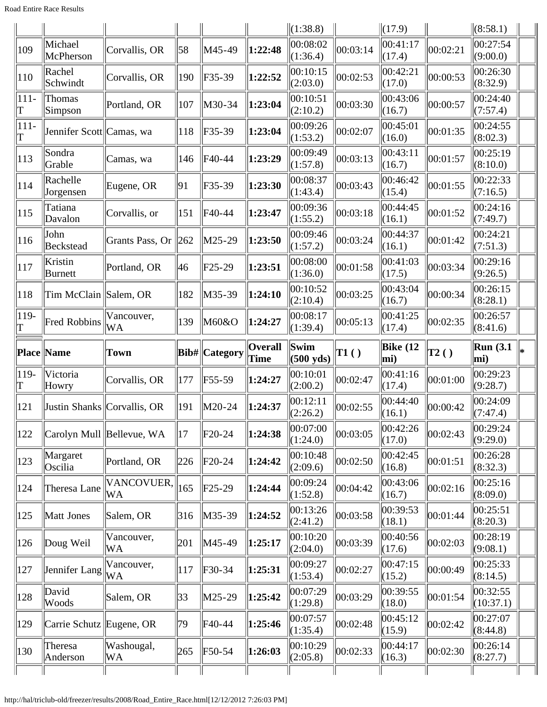Road Entire Race Results

|               |                          |                             |              |                                            |                | $\ $ (1:38.8)        |              | $\Vert$ (17.9)     |              | $\ $ (8:58.1)                     |    |
|---------------|--------------------------|-----------------------------|--------------|--------------------------------------------|----------------|----------------------|--------------|--------------------|--------------|-----------------------------------|----|
| 109           | Michael<br>McPherson     | Corvallis, OR               | 58           | M45-49                                     | 1:22:48        | 00:08:02<br>(1:36.4) | 00:03:14     | 00:41:17<br>(17.4) | 00:02:21     | $\overline{00:}27:54$<br>(9:00.0) |    |
| 110           | Rachel<br>Schwindt       | Corvallis, OR               | 190          | $\textcolor{blue}{\mathsf{F}35-39}$        | 1:22:52        | 00:10:15<br>(2:03.0) | 00:02:53     | 00:42:21<br>(17.0) | 00:00:53     | 00:26:30<br>(8:32.9)              |    |
| $ 111 -$<br>T | Thomas<br>Simpson        | Portland, OR                | 107          | M30-34                                     | 1:23:04        | 00:10:51<br>(2:10.2) | 00:03:30     | 00:43:06<br>(16.7) | 00:00:57     | 00:24:40<br>(7:57.4)              |    |
| $ 111 -$<br>T | Jennifer Scott Camas, wa |                             | 118          | F35-39                                     | 1:23:04        | 00:09:26<br>(1:53.2) | 00:02:07     | 00:45:01<br>(16.0) | 00:01:35     | 00:24:55<br>(8:02.3)              |    |
| 113           | Sondra<br>Grable         | Camas, wa                   | 146          | F40-44                                     | 1:23:29        | 00:09:49<br>(1:57.8) | 00:03:13     | 00:43:11<br>(16.7) | 00:01:57     | 00:25:19<br>(8:10.0)              |    |
| 114           | Rachelle<br>Jorgensen    | Eugene, OR                  | 91           | $F35-39$                                   | 1:23:30        | 00:08:37<br>(1:43.4) | 00:03:43     | 00:46:42<br>(15.4) | 00:01:55     | 00:22:33<br>(7:16.5)              |    |
| 115           | Tatiana<br>Davalon       | Corvallis, or               | 151          | F40-44                                     | 1:23:47        | 00:09:36<br>(1:55.2) | 00:03:18     | 00:44:45<br>(16.1) | 00:01:52     | 00:24:16<br>(7:49.7)              |    |
| 116           | John<br><b>Beckstead</b> | Grants Pass, Or             | 262          | $ M25-29$                                  | 1:23:50        | 00:09:46<br>(1:57.2) | 00:03:24     | 00:44:37<br>(16.1) | 00:01:42     | 00:24:21<br>(7:51.3)              |    |
| 117           | Kristin<br>Burnett       | Portland, OR                | 46           | $F25-29$                                   | 1:23:51        | 00:08:00<br>(1:36.0) | 00:01:58     | 00:41:03<br>(17.5) | 00:03:34     | 00:29:16<br>(9:26.5)              |    |
| 118           | Tim McClain Salem, OR    |                             | 182          | M35-39                                     | 1:24:10        | 00:10:52<br>(2:10.4) | 00:03:25     | 00:43:04<br>(16.7) | 00:00:34     | 00:26:15<br>(8:28.1)              |    |
| $ 119-$<br>T  | <b>Fred Robbins</b>      | Vancouver,<br>WA            | 139          | M60&O                                      | 1:24:27        | 00:08:17<br>(1:39.4) | 00:05:13     | 00:41:25<br>(17.4) | 00:02:35     | 00:26:57<br>(8:41.6)              |    |
|               |                          |                             |              |                                            | <b>Overall</b> | Swim                 |              | Bike $(12)$        |              | Run(3.1)                          |    |
|               | Place Name               | Town                        |              | <b>Bib#</b> Category                       | Time           | $(500 \text{ yds})$  | $\vert$ T1() | mi)                | $\vert$ T2() | mi)                               | l⋇ |
| $119-$<br>T   | Victoria<br>Howry        | Corvallis, OR               | 177          | $\textcolor{blue}{\mathsf{F55\text{-}59}}$ | 1:24:27        | 00:10:01<br>(2:00.2) | 00:02:47     | 00:41:16<br>(17.4) | 00:01:00     | 00:29:23<br>(9:28.7)              |    |
| 121           |                          | Justin Shanks Corvallis, OR | 191          | M20-24                                     | 1:24:37        | 00:12:11<br>(2:26.2) | 00:02:55     | 00:44:40<br>(16.1) | 00:00:42     | 00:24:09<br>(7:47.4)              |    |
| 122           |                          | Carolyn Mull Bellevue, WA   | $ 17\rangle$ | $F20-24$                                   | 1:24:38        | 00:07:00<br>(1:24.0) | 00:03:05     | 00:42:26<br>(17.0) | 00:02:43     | 00:29:24<br>(9:29.0)              |    |
| 123           | Margaret<br>Oscilia      | Portland, OR                | 226          | F20-24                                     | 1:24:42        | 00:10:48<br>(2:09.6) | 00:02:50     | 00:42:45<br>(16.8) | 00:01:51     | 00:26:28<br>(8:32.3)              |    |
| 124           | Theresa Lane             | VANCOVUER,<br><b>WA</b>     | 165          | $\text{F25-29}$                            | 1:24:44        | 00:09:24<br>(1:52.8) | 00:04:42     | 00:43:06<br>(16.7) | 00:02:16     | 00:25:16<br>(8:09.0)              |    |
| 125           | Matt Jones               | Salem, OR                   | 316          | M35-39                                     | 1:24:52        | 00:13:26<br>(2:41.2) | 00:03:58     | 00:39:53<br>(18.1) | 00:01:44     | 00:25:51<br>(8:20.3)              |    |
| 126           | Doug Weil                | Vancouver,<br>WA            | 201          | M45-49                                     | 1:25:17        | 00:10:20<br>(2:04.0) | 00:03:39     | 00:40:56<br>(17.6) | 00:02:03     | 00:28:19<br>(9:08.1)              |    |
| 127           | Jennifer Lang            | Vancouver,<br>WА            | 117          | $F30-34$                                   | 1:25:31        | 00:09:27<br>(1:53.4) | 00:02:27     | 00:47:15<br>(15.2) | 00:00:49     | 00:25:33<br>(8:14.5)              |    |
| 128           | David<br>Woods           | Salem, OR                   | $ 33\rangle$ | $M25-29$                                   | 1:25:42        | 00:07:29<br>(1:29.8) | 00:03:29     | 00:39:55<br>(18.0) | 00:01:54     | 00:32:55<br>(10:37.1)             |    |
| 129           | Carrie Schutz Eugene, OR |                             | 79           | $\textsf{F}40-44$                          | 1:25:46        | 00:07:57<br>(1:35.4) | 00:02:48     | 00:45:12<br>(15.9) | 00:02:42     | 00:27:07<br>(8:44.8)              |    |
| 130           | Theresa<br>Anderson      | Washougal,<br>WA            | 265          | F50-54                                     | 1:26:03        | 00:10:29<br>(2:05.8) | 00:02:33     | 00:44:17<br>(16.3) | 00:02:30     | 00:26:14<br>(8:27.7)              |    |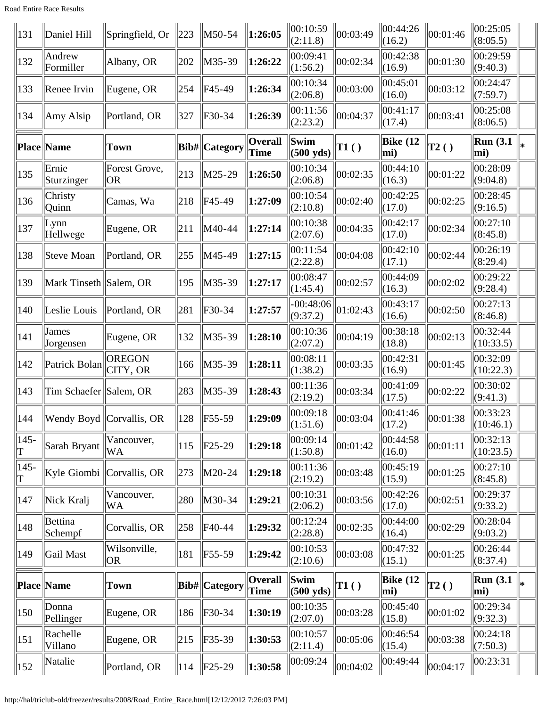Road Entire Race Results

| 131           | Daniel Hill            | Springfield, Or                 | 223 | M50-54               | $\ 1:26:05$            | 00:10:59<br>(2:11.8)        | 00:03:49 | 00:44:26<br>(16.2) | 00:01:46       | 00:25:05<br>(8:05.5)    |   |
|---------------|------------------------|---------------------------------|-----|----------------------|------------------------|-----------------------------|----------|--------------------|----------------|-------------------------|---|
| 132           | Andrew<br>Formiller    | Albany, OR                      | 202 | $M35-39$             | 1:26:22                | 00:09:41<br>(1:56.2)        | 00:02:34 | 00:42:38<br>(16.9) | 00:01:30       | 00:29:59<br>(9:40.3)    |   |
| 133           | Renee Irvin            | Eugene, OR                      | 254 | F45-49               | 1:26:34                | 00:10:34<br>(2:06.8)        | 00:03:00 | 00:45:01<br>(16.0) | 00:03:12       | 00:24:47<br>(7:59.7)    |   |
| 134           | Amy Alsip              | Portland, OR                    | 327 | F30-34               | 1:26:39                | 00:11:56<br>(2:23.2)        | 00:04:37 | 00:41:17<br>(17.4) | 00:03:41       | 00:25:08<br>(8:06.5)    |   |
|               | <b>Place Name</b>      | <b>Town</b>                     |     | Bib#  Category       | Overall<br><b>Time</b> | Swim<br>$(500 \text{ yds})$ | TI( )    | Bike $(12)$<br>mi) | T2()           | <b>Run (3.1)</b><br>mi) | × |
| 135           | Ernie<br>Sturzinger    | Forest Grove,<br><b>OR</b>      | 213 | $\vert$ M25-29       | 1:26:50                | 00:10:34<br>(2:06.8)        | 00:02:35 | 00:44:10<br>(16.3) | 00:01:22       | 00:28:09<br>(9:04.8)    |   |
| 136           | Christy<br>Quinn       | Camas, Wa                       | 218 | F45-49               | 1:27:09                | 00:10:54<br>(2:10.8)        | 00:02:40 | 00:42:25<br>(17.0) | 00:02:25       | 00:28:45<br>(9:16.5)    |   |
| 137           | Lynn<br>Hellwege       | Eugene, OR                      | 211 | M40-44               | 1:27:14                | 00:10:38<br>(2:07.6)        | 00:04:35 | 00:42:17<br>(17.0) | 00:02:34       | 00:27:10<br>(8:45.8)    |   |
| 138           | Steve Moan             | Portland, OR                    | 255 | M45-49               | 1:27:15                | 00:11:54<br>(2:22.8)        | 00:04:08 | 00:42:10<br>(17.1) | 00:02:44       | 00:26:19<br>(8:29.4)    |   |
| 139           | Mark Tinseth Salem, OR |                                 | 195 | M35-39               | 1:27:17                | 00:08:47<br>(1:45.4)        | 00:02:57 | 00:44:09<br>(16.3) | 00:02:02       | 00:29:22<br>(9:28.4)    |   |
| 140           | Leslie Louis           | Portland, OR                    | 281 | $F30-34$             | 1:27:57                | $-00:48:06$<br>(9:37.2)     | 01:02:43 | 00:43:17<br>(16.6) | 00:02:50       | 00:27:13<br>(8:46.8)    |   |
| 141           | James<br>Jorgensen     | Eugene, OR                      | 132 | $M35-39$             | 1:28:10                | 00:10:36<br>(2:07.2)        | 00:04:19 | 00:38:18<br>(18.8) | 00:02:13       | 00:32:44<br>(10:33.5)   |   |
| 142           | Patrick Bolan          | <b>OREGON</b><br>CITY, OR       | 166 | M35-39               | 1:28:11                | 00:08:11<br>(1:38.2)        | 00:03:35 | 00:42:31<br>(16.9) | 00:01:45       | 00:32:09<br>(10:22.3)   |   |
| 143           | Tim Schaefer Salem, OR |                                 | 283 | $M35-39$             | 1:28:43                | 00:11:36<br>(2:19.2)        | 00:03:34 | 00:41:09<br>(17.5) | 00:02:22       | 00:30:02<br>(9:41.3)    |   |
| $ 144\rangle$ |                        | <b>Wendy Boyd Corvallis, OR</b> |     | $\ 128\ $ F55-59     | 1:29:09                | 00:09:18<br>$\Vert(1:51.6)$ | 00:03:04 | 00:41:46<br>(17.2) | 00:01:38       | 00:33:23<br>(10:46.1)   |   |
| $ 145-$       | Sarah Bryant           | Vancouver,<br><b>WA</b>         | 115 | $\ $ F25-29          | 1:29:18                | 00:09:14<br>(1:50.8)        | 00:01:42 | 00:44:58<br>(16.0) | 00:01:11       | 00:32:13<br>(10:23.5)   |   |
| $145 -$       | Kyle Giombi            | $ $ Corvallis, OR               | 273 | M20-24               | 1:29:18                | 00:11:36<br>(2:19.2)        | 00:03:48 | 00:45:19<br>(15.9) | 00:01:25       | 00:27:10<br>(8:45.8)    |   |
| 147           | Nick Kralj             | Vancouver,<br>WA                | 280 | M30-34               | 1:29:21                | 00:10:31<br>(2:06.2)        | 00:03:56 | 00:42:26<br>(17.0) | 00:02:51       | 00:29:37<br>(9:33.2)    |   |
| 148           | Bettina<br>Schempf     | Corvallis, OR                   | 258 | F40-44               | 1:29:32                | 00:12:24<br>(2:28.8)        | 00:02:35 | 00:44:00<br>(16.4) | 00:02:29       | 00:28:04<br>(9:03.2)    |   |
| 149           | Gail Mast              | Wilsonville,<br> OR             | 181 | F55-59               | 1:29:42                | 00:10:53<br>(2:10.6)        | 00:03:08 | 00:47:32<br>(15.1) | 00:01:25       | 00:26:44<br>(8:37.4)    |   |
|               | Place Name             | <b>Town</b>                     |     | <b>Bib#</b> Category | <b>Overall</b><br>Time | Swim<br>$(500 \text{ yds})$ | T1()     | Bike $(12)$<br>mi) | $\vert$ T2 ( ) | <b>Run</b> (3.1)<br>mi) | ∗ |
| 150           | Donna<br>Pellinger     | Eugene, OR                      | 186 | $F30-34$             | 1:30:19                | 00:10:35<br>(2:07.0)        | 00:03:28 | 00:45:40<br>(15.8) | 00:01:02       | 00:29:34<br>(9:32.3)    |   |
| 151           | Rachelle<br>Villano    | Eugene, OR                      | 215 | F35-39               | 1:30:53                | 00:10:57<br> (2:11.4)       | 00:05:06 | 00:46:54<br>(15.4) | 00:03:38       | 00:24:18<br>(7:50.3)    |   |
| 152           | Natalie                | Portland, OR                    | 114 | $\ $ F25-29          | $\ 1:30:58\ $          | 00:09:24                    | 00:04:02 | 00:49:44           | 00:04:17       | 00:23:31                |   |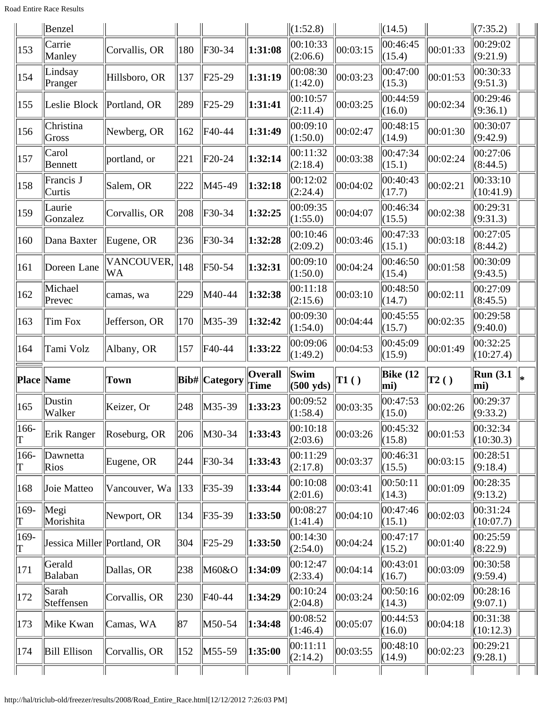Road Entire Race Results

|                 | Benzel                      |                  |     |                                            |                        | $\Vert(1:52.8)\Vert$      |              | $\Vert (14.5)$     |              | $\ (7:35.2)$           |    |
|-----------------|-----------------------------|------------------|-----|--------------------------------------------|------------------------|---------------------------|--------------|--------------------|--------------|------------------------|----|
| 153             | Carrie<br>Manley            | Corvallis, OR    | 180 | F30-34                                     | 1:31:08                | 00:10:33<br>(2:06.6)      | 00:03:15     | 00:46:45<br>(15.4) | 00:01:33     | 00:29:02<br>(9:21.9)   |    |
| 154             | Lindsay<br>Pranger          | Hillsboro, OR    | 137 | $ $ F25-29                                 | 1:31:19                | 00:08:30<br>(1:42.0)      | 00:03:23     | 00:47:00<br>(15.3) | 00:01:53     | 00:30:33<br>(9:51.3)   |    |
| 155             | Leslie Block                | Portland, OR     | 289 | $ $ F25-29                                 | 1:31:41                | 00:10:57<br>(2:11.4)      | 00:03:25     | 00:44:59<br>(16.0) | 00:02:34     | 00:29:46<br>(9:36.1)   |    |
| 156             | Christina<br>Gross          | Newberg, OR      | 162 | F40-44                                     | 1:31:49                | 00:09:10<br>(1:50.0)      | 00:02:47     | 00:48:15<br>(14.9) | 00:01:30     | 00:30:07<br>(9:42.9)   |    |
| 157             | Carol<br>Bennett            | portland, or     | 221 | $ $ F20-24                                 | 1:32:14                | 00:11:32<br>(2:18.4)      | 00:03:38     | 00:47:34<br>(15.1) | 00:02:24     | 00:27:06<br>(8:44.5)   |    |
| 158             | Francis J<br>Curtis         | Salem, OR        | 222 | M45-49                                     | 1:32:18                | 00:12:02<br>(2:24.4)      | 00:04:02     | 00:40:43<br>(17.7) | 00:02:21     | 00:33:10<br>(10:41.9)  |    |
| 159             | Laurie<br>Gonzalez          | Corvallis, OR    | 208 | F30-34                                     | 1:32:25                | 00:09:35<br>(1:55.0)      | 00:04:07     | 00:46:34<br>(15.5) | 00:02:38     | 00:29:31<br>(9:31.3)   |    |
| 160             | Dana Baxter                 | Eugene, OR       | 236 | F30-34                                     | 1:32:28                | 00:10:46<br>(2:09.2)      | 00:03:46     | 00:47:33<br>(15.1) | 00:03:18     | 00:27:05<br>(8:44.2)   |    |
| 161             | Doreen Lane                 | VANCOUVER,<br>WA | 148 | F50-54                                     | 1:32:31                | 00:09:10<br>(1:50.0)      | 00:04:24     | 00:46:50<br>(15.4) | 00:01:58     | 00:30:09<br>(9:43.5)   |    |
| 162             | Michael<br>Prevec           | camas, wa        | 229 | M40-44                                     | 1:32:38                | 00:11:18<br>(2:15.6)      | 00:03:10     | 00:48:50<br>(14.7) | 00:02:11     | 00:27:09<br>(8:45.5)   |    |
| 163             | Tim Fox                     | Jefferson, OR    | 170 | M35-39                                     | 1:32:42                | 00:09:30<br>(1:54.0)      | 00:04:44     | 00:45:55<br>(15.7) | 00:02:35     | 00:29:58<br>(9:40.0)   |    |
| 164             | Tami Volz                   | Albany, OR       | 157 | F40-44                                     | 1:33:22                | 00:09:06<br>(1:49.2)      | 00:04:53     | 00:45:09<br>(15.9) | 00:01:49     | 00:32:25<br>(10:27.4)  |    |
|                 |                             |                  |     |                                            |                        |                           |              |                    |              |                        |    |
|                 | <b>Place Name</b>           | Town             |     | Bib#  Category                             | <b>Overall</b><br>Time | Swim<br>$\vert$ (500 yds) | $\vert$ T1() | Bike $(12)$<br>mi) | $\vert$ T2() | Run(3.1)<br>mi)        | ∣∗ |
| 165             | Dustin<br>Walker            | Keizer, Or       | 248 | M35-39                                     | 1:33:23                | 00:09:52<br>(1:58.4)      | 00:03:35     | 00:47:53<br>(15.0) | 00:02:26     | 00:29:37<br>(9:33.2)   |    |
| 166-<br>$\rm T$ | Erik Ranger                 | Roseburg, OR     | 206 | M30-34                                     | 1:33:43                | 00:10:18<br>(2:03.6)      | 00:03:26     | 00:45:32<br>(15.8) | 00:01:53     | 00:32:34 <br>(10:30.3) |    |
| 166-<br>$\rm T$ | Dawnetta<br>Rios            | Eugene, OR       | 244 | F30-34                                     | 1:33:43                | 00:11:29<br>(2:17.8)      | 00:03:37     | 00:46:31<br>(15.5) | 00:03:15     | 00:28:51<br>(9:18.4)   |    |
| 168             | Joie Matteo                 | Vancouver, Wa    | 133 | F35-39                                     | 1:33:44                | 00:10:08<br>(2:01.6)      | 00:03:41     | 00:50:11<br>(14.3) | 00:01:09     | 00:28:35<br>(9:13.2)   |    |
| 169-<br>T       | Megi<br>Morishita           | Newport, OR      | 134 | F35-39                                     | 1:33:50                | 00:08:27<br>(1:41.4)      | 00:04:10     | 00:47:46<br>(15.1) | 00:02:03     | 00:31:24<br>(10:07.7)  |    |
| $ 169-$<br>T    | Jessica Miller Portland, OR |                  | 304 | $\textcolor{blue}{\mathsf{F25\text{-}29}}$ | 1:33:50                | 00:14:30<br>(2:54.0)      | 00:04:24     | 00:47:17<br>(15.2) | 00:01:40     | 00:25:59<br>(8:22.9)   |    |
| 171             | Gerald<br>Balaban           | Dallas, OR       | 238 | M60&O                                      | 1:34:09                | 00:12:47<br>(2:33.4)      | 00:04:14     | 00:43:01<br>(16.7) | 00:03:09     | 00:30:58<br>(9:59.4)   |    |
| 172             | Sarah<br>Steffensen         | Corvallis, OR    | 230 | F40-44                                     | 1:34:29                | 00:10:24<br>(2:04.8)      | 00:03:24     | 00:50:16<br>(14.3) | 00:02:09     | 00:28:16<br>(9:07.1)   |    |
| 173             | Mike Kwan                   | Camas, WA        | 87  | M50-54                                     | 1:34:48                | 00:08:52<br>(1:46.4)      | 00:05:07     | 00:44:53<br>(16.0) | 00:04:18     | 00:31:38<br>(10:12.3)  |    |
| 174             | <b>Bill Ellison</b>         | Corvallis, OR    | 152 | M55-59                                     | 1:35:00                | 00:11:11<br>(2:14.2)      | 00:03:55     | 00:48:10<br>(14.9) | 00:02:23     | 00:29:21<br>(9:28.1)   |    |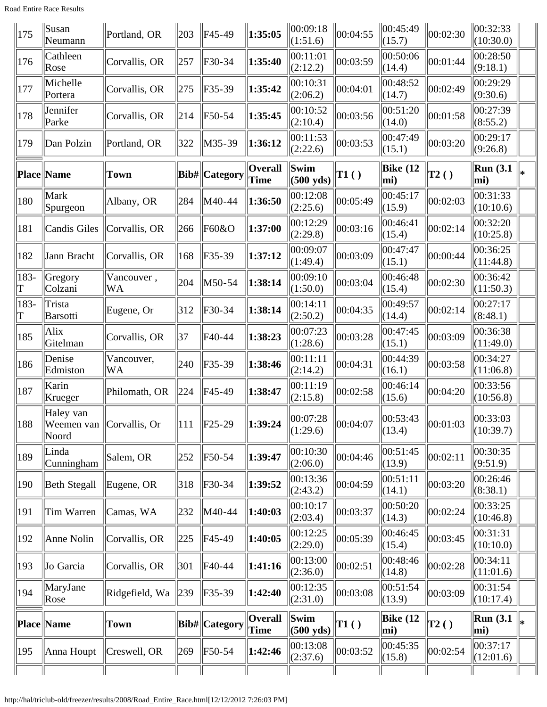Road Entire Race Results

| 195         | Anna Houpt                                     | Creswell, OR            | 269 | $\vert$ F50-54        | 1:42:46                | (2:37.6)                                 | 00:03:52             | (15.8)                              | 00:02:54     | (12:01.6)                            |    |
|-------------|------------------------------------------------|-------------------------|-----|-----------------------|------------------------|------------------------------------------|----------------------|-------------------------------------|--------------|--------------------------------------|----|
|             | <b>Place Name</b>                              | Town                    |     | <b>Bib#</b>  Category | <b>Overall</b><br>Time | Swim<br>$(500 \text{ yds})$<br> 00:13:08 | $\vert$ T1 $\vert$ ) | <b>Bike</b> (12<br>mi)<br> 00:45:35 | $\vert$ T2() | <b>Run</b> (3.1)<br>mi)<br> 00:37:17 | ⊪∗ |
| 194         | MaryJane<br>Rose                               | Ridgefield, Wa          | 239 | F35-39                | 1:42:40                | 00:12:35<br>(2:31.0)                     | 00:03:08             | 00:51:54<br>(13.9)                  | 00:03:09     | 00:31:54<br>(10:17.4)                |    |
| 193         | Jo Garcia                                      | Corvallis, OR           | 301 | F40-44                | 1:41:16                | 00:13:00<br>(2:36.0)                     | 00:02:51             | 00:48:46<br>(14.8)                  | 00:02:28     | 00:34:11<br>(11:01.6)                |    |
| 192         | Anne Nolin                                     | Corvallis, OR           | 225 | F45-49                | 1:40:05                | 00:12:25<br>(2:29.0)                     | 00:05:39             | 00:46:45<br>(15.4)                  | 00:03:45     | 00:31:31<br>(10:10.0)                |    |
| 191         | Tim Warren                                     | Camas, WA               | 232 | M40-44                | 1:40:03                | 00:10:17<br>(2:03.4)                     | 00:03:37             | 00:50:20<br>(14.3)                  | 00:02:24     | 00:33:25<br>(10:46.8)                |    |
| 190         | <b>Beth Stegall</b>                            | Eugene, OR              | 318 | F30-34                | 1:39:52                | 00:13:36<br>(2:43.2)                     | 00:04:59             | 00:51:11<br>(14.1)                  | 00:03:20     | 00:26:46<br>(8:38.1)                 |    |
| 189         | Linda<br>Cunningham                            | Salem, OR               | 252 | $\vert$ F50-54        | 1:39:47                | 00:10:30<br>(2:06.0)                     | 00:04:46             | 00:51:45<br>(13.9)                  | 00:02:11     | 00:30:35<br>(9:51.9)                 |    |
| 188         | Haley van<br>Weemen van Corvallis, Or<br>Noord |                         | 111 | $\ F25-29\ $          | 1:39:24                | 00:07:28<br>(1:29.6)                     | 00:04:07             | 00:53:43<br>(13.4)                  | 00:01:03     | 00:33:03<br>(10:39.7)                |    |
| 187         | Karin<br>Krueger                               | Philomath, OR           | 224 | F45-49                | 1:38:47                | 00:11:19<br>(2:15.8)                     | 00:02:58             | 00:46:14<br>(15.6)                  | 00:04:20     | 00:33:56<br>(10:56.8)                |    |
| 186         | Denise<br>Edmiston                             | Vancouver,<br>WA        | 240 | F35-39                | 1:38:46                | 00:11:11<br>(2:14.2)                     | 00:04:31             | 00:44:39<br>(16.1)                  | 00:03:58     | 00:34:27<br>(11:06.8)                |    |
| 185         | Alix<br>Gitelman                               | Corvallis, OR           | 37  | F40-44                | 1:38:23                | 00:07:23<br>(1:28.6)                     | 00:03:28             | 00:47:45<br>(15.1)                  | 00:03:09     | 00:36:38<br>(11:49.0)                |    |
| 183-<br>T   | Trista<br>Barsotti                             | Eugene, Or              | 312 | F30-34                | 1:38:14                | 00:14:11<br>(2:50.2)                     | 00:04:35             | 00:49:57<br>(14.4)                  | 00:02:14     | 00:27:17<br>(8:48.1)                 |    |
| 183-<br>lΤ  | Gregory<br>Colzani                             | Vancouver,<br><b>WA</b> | 204 | M50-54                | 1:38:14                | 00:09:10<br>(1:50.0)                     | 00:03:04             | 00:46:48<br>(15.4)                  | 00:02:30     | 00:36:42<br>(11:50.3)                |    |
| 182         | Jann Bracht                                    | Corvallis, OR           | 168 | F35-39                | 1:37:12                | 00:09:07<br>(1:49.4)                     | 00:03:09             | 00:47:47<br>(15.1)                  | 00:00:44     | 00:36:25<br>(11:44.8)                |    |
| 181         | <b>Candis Giles</b>                            | Corvallis, OR           | 266 | F60&O                 | 1:37:00                | 00:12:29<br>(2:29.8)                     | 00:03:16             | 00:46:41<br>(15.4)                  | 00:02:14     | 00:32:20<br>(10:25.8)                |    |
| 180         | Mark<br>Spurgeon                               | Albany, OR              | 284 | M40-44                | 1:36:50                | 00:12:08<br>(2:25.6)                     | 00:05:49             | 00:45:17<br>(15.9)                  | 00:02:03     | 00:31:33<br>(10:10.6)                |    |
|             | Place Name                                     | <b>Town</b>             |     | Bib#  Category        | Overall<br>Time        | Swim<br>$(500 \text{ yds})$              | TI( )                | <b>Bike</b> (12<br>mi)              | $\vert$ T2() | <b>Run</b> (3.1)<br>mi)              | ∥∗ |
| 179         | Dan Polzin                                     | Portland, OR            | 322 | $M35-39$              | 1:36:12                | 00:11:53<br>(2:22.6)                     | 00:03:53             | 00:47:49<br>(15.1)                  | 00:03:20     | 00:29:17<br>(9:26.8)                 |    |
| 178         | Jennifer<br>Parke                              | Corvallis, OR           | 214 | F50-54                | 1:35:45                | 00:10:52<br>(2:10.4)                     | 00:03:56             | 00:51:20<br>(14.0)                  | 00:01:58     | 00:27:39<br>(8:55.2)                 |    |
| 177         | Michelle<br>Portera                            | Corvallis, OR           | 275 | F35-39                | 1:35:42                | 00:10:31<br>(2:06.2)                     | 00:04:01             | 00:48:52<br>(14.7)                  | 00:02:49     | 00:29:29<br>(9:30.6)                 |    |
| 176         | Cathleen<br>Rose                               | Corvallis, OR           | 257 | F30-34                | 1:35:40                | 00:11:01<br>(2:12.2)                     | 00:03:59             | 00:50:06<br>(14.4)                  | 00:01:44     | 00:28:50<br>(9:18.1)                 |    |
| $\vert$ 175 | Susan<br>Neumann                               | Portland, OR            | 203 | $\ $ F45-49           | 1:35:05                | 00:09:18<br>(1:51.6)                     | 00:04:55             | $\ 00:45:49$<br>(15.7)              | 00:02:30     | 00:32:33 <br>(10:30.0)               |    |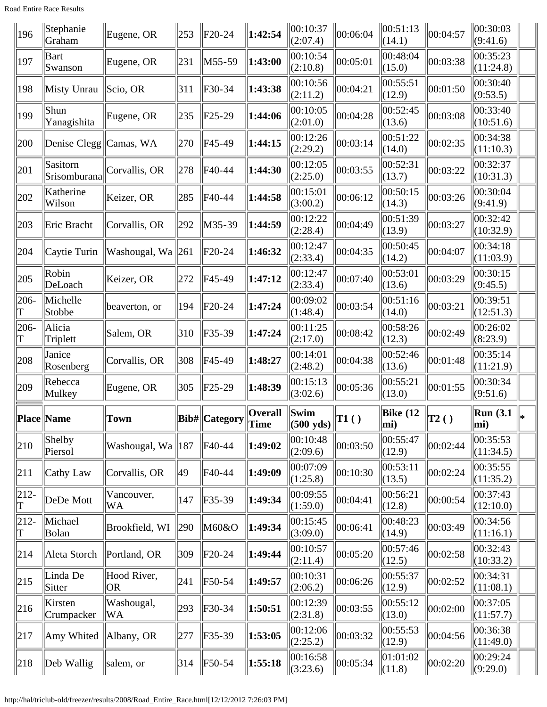Road Entire Race Results

| 196          | Stephanie<br>Graham      | Eugene, OR                    | 253 | $\parallel$ F20-24                                                  | 1:42:54              | 00:10:37<br>(2:07.4)                   | 00:06:04       | 00:51:13<br>(14.1) | 00:04:57     | 00:30:03<br>(9:41.6)   |  |
|--------------|--------------------------|-------------------------------|-----|---------------------------------------------------------------------|----------------------|----------------------------------------|----------------|--------------------|--------------|------------------------|--|
| 197          | Bart<br>Swanson          | Eugene, OR                    | 231 | M55-59                                                              | 1:43:00              | 00:10:54<br>(2:10.8)                   | 00:05:01       | 00:48:04<br>(15.0) | 00:03:38     | 00:35:23<br>(11:24.8)  |  |
| 198          | Misty Unrau              | Scio, OR                      | 311 | $F30-34$                                                            | 1:43:38              | 00:10:56<br>(2:11.2)                   | 00:04:21       | 00:55:51<br>(12.9) | 00:01:50     | 00:30:40<br>(9:53.5)   |  |
| 199          | Shun<br>Yanagishita      | Eugene, OR                    | 235 | $F25-29$                                                            | 1:44:06              | 00:10:05<br>(2:01.0)                   | 00:04:28       | 00:52:45<br>(13.6) | 00:03:08     | 00:33:40<br>(10:51.6)  |  |
| 200          | Denise Clegg   Camas, WA |                               | 270 | $FA5-49$                                                            | 1:44:15              | 00:12:26<br>(2:29.2)                   | 00:03:14       | 00:51:22<br>(14.0) | 00:02:35     | 00:34:38<br>(11:10.3)  |  |
| 201          | Sasitorn<br>Srisomburana | Corvallis, OR                 | 278 | F40-44                                                              | 1:44:30              | 00:12:05<br>(2:25.0)                   | 00:03:55       | 00:52:31<br>(13.7) | 00:03:22     | 00:32:37<br>(10:31.3)  |  |
| 202          | Katherine<br>Wilson      | Keizer, OR                    | 285 | F40-44                                                              | 1:44:58              | 00:15:01<br>(3:00.2)                   | 00:06:12       | 00:50:15<br>(14.3) | 00:03:26     | 00:30:04<br>(9:41.9)   |  |
| 203          | Eric Bracht              | Corvallis, OR                 | 292 | M35-39                                                              | 1:44:59              | 00:12:22<br>(2:28.4)                   | 00:04:49       | 00:51:39<br>(13.9) | 00:03:27     | 00:32:42<br>(10:32.9)  |  |
| 204          | Caytie Turin             | Washougal, Wa 261             |     | $ $ F20-24                                                          | 1:46:32              | 00:12:47<br>(2:33.4)                   | 00:04:35       | 00:50:45<br>(14.2) | 00:04:07     | 00:34:18<br>(11:03.9)  |  |
| 205          | Robin<br>DeLoach         | Keizer, OR                    | 272 | F45-49                                                              | 1:47:12              | 00:12:47<br>(2:33.4)                   | 00:07:40       | 00:53:01<br>(13.6) | 00:03:29     | 00:30:15<br>(9:45.5)   |  |
| 206-         | Michelle<br>Stobbe       | beaverton, or                 | 194 | $F20-24$                                                            | 1:47:24              | 00:09:02<br>(1:48.4)                   | 00:03:54       | 00:51:16<br>(14.0) | 00:03:21     | 00:39:51<br>(12:51.3)  |  |
| 206-         | Alicia<br>Triplett       | Salem, OR                     | 310 | F35-39                                                              | 1:47:24              | 00:11:25<br>(2:17.0)                   | 00:08:42       | 00:58:26<br>(12.3) | 00:02:49     | 00:26:02<br>(8:23.9)   |  |
|              | Janice                   |                               |     |                                                                     |                      | 00:14:01                               |                | 00:52:46           |              | 00:35:14               |  |
| 208          | Rosenberg                | Corvallis, OR                 | 308 | $FA5-49$                                                            | 1:48:27              | (2:48.2)                               | 00:04:38       | (13.6)             | 00:01:48     | (11:21.9)              |  |
| 209          | Rebecca<br>Mulkey        | Eugene, OR                    | 305 | $ $ F25-29                                                          | 1:48:39              | 00:15:13<br>(3:02.6)                   | 00:05:36       | 00:55:21<br>(13.0) | 00:01:55     | 00:30:34<br>(9:51.6)   |  |
|              | Place Name               | Town                          |     | $\left\Vert \mathrm{Bib\#}\right\Vert \mathrm{Category}\right\Vert$ | Overall<br>$\ $ Time | $\ $ Swim<br>$\vert$ (500 yds) $\vert$ | $\vert$ T1 ( ) | Bike $(12)$<br>mi) | $\vert$ T2() | Run (3.1 $\ _*$<br>mi) |  |
| 210          | Shelby<br>Piersol        | Washougal, Wa $\parallel$ 187 |     | F40-44                                                              | 1:49:02              | 00:10:48<br>(2:09.6)                   | 00:03:50       | 00:55:47<br>(12.9) | 00:02:44     | 00:35:53<br>(11:34.5)  |  |
| 211          | Cathy Law                | Corvallis, OR                 | 49  | F40-44                                                              | 1:49:09              | 00:07:09<br>(1:25.8)                   | 00:10:30       | 00:53:11<br>(13.5) | 00:02:24     | 00:35:55<br>(11:35.2)  |  |
| $212 -$      | DeDe Mott                | Vancouver,<br>WA              | 147 | F35-39                                                              | 1:49:34              | 00:09:55<br>(1:59.0)                   | 00:04:41       | 00:56:21<br>(12.8) | 00:00:54     | 00:37:43<br>(12:10.0)  |  |
| $212 -$<br>Τ | Michael<br>Bolan         | Brookfield, WI                | 290 | M60&O                                                               | 1:49:34              | 00:15:45<br>(3:09.0)                   | 00:06:41       | 00:48:23<br>(14.9) | 00:03:49     | 00:34:56<br>(11:16.1)  |  |
| 214          | Aleta Storch             | Portland, OR                  | 309 | $ F20-24$                                                           | 1:49:44              | 00:10:57<br>(2:11.4)                   | 00:05:20       | 00:57:46<br>(12.5) | 00:02:58     | 00:32:43<br>(10:33.2)  |  |
| 215          | Linda De<br>Sitter       | Hood River,<br> OR            | 241 | F50-54                                                              | 1:49:57              | 00:10:31<br>(2:06.2)                   | 00:06:26       | 00:55:37<br>(12.9) | 00:02:52     | 00:34:31<br>(11:08.1)  |  |
| 216          | Kirsten<br>Crumpacker    | Washougal,<br>WA              | 293 | F30-34                                                              | 1:50:51              | 00:12:39<br>(2:31.8)                   | 00:03:55       | 00:55:12<br>(13.0) | 00:02:00     | 00:37:05<br>(11:57.7)  |  |
| 217          | Amy Whited               | Albany, OR                    | 277 | F35-39                                                              | 1:53:05              | 00:12:06<br>(2:25.2)                   | 00:03:32       | 00:55:53<br>(12.9) | 00:04:56     | 00:36:38<br>(11:49.0)  |  |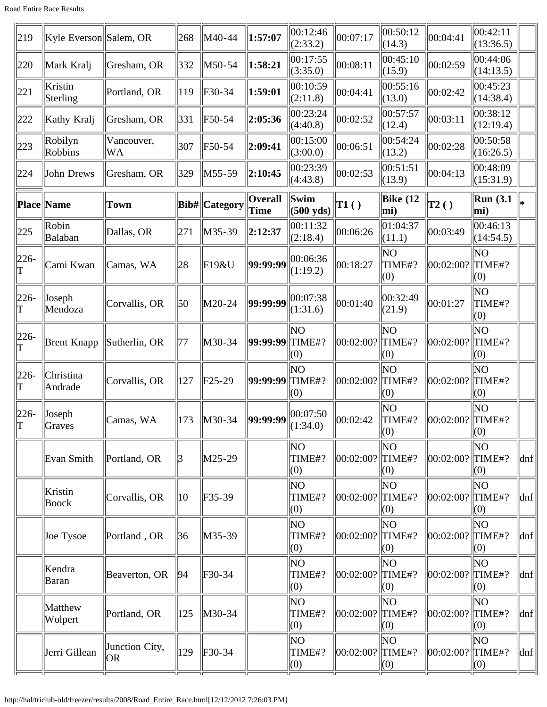| 219                      | Kyle Everson Salem, OR |                      | 268           | M40-44               | 1:57:07                   | 00:12:46<br>(2:33.2)        | 00:07:17             | 00:50:12<br>(14.3)  | 00:04:41             | 00:42:11<br>(13:36.5)       |                             |
|--------------------------|------------------------|----------------------|---------------|----------------------|---------------------------|-----------------------------|----------------------|---------------------|----------------------|-----------------------------|-----------------------------|
| 220                      | Mark Kralj             | Gresham, OR          | 332           | $M50-54$             | 1:58:21                   | 00:17:55<br>(3:35.0)        | 00:08:11             | 00:45:10<br>(15.9)  | 00:02:59             | 00:44:06<br>(14:13.5)       |                             |
| 221                      | Kristin<br>Sterling    | Portland, OR         | 119           | F30-34               | 1:59:01                   | 00:10:59<br>(2:11.8)        | 00:04:41             | 00:55:16<br>(13.0)  | 00:02:42             | 00:45:23<br>(14:38.4)       |                             |
| 222                      | Kathy Kralj            | Gresham, OR          | 331           | F50-54               | 2:05:36                   | 00:23:24<br>(4:40.8)        | 00:02:52             | 00:57:57<br>(12.4)  | 00:03:11             | 00:38:12<br>(12:19.4)       |                             |
| 223                      | Robilyn<br>Robbins     | Vancouver,<br>WA     | 307           | F50-54               | 2:09:41                   | 00:15:00<br>(3:00.0)        | 00:06:51             | 00:54:24<br>(13.2)  | 00:02:28             | 00:50:58<br>(16:26.5)       |                             |
| 224                      | John Drews             | Gresham, OR          | 329           | $M55-59$             | 2:10:45                   | 00:23:39<br>(4:43.8)        | 00:02:53             | 00:51:51<br>(13.9)  | 00:04:13             | 00:48:09<br>(15:31.9)       |                             |
|                          | <b>Place Name</b>      | Town                 |               | <b>Bib#</b> Category | <b>Overall</b><br>Time    | Swim<br>$(500 \text{ yds})$ | $\vert$ T1()         | Bike $(12)$<br>mi)  | $\vert$ T2()         | Run(3.1)<br>mi)             |                             |
| 225                      | Robin<br>Balaban       | Dallas, OR           | 271           | $M35-39$             | 2:12:37                   | 00:11:32<br>(2:18.4)        | 00:06:26             | 01:04:37<br>(11.1)  | 00:03:49             | 00:46:13<br>(14:54.5)       |                             |
| $ 226-$<br>lΤ            | Cami Kwan              | Camas, WA            | 28            | F19&U                | 99:99:99                  | 00:06:36<br>(1:19.2)        | 00:18:27             | NO<br>TIME#?<br>(0) | 00:02:00?            | ΝO<br>TIME#?<br>(0)         |                             |
| $ 226-$<br>T             | Joseph<br>Mendoza      | Corvallis, OR        | 50            | M20-24               | 99:99:99                  | 00:07:38<br>(1:31.6)        | 00:01:40             | 00:32:49<br>(21.9)  | 00:01:27             | ΝO<br>TIME#?<br>(0)         |                             |
| $226 -$<br>lΤ            | <b>Brent Knapp</b>     | Sutherlin, OR        | 77            | M30-34               | <b>99:99:99 TIME#?</b>    | lΝO<br>(0)                  | 00:02:00?            | ΝO<br>TIME#?<br>(0) | 00:02:00?            | lΝO<br>TIME#?<br>(0)        |                             |
| $226 -$<br>T             | Christina<br>Andrade   | Corvallis, OR        | 127           | $F25-29$             | 99:99:99                  | ΝO<br>TIME#?<br>(0)         | 00:02:00?            | ΝO<br>TIME#?<br>(0) | 00:02:00?            | NO<br>TIME#?<br>(0)         |                             |
| $226-$<br>$ \mathrm{T} $ | Joseph<br>Graves       | Camas, WA            | $ 173\rangle$ | $\vert$ M30-34       | $  99:99:99  ^{00:07:50}$ | (1:34.0)                    | 00:02:42             | NO<br>TIME#?<br>(0) | $ 00:02:00? $ TIME#? | ΝO<br>(0)                   |                             |
|                          | Evan Smith             | Portland, OR         | 3             | $M25-29$             |                           | NO<br>TIME#?<br>(0)         | 00:02:00?            | NO<br>TIME#?<br>(0) | 00:02:00? TIME#?     | NO<br>(0)                   | dnf                         |
|                          | Kristin<br>Boock       | Corvallis, OR        | $ 10\rangle$  | $F35-39$             |                           | NO<br>TIME#?<br>(0)         | 00:02:00?            | ΝO<br>TIME#?<br>(0) | 00:02:00?            | NO<br>TIME#?<br>(0)         | dnf                         |
|                          | Joe Tysoe              | Portland, OR         | 36            | $M35-39$             |                           | NO<br>TIME#?<br>(0)         | 00:02:00?            | ΝO<br>TIME#?<br>(0) | 00:02:00?            | NO<br>TIME#?<br>(0)         | dnf                         |
|                          | Kendra<br><b>Baran</b> | Beaverton, OR        | 94            | $F30-34$             |                           | NO<br>TIME#?<br>(0)         | 00:02:00?            | ΝO<br>TIME#?<br>(0) | 00:02:00?            | ΝO<br>TIME#?<br>(0)         | dnf                         |
|                          | Matthew<br>Wolpert     | Portland, OR         | 125           | M30-34               |                           | NO<br>TIME#?<br>(0)         | 00:02:00?            | NO<br>TIME#?<br>(0) | 00:02:00?            | NO<br>TIME#?<br>(0)         | dnf                         |
|                          | Jerri Gillean          | Junction City,<br>OR | 129           | F30-34               |                           | NO<br>TIME#?<br>(0)         | $ 00:02:00? $ TIME#? | ΝO<br>(0)           | 00:02:00?            | NO<br>TIME#?<br>$\vert$ (0) | $\left  \text{dnf} \right $ |
|                          |                        |                      |               |                      |                           |                             |                      |                     |                      |                             |                             |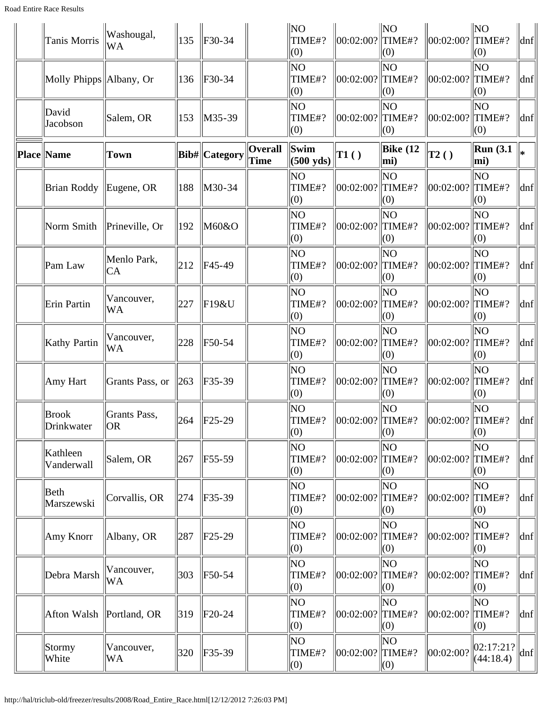| Tanis Morris               | Washougal,<br><b>WA</b>   | 135           | $F30-34$                   |                        | <b>NO</b><br>TIME#?<br>(0)  | 00:02:00?              | N <sub>O</sub><br>TIME#?<br>(0) | 00:02:00?            | NO<br>TIME#?<br>(0)      | dnf                 |
|----------------------------|---------------------------|---------------|----------------------------|------------------------|-----------------------------|------------------------|---------------------------------|----------------------|--------------------------|---------------------|
| Molly Phipps   Albany, Or  |                           | 136           | $F30-34$                   |                        | lΝO<br>TIME#?<br>(0)        | 00:02:00?              | ΝO<br>TIME#?<br>(0)             | 00:02:00?            | NO<br>TIME#?<br>(0)      | dnf                 |
| David<br>Jacobson          | Salem, OR                 | 153           | $\vert M35-39 \vert$       |                        | ΝO<br>TIME#?<br>(0)         | 00:02:00?              | ΝO<br>TIME#?<br>(0)             | 00:02:00?            | NO<br>$\ $ TIME#?<br>(0) | dnf                 |
| Place Name                 | Town                      |               | Bib#  Category             | <b>Overall</b><br>Time | Swim<br>$(500 \text{ yds})$ | TI( )                  | Bike $(12)$<br>mi)              | $\vert$ T2()         | <b>Run</b> (3.1)<br>mi)  | l∗                  |
| <b>Brian Roddy</b>         | Eugene, OR                | 188           | M30-34                     |                        | ΝO<br>TIME#?<br>(0)         | 00:02:00?              | ΝO<br>TIME#?<br>(0)             | 00:02:00?            | ΝO<br>TIME#?<br>(0)      | dnf                 |
| Norm Smith                 | Prineville, Or            | 192           | M60&O                      |                        | lΝO<br>TIME#?<br>(0)        | 00:02:00?              | ΝO<br>TIME#?<br>(0)             | 00:02:00?            | lΝO<br>TIME#?<br>(0)     | dnf                 |
| Pam Law                    | Menlo Park,<br>CA         | 212           | F45-49                     |                        | ΝO<br>TIME#?<br>(0)         | 00:02:00?              | NO<br>TIME#?<br>(0)             | 00:02:00?            | NO.<br>TIME#?<br>(0)     | dnf                 |
| Erin Partin                | Vancouver,<br><b>WA</b>   | 227           | F19&U                      |                        | ΝO<br>TIME#?<br>(0)         | 00:02:00?              | ΝO<br>TIME#?<br>(0)             | 00:02:00?            | lΝO<br>TIME#?<br>(0)     | dnf                 |
| <b>Kathy Partin</b>        | Vancouver,<br>WA          | 228           | F50-54                     |                        | lΝO<br>TIME#?<br>(0)        | 00:02:00?              | ΝO<br>TIME#?<br>(0)             | 00:02:00?            | ΝO<br>TIME#?<br>(0)      | dnf                 |
| Amy Hart                   | Grants Pass, or           | 263           | F35-39                     |                        | lΝO<br>TIME#?<br>(0)        | 00:02:00?              | ΝO<br>TIME#?<br>(0)             | 00:02:00?            | ΝO<br>TIME#?<br>(0)      | dnf                 |
| <b>Brook</b><br>Drinkwater | Grants Pass,<br><b>OR</b> |               | $\vert 264 \vert$ F25-29   |                        | ΝO<br>TIME#?<br>$\vert(0)$  | $\ 00:02:00?\ $ TIME#? | ΝO<br>(0)                       | $\ 00:02:00?$ TIME#? | ΝO<br>(0)                | $\vert$ dnf $\vert$ |
| Kathleen<br>Vanderwall     | Salem, OR                 | 267           | F55-59                     |                        | ΝO<br>TIME#?<br>(0)         | 00:02:00?              | ΝO<br>TIME#?<br>(0)             | 00:02:00?            | ΝO<br>TIME#?<br>(0)      | $\vert$ dnf $\vert$ |
| Beth<br>Marszewski         | Corvallis, OR             | 274           | $F35-39$                   |                        | NO<br>TIME#?<br>(0)         | 00:02:00?              | ΝO<br>TIME#?<br>(0)             | 00:02:00?            | ΝO<br>TIME#?<br>(0)      | dnf                 |
| Amy Knorr                  | Albany, OR                | 287           | $F25-29$                   |                        | ΝO<br>TIME#?<br>(0)         | 00:02:00?              | ΝO<br>TIME#?<br>(0)             | 00:02:00?            | ΝO<br>TIME#?<br>(0)      | dnf                 |
| Debra Marsh                | Vancouver,<br>WA          | 303           | F50-54                     |                        | ΝO<br>TIME#?<br>(0)         | 00:02:00?              | ΝO<br>TIME#?<br>(0)             | 00:02:00?            | ΝO<br>TIME#?<br>(0)      | $\vert$ dnf $\vert$ |
| Afton Walsh   Portland, OR |                           | $ 319\rangle$ | $F20-24$                   |                        | NO<br>TIME#?<br>(0)         | 00:02:00?              | ΝO<br>TIME#?<br>(0)             | 00:02:00?            | ΝO<br>TIME#?<br>(0)      | $\ln f$             |
| Stormy<br>White            | Vancouver,<br>WA          | 320           | $\textcolor{blue}{F}35-39$ |                        | NO<br>TIME#?<br>$\vert$ (0) | 00:02:00?              | ΝO<br>TIME#?<br>(0)             | 00:02:00?            | 02:17:21?<br>(44:18.4)   | $\vert$ dnf $\vert$ |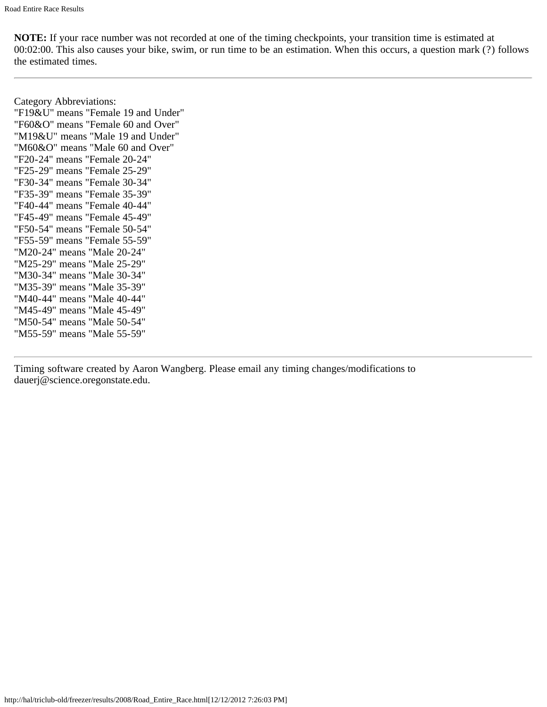Category Abbreviations: "F19&U" means "Female 19 and Under" "F60&O" means "Female 60 and Over" "M19&U" means "Male 19 and Under" "M60&O" means "Male 60 and Over" "F20-24" means "Female 20-24" "F25-29" means "Female 25-29" "F30-34" means "Female 30-34" "F35-39" means "Female 35-39" "F40-44" means "Female 40-44" "F45-49" means "Female 45-49" "F50-54" means "Female 50-54" "F55-59" means "Female 55-59" "M20-24" means "Male 20-24" "M25-29" means "Male 25-29" "M30-34" means "Male 30-34" "M35-39" means "Male 35-39" "M40-44" means "Male 40-44" "M45-49" means "Male 45-49" "M50-54" means "Male 50-54" "M55-59" means "Male 55-59"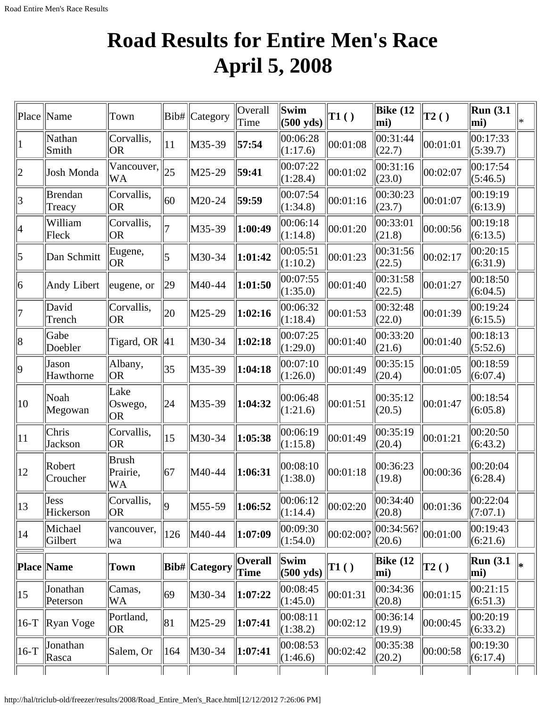# **Road Results for Entire Men's Race April 5, 2008**

| Place                   | Name                     | Town                    |     | Bib#   Category      | Overall<br>Time               | $\mathbf{\ }$ Swim<br>$(500 \text{ yds})$                    | $\vert$ T1 $()$ | Bike $(12)$<br>mi)                          | T2()         | <b>Run</b> (3.1)<br>mi) |  |
|-------------------------|--------------------------|-------------------------|-----|----------------------|-------------------------------|--------------------------------------------------------------|-----------------|---------------------------------------------|--------------|-------------------------|--|
| $\mathbf{1}$            | Nathan<br>Smith          | Corvallis,<br> OR       | 11  | M35-39               | 57:54                         | 00:06:28<br>(1:17.6)                                         | 00:01:08        | 00:31:44<br>(22.7)                          | 00:01:01     | 00:17:33<br>(5:39.7)    |  |
| $ 2\rangle$             | Josh Monda               | Vancouver,<br>WA        | 25  | $M25-29$             | 59:41                         | 00:07:22<br>(1:28.4)                                         | 00:01:02        | 00:31:16<br>(23.0)                          | 00:02:07     | 00:17:54<br>(5:46.5)    |  |
| $\overline{\mathbf{3}}$ | <b>Brendan</b><br>Treacy | Corvallis,<br> OR       | 60  | M20-24               | 59:59                         | 00:07:54<br>(1:34.8)                                         | 00:01:16        | 00:30:23<br>(23.7)                          | 00:01:07     | 00:19:19<br>(6:13.9)    |  |
| 4                       | William<br>Fleck         | Corvallis,<br> OR       |     | M35-39               | 1:00:49                       | 00:06:14<br>(1:14.8)                                         | 00:01:20        | 00:33:01<br>(21.8)                          | 00:00:56     | 00:19:18<br>(6:13.5)    |  |
| $\vert 5 \vert$         | Dan Schmitt              | Eugene,<br><b>OR</b>    | 5   | M30-34               | 1:01:42                       | 00:05:51<br>(1:10.2)                                         | 00:01:23        | 00:31:56<br>(22.5)                          | 00:02:17     | 00:20:15<br>(6:31.9)    |  |
| 6                       | Andy Libert              | eugene, or              | 29  | M40-44               | 1:01:50                       | 00:07:55<br>(1:35.0)                                         | 00:01:40        | 00:31:58<br>(22.5)                          | 00:01:27     | 00:18:50<br>(6:04.5)    |  |
| 7                       | David<br>Trench          | Corvallis,<br> OR       | 20  | M25-29               | 1:02:16                       | 00:06:32<br>(1:18.4)                                         | 00:01:53        | 00:32:48<br>(22.0)                          | 00:01:39     | 00:19:24<br>(6:15.5)    |  |
| 8                       | Gabe<br>Doebler          | Tigard, OR $ 41$        |     | M30-34               | 1:02:18                       | 00:07:25<br>(1:29.0)                                         | 00:01:40        | 00:33:20<br>(21.6)                          | 00:01:40     | 00:18:13<br>(5:52.6)    |  |
| $ 9\rangle$             | Jason<br>Hawthorne       | Albany,<br> OR          | 35  | M35-39               | 1:04:18                       | 00:07:10<br>(1:26.0)                                         | 00:01:49        | 00:35:15<br>(20.4)                          | 00:01:05     | 00:18:59<br>(6:07.4)    |  |
| 10                      | Noah<br>Megowan          | Lake<br>Oswego,<br> OR  | 24  | M35-39               | 1:04:32                       | 00:06:48<br>(1:21.6)                                         | 00:01:51        | 00:35:12<br>(20.5)                          | 00:01:47     | 00:18:54<br>(6:05.8)    |  |
| $ 11\rangle$            | Chris<br>Jackson         | Corvallis,<br> OR       | 15  | M30-34               | 1:05:38                       | 00:06:19<br>(1:15.8)                                         | 00:01:49        | 00:35:19<br>(20.4)                          | 00:01:21     | 00:20:50<br>(6:43.2)    |  |
| 12                      | Robert<br>Croucher       | Brush<br>Prairie,<br>WA | 67  | M40-44               | 1:06:31                       | 00:08:10<br>(1:38.0)                                         | 00:01:18        | 00:36:23<br>(19.8)                          | 00:00:36     | 00:20:04<br>(6:28.4)    |  |
| 13                      | Jess<br>Hickerson        | Corvallis,<br> OR       | 9   | $\vert M55-59 \vert$ | $\ 1:06:52$                   | 00:06:12<br>(1:14.4)                                         | 00:02:20        | $ 00:34:40\rangle$<br>(20.8)                | 00:01:36     | 00:22:04<br>(7:07.1)    |  |
| $ 14\rangle$            | Michael<br>Gilbert       | vancouver,<br> wa       | 126 | M40-44               | 1:07:09                       | 00:09:30<br>(1:54.0)                                         | 00:02:00?       | $\overline{ 00:34:56? } 00:01:00$<br>(20.6) |              | 00:19:43<br>(6:21.6)    |  |
|                         | Place Name               | Town                    |     | <b>Bib#</b> Category | <b>Overall</b><br><b>Time</b> | $\left\Vert \mathbf{Swim}\right\Vert$<br>$(500 \text{ yds})$ | T1()            | Bike $(12)$<br>mi)                          | $\vert$ T2() | <b>Run</b> (3.1)<br>mi) |  |
| $ 15\rangle$            | Jonathan<br>Peterson     | Camas,<br>WA            | 69  | M30-34               | 1:07:22                       | 00:08:45<br>(1:45.0)                                         | 00:01:31        | 00:34:36<br>(20.8)                          | 00:01:15     | 00:21:15<br>(6:51.3)    |  |
| $16-T$                  | $\ $ Ryan Voge           | Portland,<br> OR        | 81  | $M25-29$             | 1:07:41                       | 00:08:11<br>(1:38.2)                                         | 00:02:12        | 00:36:14<br>(19.9)                          | 00:00:45     | 00:20:19<br>(6:33.2)    |  |
| $16-T$                  | Jonathan<br>Rasca        | Salem, Or               | 164 | M30-34               | 1:07:41                       | 00:08:53<br>(1:46.6)                                         | 00:02:42        | 00:35:38<br>(20.2)                          | 00:00:58     | 00:19:30<br>(6:17.4)    |  |
|                         |                          |                         |     |                      |                               |                                                              |                 |                                             |              |                         |  |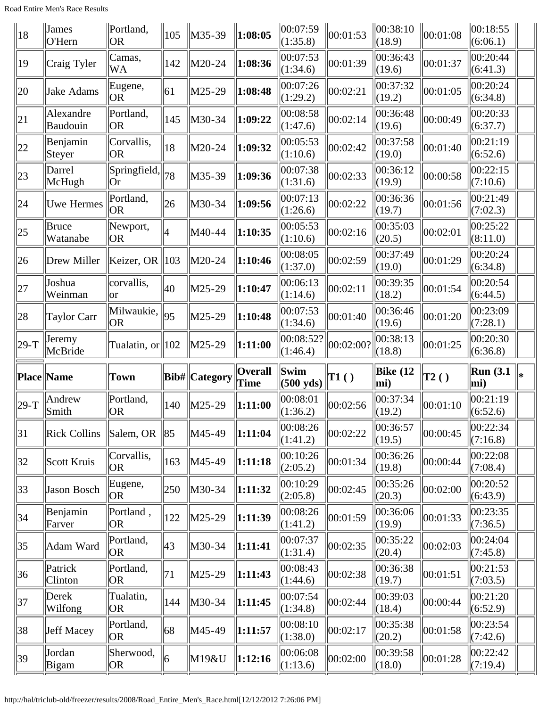Road Entire Men's Race Results

| 18           | $\ $ James<br>O'Hern  | Portland,<br> OR              | 105 | $\ M35-39\ $   | 1:08:05                | 00:07:59<br>(1:35.8)        | 00:01:53  | 00:38:10<br>(18.9)     | 00:01:08     | 00:18:55<br>(6:06.1)    |  |
|--------------|-----------------------|-------------------------------|-----|----------------|------------------------|-----------------------------|-----------|------------------------|--------------|-------------------------|--|
| 19           | Craig Tyler           | Camas,<br>WA                  | 142 | $M20-24$       | 1:08:36                | 00:07:53<br>(1:34.6)        | 00:01:39  | 00:36:43<br>(19.6)     | 00:01:37     | 00:20:44<br>(6:41.3)    |  |
| 20           | Jake Adams            | Eugene,<br> OR                | 61  | $\vert$ M25-29 | 1:08:48                | 00:07:26<br>(1:29.2)        | 00:02:21  | 00:37:32<br>(19.2)     | 00:01:05     | 00:20:24<br>(6:34.8)    |  |
| 21           | Alexandre<br>Baudouin | Portland,<br> OR              | 145 | M30-34         | 1:09:22                | 00:08:58<br>(1:47.6)        | 00:02:14  | 00:36:48<br>(19.6)     | 00:00:49     | 00:20:33<br>(6:37.7)    |  |
| $ 22\rangle$ | Benjamin<br>Steyer    | Corvallis,<br> OR             | 18  | M20-24         | 1:09:32                | 00:05:53<br>(1:10.6)        | 00:02:42  | 00:37:58<br>(19.0)     | 00:01:40     | 00:21:19<br>(6:52.6)    |  |
| $ 23\rangle$ | Darrel<br>McHugh      | Springfield,<br> Or           | 78  | $M35-39$       | 1:09:36                | 00:07:38<br>(1:31.6)        | 00:02:33  | 00:36:12<br>(19.9)     | 00:00:58     | 00:22:15<br>(7:10.6)    |  |
| 24           | <b>Uwe Hermes</b>     | Portland,<br><b>OR</b>        | 26  | M30-34         | 1:09:56                | 00:07:13<br>(1:26.6)        | 00:02:22  | 00:36:36<br>(19.7)     | 00:01:56     | 00:21:49<br>(7:02.3)    |  |
| $ 25\rangle$ | Bruce<br>Watanabe     | Newport,<br> OR               | 4   | M40-44         | 1:10:35                | 00:05:53<br>(1:10.6)        | 00:02:16  | 00:35:03<br>(20.5)     | 00:02:01     | 00:25:22<br>(8:11.0)    |  |
| $ 26\rangle$ | Drew Miller           | Keizer, OR                    | 103 | $IM20-24$      | 1:10:46                | 00:08:05<br>(1:37.0)        | 00:02:59  | 00:37:49<br>(19.0)     | 00:01:29     | 00:20:24<br>(6:34.8)    |  |
| 27           | Joshua<br>Weinman     | corvallis,<br> or             | 40  | $\vert$ M25-29 | 1:10:47                | 00:06:13<br>(1:14.6)        | 00:02:11  | 00:39:35<br>(18.2)     | 00:01:54     | 00:20:54<br>(6:44.5)    |  |
| 28           | Taylor Carr           | Milwaukie,<br>OR <sub>1</sub> | 95  | $\vert$ M25-29 | 1:10:48                | 00:07:53<br>(1:34.6)        | 00:01:40  | 00:36:46<br>(19.6)     | 00:01:20     | 00:23:09<br>(7:28.1)    |  |
| $ 29-T$      | Jeremy                | Tualatin, or $  102$          |     | $\ M25-29\ $   | 1:11:00                | 00:08:52?                   | 00:02:00? | 00:38:13               | 00:01:25     | 00:20:30                |  |
|              | McBride               |                               |     |                |                        | (1:46.4)                    |           | (18.8)                 |              | (6:36.8)                |  |
|              | Place Name            | Town                          |     | Bib#  Category | <b>Overall</b><br>Time | Swim<br>$(500 \text{ yds})$ | T1()      | <b>Bike</b> (12<br>mi) | $\vert$ T2() | Run(3.1)<br>$\vert$ mi) |  |
| $ 29-T$      | Andrew<br>Smith       | Portland,<br> OR              | 140 | $M25-29$       | 1:11:00                | 00:08:01<br>(1:36.2)        | 00:02:56  | 00:37:34<br>(19.2)     | 00:01:10     | 00:21:19<br>(6:52.6)    |  |
| 31           | <b>Rick Collins</b>   | Salem, OR                     | 85  | M45-49         | 1:11:04                | 00:08:26<br>(1:41.2)        | 00:02:22  | 00:36:57<br>(19.5)     | 00:00:45     | 00:22:34<br>(7:16.8)    |  |
| 32           | Scott Kruis           | Corvallis,<br> OR             | 163 | M45-49         | 1:11:18                | 00:10:26<br>(2:05.2)        | 00:01:34  | 00:36:26<br>(19.8)     | 00:00:44     | 00:22:08<br>(7:08.4)    |  |
| $ 33\rangle$ | Jason Bosch           | Eugene,<br> OR                | 250 | M30-34         | 1:11:32                | 00:10:29<br>(2:05.8)        | 00:02:45  | 00:35:26<br>(20.3)     | 00:02:00     | 00:20:52<br>(6:43.9)    |  |
| 34           | Benjamin<br>Farver    | Portland,<br> OR              | 122 | $M25-29$       | 1:11:39                | 00:08:26<br>(1:41.2)        | 00:01:59  | 00:36:06<br>(19.9)     | 00:01:33     | 00:23:35<br>(7:36.5)    |  |
| 35           | Adam Ward             | Portland,<br><b>OR</b>        | 43  | M30-34         | 1:11:41                | 00:07:37<br>(1:31.4)        | 00:02:35  | 00:35:22<br>(20.4)     | 00:02:03     | 00:24:04<br>(7:45.8)    |  |
| 36           | Patrick<br>Clinton    | Portland,<br> OR              | 71  | $ M25-29$      | 1:11:43                | 00:08:43<br>(1:44.6)        | 00:02:38  | 00:36:38<br>(19.7)     | 00:01:51     | 00:21:53<br>(7:03.5)    |  |
| 37           | Derek<br>Wilfong      | Tualatin,<br>OR.              | 144 | M30-34         | 1:11:45                | 00:07:54 <br>(1:34.8)       | 00:02:44  | 00:39:03<br>(18.4)     | 00:00:44     | 00:21:20<br>(6:52.9)    |  |
| 38           | Jeff Macey            | Portland,<br> OR              | 68  | M45-49         | 1:11:57                | 00:08:10<br>(1:38.0)        | 00:02:17  | 00:35:38<br>(20.2)     | 00:01:58     | 00:23:54<br>(7:42.6)    |  |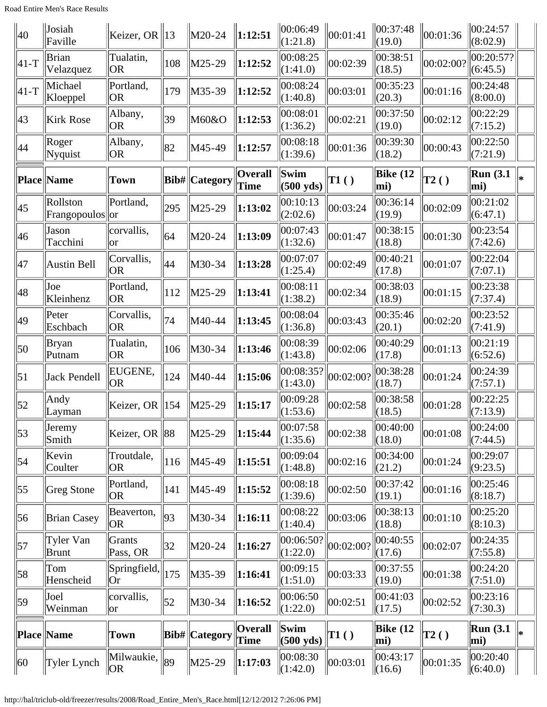| 40               | Josiah<br>Faville            | Keizer, OR $\ $ 13      |            | $\vert M20-24 \vert$ | $\ 1:12:51$                   | 00:06:49<br>(1:21.8)        | 00:01:41        | 100:37:48<br>(19.0)    | 00:01:36     | 00:24:57<br>(8:02.9)      |    |
|------------------|------------------------------|-------------------------|------------|----------------------|-------------------------------|-----------------------------|-----------------|------------------------|--------------|---------------------------|----|
| $ 41-T$          | <b>Brian</b><br>Velazquez    | Tualatin,<br> OR        | 108        | M25-29               | 1:12:52                       | 00:08:25<br>(1:41.0)        | 00:02:39        | 00:38:51<br>(18.5)     | 00:02:00?    | 00:20:57? <br>(6:45.5)    |    |
| $ 41-T$          | Michael<br>Kloeppel          | Portland,<br> OR        | 179        | M35-39               | 1:12:52                       | 00:08:24<br>(1:40.8)        | 00:03:01        | 00:35:23<br>(20.3)     | 00:01:16     | 00:24:48<br>(8:00.0)      |    |
| 43               | <b>Kirk Rose</b>             | Albany,<br>OR.          | 39         | M60&O                | 1:12:53                       | 00:08:01<br>(1:36.2)        | 00:02:21        | 00:37:50<br>(19.0)     | 00:02:12     | 00:22:29<br>(7:15.2)      |    |
| 44               | Roger<br>Nyquist             | Albany,<br> OR          | 82         | M45-49               | 1:12:57                       | 00:08:18<br>(1:39.6)        | 00:01:36        | 00:39:30<br>(18.2)     | 00:00:43     | 00:22:50<br>(7:21.9)      |    |
|                  | Place Name                   | Town                    |            | Bib#  Category       | <b>Overall</b><br><b>Time</b> | Swim<br>$(500 \text{ yds})$ | $\mathbf{T1}()$ | Bike $(12)$<br>mi)     | $\vert$ T2() | <b>Run</b> (3.1)<br>mi)   | ⊪∗ |
| 45               | Rollston<br>Frangopoulos  or | Portland,               | 295        | $M25-29$             | 1:13:02                       | 00:10:13<br>(2:02.6)        | 00:03:24        | 00:36:14<br>(19.9)     | 00:02:09     | 00:21:02<br>(6:47.1)      |    |
| 46               | Jason<br>Tacchini            | corvallis,<br>lor       | 64         | M20-24               | 1:13:09                       | 00:07:43<br>(1:32.6)        | 00:01:47        | 00:38:15<br>(18.8)     | 00:01:30     | 00:23:54<br>(7:42.6)      |    |
| 47               | Austin Bell                  | Corvallis,<br><b>OR</b> | 44         | M30-34               | 1:13:28                       | 00:07:07<br>(1:25.4)        | 00:02:49        | 00:40:21<br>(17.8)     | 00:01:07     | 00:22:04<br>(7:07.1)      |    |
| 48               | Joe<br>Kleinhenz             | Portland,<br><b>OR</b>  | 112        | $M25-29$             | 1:13:41                       | 00:08:11<br>(1:38.2)        | 00:02:34        | 00:38:03<br>(18.9)     | 00:01:15     | 00:23:38<br>(7:37.4)      |    |
| 49               | Peter<br>Eschbach            | Corvallis,<br> OR       | 74         | M40-44               | 1:13:45                       | 00:08:04<br>(1:36.8)        | 00:03:43        | 00:35:46<br>(20.1)     | 00:02:20     | 00:23:52<br>(7:41.9)      |    |
| $\vert$ 50       | <b>Bryan</b><br>Putnam       | Tualatin,<br><b>OR</b>  | 106        | M30-34               | 1:13:46                       | 00:08:39<br>(1:43.8)        | 00:02:06        | 00:40:29<br>(17.8)     | 00:01:13     | 00:21:19<br>(6:52.6)      |    |
| $\vert 51 \vert$ | Jack Pendell                 | EUGENE,<br> OR          | 124        | M40-44               | 1:15:06                       | 00:08:35?<br>(1:43.0)       | 00:02:00?       | 00:38:28<br>(18.7)     | 00:01:24     | 00:24:39<br>(7:57.1)      |    |
| 52               | Andy<br>Layman               | Keizer, OR              | 154        | $M25-29$             | 1:15:17                       | 00:09:28<br>(1:53.6)        | 00:02:58        | 00:38:58<br>(18.5)     | 00:01:28     | 00:22:25<br>(7:13.9)      |    |
| $\vert$ 53       | Jeremy<br>Smith              | Keizer, OR $\ 88$       |            | $M25-29$             | 1:15:44                       | 00:07:58<br>(1:35.6)        | 00:02:38        | 00:40:00<br>(18.0)     | 00:01:08     | 00:24:00<br>(7:44.5)      |    |
| $\vert$ 54       | Kevin<br>Coulter             | Troutdale,<br><b>OR</b> | 116        | M45-49               | 1:15:51                       | 00:09:04<br>(1:48.8)        | 00:02:16        | 00:34:00<br>(21.2)     | 00:01:24     | 00:29:07<br>(9:23.5)      |    |
| $\vert 55 \vert$ | Greg Stone                   | Portland,<br> OR        | 141        | M45-49               | 1:15:52                       | 00:08:18<br>(1:39.6)        | 00:02:50        | 00:37:42<br>(19.1)     | 00:01:16     | 00:25:46<br>(8:18.7)      |    |
| 56               | <b>Brian Casey</b>           | Beaverton,<br> OR       | 93         | M30-34               | 1:16:11                       | 00:08:22<br>(1:40.4)        | 00:03:06        | 00:38:13<br>(18.8)     | 00:01:10     | 00:25:20<br>(8:10.3)      |    |
| $\vert$ 57       | Tyler Van<br>Brunt           | Grants<br>Pass, OR      | 32         | $M20-24$             | 1:16:27                       | 00:06:50?<br>(1:22.0)       | 00:02:00?       | 00:40:55<br>(17.6)     | 00:02:07     | 00:24:35<br>(7:55.8)      |    |
| $\vert 58 \vert$ | Tom<br>Henscheid             | Springfield,<br> Or     | 175        | M35-39               | 1:16:41                       | 00:09:15<br>(1:51.0)        | 00:03:33        | 00:37:55<br>(19.0)     | 00:01:38     | 00:24:20<br>(7:51.0)      |    |
| 59               | Joel<br>Weinman              | corvallis,<br> or       | $\vert$ 52 | M30-34               | 1:16:52                       | 00:06:50 <br>(1:22.0)       | 00:02:51        | 00:41:03<br>(17.5)     | 00:02:52     | 00:23:16<br>(7:30.3)      |    |
|                  | Place  Name                  | Town                    |            | <b>Bib#</b> Category | <b>Overall</b><br><b>Time</b> | Swim<br>$(500 \text{ yds})$ | T1()            | <b>Bike (12</b><br>mi) | $\vert$ T2() | Run(3.1)<br>mi)           | ⊪  |
| 60               | Tyler Lynch                  | Milwaukie,<br>OR.       | 89         | $M25-29$             | 1:17:03                       | 00:08:30 <br>$\ (1:42.0)$   | 00:03:01        | 00:43:17<br>$\ (16.6)$ | 00:01:35     | 00:20:40<br>$\ $ (6:40.0) |    |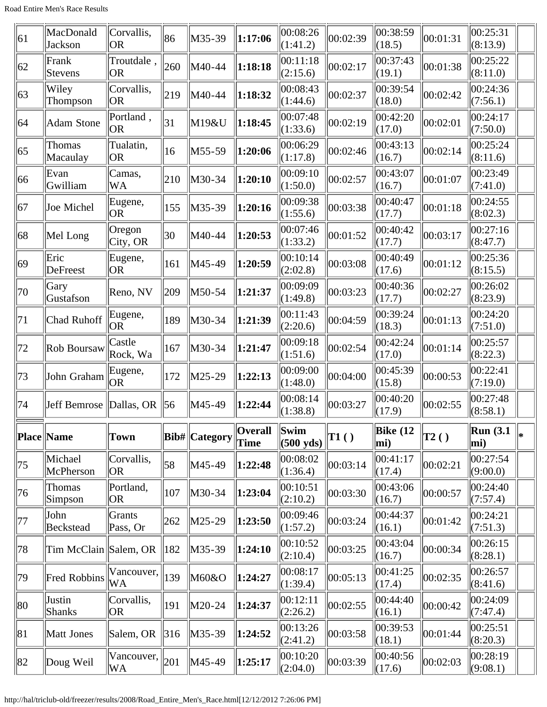| 61           | MacDonald<br>Jackson    | Corvallis,<br> OR                  | 86  | M35-39                | 1:17:06         | 00:08:26<br>(1:41.2)        | 00:02:39       | 00:38:59<br>(18.5) | 00:01:31       | 00:25:31<br>(8:13.9) |     |
|--------------|-------------------------|------------------------------------|-----|-----------------------|-----------------|-----------------------------|----------------|--------------------|----------------|----------------------|-----|
| 62           | Frank<br>Stevens        | Troutdale,<br> OR                  | 260 | M40-44                | 1:18:18         | 00:11:18<br>(2:15.6)        | 00:02:17       | 00:37:43<br>(19.1) | 00:01:38       | 00:25:22<br>(8:11.0) |     |
| 63           | Wiley<br>Thompson       | Corvallis,<br> OR                  | 219 | M40-44                | 1:18:32         | 00:08:43<br>(1:44.6)        | 00:02:37       | 00:39:54<br>(18.0) | 00:02:42       | 00:24:36<br>(7:56.1) |     |
| 64           | <b>Adam Stone</b>       | Portland,<br> OR                   | 31  | M19&U                 | 1:18:45         | 00:07:48<br>(1:33.6)        | 00:02:19       | 00:42:20<br>(17.0) | 00:02:01       | 00:24:17<br>(7:50.0) |     |
| 65           | Thomas<br>Macaulay      | Tualatin,<br> OR                   | 16  | $M55-59$              | 1:20:06         | 00:06:29<br>(1:17.8)        | 00:02:46       | 00:43:13<br>(16.7) | 00:02:14       | 00:25:24<br>(8:11.6) |     |
| 66           | Evan<br>Gwilliam        | Camas,<br>WA                       | 210 | M30-34                | 1:20:10         | 00:09:10<br>(1:50.0)        | 00:02:57       | 00:43:07<br>(16.7) | 00:01:07       | 00:23:49<br>(7:41.0) |     |
| 67           | Joe Michel              | Eugene,<br> OR                     | 155 | M35-39                | 1:20:16         | 00:09:38<br>(1:55.6)        | 00:03:38       | 00:40:47<br>(17.7) | 00:01:18       | 00:24:55<br>(8:02.3) |     |
| 68           | Mel Long                | Oregon<br>$\text{City}, \text{OR}$ | 30  | M40-44                | 1:20:53         | 00:07:46<br>(1:33.2)        | 00:01:52       | 00:40:42<br>(17.7) | 00:03:17       | 00:27:16<br>(8:47.7) |     |
| $ 69\rangle$ | Eric<br><b>DeFreest</b> | Eugene,<br> OR                     | 161 | M45-49                | 1:20:59         | 00:10:14<br>(2:02.8)        | 00:03:08       | 00:40:49<br>(17.6) | 00:01:12       | 00:25:36<br>(8:15.5) |     |
| 70           | Gary<br>Gustafson       | Reno, NV                           | 209 | M50-54                | 1:21:37         | 00:09:09<br>(1:49.8)        | 00:03:23       | 00:40:36<br>(17.7) | 00:02:27       | 00:26:02<br>(8:23.9) |     |
| 71           | Chad Ruhoff             | Eugene,<br>OR.                     | 189 | M30-34                | 1:21:39         | 00:11:43<br>(2:20.6)        | 00:04:59       | 00:39:24<br>(18.3) | 00:01:13       | 00:24:20<br>(7:51.0) |     |
| 72           | Rob Boursaw             | Castle<br>Rock, Wa                 | 167 | M30-34                | 1:21:47         | 00:09:18<br>(1:51.6)        | 00:02:54       | 00:42:24<br>(17.0) | 00:01:14       | 00:25:57<br>(8:22.3) |     |
| 73           | John Graham             | Eugene,<br> OR                     | 172 | $M25-29$              | 1:22:13         | 00:09:00<br>(1:48.0)        | 00:04:00       | 00:45:39<br>(15.8) | 00:00:53       | 00:22:41<br>(7:19.0) |     |
| 74           | Jeff Bemrose            | $\ $ Dallas, OR                    | 56  | M45-49                | 1:22:44         | 00:08:14<br>(1:38.8)        | 00:03:27       | 00:40:20<br>(17.9) | 00:02:55       | 00:27:48<br>(8:58.1) |     |
|              | Place  Name             | Town                               |     | <b>Bib#</b>  Category | Overall<br>Time | Swim<br>$(500 \text{ yds})$ | $\vert$ T1 ( ) | Bike $(12)$<br>mi) | $\vert$ T2 ( ) | Run(3.1)<br>mi)      | ∥∗. |
| 75           | Michael<br>McPherson    | Corvallis,<br> OR                  | 58  | M45-49                | 1:22:48         | 00:08:02<br>(1:36.4)        | 00:03:14       | 00:41:17<br>(17.4) | 00:02:21       | 00:27:54<br>(9:00.0) |     |
| 76           | Thomas<br>Simpson       | Portland,<br> OR                   | 107 | M30-34                | 1:23:04         | 00:10:51<br>(2:10.2)        | 00:03:30       | 00:43:06<br>(16.7) | 00:00:57       | 00:24:40<br>(7:57.4) |     |
| 77           | John<br>Beckstead       | Grants<br>Pass, Or                 | 262 | $ M25-29$             | 1:23:50         | 00:09:46<br>(1:57.2)        | 00:03:24       | 00:44:37<br>(16.1) | 00:01:42       | 00:24:21<br>(7:51.3) |     |
| 78           | Tim McClain Salem, OR   |                                    | 182 | M35-39                | 1:24:10         | 00:10:52<br>(2:10.4)        | 00:03:25       | 00:43:04<br>(16.7) | 00:00:34       | 00:26:15<br>(8:28.1) |     |
| 79           | <b>Fred Robbins</b>     | Vancouver,<br>WA                   | 139 | M60&O                 | 1:24:27         | 00:08:17<br>(1:39.4)        | 00:05:13       | 00:41:25<br>(17.4) | 00:02:35       | 00:26:57<br>(8:41.6) |     |
| 80           | Justin<br>Shanks        | Corvallis,<br> OR                  | 191 | M20-24                | 1:24:37         | 00:12:11<br>(2:26.2)        | 00:02:55       | 00:44:40<br>(16.1) | 00:00:42       | 00:24:09<br>(7:47.4) |     |
| 81           | Matt Jones              | Salem, OR                          | 316 | M35-39                | 1:24:52         | 00:13:26<br>(2:41.2)        | 00:03:58       | 00:39:53<br>(18.1) | 00:01:44       | 00:25:51<br>(8:20.3) |     |
| 82           | Doug Weil               | Vancouver,<br>WA                   | 201 | M45-49                | 1:25:17         | 00:10:20<br>(2:04.0)        | 00:03:39       | 00:40:56<br>(17.6) | 00:02:03       | 00:28:19<br>(9:08.1) |     |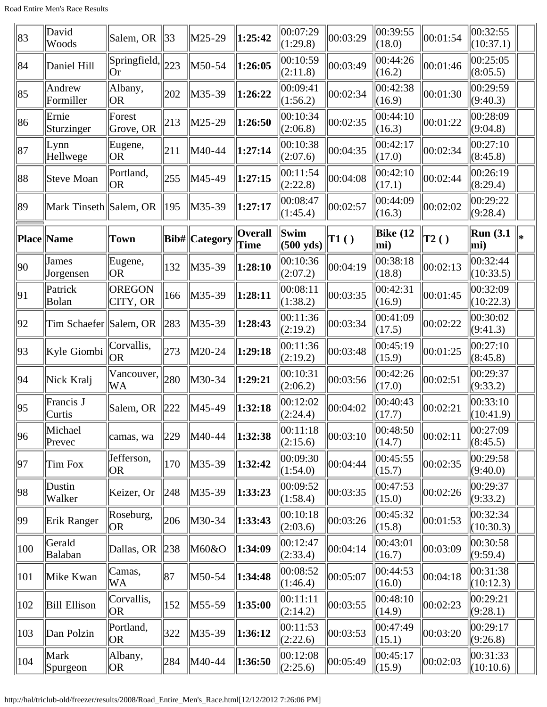| 83           | David<br>Woods         | Salem, OR                                | 33  | $M25-29$       | 1:25:42                       | 00:07:29<br>(1:29.8)             | 00:03:29     | 00:39:55<br>(18.0)         | 00:01:54     | 00:32:55<br>(10:37.1)  |    |
|--------------|------------------------|------------------------------------------|-----|----------------|-------------------------------|----------------------------------|--------------|----------------------------|--------------|------------------------|----|
| 84           | Daniel Hill            | $\left \text{Springfield}\right $<br> Or | 223 | M50-54         | 1:26:05                       | 00:10:59<br>(2:11.8)             | 00:03:49     | 00:44:26<br>(16.2)         | 00:01:46     | 00:25:05<br>(8:05.5)   |    |
| 85           | Andrew<br>Formiller    | Albany,<br> OR                           | 202 | M35-39         | 1:26:22                       | 00:09:41<br>(1:56.2)             | 00:02:34     | 00:42:38<br>(16.9)         | 00:01:30     | 00:29:59<br>(9:40.3)   |    |
| 86           | Ernie<br>Sturzinger    | Forest<br>Grove, OR                      | 213 | $\vert$ M25-29 | 1:26:50                       | 00:10:34<br>(2:06.8)             | 00:02:35     | 00:44:10<br>(16.3)         | 00:01:22     | 00:28:09<br>(9:04.8)   |    |
| 87           | Lynn<br>Hellwege       | Eugene,<br> OR                           | 211 | M40-44         | 1:27:14                       | 00:10:38<br>(2:07.6)             | 00:04:35     | 00:42:17<br>(17.0)         | 00:02:34     | 00:27:10<br>(8:45.8)   |    |
| 88           | <b>Steve Moan</b>      | Portland,<br><b>OR</b>                   | 255 | M45-49         | 1:27:15                       | 00:11:54<br>(2:22.8)             | 00:04:08     | 00:42:10<br>(17.1)         | 00:02:44     | 00:26:19<br>(8:29.4)   |    |
| 89           | Mark Tinseth Salem, OR |                                          | 195 | $ M35-39$      | 1:27:17                       | 00:08:47<br>(1:45.4)             | 00:02:57     | 00:44:09<br>(16.3)         | 00:02:02     | 00:29:22<br> (9:28.4)  |    |
|              | <b>Place Name</b>      | <b>Town</b>                              |     | Bib#  Category | <b>Overall</b><br><b>Time</b> | $\ $ Swim<br>$(500 \text{ yds})$ | $\vert$ T1() | Bike $(12)$<br>mi)         | $\vert$ T2() | Run(3.1)<br>mi)        | ⊪∗ |
| $ 90\rangle$ | James<br>Jorgensen     | Eugene,<br> OR                           | 132 | $M35-39$       | 1:28:10                       | 00:10:36<br>(2:07.2)             | 00:04:19     | 00:38:18<br>(18.8)         | 00:02:13     | 00:32:44<br>(10:33.5)  |    |
| 91           | Patrick<br>Bolan       | <b>OREGON</b><br>CITY, OR                | 166 | $M35-39$       | 1:28:11                       | 00:08:11<br>(1:38.2)             | 00:03:35     | 00:42:31<br>(16.9)         | 00:01:45     | 00:32:09<br>(10:22.3)  |    |
| 92           | Tim Schaefer Salem, OR |                                          | 283 | $ M35-39$      | 1:28:43                       | 00:11:36<br>(2:19.2)             | 00:03:34     | 00:41:09<br>(17.5)         | 00:02:22     | 00:30:02<br>(9:41.3)   |    |
| 93           | Kyle Giombi            | Corvallis,<br> OR                        | 273 | M20-24         | 1:29:18                       | 00:11:36<br>(2:19.2)             | 00:03:48     | 00:45:19<br>(15.9)         | 00:01:25     | 00:27:10<br> (8:45.8)  |    |
| 94           | Nick Kralj             | Vancouver,<br>WA                         | 280 | M30-34         | 1:29:21                       | 00:10:31<br>(2:06.2)             | 00:03:56     | 00:42:26<br>(17.0)         | 00:02:51     | 00:29:37<br>(9:33.2)   |    |
| 95           | Francis J<br>Curtis    | Salem, OR                                | 222 | M45-49         | 1:32:18                       | 00:12:02<br>(2:24.4)             | 00:04:02     | 00:40:43<br>(17.7)         | 00:02:21     | 00:33:10<br> (10:41.9) |    |
| 96           | Michael<br>Prevec      | camas, wa                                | 229 | M40-44         | 1:32:38                       | 00:11:18<br>(2:15.6)             | 00:03:10     | 00:48:50<br>(14.7)         | 00:02:11     | 00:27:09<br>(8:45.5)   |    |
| 97           | Tim Fox                | Jefferson,<br> OR                        | 170 | M35-39         | 1:32:42                       | 00:09:30<br>(1:54.0)             | 00:04:44     | 00:45:55<br>(15.7)         | 00:02:35     | 00:29:58<br>(9:40.0)   |    |
| 98           | Dustin<br>Walker       | Keizer, Or                               | 248 | M35-39         | 1:33:23                       | 00:09:52<br>(1:58.4)             | 00:03:35     | 00:47:53<br>(15.0)         | 00:02:26     | 00:29:37<br>(9:33.2)   |    |
| 99           | Erik Ranger            | Roseburg,<br> OR                         | 206 | M30-34         | 1:33:43                       | 00:10:18<br>(2:03.6)             | 00:03:26     | 00:45:32<br>(15.8)         | 00:01:53     | 00:32:34<br>(10:30.3)  |    |
| 100          | Gerald<br>Balaban      | Dallas, OR $\ 238$                       |     | M60&O          | 1:34:09                       | 00:12:47<br>(2:33.4)             | 00:04:14     | 00:43:01<br>(16.7)         | 00:03:09     | 00:30:58<br>(9:59.4)   |    |
| 101          | Mike Kwan              | Camas,<br>WA                             | 87  | M50-54         | 1:34:48                       | 00:08:52<br>(1:46.4)             | 00:05:07     | 00:44:53<br>(16.0)         | 00:04:18     | 00:31:38<br>(10:12.3)  |    |
| 102          | <b>Bill Ellison</b>    | Corvallis,<br> OR                        | 152 | $M55-59$       | 1:35:00                       | 00:11:11<br>(2:14.2)             | 00:03:55     | 00:48:10<br>(14.9)         | 00:02:23     | 00:29:21<br>(9:28.1)   |    |
| 103          | Dan Polzin             | Portland,<br> OR                         | 322 | M35-39         | 1:36:12                       | 00:11:53<br>(2:22.6)             | 00:03:53     | 00:47:49<br>(15.1)         | 00:03:20     | 00:29:17<br>(9:26.8)   |    |
| 104          | Mark<br>Spurgeon       | Albany,<br>OR <sub>.</sub>               | 284 | M40-44         | 1:36:50                       | 00:12:08<br>(2:25.6)             | 00:05:49     | 00:45:17<br>$\Vert (15.9)$ | 00:02:03     | 00:31:33<br>(10:10.6)  |    |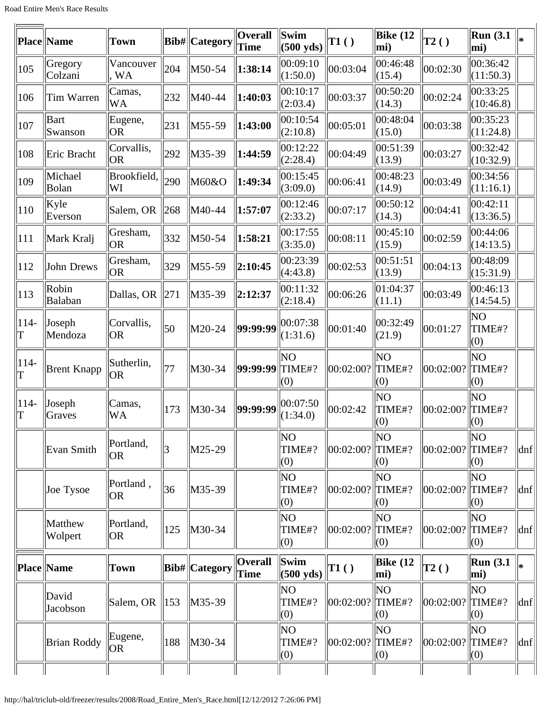| Place  Name             | <b>Town</b>             |     |                 | <b>Overall</b><br><b>Time</b>                                                                             | Swim<br>$(500 \text{ yds})$ | T1()                          | <b>Bike (12</b><br>mi) | $\vert$ T2()            | Run(3.1)<br>mi)       |                                              |
|-------------------------|-------------------------|-----|-----------------|-----------------------------------------------------------------------------------------------------------|-----------------------------|-------------------------------|------------------------|-------------------------|-----------------------|----------------------------------------------|
| Gregory<br>Colzani      | Vancouver<br><b>WA</b>  | 204 | M50-54          | 1:38:14                                                                                                   | 00:09:10<br>(1:50.0)        | 00:03:04                      | 00:46:48<br>(15.4)     | 00:02:30                | 00:36:42<br>(11:50.3) |                                              |
| Tim Warren              | Camas,<br><b>WA</b>     | 232 | M40-44          | 1:40:03                                                                                                   | 00:10:17<br>(2:03.4)        | 00:03:37                      | 00:50:20<br>(14.3)     | 00:02:24                | 00:33:25<br>(10:46.8) |                                              |
| Bart<br>Swanson         | Eugene,<br><b>OR</b>    | 231 | M55-59          | 1:43:00                                                                                                   | 00:10:54<br>(2:10.8)        | 00:05:01                      | 00:48:04<br>(15.0)     | 00:03:38                | 00:35:23<br>(11:24.8) |                                              |
| Eric Bracht             | Corvallis,<br> OR       | 292 | M35-39          | 1:44:59                                                                                                   | 00:12:22<br>(2:28.4)        | 00:04:49                      | 00:51:39<br>(13.9)     | 00:03:27                | 00:32:42<br>(10:32.9) |                                              |
| Michael<br>Bolan        | Brookfield,<br>WI       | 290 | M60&O           | 1:49:34                                                                                                   | 00:15:45<br>(3:09.0)        | 00:06:41                      | 00:48:23<br>(14.9)     | 00:03:49                | 00:34:56<br>(11:16.1) |                                              |
| Kyle<br>Everson         | Salem, OR               | 268 |                 | 1:57:07                                                                                                   | 00:12:46<br>(2:33.2)        | 00:07:17                      | 00:50:12<br>(14.3)     | 00:04:41                | 00:42:11<br>(13:36.5) |                                              |
| Mark Kralj              | Gresham,<br> OR         | 332 | M50-54          | 1:58:21                                                                                                   | 00:17:55<br>(3:35.0)        | 00:08:11                      | 00:45:10<br>(15.9)     | 00:02:59                | 00:44:06<br>(14:13.5) |                                              |
| John Drews              | Gresham,<br> OR         | 329 | M55-59          | 2:10:45                                                                                                   | 00:23:39<br>(4:43.8)        | 00:02:53                      | 00:51:51<br>(13.9)     | 00:04:13                | 00:48:09<br>(15:31.9) |                                              |
| Robin<br><b>Balaban</b> | Dallas, OR              | 271 | M35-39          | 2:12:37                                                                                                   | 00:11:32<br>(2:18.4)        | 00:06:26                      | 01:04:37<br>(11.1)     | 00:03:49                | 00:46:13<br>(14:54.5) |                                              |
| Joseph<br>Mendoza       | Corvallis,<br><b>OR</b> | 50  | M20-24          | 99:99:99                                                                                                  | 00:07:38<br>(1:31.6)        | 00:01:40                      | 00:32:49<br>(21.9)     | 00:01:27                | ΝO<br>TIME#?<br>(0)   |                                              |
| <b>Brent Knapp</b>      | Sutherlin,<br> OR       | 177 | M30-34          |                                                                                                           | ΝO<br>TIME#?<br>(0)         | 00:02:00?                     | ΝO<br>TIME#?<br>(0)    | 00:02:00?               | ΝO<br>TIME#?<br>(0)   |                                              |
| Joseph<br>Graves        | Camas,<br>WA            | 173 |                 | 99:99:99                                                                                                  | 00:07:50                    | 00:02:42                      | ΝO<br>TIME#?           | 00:02:00?               | ΝO<br>TIME#?          |                                              |
| Evan Smith              | Portland,<br> OR        | 3   | M25-29          |                                                                                                           | ΝO<br>TIME#?<br>(0)         | 00:02:00?                     | ΝO<br>(0)              | 00:02:00?               | ΝO<br>TIME#?<br>(0)   | $\left  \text{dnf} \right $                  |
| Joe Tysoe               | Portland,<br><b>OR</b>  | 36  |                 |                                                                                                           | NO<br>TIME#?<br>(0)         | 00:02:00?                     | ΝO<br>TIME#?<br>(0)    | 00:02:00?               | ΝO<br>TIME#?<br>(0)   | $\vert$ dnf $\vert$                          |
| Matthew<br>Wolpert      | Portland,<br> OR        | 125 |                 |                                                                                                           | NO<br>TIME#?<br>(0)         | 00:02:00?                     | ΝO<br>TIME#?<br>(0)    |                         | ΝO<br>TIME#?<br>(0)   | $\vert$ dnf $\vert$                          |
| Place Name              | <b>Town</b>             |     |                 | <b>Overall</b><br>Time                                                                                    | Swim<br>$(500 \text{ yds})$ | $\vert$ T1 $\left( \ \right)$ | Bike $(12)$<br>mi)     | $\vert$ T2()            | Run $(3.1)$<br>mi)    | l∗                                           |
| David<br>Jacobson       | Salem, OR               |     |                 |                                                                                                           | ΝO<br>TIME#?<br>(0)         | 00:02:00?                     | ΝO<br>TIME#?<br>(0)    | 00:02:00?               | NO<br>TIME#?<br>(0)   | $\vert$ dnf $\vert$                          |
| <b>Brian Roddy</b>      | Eugene,<br>OR           | 188 |                 |                                                                                                           | NO<br>TIME#?<br>(0)         | 00:02:00?                     | ΝO<br>(0)              |                         | ΝO<br>TIME#?<br>(0)   | $\left  \text{dnf} \right $                  |
|                         |                         |     | $\parallel$ 153 | <b>Bib#</b>  Category<br>M40-44<br>M30-34<br>M35-39<br>M30-34<br><b>Bib#</b> Category<br>M35-39<br>M30-34 |                             | 99:99:99  <br>(1:34.0)        |                        | (0)<br>TIME#?<br>TIME#? |                       | $\parallel$ (0)<br> 00:02:00? <br> 00:02:00? |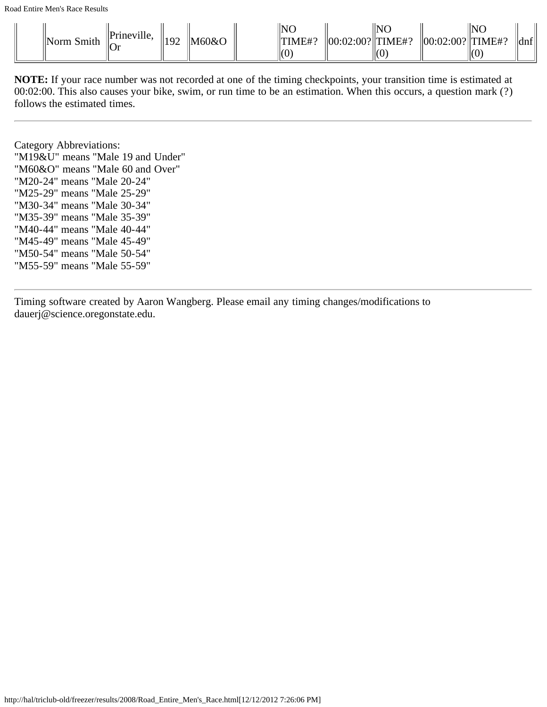| "Prineville,<br>.ഹി&റ<br>∣Norm.<br>Smith<br>של י<br>$\parallel$ Or | 'NC<br>NC<br>NG<br>$\text{TIME#?}$<br>$\vert$ TIME#?<br>$ $ dnf $ $<br>$\ TIMFH$<br>02:00?  '<br>$\ 00:02:00? \ $<br>⊞(∪ |
|--------------------------------------------------------------------|--------------------------------------------------------------------------------------------------------------------------|
|--------------------------------------------------------------------|--------------------------------------------------------------------------------------------------------------------------|

Category Abbreviations: "M19&U" means "Male 19 and Under" "M60&O" means "Male 60 and Over" "M20-24" means "Male 20-24" "M25-29" means "Male 25-29" "M30-34" means "Male 30-34" "M35-39" means "Male 35-39" "M40-44" means "Male 40-44" "M45-49" means "Male 45-49" "M50-54" means "Male 50-54" "M55-59" means "Male 55-59"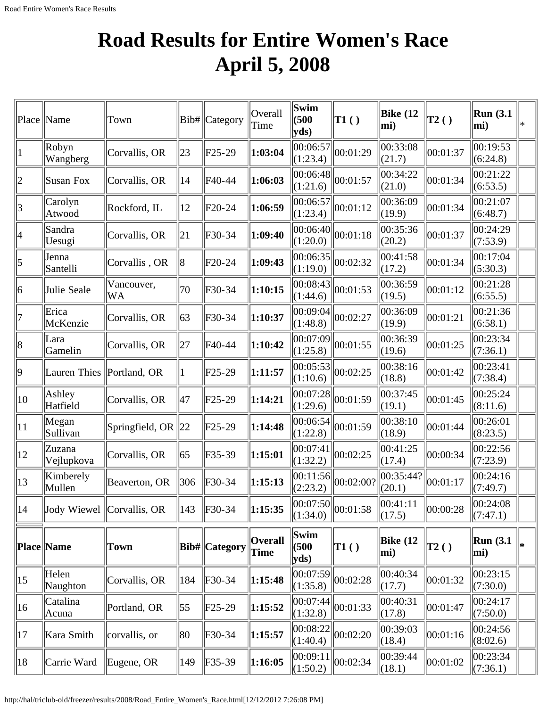#### **Road Results for Entire Women's Race April 5, 2008**

|             | Place   Name                | Town                      |           | Bib#   Category      | Overall<br>Time               | Swim<br>(500)<br>yds     | TI( )                               | Bike (12<br>mi)        | T2()         | Run(3.1)<br>mi)      | $\ast$ |
|-------------|-----------------------------|---------------------------|-----------|----------------------|-------------------------------|--------------------------|-------------------------------------|------------------------|--------------|----------------------|--------|
|             | Robyn<br>Wangberg           | Corvallis, OR             | 23        | $F25-29$             | 1:03:04                       | 00:06:57<br>(1:23.4)     | 00:01:29                            | 00:33:08<br>(21.7)     | 00:01:37     | 00:19:53<br>(6:24.8) |        |
| 2           | <b>Susan Fox</b>            | Corvallis, OR             | 14        | F40-44               | 1:06:03                       | 00:06:48 <br>(1:21.6)    | 00:01:57                            | 00:34:22<br>(21.0)     | 00:01:34     | 00:21:22<br>(6:53.5) |        |
| 3           | Carolyn<br>Atwood           | Rockford, IL              | 12        | F20-24               | 1:06:59                       | 00:06:57 <br>(1:23.4)    | 00:01:12                            | 00:36:09<br>(19.9)     | 00:01:34     | 00:21:07<br>(6:48.7) |        |
| 4           | Sandra<br>Uesugi            | Corvallis, OR             | 21        | F30-34               | 1:09:40                       | 00:06:40 <br>(1:20.0)    | 00:01:18                            | 00:35:36<br>(20.2)     | 00:01:37     | 00:24:29<br>(7:53.9) |        |
| 5           | Jenna<br>Santelli           | Corvallis, OR             | 8         | F20-24               | 1:09:43                       | 00:06:35 <br>(1:19.0)    | 00:02:32                            | 00:41:58<br>(17.2)     | 00:01:34     | 00:17:04<br>(5:30.3) |        |
| 6           | Julie Seale                 | Vancouver,<br><b>WA</b>   | 70        | F30-34               | 1:10:15                       | 00:08:43 <br>(1:44.6)    | 00:01:53                            | 00:36:59<br>(19.5)     | 00:01:12     | 00:21:28<br>(6:55.5) |        |
|             | Erica<br>McKenzie           | Corvallis, OR             | 63        | F30-34               | 1:10:37                       | 00:09:04 <br>(1:48.8)    | 00:02:27                            | 00:36:09<br>(19.9)     | 00:01:21     | 00:21:36<br>(6:58.1) |        |
| 8           | Lara<br>Gamelin             | Corvallis, OR             | 27        | F40-44               | 1:10:42                       | 00:07:09 <br>(1:25.8)    | 00:01:55                            | 00:36:39<br>(19.6)     | 00:01:25     | 00:23:34<br>(7:36.1) |        |
| $ 9\rangle$ | Lauren Thies   Portland, OR |                           | $\vert$ 1 | $F25-29$             | 1:11:57                       | 00:05:53 <br>(1:10.6)    | 00:02:25                            | 00:38:16<br>(18.8)     | 00:01:42     | 00:23:41<br>(7:38.4) |        |
| 10          | Ashley<br>Hatfield          | Corvallis, OR             | 47        | $F25-29$             | 1:14:21                       | 00:07:28 <br>(1:29.6)    | 00:01:59                            | 00:37:45<br>(19.1)     | 00:01:45     | 00:25:24<br>(8:11.6) |        |
| 11          | Megan<br>Sullivan           | Springfield, OR $\ 22\ $  |           | $F25-29$             | 1:14:48                       | 00:06:54 <br>(1:22.8)    | 00:01:59                            | 00:38:10<br>(18.9)     | 00:01:44     | 00:26:01<br>(8:23.5) |        |
| 12          | Zuzana<br>Vejlupkova        | Corvallis, OR             | 65        | F35-39               | 1:15:01                       | 00:07:41<br>(1:32.2)     | 00:02:25                            | 00:41:25<br>(17.4)     | 00:00:34     | 00:22:56<br>(7:23.9) |        |
| 13          | Kimberely<br>Mullen         | Beaverton, OR             | 306       | F30-34               | 1:15:13                       | 00:11:56 <br>(2:23.2)    | 00:02:00?                           | 00:35:44? <br>(20.1)   | $\ 00:01:17$ | 00:24:16<br>(7:49.7) |        |
| 14          |                             | Jody Wiewel Corvallis, OR | 143       | F30-34               | 1:15:35                       | (1:34.0)                 | $\frac{12422}{ 00:07:50 }$ 00:01:58 | 00:41:11<br>(17.5)     | 00:00:28     | 00:24:08<br>(7:47.1) |        |
|             | Place Name                  | <b>Town</b>               |           | <b>Bib#</b> Category | <b>Overall</b><br><b>Time</b> | Swim<br>(500)<br>$yds$ ) | $\vert$ T1 $\left( \ \right)$       | <b>Bike (12</b><br>mi) | $\vert$ T2() | Run(3.1)<br>mi)      | l*     |
| 15          | Helen<br>Naughton           | Corvallis, OR             | 184       | $F30-34$             | 1:15:48                       | 00:07:59<br>(1:35.8)     | 00:02:28                            | 00:40:34<br>(17.7)     | 00:01:32     | 00:23:15<br>(7:30.0) |        |
| 16          | Catalina<br>Acuna           | Portland, OR              | 55        | $F25-29$             | 1:15:52                       | 00:07:44 <br>(1:32.8)    | 00:01:33                            | 00:40:31<br>(17.8)     | 00:01:47     | 00:24:17<br>(7:50.0) |        |
| 17          | Kara Smith                  | corvallis, or             | 80        | F30-34               | 1:15:57                       | 00:08:22<br>(1:40.4)     | 00:02:20                            | 00:39:03<br>(18.4)     | 00:01:16     | 00:24:56<br>(8:02.6) |        |
| 18          | Carrie Ward                 | Eugene, OR                | 149       | $F35-39$             | 1:16:05                       | 00:09:11<br>(1:50.2)     | 00:02:34                            | 00:39:44<br>(18.1)     | 00:01:02     | 00:23:34<br>(7:36.1) |        |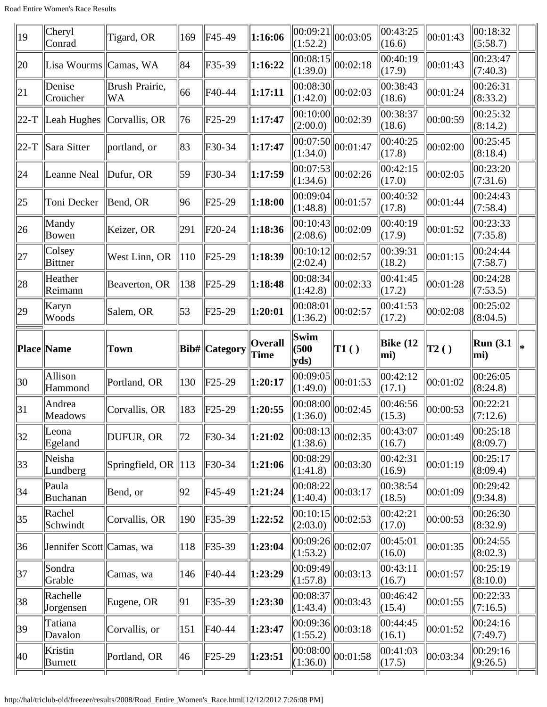| Cheryl<br>Conrad          | Tigard, OR           | 169                               | F45-49                                            | 1:16:06                                                                                       | 00:09:21 <br>(1:52.2) | 00:03:05 | 00:43:25<br>(16.6)                                                                                                                            | 00:01:43     | 00:18:32<br>(5:58.7)    |  |
|---------------------------|----------------------|-----------------------------------|---------------------------------------------------|-----------------------------------------------------------------------------------------------|-----------------------|----------|-----------------------------------------------------------------------------------------------------------------------------------------------|--------------|-------------------------|--|
|                           |                      | 84                                | F35-39                                            | 1:16:22                                                                                       | (1:39.0)              | 00:02:18 | 00:40:19<br>(17.9)                                                                                                                            | 00:01:43     | 00:23:47<br>(7:40.3)    |  |
| Denise<br>Croucher        | Brush Prairie,<br>WA | 66                                | F40-44                                            | 1:17:11                                                                                       | (1:42.0)              | 00:02:03 | 00:38:43<br>(18.6)                                                                                                                            | 00:01:24     | 00:26:31<br>(8:33.2)    |  |
| $ 22-T $ Leah Hughes      | Corvallis, OR        | 76                                | F25-29                                            | 1:17:47                                                                                       | (2:00.0)              | 00:02:39 | 00:38:37<br>(18.6)                                                                                                                            | 00:00:59     | 00:25:32<br>(8:14.2)    |  |
| Sara Sitter               | portland, or         | 83                                | F30-34                                            | 1:17:47                                                                                       | (1:34.0)              |          | 00:40:25<br>(17.8)                                                                                                                            | 00:02:00     | 00:25:45<br>(8:18.4)    |  |
| Leanne Neal               | Dufur, OR            | 59                                | F30-34                                            | 1:17:59                                                                                       | 00:07:53<br>(1:34.6)  | 00:02:26 | 00:42:15<br>(17.0)                                                                                                                            | 00:02:05     | 00:23:20<br>(7:31.6)    |  |
| Toni Decker               |                      | 96                                | F <sub>25</sub> -29                               | 1:18:00                                                                                       | 00:09:04 <br>(1:48.8) | 00:01:57 | 00:40:32<br>(17.8)                                                                                                                            | 00:01:44     | 00:24:43<br>(7:58.4)    |  |
| Mandy<br>Bowen            | Keizer, OR           | 291                               |                                                   | 1:18:36                                                                                       | (2:08.6)              | 00:02:09 | 00:40:19<br>(17.9)                                                                                                                            | 00:01:52     | 00:23:33<br>(7:35.8)    |  |
| Colsey<br>Bittner         | West Linn, OR        |                                   |                                                   | 1:18:39                                                                                       | 00:10:12 <br>(2:02.4) | 00:02:57 | 00:39:31<br>(18.2)                                                                                                                            | 00:01:15     | 00:24:44<br>(7:58.7)    |  |
| Heather<br>Reimann        | Beaverton, OR        | 138                               |                                                   | 1:18:48                                                                                       | (1:42.8)              | 00:02:33 | 00:41:45<br>(17.2)                                                                                                                            | 00:01:28     | 00:24:28<br>(7:53.5)    |  |
| Karyn<br>Woods            | Salem, OR            | 53                                | $F25-29$                                          | 1:20:01                                                                                       | 00:08:01<br>(1:36.2)  | 00:02:57 | 00:41:53<br>(17.2)                                                                                                                            | 00:02:08     | 00:25:02<br>(8:04.5)    |  |
| Place Name                | Town                 |                                   |                                                   | <b>Overall</b><br><b>Time</b>                                                                 | Swim<br>(500)<br>yds  | TI( )    | Bike $(12)$<br>mi)                                                                                                                            | $\vert$ T2() | <b>Run</b> (3.1)<br>mi) |  |
| Allison<br>Hammond        | Portland, OR         | 130                               | $F25-29$                                          | 1:20:17                                                                                       | 00:09:05<br>(1:49.0)  | 00:01:53 | 00:42:12<br>(17.1)                                                                                                                            | 00:01:02     | 00:26:05<br>(8:24.8)    |  |
| Andrea<br>Meadows         | Corvallis, OR        | 183                               |                                                   | 1:20:55                                                                                       | 00:08:00<br>(1:36.0)  | 00:02:45 | 00:46:56<br>(15.3)                                                                                                                            | 00:00:53     | 00:22:21<br>(7:12.6)    |  |
| Leona<br>Egeland          | DUFUR, OR            | 72                                |                                                   | 1:21:02                                                                                       | (1:38.6)              | 00:02:35 | 00:43:07<br>(16.7)                                                                                                                            | 00:01:49     | 00:25:18<br>(8:09.7)    |  |
| Neisha<br>Lundberg        |                      |                                   |                                                   | 1:21:06                                                                                       | (1:41.8)              |          | 00:42:31<br>(16.9)                                                                                                                            | 00:01:19     | 00:25:17<br>(8:09.4)    |  |
| Paula<br>Buchanan         | Bend, or             | 92                                | F45-49                                            | 1:21:24                                                                                       | 00:08:22<br>(1:40.4)  | 00:03:17 | 00:38:54<br>(18.5)                                                                                                                            | 00:01:09     | 00:29:42<br>(9:34.8)    |  |
| Rachel<br>Schwindt        | Corvallis, OR        | 190                               |                                                   | 1:22:52                                                                                       | 00:10:15 <br>(2:03.0) | 00:02:53 | 00:42:21<br>(17.0)                                                                                                                            | 00:00:53     | 00:26:30<br>(8:32.9)    |  |
|                           |                      |                                   |                                                   |                                                                                               |                       |          |                                                                                                                                               |              |                         |  |
| Jennifer Scott  Camas, wa |                      | 118                               | $F35-39$                                          | 1:23:04                                                                                       | 00:09:26 <br>(1:53.2) | 00:02:07 | 00:45:01<br>(16.0)                                                                                                                            | 00:01:35     | 00:24:55<br>(8:02.3)    |  |
| Sondra<br>Grable          | Camas, wa            | 146                               | F40-44                                            | 1:23:29                                                                                       | 00:09:49 <br>(1:57.8) | 00:03:13 | 00:43:11<br>(16.7)                                                                                                                            | 00:01:57     | 00:25:19<br>(8:10.0)    |  |
| Rachelle<br>Jorgensen     | Eugene, OR           | 91                                | F35-39                                            | 1:23:30                                                                                       | 00:08:37 <br>(1:43.4) | 00:03:43 | 00:46:42<br>(15.4)                                                                                                                            | 00:01:55     | 00:22:33<br>(7:16.5)    |  |
| Tatiana<br>Davalon        | Corvallis, or        | 151                               | F40-44                                            | 1:23:47                                                                                       | 00:09:36<br>(1:55.2)  | 00:03:18 | 00:44:45<br>(16.1)                                                                                                                            | 00:01:52     | 00:24:16<br>(7:49.7)    |  |
|                           |                      | Lisa Wourms Camas, WA<br>Bend, OR | $\parallel$ 10<br>Springfield, OR $\parallel$ 113 | $F20-24$<br>$\ $ F25-29<br>$F25-29$<br>Bib#  Category<br>F25-29<br>F30-34<br>F30-34<br>F35-39 |                       |          | 00:08:15 <br> 00:08:30 <br> 00:10:00 <br>$\overline{ 00:07:50 } 00:01:47$<br> 00:10:43 <br> 00:08:34 <br> 00:08:13 <br> 00:08:29 <br>00:03:30 |              |                         |  |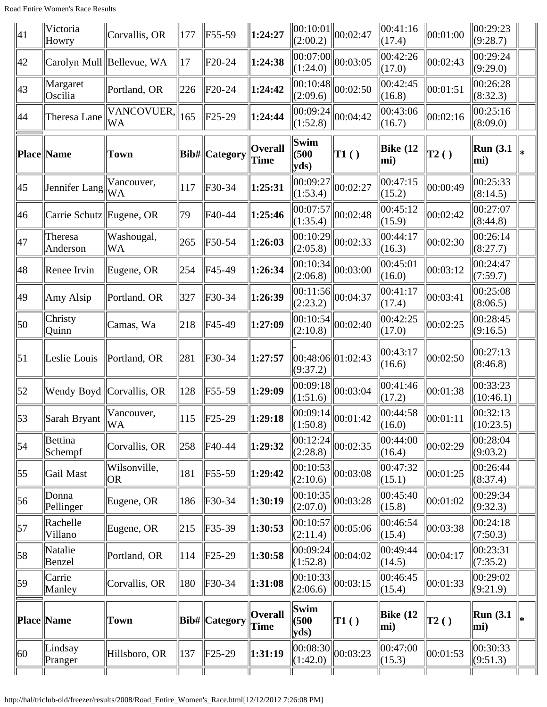| $ 41\rangle$     | Victoria<br>Howry        | Corvallis, OR             | 177 | $\ F55-59\ $                    | 1:24:27                | (2:00.2)              | $\ 00:10:01\ _{00:02:47}$                                    | 00:41:16<br>(17.4)  | 00:01:00     | 00:29:23<br>(9:28.7)    |        |
|------------------|--------------------------|---------------------------|-----|---------------------------------|------------------------|-----------------------|--------------------------------------------------------------|---------------------|--------------|-------------------------|--------|
| 42               |                          | Carolyn Mull Bellevue, WA | 17  | $F20-24$                        | 1:24:38                | 00:07:00 <br>(1:24.0) | 00:03:05                                                     | 00:42:26<br>(17.0)  | 00:02:43     | 00:29:24<br>(9:29.0)    |        |
| 43               | Margaret<br>Oscilia      | Portland, OR              | 226 | F20-24                          | 1:24:42                | 00:10:48 <br>(2:09.6) | 00:02:50                                                     | 00:42:45<br>(16.8)  | 00:01:51     | 00:26:28<br>(8:32.3)    |        |
| 44               | Theresa Lane             | VANCOVUER,<br><b>WA</b>   | 165 | $F25-29$                        | 1:24:44                | 00:09:24<br>(1:52.8)  | 00:04:42                                                     | 00:43:06<br>(16.7)  | 00:02:16     | 00:25:16<br>(8:09.0)    |        |
|                  | <b>Place Name</b>        | <b>Town</b>               |     | Bib#  Category                  | <b>Overall</b><br>Time | Swim<br>(500)<br>yds  | TI( )                                                        | Bike $(12)$<br>mi)  | $\vert$ T2() | <b>Run</b> (3.1)<br>mi) | ∗      |
| 45               | Jennifer Lang            | Vancouver,<br>WA          | 117 | F30-34                          | 1:25:31                | 00:09:27<br>(1:53.4)  | 00:02:27                                                     | 00:47:15<br>(15.2)  | 00:00:49     | 00:25:33<br>(8:14.5)    |        |
| 46               | Carrie Schutz Eugene, OR |                           | 79  | F40-44                          | 1:25:46                | 00:07:57<br>(1:35.4)  | 00:02:48                                                     | 00:45:12<br>(15.9)  | 00:02:42     | 00:27:07<br>(8:44.8)    |        |
| 47               | Theresa<br>Anderson      | Washougal,<br>WA          | 265 | F50-54                          | 1:26:03                | 00:10:29<br>(2:05.8)  | 00:02:33                                                     | 00:44:17<br>(16.3)  | 00:02:30     | 00:26:14<br>(8:27.7)    |        |
| 48               | Renee Irvin              | Eugene, OR                | 254 | F45-49                          | 1:26:34                | 00:10:34 <br>(2:06.8) | 00:03:00                                                     | 00:45:01<br>(16.0)  | 00:03:12     | 00:24:47<br>(7:59.7)    |        |
| 49               | Amy Alsip                | Portland, OR              | 327 | F30-34                          | 1:26:39                | 00:11:56 <br>(2:23.2) | 00:04:37                                                     | 00:41:17<br>(17.4)  | 00:03:41     | 00:25:08<br>(8:06.5)    |        |
| 50 <sup>°</sup>  | Christy<br>Quinn         | Camas, Wa                 | 218 | F45-49                          | 1:27:09                | 00:10:54<br>(2:10.8)  | 00:02:40                                                     | 00:42:25<br>(17.0)  | 00:02:25     | 00:28:45<br>(9:16.5)    |        |
| 51               | Leslie Louis             | Portland, OR              | 281 | F30-34                          | 1:27:57                | (9:37.2)              | 00:48:06  01:02:43                                           | 00:43:17<br>(16.6)  | 00:02:50     | 00:27:13<br>(8:46.8)    |        |
| 52               |                          | Wendy Boyd Corvallis, OR  | 128 | F55-59                          | 1:29:09                | 00:09:18<br>(1:51.6)  | 00:03:04                                                     | 00:41:46<br>(17.2)  | 00:01:38     | 00:33:23<br>(10:46.1)   |        |
| $\vert 53 \vert$ | Sarah Bryant             | Vancouver,<br>WA          | 115 | $\left  \mathrm{F25-29}\right $ | 1:29:18                | (1:50.8)              | $\left  \overline{00:09:14} \right  \left  00:01:42 \right $ | 00:44:58<br> (16.0) | 00:01:11     | 00:32:13<br>(10:23.5)   |        |
| $\vert$ 54       | Bettina<br>Schempf       | Corvallis, OR             | 258 | F40-44                          | 1:29:32                | 00:12:24 <br>(2:28.8) | 00:02:35                                                     | 00:44:00<br>(16.4)  | 00:02:29     | 00:28:04<br>(9:03.2)    |        |
| $\vert 55 \vert$ | Gail Mast                | Wilsonville,<br><b>OR</b> | 181 | $\vert$ F55-59                  | 1:29:42                | 00:10:53 <br>(2:10.6) | 00:03:08                                                     | 00:47:32<br>(15.1)  | 00:01:25     | 00:26:44<br>(8:37.4)    |        |
| 56               | Donna<br>Pellinger       | Eugene, OR                | 186 | $ F30-34 $                      | 1:30:19                | 00:10:35 <br>(2:07.0) | 00:03:28                                                     | 00:45:40<br>(15.8)  | 00:01:02     | 00:29:34<br>(9:32.3)    |        |
| 57               | Rachelle<br>Villano      | Eugene, OR                | 215 | F35-39                          | 1:30:53                | 00:10:57<br>(2:11.4)  | 00:05:06                                                     | 00:46:54<br>(15.4)  | 00:03:38     | 00:24:18<br>(7:50.3)    |        |
| 58               | Natalie<br>Benzel        | Portland, OR              | 114 | $ F25-29$                       | 1:30:58                | 00:09:24<br>(1:52.8)  | 00:04:02                                                     | 00:49:44<br>(14.5)  | 00:04:17     | 00:23:31<br>(7:35.2)    |        |
| 59               | Carrie<br>Manley         | Corvallis, OR             | 180 | F30-34                          | 1:31:08                | 00:10:33<br>(2:06.6)  | 00:03:15                                                     | 00:46:45<br>(15.4)  | 00:01:33     | 00:29:02<br>(9:21.9)    |        |
|                  | Place Name               | Town                      |     | Bib#  Category                  | <b>Overall</b><br>Time | Swim<br>(500)<br>yds  | $\vert$ T1()                                                 | Bike $(12)$<br>mi)  | $\vert$ T2() | <b>Run</b> (3.1)<br>mi) | $\ast$ |
| 60               | Lindsay<br>Pranger       | Hillsboro, OR             | 137 | $ F25-29$                       | 1:31:19                | 00:08:30<br>(1:42.0)  | 00:03:23                                                     | 00:47:00<br>(15.3)  | 00:01:53     | 00:30:33<br>(9:51.3)    |        |
|                  |                          |                           |     |                                 |                        |                       |                                                              |                     |              |                         |        |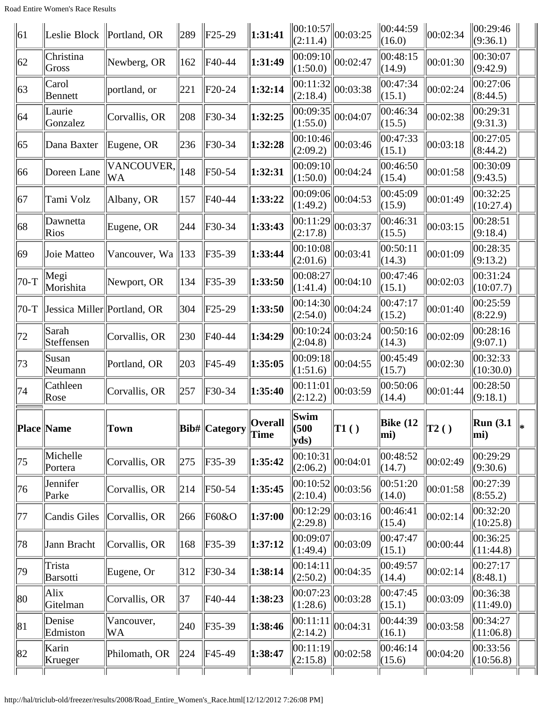| 00:01:30               | 00:30:07<br>(9:42.9)        |
|------------------------|-----------------------------|
| 00:02:24               | 00:27:06<br>(8:44.5)        |
| 00:02:38               | 00:29:31<br>(9:31.3)        |
| 00:03:18               | 00:27:05<br>(8:44.2)        |
| 00:01:58               | 00:30:09<br>(9:43.5)        |
| 00:01:49               | 00:32:25<br>(10:27.4)       |
| 00:03:15               | 00:28:51<br>(9:18.4)        |
| 00:01:09               | 00:28:35<br>(9:13.2)        |
| 00:02:03               | 00:31:24<br>(10:07.7)       |
| 00:01:40               | 00:25:59<br>(8:22.9)        |
| 00:02:09               | 00:28:16<br>(9:07.1)        |
| 00:02:30               | 00:32:33<br>(10:30.0)       |
| 00:01:44               | 00:28:50<br>(9:18.1)        |
| $\ T_2\left(\right)\ $ | $\ $ Run (3.1)<br>∥∗<br>mi) |
| 00:02:49               | 00:29:29<br>(9:30.6)        |
| 00:01:58               | 00:27:39<br>(8:55.2)        |
| 00:02:14               | 00:32:20<br>(10:25.8)       |
| 00:00:44               | 00:36:25<br>(11:44.8)       |
| 00:02:14               | 00:27:17<br>(8:48.1)        |
| 00:03:09               | 00:36:38<br>(11:49.0)       |
| 00:03:58               | 00:34:27<br>(11:06.8)       |
|                        |                             |
|                        |                             |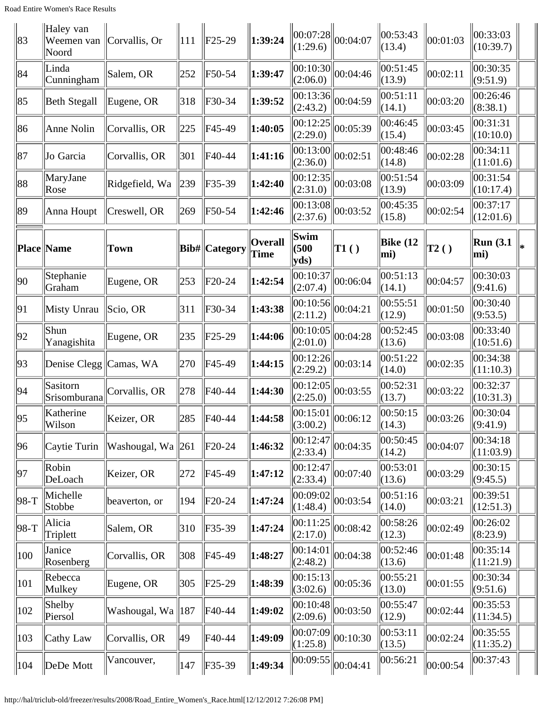| 83   | Haley van<br>Weemen van<br>Noord | Corvallis, Or                 | 111 | F25-29         | 1:39:24                | 00:07:28 <br>(1:29.6)                                   | 00:04:07 | 00:53:43<br>(13.4)     | 00:01:03       | 00:33:03<br>(10:39.7) |  |
|------|----------------------------------|-------------------------------|-----|----------------|------------------------|---------------------------------------------------------|----------|------------------------|----------------|-----------------------|--|
| 84   | Linda<br>Cunningham              | Salem, OR                     | 252 | F50-54         | 1:39:47                | 00:10:30 <br>(2:06.0)                                   | 00:04:46 | 00:51:45<br>(13.9)     | 00:02:11       | 00:30:35<br>(9:51.9)  |  |
| 85   | Beth Stegall                     | Eugene, OR                    | 318 | F30-34         | 1:39:52                | 00:13:36 <br>(2:43.2)                                   | 00:04:59 | 00:51:11<br>(14.1)     | 00:03:20       | 00:26:46<br>(8:38.1)  |  |
| 86   | Anne Nolin                       | Corvallis, OR                 | 225 | F45-49         | 1:40:05                | 00:12:25<br>(2:29.0)                                    | 00:05:39 | 00:46:45<br>(15.4)     | 00:03:45       | 00:31:31<br>(10:10.0) |  |
| 87   | Jo Garcia                        | Corvallis, OR                 | 301 | F40-44         | 1:41:16                | $\overline{ 00:13:00 } 00:02:51$<br>(2:36.0)            |          | 00:48:46<br>(14.8)     | 00:02:28       | 00:34:11<br>(11:01.6) |  |
| 88   | MaryJane<br>Rose                 | Ridgefield, Wa                | 239 | F35-39         | 1:42:40                | 00:12:35 <br>(2:31.0)                                   | 00:03:08 | 00:51:54<br>(13.9)     | 00:03:09       | 00:31:54<br>(10:17.4) |  |
| 89   | Anna Houpt                       | Creswell, OR                  | 269 | F50-54         | 1:42:46                | 00:13:08 <br>(2:37.6)                                   | 00:03:52 | 00:45:35<br>(15.8)     | 00:02:54       | 00:37:17<br>(12:01.6) |  |
|      | Place Name                       | <b>Town</b>                   |     | Bib#  Category | <b>Overall</b><br>Time | Swim<br>(500)<br>yds                                    | T1()     | <b>Bike (12</b><br>mi) | $\vert$ T2 ( ) | Run(3.1)<br>mi)       |  |
| 90   | Stephanie<br>Graham              | Eugene, OR                    | 253 | F20-24         | 1:42:54                | 00:10:37<br>(2:07.4)                                    | 00:06:04 | 00:51:13<br>(14.1)     | 00:04:57       | 00:30:03<br>(9:41.6)  |  |
| 91   | Misty Unrau                      | Scio, OR                      | 311 | F30-34         | 1:43:38                | 00:10:56 <br>(2:11.2)                                   | 00:04:21 | 00:55:51<br>(12.9)     | 00:01:50       | 00:30:40<br>(9:53.5)  |  |
| 92   | Shun<br>Yanagishita              | Eugene, OR                    | 235 | F25-29         | 1:44:06                | 00:10:05<br>(2:01.0)                                    | 00:04:28 | 00:52:45<br>(13.6)     | 00:03:08       | 00:33:40<br>(10:51.6) |  |
| 93   | Denise Clegg                     | Camas, WA                     | 270 | F45-49         | 1:44:15                | 00:12:26 <br>(2:29.2)                                   | 00:03:14 | 00:51:22<br>(14.0)     | 00:02:35       | 00:34:38<br>(11:10.3) |  |
| 94   | Sasitorn<br>Srisomburana         | Corvallis, OR                 | 278 | F40-44         | 1:44:30                | 00:12:05<br>(2:25.0)                                    | 00:03:55 | 00:52:31<br>(13.7)     | 00:03:22       | 00:32:37<br>(10:31.3) |  |
| 95   | Katherine<br>Wilson              | Keizer, OR                    | 285 | F40-44         | 1:44:58                | $\overline{00:15:01}$ $\overline{00:06:12}$<br>(3:00.2) |          | 00:50:15<br>(14.3)     | $\ 00:03:26$   | 00:30:04<br>(9:41.9)  |  |
| 96   | Caytie Turin                     | Washougal, Wa 261             |     | $F20-24$       | 1:46:32                | 00:12:47<br>(2:33.4)                                    | 00:04:35 | 00:50:45<br>(14.2)     | 00:04:07       | 00:34:18<br>(11:03.9) |  |
| 97   | Robin<br>DeLoach                 | Keizer, OR                    | 272 | F45-49         | 1:47:12                | 00:12:47<br>(2:33.4)                                    | 00:07:40 | 00:53:01<br>(13.6)     | 00:03:29       | 00:30:15<br>(9:45.5)  |  |
| 98-T | Michelle<br>Stobbe               | beaverton, or                 | 194 | $F20-24$       | 1:47:24                | 00:09:02<br>(1:48.4)                                    | 00:03:54 | 00:51:16<br>(14.0)     | 00:03:21       | 00:39:51<br>(12:51.3) |  |
| 98-T | Alicia<br>Triplett               | Salem, OR                     | 310 | $F35-39$       | 1:47:24                | 00:11:25<br>(2:17.0)                                    | 00:08:42 | 00:58:26<br>(12.3)     | 00:02:49       | 00:26:02<br>(8:23.9)  |  |
| 100  | Janice<br>Rosenberg              | Corvallis, OR                 | 308 | F45-49         | 1:48:27                | 00:14:01<br>(2:48.2)                                    | 00:04:38 | 00:52:46<br>(13.6)     | 00:01:48       | 00:35:14<br>(11:21.9) |  |
| 101  | Rebecca<br>Mulkey                | Eugene, OR                    | 305 | $F25-29$       | 1:48:39                | 00:15:13<br>(3:02.6)                                    | 00:05:36 | 00:55:21<br>(13.0)     | 00:01:55       | 00:30:34<br>(9:51.6)  |  |
| 102  | Shelby<br>Piersol                | Washougal, Wa $\parallel$ 187 |     | F40-44         | 1:49:02                | 00:10:48 <br>(2:09.6)                                   | 00:03:50 | 00:55:47<br>(12.9)     | 00:02:44       | 00:35:53<br>(11:34.5) |  |
| 103  | Cathy Law                        | Corvallis, OR                 | 49  | $F40-44$       | 1:49:09                | 00:07:09<br>(1:25.8)                                    | 00:10:30 | 00:53:11<br>(13.5)     | 00:02:24       | 00:35:55<br>(11:35.2) |  |
| 104  | DeDe Mott                        | Vancouver,                    | 147 | $\ $ F35-39    | 1:49:34                | 00:09:55                                                | 00:04:41 | 00:56:21               | 00:00:54       | 00:37:43              |  |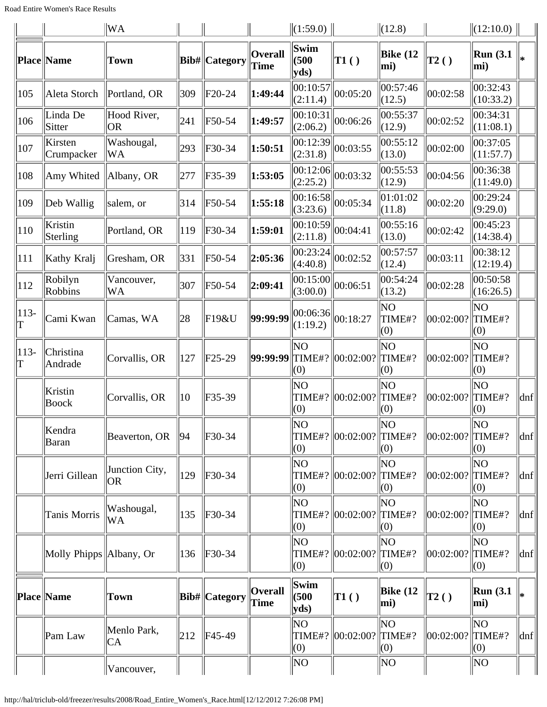|             |                           | <b>WA</b>                   |     |                      |                        | (1:59.0)              |                    | $\ $ (12.8)          |              | $\ $ (12:10.0)          |                             |
|-------------|---------------------------|-----------------------------|-----|----------------------|------------------------|-----------------------|--------------------|----------------------|--------------|-------------------------|-----------------------------|
|             | Place Name                | <b>Town</b>                 |     | Bib#  Category       | Overall<br><b>Time</b> | Swim<br>(500)<br>yds  | TI( )              | Bike $(12)$<br>mi)   | $\vert$ T2() | <b>Run</b> (3.1)<br>mi) |                             |
| 105         | Aleta Storch              | Portland, OR                | 309 | F20-24               | 1:49:44                | 00:10:57<br>(2:11.4)  | 00:05:20           | 00:57:46<br>(12.5)   | 00:02:58     | 00:32:43<br>(10:33.2)   |                             |
| 106         | Linda De<br><b>Sitter</b> | Hood River,<br><b>OR</b>    | 241 | F50-54               | 1:49:57                | 00:10:31<br>(2:06.2)  | 00:06:26           | 00:55:37<br>(12.9)   | 00:02:52     | 00:34:31<br>(11:08.1)   |                             |
| 107         | Kirsten<br>Crumpacker     | Washougal,<br>WA            | 293 | F30-34               | 1:50:51                | 00:12:39<br>(2:31.8)  | 00:03:55           | 00:55:12<br>(13.0)   | 00:02:00     | 00:37:05<br>(11:57.7)   |                             |
| 108         | Amy Whited                | Albany, OR                  | 277 | $F35-39$             | 1:53:05                | 00:12:06<br>(2:25.2)  | 00:03:32           | 00:55:53<br>(12.9)   | 00:04:56     | 00:36:38<br>(11:49.0)   |                             |
| 109         | Deb Wallig                | salem, or                   | 314 | F50-54               | 1:55:18                | 00:16:58 <br>(3:23.6) | 00:05:34           | 01:01:02<br>(11.8)   | 00:02:20     | 00:29:24<br>(9:29.0)    |                             |
| 110         | Kristin<br>Sterling       | Portland, OR                | 119 | F30-34               | 1:59:01                | 00:10:59 <br>(2:11.8) | 00:04:41           | 00:55:16<br>(13.0)   | 00:02:42     | 00:45:23<br>(14:38.4)   |                             |
| 111         | Kathy Kralj               | Gresham, OR                 | 331 | F50-54               | 2:05:36                | 00:23:24<br>(4:40.8)  | 00:02:52           | 00:57:57<br>(12.4)   | 00:03:11     | 00:38:12<br>(12:19.4)   |                             |
| 112         | Robilyn<br>Robbins        | Vancouver,<br>WA            | 307 | F50-54               | 2:09:41                | 00:15:00 <br>(3:00.0) | 00:06:51           | 00:54:24<br>(13.2)   | 00:02:28     | 00:50:58<br>(16:26.5)   |                             |
| $113-$<br>T | Cami Kwan                 | Camas, WA                   | 28  | F19&U                | 99:99:99               | 00:06:36 <br>(1:19.2) | 00:18:27           | NO<br>TIME#?<br>(0)  | 00:02:00?    | NO<br>TIME#?<br>(0)     |                             |
| $113-$<br>T | Christina<br>Andrade      | Corvallis, OR               | 127 | $F25-29$             | 99:99:99 TIME#?        | ΝO<br>(0)             | 00:02:00?          | NO<br>TIME#?<br>(0)  | 00:02:00?    | ΝO<br>TIME#?<br>(0)     |                             |
|             | Kristin<br><b>Boock</b>   | Corvallis, OR               | 10  | $F35-39$             |                        | ΝO<br>TIME#?<br>(0)   | 00:02:00?          | NO<br>TIME#?<br>(0)  | 00:02:00?    | ΝO<br>TIME#?<br>(0)     | dnf                         |
|             | Kendra<br><b>Baran</b>    | Beaverton, OR               | 94  | F30-34               |                        | NO<br>(0)             | TIME#?   00:02:00? | NO<br>TIME#?<br>(0)  | 00:02:00?    | $N$ O<br>TIME#?<br>(0)  | dnf                         |
|             | Jerri Gillean             | Junction City,<br><b>OR</b> | 129 | F30-34               |                        | ΝO<br>TIME#?<br>(0)   | 00:02:00?          | NO<br>TIME#?<br>(0)  | 00:02:00?    | ΝO<br>TIME#?<br>(0)     | $\vert$ dnf $\vert$         |
|             | Tanis Morris              | Washougal,<br>WA            | 135 | F30-34               |                        | ΝO<br>(0)             | TIME#? 00:02:00?   | NO<br>TIME#?<br>(0)  | 00:02:00?    | ΝO<br>TIME#?<br>(0)     | $\vert$ dnf $\vert$         |
|             | Molly Phipps   Albany, Or |                             | 136 | F30-34               |                        | NO.<br>TIME#?<br>(0)  | 00:02:00?          | NO.<br>TIME#?<br>(0) | 00:02:00?    | ΝO<br>TIME#?<br>(0)     | $ {\rm dnf} $               |
|             | Place Name                | Town                        |     | <b>Bib#</b> Category | <b>Overall</b><br>Time | Swim<br>(500)<br>yds  | $\vert$ T1()       | Bike $(12)$<br>mi)   | $\vert$ T2() | <b>Run</b> (3.1)<br>mi) |                             |
|             | Pam Law                   | Menlo Park,<br>CA           | 212 | F45-49               |                        | NO.<br>TIME#?<br>(0)  | 00:02:00?          | NO<br>TIME#?<br>(0)  | 00:02:00?    | ΝO<br>TIME#?<br>(0)     | $\left  \text{dnf} \right $ |
|             |                           | Vancouver,                  |     |                      |                        | NO                    |                    | NO                   |              | NO                      |                             |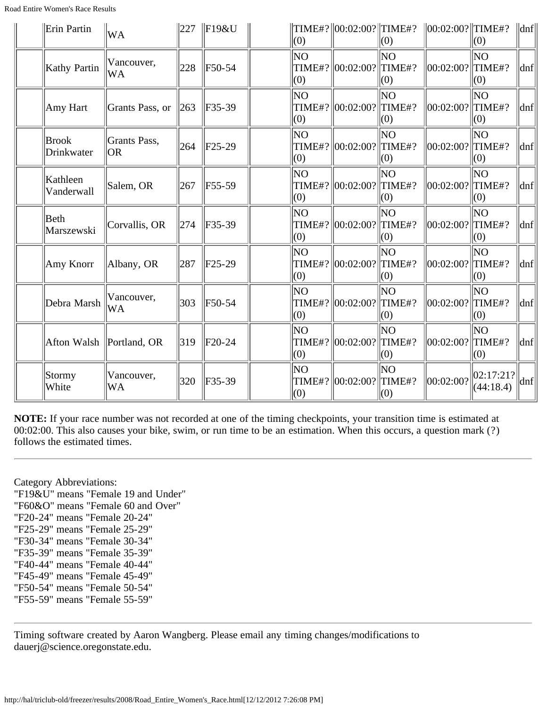| Erin Partin                | WA                         | 227 | $\parallel$ F19&U | (0)              | TIME#?  00:02:00?  TIME#?   | (0)                        | $\ 00:02:00?$ TIME#?  | (0)                    | $\vert$ dnf $\vert$ |
|----------------------------|----------------------------|-----|-------------------|------------------|-----------------------------|----------------------------|-----------------------|------------------------|---------------------|
| Kathy Partin               | Vancouver,<br>WA           | 228 | F50-54            | <b>NO</b><br>(0) | TIME#?  00:02:00?  TIME#?   | NO<br>(0)                  | $ 00:02:00?  $ TIME#? | lΝO<br>(0)             | dnf                 |
| Amy Hart                   | Grants Pass, or            | 263 | $F35-39$          | lΝO<br>(0)       | TIME#?  00:02:00?           | <b>NO</b><br>TIME#?<br>(0) | 00:02:00?             | NO<br>TIME#?<br>(0)    | dnf                 |
| <b>Brook</b><br>Drinkwater | Grants Pass,<br><b>OR</b>  | 264 | $ F25-29$         | NO.<br>(0)       | TIME#?  00:02:00?  TIME#?   | lΝO<br>(0)                 | $ 00:02:00?  $ TIME#? | ΝO<br>(0)              | dnf                 |
| Kathleen<br>Vanderwall     | Salem, OR                  | 267 | F55-59            | lΝO<br>(0)       | TIME#?  00:02:00?  TIME#?   | NO<br>(0)                  | $ 00:02:00? $ TIME#?  | NO<br>(0)              | dnf                 |
| Beth<br>Marszewski         | Corvallis, OR              | 274 | F35-39            | lΝO<br>(0)       | TIME#?  00:02:00?           | NO<br>TIME#?<br>(0)        | 00:02:00?             | ΝO<br>TIME#?<br>(0)    | dnf                 |
| Amy Knorr                  | Albany, OR                 | 287 | $F25-29$          | NO<br>(0)        | TIME#?  00:02:00?  TIME#?   | lΝO<br>(0)                 | 00:02:00?             | ΝO<br>TIME#?<br>(0)    | dnf                 |
| Debra Marsh                | Vancouver,<br>WA           | 303 | F50-54            | ΝO<br>(0)        | TIME#?   00:02:00?   TIME#? | NO.<br>(0)                 | $ 00:02:00? $ TIME#?  | ΝO<br>(0)              | dnf                 |
|                            | Afton Walsh   Portland, OR | 319 | $F20-24$          | ΝO<br>(0)        | TIME#?  00:02:00?           | NO<br>TIME#?<br>(0)        | 00:02:00?             | NO<br>TIME#?<br>(0)    | dnf                 |
| Stormy<br>White            | Vancouver,<br><b>WA</b>    | 320 | F35-39            | ΝO<br>(0)        | TIME#?  00:02:00?           | ΝO<br>TIME#?<br>(0)        | 00:02:00?             | 02:17:21?<br>(44:18.4) | dnf                 |

Category Abbreviations: "F19&U" means "Female 19 and Under" "F60&O" means "Female 60 and Over" "F20-24" means "Female 20-24" "F25-29" means "Female 25-29" "F30-34" means "Female 30-34" "F35-39" means "Female 35-39" "F40-44" means "Female 40-44" "F45-49" means "Female 45-49" "F50-54" means "Female 50-54" "F55-59" means "Female 55-59"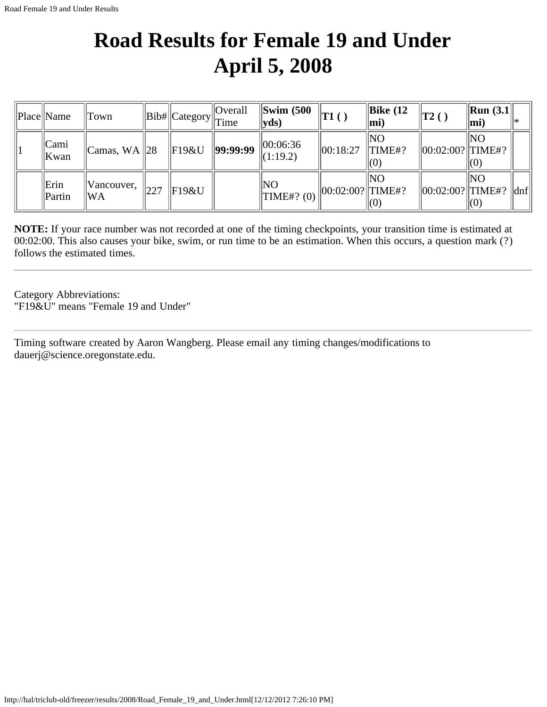#### **Road Results for Female 19 and Under April 5, 2008**

| Place  Name         | Town                         |     | $  Bib\#  Category  $ | <b>Overall</b><br>Time | $\left\Vert \text{Swim } (500 \right\Vert$<br>$ {\bf y}$ ds) | $\mathbf{T1}()$        | Bike $(12)$<br> m <sub>i</sub> | $\vert$ T2()           | $\vert$ Run (3.1 $\vert$<br>mi)  |     |
|---------------------|------------------------------|-----|-----------------------|------------------------|--------------------------------------------------------------|------------------------|--------------------------------|------------------------|----------------------------------|-----|
| Cami<br>  Kwan      | $\vert$ Camas, WA $\vert$ 28 |     | $\parallel$ F19&U     | 99:99:99               | 00:06:36<br>$\Vert(1:19.2)\Vert$                             | 00:18:27               | ' NO<br>$\Vert$ TIME#?<br>(0)  | $  00:02:00?  $ TIME#? | INO                              |     |
| Erin<br>$\ $ Partin | Vancouver,<br>lWA            | 227 | F19&U                 |                        | $\ $ NO<br>$\Vert$ TIME#? (0)                                | $  00:02:00?  $ TIME#? | lΝO<br>$\vert(0)$              | $  00:02:00?  $ TIME#? | ' NO<br>$\mathsf{I}(\mathsf{O})$ | dnf |

**NOTE:** If your race number was not recorded at one of the timing checkpoints, your transition time is estimated at 00:02:00. This also causes your bike, swim, or run time to be an estimation. When this occurs, a question mark (?) follows the estimated times.

Category Abbreviations: "F19&U" means "Female 19 and Under"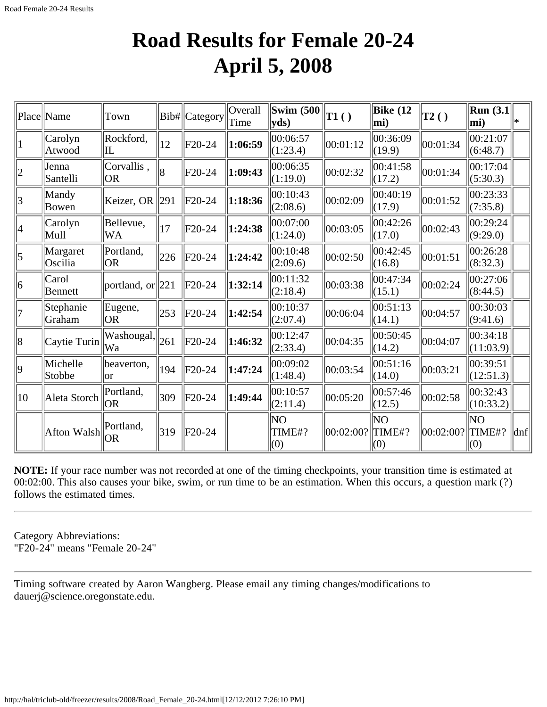#### **Road Results for Female 20-24 April 5, 2008**

|                 | Place Name          | Town                    |                | Bib# Category | Overall<br>Time | <b>Swim (500)</b><br>yds | T1()      | Bike $(12)$<br>$ mi$ ) | T2()      | <b>Run</b> (3.1)<br>$ mi$ )     | l∗                  |
|-----------------|---------------------|-------------------------|----------------|---------------|-----------------|--------------------------|-----------|------------------------|-----------|---------------------------------|---------------------|
|                 | Carolyn<br>Atwood   | Rockford,<br>ll         | 12             | F20-24        | 1:06:59         | 00:06:57<br>(1:23.4)     | 00:01:12  | 00:36:09<br>(19.9)     | 00:01:34  | 00:21:07<br>(6:48.7)            |                     |
| $ 2\rangle$     | Jenna<br>Santelli   | Corvallis,<br><b>OR</b> | $\overline{8}$ | F20-24        | 1:09:43         | 00:06:35<br>(1:19.0)     | 00:02:32  | 00:41:58<br>(17.2)     | 00:01:34  | 00:17:04<br>(5:30.3)            |                     |
| $\overline{3}$  | Mandy<br>Bowen      | Keizer, OR $\ 291\ $    |                | F20-24        | 1:18:36         | 00:10:43<br>(2:08.6)     | 00:02:09  | 00:40:19<br>(17.9)     | 00:01:52  | 00:23:33<br>(7:35.8)            |                     |
| 4               | Carolyn<br>Mull     | Bellevue,<br><b>WA</b>  | 17             | F20-24        | 1:24:38         | 00:07:00<br>(1:24.0)     | 00:03:05  | 00:42:26<br>(17.0)     | 00:02:43  | 00:29:24<br>(9:29.0)            |                     |
| $\vert 5 \vert$ | Margaret<br>Oscilia | Portland,<br><b>OR</b>  | 226            | F20-24        | 1:24:42         | 00:10:48<br>(2:09.6)     | 00:02:50  | 00:42:45<br>(16.8)     | 00:01:51  | 00:26:28<br>(8:32.3)            |                     |
| 6               | Carol<br>Bennett    | portland, or $\ 221\ $  |                | $F20-24$      | 1:32:14         | 00:11:32<br>(2:18.4)     | 00:03:38  | 00:47:34<br>(15.1)     | 00:02:24  | 00:27:06<br>(8:44.5)            |                     |
| 7               | Stephanie<br>Graham | Eugene,<br>lor          | 253            | F20-24        | 1:42:54         | 00:10:37<br>(2:07.4)     | 00:06:04  | 00:51:13<br>(14.1)     | 00:04:57  | 00:30:03<br>(9:41.6)            |                     |
| 8               | Caytie Turin        | Washougal,<br> Wa       | 261            | F20-24        | 1:46:32         | 00:12:47<br>(2:33.4)     | 00:04:35  | 00:50:45<br>(14.2)     | 00:04:07  | 00:34:18<br>(11:03.9)           |                     |
| $ 9\rangle$     | Michelle<br>Stobbe  | beaverton,<br>lor       | 194            | $F20-24$      | 1:47:24         | 00:09:02<br>(1:48.4)     | 00:03:54  | 00:51:16<br>(14.0)     | 00:03:21  | 00:39:51<br>(12:51.3)           |                     |
| $ 10\rangle$    | Aleta Storch        | Portland,<br>lor        | 309            | F20-24        | 1:49:44         | 00:10:57<br> (2:11.4)    | 00:05:20  | 00:57:46<br>(12.5)     | 00:02:58  | $ 00:32:43\rangle$<br>(10:33.2) |                     |
|                 | Afton Walsh         | Portland,<br><b>OR</b>  | 319            | $F20-24$      |                 | NO<br>TIME#?<br>(0)      | 00:02:00? | NΟ<br>TIME#?<br>(0)    | 00:02:00? | NO<br>TIME#?<br>(0)             | $\vert$ dnf $\vert$ |

**NOTE:** If your race number was not recorded at one of the timing checkpoints, your transition time is estimated at 00:02:00. This also causes your bike, swim, or run time to be an estimation. When this occurs, a question mark (?) follows the estimated times.

Category Abbreviations: "F20-24" means "Female 20-24"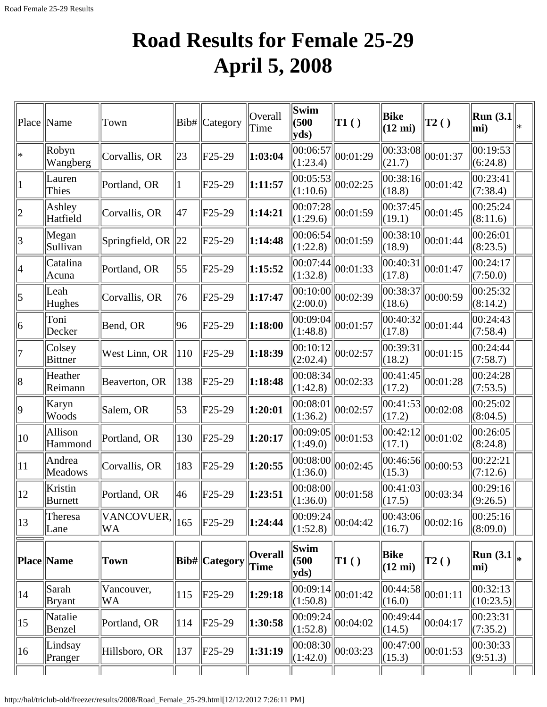# **Road Results for Female 25-29 April 5, 2008**

|                         | Place   Name             | Town                                         |              | Bib#   Category | Overall<br>Time        | Swim<br>(500)<br>yds)                         | $\vert$ T1()                                                                                 | Bike<br>$(12 \text{ mi})$        | $\vert$ T2()                                      | <b>Run</b> (3.1)<br>$ mi$ ) | ∣∗ |
|-------------------------|--------------------------|----------------------------------------------|--------------|-----------------|------------------------|-----------------------------------------------|----------------------------------------------------------------------------------------------|----------------------------------|---------------------------------------------------|-----------------------------|----|
| $\ast$                  | Robyn<br>Wangberg        | Corvallis, OR                                | $ 23\rangle$ | $F25-29$        | 1:03:04                | 00:06:57 <br>(1:23.4)                         | 00:01:29                                                                                     | 00:33:08 <br>(21.7)              | 00:01:37                                          | 00:19:53<br>(6:24.8)        |    |
| $\mathbf 1$             | Lauren<br>Thies          | Portland, OR                                 | 11           | F25-29          | 1:11:57                | (1:10.6)                                      | $\overline{ 00:05:53 } 00:02:25$                                                             | (18.8)                           | $\overline{ 00:38:16 } 00:01:42$                  | 00:23:41<br>(7:38.4)        |    |
| 2                       | Ashley<br>Hatfield       | Corvallis, OR                                | 47           | $F25-29$        | 1:14:21                | (1:29.6)                                      | $\overline{00:07:28}\big\  00:01:59$                                                         | (19.1)                           | $\overline{ 00:37:45 } 00:01:45$                  | 00:25:24<br>(8:11.6)        |    |
| $\overline{\mathbf{3}}$ | Megan<br>Sullivan        | Springfield, OR $\ 22\ $                     |              | $F25-29$        | 1:14:48                | (1:22.8)                                      | $\overline{ 00:06:54 } 00:01:59$                                                             | (18.9)                           | $\overline{ 00:38:10 } 00:01:44$                  | 00:26:01<br>(8:23.5)        |    |
| 4                       | Catalina<br>Acuna        | Portland, OR                                 | 55           | F25-29          | 1:15:52                | (1:32.8)                                      | $\overline{[00:07:}44 \parallel_{00:01:33}$                                                  | 00:40:31<br>(17.8)               | $\ 00:01:47$                                      | 00:24:17<br>(7:50.0)        |    |
| $\vert 5 \vert$         | Leah<br>Hughes           | Corvallis, OR                                | 76           | $F25-29$        | 1:17:47                | (2:00.0)                                      | $\overline{00:10:00}$ $\overline{00:02:39}$                                                  | 00:38:37<br>(18.6)               | 00:00:59                                          | 00:25:32<br>(8:14.2)        |    |
| 6                       | Toni<br>Decker           | Bend, OR                                     | 96           | F25-29          | 1:18:00                | (1:48.8)                                      | $\overline{00:09:04}\big\  00:01:57$                                                         | (17.8)                           | $\overline{ 00:40:32 } 00:01:44$                  | 00:24:43<br>(7:58.4)        |    |
| 7                       | Colsey<br><b>Bittner</b> | West Linn, OR                                | 110          | $F25-29$        | 1:18:39                | (2:02.4)                                      | $\overline{[00:10:12]} \big  00:02:57$                                                       | 00:39:31<br>(18.2)               | $\ 00:01:15$                                      | 00:24:44<br>(7:58.7)        |    |
| 8                       | Heather<br>Reimann       | Beaverton, OR                                | 138          | $F25-29$        | 1:18:48                | 00:08:34 <br>(1:42.8)                         | 00:02:33                                                                                     | 00:41:45 <br>(17.2)              | 00:01:28                                          | 00:24:28<br>(7:53.5)        |    |
| 9                       | Karyn<br>Woods           | Salem, OR                                    | 53           | F25-29          | 1:20:01                | $\overline{[00:08:01]}[00:02:57]$<br>(1:36.2) |                                                                                              | (17.2)                           | $\overline{ 00:41:}53   00:02:08$                 | 00:25:02<br>(8:04.5)        |    |
| 10                      | Allison<br>Hammond       | Portland, OR                                 | 130          | $F25-29$        | 1:20:17                | (1:49.0)                                      | $\overline{00:09:05}\big\  00:01:53$                                                         | (17.1)                           | $\overline{ 00:42:12 } 00:01:02$                  | 00:26:05<br>(8:24.8)        |    |
| 11                      | Andrea<br>Meadows        | Corvallis, OR                                | 183          | $F25-29$        | 1:20:55                | (1:36.0)                                      | $\left  00:08:00 \right  00:02:45$                                                           | (15.3)                           | $\sqrt{00:46:56}\bigg  00:00:53$                  | 00:22:21<br>(7:12.6)        |    |
| 12                      | Kristin<br>Burnett       | Portland, OR                                 | 46           | $F25-29$        | 1:23:51                |                                               | $\begin{array}{ l l l } \hline 00:08:00 & 00:01:58 \ \hline (1:36.0) & & \hline \end{array}$ | (17.5)                           | $\sqrt{00:41:}03$ $\bigg  00:03:34$               | 00:29:16<br>(9:26.5)        |    |
| 13                      | Theresa<br>Lane          | $\sqrt{\text{VANCOVUER}}$ , 165<br><b>WA</b> |              | $F25-29$        | 1:24:44                | (1:52.8)                                      | $\overline{ 00:09:24 }_{00:04:42}$                                                           | (16.7)                           | $\left\  \overline{00:43:}06 \right\ _{00:02:16}$ | 00:25:16<br>(8:09.0)        |    |
|                         | <b>Place Name</b>        | Town                                         |              | Bib#  Category  | <b>Overall</b><br>Time | Swim<br>(500)<br>yds                          | $\vert$ T1()                                                                                 | <b>Bike</b><br>$(12 \text{ mi})$ | $\vert$ T2()                                      | Run $(3.1)$<br>mi)          |    |
| 14                      | Sarah<br>Bryant          | Vancouver,<br>WA                             | 115          | $F25-29$        | 1:29:18                | (1:50.8)                                      | $\overline{ 00:09:14 } 00:01:42$                                                             | (16.0)                           | $\overline{ 00:44:58 } 00:01:11$                  | 00:32:13<br>(10:23.5)       |    |
| 15                      | Natalie<br>Benzel        | Portland, OR                                 | 114          | $F25-29$        | 1:30:58                | 00:09:24 <br>(1:52.8)                         | 00:04:02                                                                                     | 00:49:44<br>(14.5)               | 00:04:17                                          | 00:23:31 <br>(7:35.2)       |    |
| 16                      | Lindsay<br>Pranger       | Hillsboro, OR                                | 137          | $F25-29$        | 1:31:19                | (1:42.0)                                      | $\overline{00:08:30}\big\  00:03:23$                                                         | (15.3)                           | $\sqrt{00:47:00}$ $\big  00:01:53$                | 00:30:33 <br>(9:51.3)       |    |
|                         |                          |                                              |              |                 |                        |                                               |                                                                                              |                                  |                                                   |                             |    |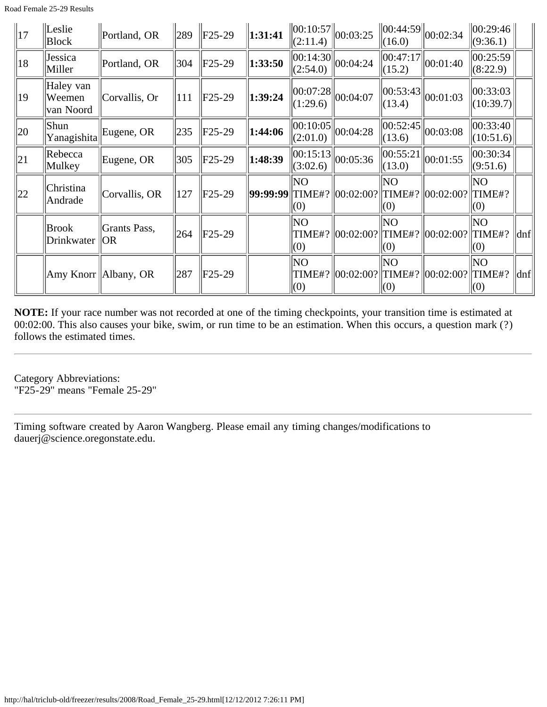| $\vert$ 17   | Leslie<br><b>Block</b>           | Portland, OR           | $ 289\rangle$ | $\text{IF}25-29$ | 1:31:41 | (2:11.4)               | $\ 00:10:57\ _{00:03:25}$                         | $\ 00:44:59\ $<br>$\ $ (16.0) | 00:02:34                    | 00:29:46 <br>(9:36.1)           |                     |
|--------------|----------------------------------|------------------------|---------------|------------------|---------|------------------------|---------------------------------------------------|-------------------------------|-----------------------------|---------------------------------|---------------------|
| 18           | Jessica<br>Miller                | Portland, OR           | 304           | $\text{F25-29}$  | 1:33:50 | (2:54.0)               | $\sqrt{100:14:30}$ 00:04:24                       | 00:47:17 <br>(15.2)           | $\ 00:01:40\ $              | 00:25:59<br>(8:22.9)            |                     |
| 19           | Haley van<br>Weemen<br>van Noord | Corvallis, Or          | 111           | $\ $ F25-29      | 1:39:24 | 00:07:28 <br>(1:29.6)  | 00:04:07                                          | (13.4)                        | $\ 00:53:43\ 00:01:03$      | 00:33:03 <br>(10:39.7)          |                     |
| $ 20\rangle$ | Shun<br>Yanagishita              | Eugene, OR             | 235           | $F25-29$         | 1:44:06 | (2:01.0)               | $\left\  \overline{00:10:05} \right\ _{00:04:28}$ | (13.6)                        | $\sqrt{00:52:}45\ 00:03:08$ | $ 00:33:40\rangle$<br>(10:51.6) |                     |
| 21           | Rebecca<br>Mulkey                | Eugene, OR             | 305           | $F25-29$         | 1:48:39 | 00:15:13 <br> (3:02.6) | 00:05:36                                          | (13.0)                        | $\sqrt{00:55:}21\ 00:01:55$ | 00:30:34<br>(9:51.6)            |                     |
| 22           | Christina<br>Andrade             | Corvallis, OR          | 127           | $ F25-29 $       |         | NΟ<br>(0)              | 99:99:99  TIME#?  00:02:00?  TIME#?  00:02:00?    | lΝO<br>$\vert(0)$             |                             | NO.<br>TIME#?<br>(0)            |                     |
|              | <b>Brook</b><br>Drinkwater       | Grants Pass,<br> OR    | 264           | $ F25-29 $       |         | NO.<br>$\parallel$ (0) | TIME#?  00:02:00?  TIME#?  00:02:00?              | lΝO<br>$\vert(0)$             |                             | NO.<br>TIME#?<br>(0)            | $\vert$ dnf $\vert$ |
|              |                                  | Amy Knorr   Albany, OR | 287           | $ F25-29 $       |         | NO<br>(0)              | TIME#?  00:02:00?  TIME#?  00:02:00?              | NΟ<br>$\vert(0)$              |                             | NΟ<br>$\ $ TIME#?<br>(0)        | $\vert$ dnf $\vert$ |

Category Abbreviations: "F25-29" means "Female 25-29"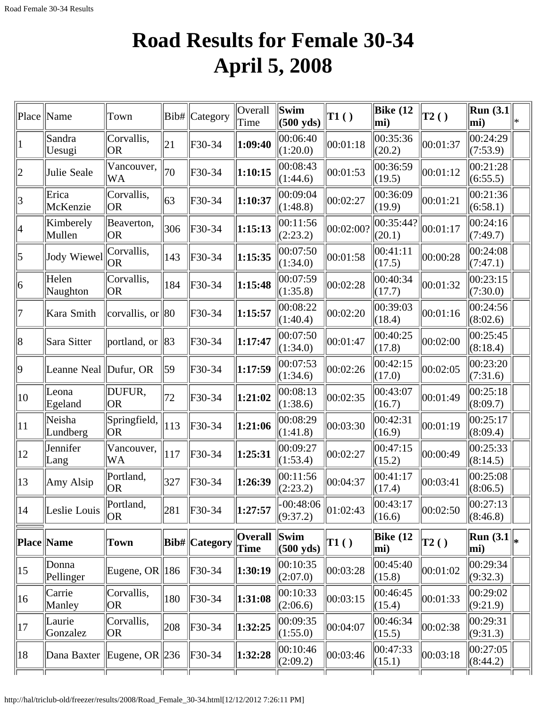# **Road Results for Female 30-34 April 5, 2008**

| Place           | Name                       | Town                | Bib# | Category                   | Overall<br>Time        | Swim<br>(500 yds)                       | TI( )        | Bike $(12)$<br>mi)  | T2()         | Run $(3.1)$<br>$ \text{mi}\rangle$ | ∣∗ |
|-----------------|----------------------------|---------------------|------|----------------------------|------------------------|-----------------------------------------|--------------|---------------------|--------------|------------------------------------|----|
| $\mathbf 1$     | Sandra<br>Uesugi           | Corvallis,<br> OR   | 21   | F30-34                     | 1:09:40                | 00:06:40<br>(1:20.0)                    | 00:01:18     | 00:35:36<br>(20.2)  | 00:01:37     | 00:24:29<br>(7:53.9)               |    |
| 2               | Julie Seale                | Vancouver,<br>WA    | 70   | F30-34                     | 1:10:15                | 00:08:43<br>(1:44.6)                    | 00:01:53     | 00:36:59<br>(19.5)  | 00:01:12     | 00:21:28<br>(6:55.5)               |    |
| 3               | Erica<br>McKenzie          | Corvallis,<br> OR   | 63   | $F30-34$                   | 1:10:37                | 00:09:04<br>(1:48.8)                    | 00:02:27     | 00:36:09<br>(19.9)  | 00:01:21     | 00:21:36<br>(6:58.1)               |    |
| 4               | Kimberely<br>Mullen        | Beaverton,<br> OR   | 306  | $F30-34$                   | 1:15:13                | 00:11:56<br>(2:23.2)                    | 00:02:00?    | 00:35:44?<br>(20.1) | 00:01:17     | 00:24:16<br>(7:49.7)               |    |
| $\vert 5 \vert$ | <b>Jody Wiewel</b>         | Corvallis,<br> OR   | 143  | F30-34                     | 1:15:35                | 00:07:50<br>(1:34.0)                    | 00:01:58     | 00:41:11<br>(17.5)  | 00:00:28     | 00:24:08<br>(7:47.1)               |    |
| 6               | Helen<br>Naughton          | Corvallis,<br> OR   | 184  | F30-34                     | 1:15:48                | 00:07:59<br>(1:35.8)                    | 00:02:28     | 00:40:34<br>(17.7)  | 00:01:32     | 00:23:15<br>(7:30.0)               |    |
| 7               | Kara Smith                 | corvallis, or       | 80   | $F30-34$                   | 1:15:57                | 00:08:22<br>(1:40.4)                    | 00:02:20     | 00:39:03<br>(18.4)  | 00:01:16     | 00:24:56<br>(8:02.6)               |    |
| 8               | Sara Sitter                | portland, or        | 83   | $F30-34$                   | 1:17:47                | 00:07:50<br>(1:34.0)                    | 00:01:47     | 00:40:25<br>(17.8)  | 00:02:00     | 00:25:45<br>(8:18.4)               |    |
| $ 9\rangle$     | Leanne Neal Dufur, OR      |                     | 59   | $F30-34$                   | 1:17:59                | 00:07:53<br>(1:34.6)                    | 00:02:26     | 00:42:15<br>(17.0)  | 00:02:05     | 00:23:20<br>(7:31.6)               |    |
| 10              | Leona<br>Egeland           | DUFUR,<br> OR       | 72   | $F30-34$                   | 1:21:02                | 00:08:13<br>(1:38.6)                    | 00:02:35     | 00:43:07<br>(16.7)  | 00:01:49     | 00:25:18<br>(8:09.7)               |    |
| $ 11\rangle$    | Neisha<br>Lundberg         | Springfield,<br> OR | 113  | $F30-34$                   | 1:21:06                | 00:08:29<br>(1:41.8)                    | 00:03:30     | 00:42:31<br>(16.9)  | 00:01:19     | 00:25:17<br>(8:09.4)               |    |
| $ 12\rangle$    | Jennifer<br>Lang           | Vancouver,<br>WA    | 117  | $F30-34$                   | 1:25:31                | 00:09:27<br>(1:53.4)                    | 00:02:27     | 00:47:15<br>(15.2)  | 00:00:49     | 00:25:33<br>(8:14.5)               |    |
| $ 13\rangle$    | Amy Alsip                  | Portland,<br> OR    | 327  | $F30-34$                   | 1:26:39                | 00:11:56<br>(2:23.2)                    | 00:04:37     | 00:41:17<br>(17.4)  | 00:03:41     | 00:25:08<br>(8:06.5)               |    |
| 14              | Leslie Louis               | Portland,<br> OR    | 281  | F30-34                     | 1:27:57                | $\sqrt{-00:}48:06$ 01:02:43<br>(9:37.2) |              | 00:43:17<br>(16.6)  | 00:02:50     | 00:27:13 <br>(8:46.8)              |    |
|                 | Place Name                 | Town                |      | <b>Bib#</b> Category       | Overall<br><b>Time</b> | $\ $ Swim<br>$(500 \text{ yds})$        | $\vert$ T1() | Bike $(12)$<br>mi)  | $\vert$ T2() | <b>Run</b> $(3.1)$<br>mi)          |    |
| $ 15\rangle$    | Donna<br>Pellinger         | Eugene, OR $ 186 $  |      | $F30-34$                   | 1:30:19                | 00:10:35<br>(2:07.0)                    | 00:03:28     | 00:45:40<br>(15.8)  | 00:01:02     | 00:29:34 <br>(9:32.3)              |    |
| $ 16\rangle$    | Carrie<br>Manley           | Corvallis,<br> OR   | 180  | F30-34                     | 1:31:08                | 00:10:33<br>(2:06.6)                    | 00:03:15     | 00:46:45<br>(15.4)  | 00:01:33     | 00:29:02<br>(9:21.9)               |    |
| 17              | Laurie<br>Gonzalez         | Corvallis,<br> OR   | 208  | $F30-34$                   | 1:32:25                | 00:09:35<br>(1:55.0)                    | 00:04:07     | 00:46:34<br>(15.5)  | 00:02:38     | 00:29:31<br>(9:31.3)               |    |
| 18              | Dana Baxter Eugene, OR 236 |                     |      | $\textcolor{blue}{F30-34}$ | 1:32:28                | 00:10:46<br>(2:09.2)                    | 00:03:46     | 00:47:33<br>(15.1)  | 00:03:18     | 00:27:05<br>(8:44.2)               |    |
|                 |                            |                     |      |                            |                        |                                         |              |                     |              |                                    |    |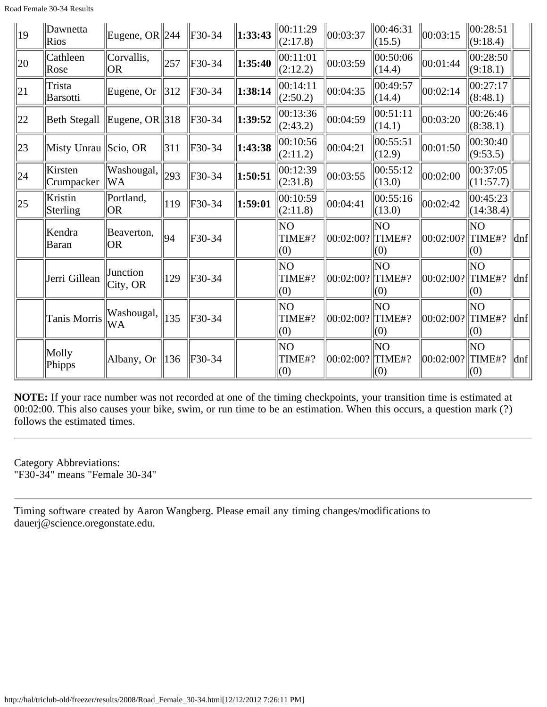| $ 19\rangle$ | Dawnetta<br><b>Rios</b>   | Eugene, OR $\ 244 \t\ $ F30-34 |               |          | 1:33:43 | $\ 00:11:29$<br>(2:17.8) | 00:03:37             | 00:46:31<br>(15.5)    | 00:03:15  | 00:28:51 <br>(9:18.4)           |                     |
|--------------|---------------------------|--------------------------------|---------------|----------|---------|--------------------------|----------------------|-----------------------|-----------|---------------------------------|---------------------|
| 20           | Cathleen<br>Rose          | Corvallis,<br><b>OR</b>        | 257           | F30-34   | 1:35:40 | 00:11:01<br>(2:12.2)     | 00:03:59             | 00:50:06<br>(14.4)    | 00:01:44  | 00:28:50 <br>(9:18.1)           |                     |
| 21           | Trista<br><b>Barsotti</b> | Eugene, Or                     | $ 312\rangle$ | F30-34   | 1:38:14 | 00:14:11<br>(2:50.2)     | 00:04:35             | 00:49:57<br>(14.4)    | 00:02:14  | 00:27:17<br>(8:48.1)            |                     |
| 22           | <b>Beth Stegall</b>       | Eugene, OR $ 318 $             |               | F30-34   | 1:39:52 | 00:13:36<br>(2:43.2)     | 00:04:59             | 00:51:11<br>(14.1)    | 00:03:20  | 00:26:46<br>(8:38.1)            |                     |
| 23           | Misty Unrau Scio, OR      |                                | 311           | $F30-34$ | 1:43:38 | 00:10:56<br>(2:11.2)     | 00:04:21             | 00:55:51<br>(12.9)    | 00:01:50  | 00:30:40<br>(9:53.5)            |                     |
| 24           | Kirsten<br>Crumpacker     | Washougal,<br>WA               | 293           | $F30-34$ | 1:50:51 | 00:12:39<br>(2:31.8)     | 00:03:55             | 00:55:12<br>(13.0)    | 00:02:00  | 00:37:05<br>(11:57.7)           |                     |
| $ 25\rangle$ | Kristin<br>Sterling       | Portland,<br> OR               | 119           | $F30-34$ | 1:59:01 | 00:10:59<br>(2:11.8)     | 00:04:41             | 00:55:16<br>(13.0)    | 00:02:42  | $ 00:45:23\rangle$<br>(14:38.4) |                     |
|              | Kendra<br>Baran           | Beaverton,<br><b>OR</b>        | 94            | $F30-34$ |         | NO<br>TIME#?<br>(0)      | 00:02:00? TIME#?     | ΝO<br>(0)             | 00:02:00? | NO<br>TIME#?<br>(0)             | dnf                 |
|              | Jerri Gillean             | Junction<br>City, OR           | 129           | F30-34   |         | lΝO<br>TIME#?<br>(0)     | 00:02:00? TIME#?     | lΝO<br>(0)            | 00:02:00? | lΝO<br>TIME#?<br>(0)            | $\ln f$             |
|              | Tanis Morris              | Washougal,<br>WA               | 135           | $F30-34$ |         | ΝO<br>TIME#?<br>(0)      | 00:02:00?  TIME#?    | ΝO<br>(0)             | 00:02:00? | lΝO<br>TIME#?<br>(0)            | $\ln f$             |
|              | Molly<br>Phipps           | Albany, Or                     | 136           | F30-34   |         | ΝO<br>TIME#?<br>(0)      | $ 00:02:00? $ TIME#? | NO<br>$\parallel$ (0) | 00:02:00? | NO<br>TIME#?<br>(0)             | $\vert$ dnf $\vert$ |

Category Abbreviations: "F30-34" means "Female 30-34"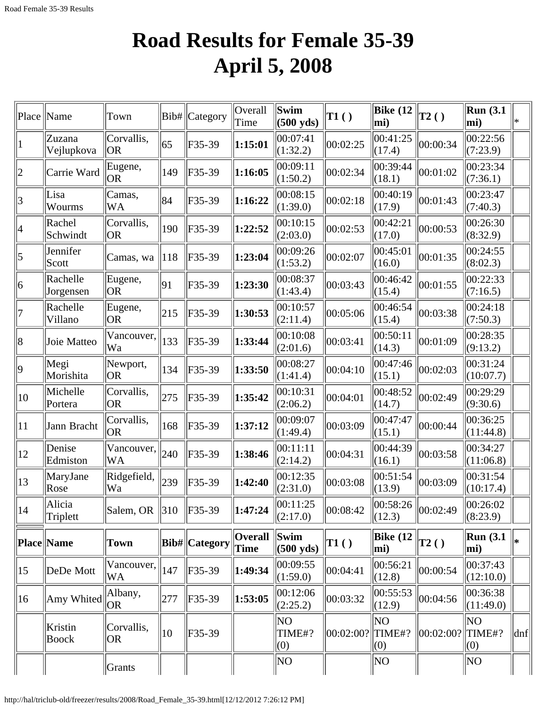# **Road Results for Female 35-39 April 5, 2008**

| Place        | Name                    | Town                                           | Bib#         | Category      | Overall<br>Time        | Swim<br>$(500 \text{ yds})$ | $\vert$ T1 $\left( \ \right)$ | Bike $(12)$<br>mi)       | $\mathbf{T2}()$ | Run(3.1)<br>mi)               | l∗                  |
|--------------|-------------------------|------------------------------------------------|--------------|---------------|------------------------|-----------------------------|-------------------------------|--------------------------|-----------------|-------------------------------|---------------------|
| $\vert$ 1    | Zuzana<br>Vejlupkova    | Corvallis,<br> OR                              | 65           | F35-39        | 1:15:01                | 00:07:41<br>(1:32.2)        | 00:02:25                      | 00:41:25<br>(17.4)       | 00:00:34        | 00:22:56<br>(7:23.9)          |                     |
| $ 2\rangle$  | Carrie Ward             | Eugene,<br> OR                                 | 149          | F35-39        | 1:16:05                | 00:09:11<br>(1:50.2)        | 00:02:34                      | 00:39:44<br>(18.1)       | 00:01:02        | 00:23:34<br>(7:36.1)          |                     |
| 3            | Lisa<br>Wourms          | Camas,<br>WA                                   | 84           | F35-39        | 1:16:22                | 00:08:15<br>(1:39.0)        | 00:02:18                      | 00:40:19<br>(17.9)       | 00:01:43        | 00:23:47<br>(7:40.3)          |                     |
| 4            | Rachel<br>Schwindt      | Corvallis,<br> OR                              | 190          | F35-39        | 1:22:52                | 00:10:15<br>(2:03.0)        | 00:02:53                      | 00:42:21<br>(17.0)       | 00:00:53        | 00:26:30<br>(8:32.9)          |                     |
| 5            | Jennifer<br>Scott       | Camas, wa                                      | 118          | $F35-39$      | 1:23:04                | 00:09:26<br>(1:53.2)        | 00:02:07                      | 00:45:01<br>(16.0)       | 00:01:35        | 00:24:55<br>(8:02.3)          |                     |
| 6            | Rachelle<br>Jorgensen   | Eugene,<br> OR                                 | 91           | F35-39        | 1:23:30                | 00:08:37<br>(1:43.4)        | 00:03:43                      | 00:46:42<br>(15.4)       | 00:01:55        | 00:22:33<br>(7:16.5)          |                     |
| 7            | Rachelle<br>Villano     | Eugene,<br>OR.                                 | 215          | F35-39        | 1:30:53                | 00:10:57<br>(2:11.4)        | 00:05:06                      | 00:46:54<br>(15.4)       | 00:03:38        | 00:24:18<br>(7:50.3)          |                     |
| 8            | Joie Matteo             | $\sqrt{\text{Vancouver}}, \parallel$ 133<br>Wa |              | F35-39        | 1:33:44                | 00:10:08<br>(2:01.6)        | 00:03:41                      | 00:50:11<br>(14.3)       | 00:01:09        | 00:28:35<br>(9:13.2)          |                     |
| $ 9\rangle$  | Megi<br>Morishita       | Newport,<br> OR                                | 134          | F35-39        | 1:33:50                | 00:08:27<br>(1:41.4)        | 00:04:10                      | 00:47:46<br>(15.1)       | 00:02:03        | 00:31:24<br>(10:07.7)         |                     |
| $ 10\rangle$ | Michelle<br>Portera     | Corvallis,<br> OR                              | 275          | F35-39        | 1:35:42                | 00:10:31<br>(2:06.2)        | 00:04:01                      | 00:48:52<br>(14.7)       | 00:02:49        | 00:29:29<br>(9:30.6)          |                     |
| $ 11\rangle$ | Jann Bracht             | Corvallis,<br><b>OR</b>                        | 168          | F35-39        | 1:37:12                | 00:09:07<br>(1:49.4)        | 00:03:09                      | 00:47:47<br>(15.1)       | 00:00:44        | 00:36:25<br>(11:44.8)         |                     |
| $ 12\rangle$ | Denise<br>Edmiston      | $\overline{\text{Vancouver}}, \ _{240}$<br>WA  |              | F35-39        | 1:38:46                | 00:11:11<br>(2:14.2)        | 00:04:31                      | 00:44:39<br>(16.1)       | 00:03:58        | 00:34:27<br>(11:06.8)         |                     |
| $ 13\rangle$ | MaryJane<br>Rose        | Ridgefield,<br> Wa                             | 239          | F35-39        | 1:42:40                | 00:12:35<br>(2:31.0)        | 00:03:08                      | 00:51:54<br>(13.9)       | 00:03:09        | 00:31:54<br>(10:17.4)         |                     |
| 14           | Alicia<br>Triplett      | Salem, OR $\parallel$ 310                      |              | F35-39        | 1:47:24                | 00:11:25<br>(2:17.0)        | 00:08:42                      | $\ 00:58:26\ $<br>(12.3) | 00:02:49        | $\sqrt{00:26:02}$<br>(8:23.9) |                     |
|              | <b>Place Name</b>       | Town                                           |              | Bib# Category | <b>Overall</b><br>Time | Swim<br>$(500 \text{ yds})$ | $\vert$ T1 $\left( \ \right)$ | <b>Bike (12</b><br>mi)   | T2()            | Run(3.1)<br>mi)               | ∥∗                  |
| $ 15\rangle$ | DeDe Mott               | $\overline{\text{Vancouver}}, \ _{147}$<br>WA  |              | F35-39        | 1:49:34                | 00:09:55<br>(1:59.0)        | 00:04:41                      | 00:56:21<br>(12.8)       | 00:00:54        | 00:37:43<br>(12:10.0)         |                     |
| $ 16\rangle$ | Amy Whited              | Albany,<br> OR                                 | 277          | $F35-39$      | 1:53:05                | 00:12:06<br>(2:25.2)        | 00:03:32                      | 00:55:53<br>(12.9)       | 00:04:56        | 00:36:38<br>(11:49.0)         |                     |
|              | Kristin<br><b>Boock</b> | Corvallis,<br> OR                              | $ 10\rangle$ | F35-39        |                        | ΝO<br>TIME#?<br>(0)         | 00:02:00?                     | NO<br>TIME#?<br>(0)      | 00:02:00?       | NO<br>TIME#?<br>(0)           | $\vert$ dnf $\vert$ |
|              |                         | Grants                                         |              |               |                        | NΟ                          |                               | NΟ                       |                 | NO                            |                     |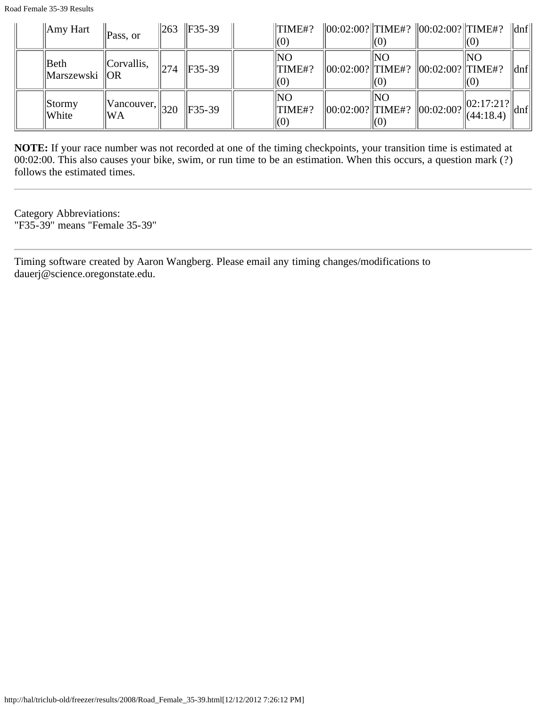| Amy Hart                  | Pass, or                            |     | $\ 263 \ $ F35-39 | $\Vert$ TIME#?                              |             | $\ 00:02:00?$ TIME#? $\ 00:02:00?$ TIME#?                         | KO.                             | $\ $ dnf                                                    |
|---------------------------|-------------------------------------|-----|-------------------|---------------------------------------------|-------------|-------------------------------------------------------------------|---------------------------------|-------------------------------------------------------------|
| Beth<br>  Marszewski   OR | Corvallis,                          | 274 | $IF35-39$         | <b>INO</b><br>$\Vert$ TIME#?<br>$\vert(0)$  | INO         | $\ 00:02:00?\ $ TIME#? $\ 00:02:00?\ $ TIME#?                     | INO<br>$\mathsf{I}(\mathsf{O})$ | dnf                                                         |
| Stormy<br>White           | $  Vancouver,  _{320}$<br><b>WA</b> |     | $\ $ F35-39       | <b>INO</b><br>$\Vert$ TIME#?<br>$\vert (U)$ | 'INO<br>IO) | $\ 00:02:00?$ TIME#? $\ 00:02:00?$ $\ _{(44:18.4)}^{(62.17,217)}$ | $  02:17:21?  $ .               | $\left\vert \left\vert \mathrm{dnf}\right\vert \right\vert$ |

Category Abbreviations: "F35-39" means "Female 35-39"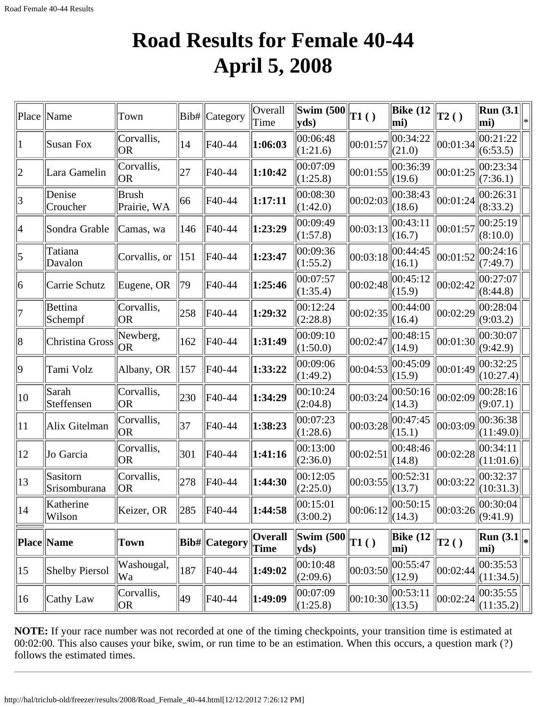#### **Road Results for Female 40-44 April 5, 2008**

| Place           | Name                     | Town                        | Bib# | Category       | Overall<br>Time        | <b>Swim (500</b><br>yds) | T1()         | Bike $(12)$<br>mi)                                       | T2()         | $\vert$ Run (3.1 $\vert$<br>mi)                                  |  |
|-----------------|--------------------------|-----------------------------|------|----------------|------------------------|--------------------------|--------------|----------------------------------------------------------|--------------|------------------------------------------------------------------|--|
| 1               | <b>Susan Fox</b>         | Corvallis,<br><b>OR</b>     | 14   | F40-44         | 1:06:03                | 00:06:48<br>(1:21.6)     | 00:01:57     | 00:34:22<br>(21.0)                                       | 00:01:34     | 00:21:22<br>(6:53.5)                                             |  |
| $ 2\rangle$     | Lara Gamelin             | Corvallis,<br><b>OR</b>     | 27   | F40-44         | 1:10:42                | 00:07:09<br>(1:25.8)     | 00:01:55     | 00:36:39<br>(19.6)                                       | 00:01:25     | 00:23:34<br>(7:36.1)                                             |  |
| 3               | Denise<br>Croucher       | <b>Brush</b><br>Prairie, WA | 66   | F40-44         | 1:17:11                | 00:08:30<br>(1:42.0)     | 00:02:03     | 00:38:43<br>(18.6)                                       | 00:01:24     | 00:26:31<br>(8:33.2)                                             |  |
| 4               | Sondra Grable            | Camas, wa                   | 146  | F40-44         | 1:23:29                | 00:09:49<br>(1:57.8)     | 00:03:13     | 00:43:11<br>(16.7)                                       | 00:01:57     | 00:25:19<br>(8:10.0)                                             |  |
| $\vert 5 \vert$ | Tatiana<br>Davalon       | Corvallis, or               | 151  | F40-44         | 1:23:47                | 00:09:36<br>(1:55.2)     | 00:03:18     | 00:44:45<br>(16.1)                                       | 00:01:52     | 00:24:16<br>(7:49.7)                                             |  |
| 6               | Carrie Schutz            | Eugene, OR                  | 79   | F40-44         | 1:25:46                | 00:07:57<br>(1:35.4)     | 00:02:48     | 00:45:12<br>(15.9)                                       | 00:02:42     | 00:27:07<br>(8:44.8)                                             |  |
| 17              | Bettina<br>Schempf       | Corvallis,<br><b>OR</b>     | 258  | F40-44         | 1:29:32                | 00:12:24<br>(2:28.8)     | 00:02:35     | 00:44:00<br>(16.4)                                       | 00:02:29     | 00:28:04<br>(9:03.2)                                             |  |
| 8               | Christina Gross          | Newberg,<br><b>OR</b>       | 162  | F40-44         | 1:31:49                | 00:09:10<br>(1:50.0)     | 00:02:47     | 00:48:15<br>(14.9)                                       | 00:01:30     | 00:30:07<br>(9:42.9)                                             |  |
| $ 9\rangle$     | Tami Volz                | Albany, OR                  | 157  | F40-44         | 1:33:22                | 00:09:06<br>(1:49.2)     | 00:04:53     | 00:45:09<br>(15.9)                                       | 00:01:49     | 00:32:25<br>(10:27.4)                                            |  |
| $ 10\rangle$    | Sarah<br>Steffensen      | Corvallis,<br><b>OR</b>     | 230  | F40-44         | 1:34:29                | 00:10:24<br>(2:04.8)     | 00:03:24     | 00:50:16<br>(14.3)                                       | 00:02:09     | 00:28:16<br>(9:07.1)                                             |  |
| 11              | Alix Gitelman            | Corvallis,<br><b>OR</b>     | 37   | F40-44         | 1:38:23                | 00:07:23<br>(1:28.6)     | 00:03:28     | 00:47:45<br>(15.1)                                       | 00:03:09     | 00:36:38<br>(11:49.0)                                            |  |
| 12              | Jo Garcia                | Corvallis,<br>OR            | 301  | F40-44         | 1:41:16                | 00:13:00<br>(2:36.0)     | 00:02:51     | 00:48:46<br>(14.8)                                       | 00:02:28     | 00:34:11<br>(11:01.6)                                            |  |
| $ 13\rangle$    | Sasitorn<br>Srisomburana | Corvallis,<br><b>OR</b>     | 278  | F40-44         | 1:44:30                | 00:12:05<br>(2:25.0)     | 00:03:55     | 00:52:31<br>(13.7)                                       | 00:03:22     | 00:32:37<br>(10:31.3)                                            |  |
| 14              | Katherine<br>Wilson      | Keizer, OR                  | 285  | F40-44         | 1:44:58                | 00:15:01<br>(3:00.2)     |              | $\left\  00:06:12 \right\ _{\infty}^{0.50:15}$<br>(14.3) |              | $\ 00:03:26\ _{\infty}^{00:30:04}$<br>(9:41.9)                   |  |
|                 | <b>Place Name</b>        | Town                        |      | Bib#  Category | <b>Overall</b><br>Time | <b>Swim (500</b><br>yds) | $\vert$ T1() | Bike $(12)$<br>mi)                                       | $\vert$ T2() | $\left\lceil \mathrm{Run}\left(3.1\right) \right\rceil_*$<br>mi) |  |
| $ 15\rangle$    | Shelby Piersol           | Washougal,<br>Wa            | 187  | F40-44         | 1:49:02                | 00:10:48<br>(2:09.6)     | 00:03:50     | 00:55:47<br>(12.9)                                       | 00:02:44     | 00:35:53<br>(11:34.5)                                            |  |
| 16              | Cathy Law                | Corvallis,<br> OR           | 49   | F40-44         | 1:49:09                | 00:07:09<br>(1:25.8)     | 00:10:30     | 00:53:11<br>$\Vert (13.5)$                               | 00:02:24     | 00:35:55<br>(11:35.2)                                            |  |

**NOTE:** If your race number was not recorded at one of the timing checkpoints, your transition time is estimated at 00:02:00. This also causes your bike, swim, or run time to be an estimation. When this occurs, a question mark (?) follows the estimated times.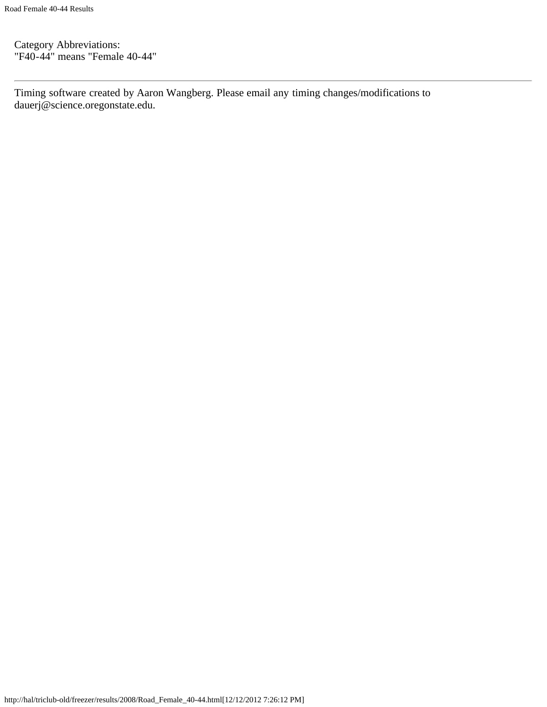Category Abbreviations: "F40-44" means "Female 40-44"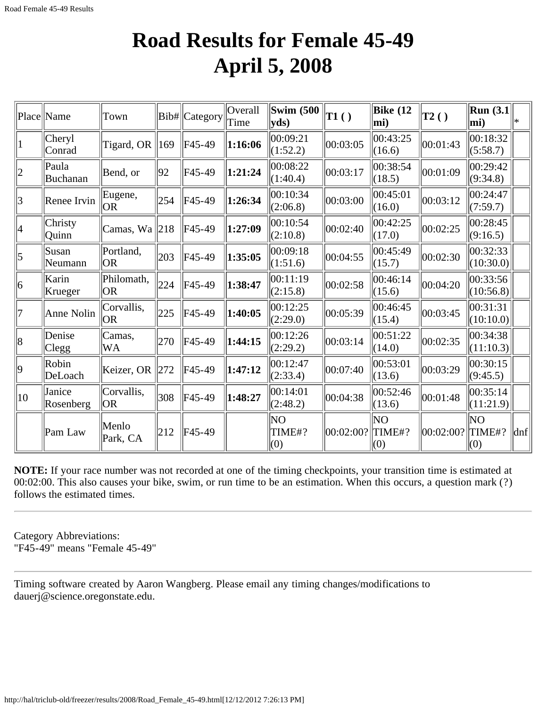### **Road Results for Female 45-49 April 5, 2008**

|                 | Place Name              | Town                       |     | Bib#   Category | Overall<br>Time | Swim $(500)$<br>yds  | $\vert$ T1() | Bike $(12)$<br>mi)  | $\vert$ T2() | Run $(3.1)$<br>$ mi$ ) | *                   |
|-----------------|-------------------------|----------------------------|-----|-----------------|-----------------|----------------------|--------------|---------------------|--------------|------------------------|---------------------|
|                 | Cheryl<br>Conrad        | Tigard, OR $\parallel$ 169 |     | F45-49          | 1:16:06         | 00:09:21<br>(1:52.2) | 00:03:05     | 00:43:25<br>(16.6)  | 00:01:43     | 00:18:32<br>(5:58.7)   |                     |
| $\overline{2}$  | Paula<br>Buchanan       | Bend, or                   | 92  | F45-49          | 1:21:24         | 00:08:22<br>(1:40.4) | 00:03:17     | 00:38:54<br>(18.5)  | 00:01:09     | 00:29:42<br>(9:34.8)   |                     |
| $\vert 3 \vert$ | Renee Irvin             | Eugene,<br><b>OR</b>       | 254 | F45-49          | 1:26:34         | 00:10:34<br>(2:06.8) | 00:03:00     | 00:45:01<br>(16.0)  | 00:03:12     | 00:24:47<br>(7:59.7)   |                     |
| 4               | Christy<br><b>Ouinn</b> | Camas, Wa 218              |     | F45-49          | 1:27:09         | 00:10:54<br>(2:10.8) | 00:02:40     | 00:42:25<br>(17.0)  | 00:02:25     | 00:28:45<br>(9:16.5)   |                     |
| $\vert 5 \vert$ | Susan<br>Neumann        | Portland,<br>lor           | 203 | F45-49          | 1:35:05         | 00:09:18<br>(1:51.6) | 00:04:55     | 00:45:49<br>(15.7)  | 00:02:30     | 00:32:33 <br>(10:30.0) |                     |
| 6               | Karin<br>Krueger        | Philomath,<br><b>OR</b>    | 224 | F45-49          | 1:38:47         | 00:11:19<br>(2:15.8) | 00:02:58     | 00:46:14<br>(15.6)  | 00:04:20     | 00:33:56 <br>(10:56.8) |                     |
| 17              | Anne Nolin              | Corvallis,<br><b>OR</b>    | 225 | F45-49          | 1:40:05         | 00:12:25<br>(2:29.0) | 00:05:39     | 00:46:45<br>(15.4)  | 00:03:45     | 00:31:31<br>(10:10.0)  |                     |
| 8               | Denise<br> Clegg        | Camas,<br><b>WA</b>        | 270 | F45-49          | 1:44:15         | 00:12:26<br>(2:29.2) | 00:03:14     | 00:51:22<br>(14.0)  | 00:02:35     | 00:34:38<br>(11:10.3)  |                     |
| $ 9\rangle$     | Robin<br>DeLoach        | Keizer, OR                 | 272 | F45-49          | 1:47:12         | 00:12:47<br>(2:33.4) | 00:07:40     | 00:53:01<br>(13.6)  | 00:03:29     | 00:30:15<br>(9:45.5)   |                     |
| $ 10\rangle$    | Janice<br>Rosenberg     | Corvallis,<br> OR          | 308 | F45-49          | 1:48:27         | 00:14:01<br>(2:48.2) | 00:04:38     | 00:52:46<br>(13.6)  | 00:01:48     | 00:35:14<br>(11:21.9)  |                     |
|                 | Pam Law                 | Menlo<br>Park, CA          | 212 | F45-49          |                 | ΝO<br>TIME#?<br>(0)  | 00:02:00?    | ΝO<br>TIME#?<br>(0) | 00:02:00?    | ΝO<br>TIME#?<br>(0)    | $\vert$ dnf $\vert$ |

**NOTE:** If your race number was not recorded at one of the timing checkpoints, your transition time is estimated at 00:02:00. This also causes your bike, swim, or run time to be an estimation. When this occurs, a question mark (?) follows the estimated times.

Category Abbreviations: "F45-49" means "Female 45-49"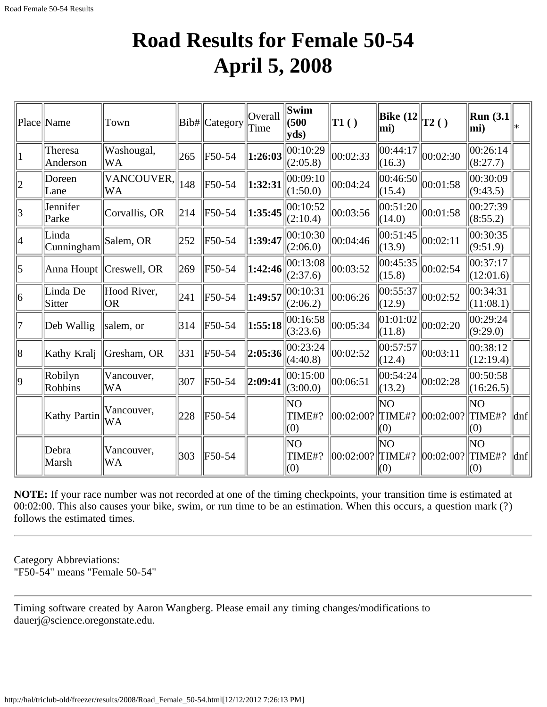### **Road Results for Female 50-54 April 5, 2008**

|             | Place  Name         | Town                      |     | Bib# Category | Overall<br>Time | Swim<br>(500)<br>yds) | T1()      | <b>Bike</b> (12<br>$ mi$ ) | T2()      | Run $(3.1)$<br>mi)    | l∗  |
|-------------|---------------------|---------------------------|-----|---------------|-----------------|-----------------------|-----------|----------------------------|-----------|-----------------------|-----|
|             | Theresa<br>Anderson | Washougal,<br>WA          | 265 | F50-54        | 1:26:03         | 00:10:29<br>(2:05.8)  | 00:02:33  | 00:44:17<br>(16.3)         | 00:02:30  | 00:26:14<br>(8:27.7)  |     |
|             | Doreen<br>Lane      | VANCOUVER,<br>WA          | 148 | F50-54        | 1:32:31         | 00:09:10<br>(1:50.0)  | 00:04:24  | 00:46:50<br>(15.4)         | 00:01:58  | 00:30:09<br>(9:43.5)  |     |
| 3           | Jennifer<br>Parke   | Corvallis, OR             | 214 | F50-54        | 1:35:45         | 00:10:52<br>(2:10.4)  | 00:03:56  | 00:51:20<br>(14.0)         | 00:01:58  | 00:27:39<br>(8:55.2)  |     |
| 4           | Linda<br>Cunningham | Salem, OR                 | 252 | F50-54        | 1:39:47         | 00:10:30<br>(2:06.0)  | 00:04:46  | 00:51:45<br>(13.9)         | 00:02:11  | 00:30:35<br>(9:51.9)  |     |
| 5           |                     | Anna Houpt   Creswell, OR | 269 | F50-54        | 1:42:46         | 00:13:08<br>(2:37.6)  | 00:03:52  | 00:45:35<br>(15.8)         | 00:02:54  | 00:37:17<br>(12:01.6) |     |
| 6           | Linda De<br>Sitter  | Hood River,<br> OR        | 241 | F50-54        | 1:49:57         | 00:10:31<br>(2:06.2)  | 00:06:26  | 00:55:37<br>(12.9)         | 00:02:52  | 00:34:31<br>(11:08.1) |     |
| 17          | Deb Wallig          | salem, or                 | 314 | F50-54        | 1:55:18         | 00:16:58<br>(3:23.6)  | 00:05:34  | 01:01:02<br>(11.8)         | 00:02:20  | 00:29:24<br>(9:29.0)  |     |
| 8           | Kathy Kralj         | Gresham, OR               | 331 | F50-54        | 2:05:36         | 00:23:24<br>(4:40.8)  | 00:02:52  | 00:57:57<br>(12.4)         | 00:03:11  | 00:38:12<br>(12:19.4) |     |
| $ 9\rangle$ | Robilyn<br>Robbins  | Vancouver,<br>WA          | 307 | F50-54        | 2:09:41         | 00:15:00<br>(3:00.0)  | 00:06:51  | 00:54:24<br>(13.2)         | 00:02:28  | 00:50:58<br>(16:26.5) |     |
|             | Kathy Partin        | Vancouver,<br>WA          | 228 | F50-54        |                 | NΟ<br>TIME#?<br>(0)   | 00:02:00? | ΝO<br>TIME#?<br>(0)        | 00:02:00? | ΝO<br>TIME#?<br>(0)   | dnf |
|             | Debra<br>Marsh      | Vancouver,<br>WA          | 303 | $F50-54$      |                 | ΝO<br>TIME#?<br>(0)   | 00:02:00? | lΝO<br>TIME#?<br>(0)       | 00:02:00? | ΝO<br>TIME#?<br>(0)   | dnf |

**NOTE:** If your race number was not recorded at one of the timing checkpoints, your transition time is estimated at 00:02:00. This also causes your bike, swim, or run time to be an estimation. When this occurs, a question mark (?) follows the estimated times.

Category Abbreviations: "F50-54" means "Female 50-54"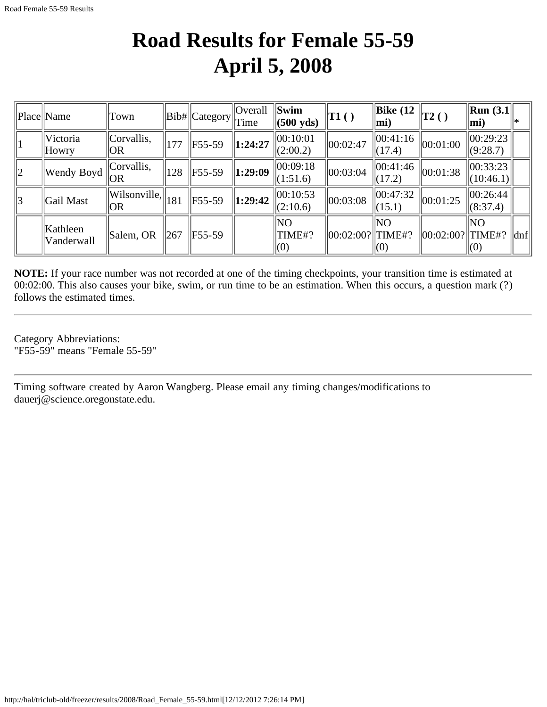## **Road Results for Female 55-59 April 5, 2008**

|             | Place Name               | T <sub>own</sub>                                |     | $  Bib#  $ Category | $\vert$ Overall<br>Time | Swim<br>$(500 \text{ yds})$ | $\ T1()$          | $\parallel$ Bike (12<br>$ \text{mi})$     | $\vert$ T2() | $\ $ Run (3.1 $\ $<br>$ \text{mi}\rangle$ |                             |
|-------------|--------------------------|-------------------------------------------------|-----|---------------------|-------------------------|-----------------------------|-------------------|-------------------------------------------|--------------|-------------------------------------------|-----------------------------|
|             | Victoria<br><b>Howry</b> | Corvallis,<br> OR                               | 177 | $F55-59$            | 1:24:27                 | 00:10:01<br>(2:00.2)        | 00:02:47          | 00:41:16<br>$\Vert (17.4)$                | 00:01:00     | 00:29:23<br>(9:28.7)                      |                             |
| $ 2\rangle$ | Wendy Boyd               | Corvallis,<br>$\overline{O}$ $\overline{OR}$    | 128 | F55-59              | 1:29:09                 | 00:09:18<br>(1:51.6)        | 00:03:04          | 00:41:46 <br>(17.2)                       | 00:01:38     | 00:33:23 <br>$\Vert (10:46.1) \Vert$      |                             |
| 3           | Gail Mast                | $\ \widehat{\text{Wilsonville}}\ _{181}$<br> OR |     | $F55-59$            | 1:29:42                 | 00:10:53<br>(2:10.6)        | 00:03:08          | 00:47:32<br>(15.1)                        | 00:01:25     | 00:26:44 <br>(8:37.4)                     |                             |
|             | Kathleen<br>Vanderwall   | Salem, OR                                       | 267 | F55-59              |                         | NO<br>TIME#?<br>$\vert(0)$  | 00:02:00?  TIME#? | $\overline{\text{NO}}$<br>$\parallel$ (0) | 00:02:00?    | NO<br>  TIME#?<br>$\parallel$ (O)         | $\left  \text{dnf} \right $ |

**NOTE:** If your race number was not recorded at one of the timing checkpoints, your transition time is estimated at 00:02:00. This also causes your bike, swim, or run time to be an estimation. When this occurs, a question mark (?) follows the estimated times.

Category Abbreviations: "F55-59" means "Female 55-59"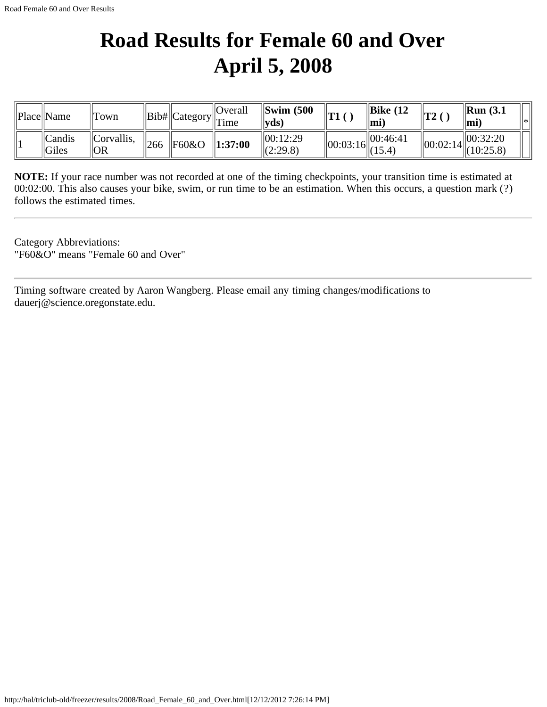# **Road Results for Female 60 and Over April 5, 2008**

| Place  Name                  | Town              |                 |       | <b>Overall</b><br>$\cdot$   Bib#  Category   $\overline{T}$ ime | $\left\Vert \text{Swim } (500 \right\Vert$<br>$\ {\bf y}{\bf d}{\bf s}\ $ | T1             | $\parallel$ Bike (12<br>mi | $ {\bf T2}$    | $\parallel$ Run (3.1)<br>⊪mi | ll∗k |
|------------------------------|-------------------|-----------------|-------|-----------------------------------------------------------------|---------------------------------------------------------------------------|----------------|----------------------------|----------------|------------------------------|------|
| $\vert$ Candis<br>$\ $ Giles | Corvallis <br> OR | $\frac{1}{266}$ | F60&O | $\ 1:37:00\ $                                                   | 100:12:29<br>$\ (2:29.8)$                                                 | $\ 00:03:16\ $ | 00:46:41                   | $\ 00:02:14\ $ | 00:32:20<br>$\ (10:25.8)$    |      |

**NOTE:** If your race number was not recorded at one of the timing checkpoints, your transition time is estimated at 00:02:00. This also causes your bike, swim, or run time to be an estimation. When this occurs, a question mark (?) follows the estimated times.

Category Abbreviations: "F60&O" means "Female 60 and Over"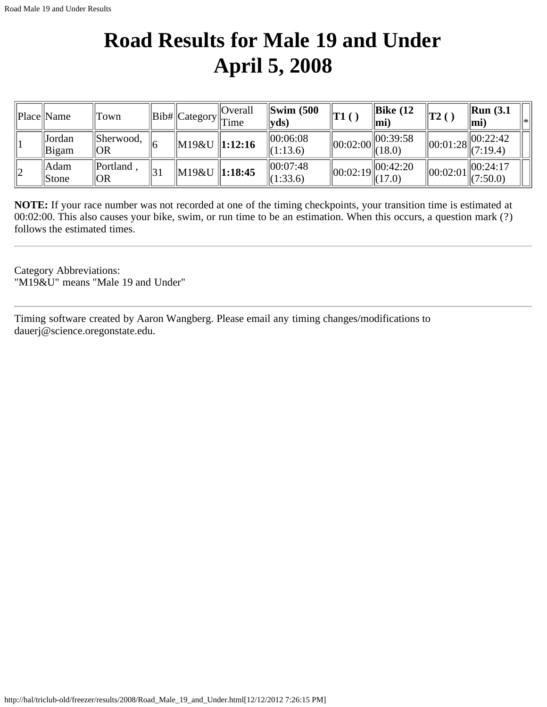# **Road Results for Male 19 and Under April 5, 2008**

|    | Place  Name     | Town                 |             |                         | Overall<br>$\ Bib\ $ Category $\ $ Time | $\left\Vert \text{Swim }$ (500<br>$ {\bf y} {\bf d} {\bf s} $ | $\vert$ T1 ( ) | $\parallel$ Bike (12<br>∥mi               | $\mathbf{T2}$ (                  | $\mathbf{Run}$ (3.1)<br>ll∗<br>$ mi$ ) |
|----|-----------------|----------------------|-------------|-------------------------|-----------------------------------------|---------------------------------------------------------------|----------------|-------------------------------------------|----------------------------------|----------------------------------------|
|    | Jordan<br>Bigam | $I$ Sherwood,<br> OR |             | $\ M19\&U\ 1:12:16$     |                                         | 00:06:08<br>(1:13.6)                                          |                | $\ 00:02:00\  00:39:58$<br>$\  (18.0)$    | $\parallel$ 00:01:28 $\parallel$ | 00:22:42<br>(7:19.4)                   |
| 12 | Adam<br>Stone   | Portland<br> OR      | $ 3\rangle$ | M19&U    <b>1:18:45</b> |                                         | 00:07:48<br>(1:33.6)                                          |                | $\ 00:02:19\  00:42:20$<br>$\Vert (17.0)$ | $\parallel$ 00:02:01 $\parallel$ | 00:24:17<br>(7:50.0)                   |

**NOTE:** If your race number was not recorded at one of the timing checkpoints, your transition time is estimated at 00:02:00. This also causes your bike, swim, or run time to be an estimation. When this occurs, a question mark (?) follows the estimated times.

Category Abbreviations: "M19&U" means "Male 19 and Under"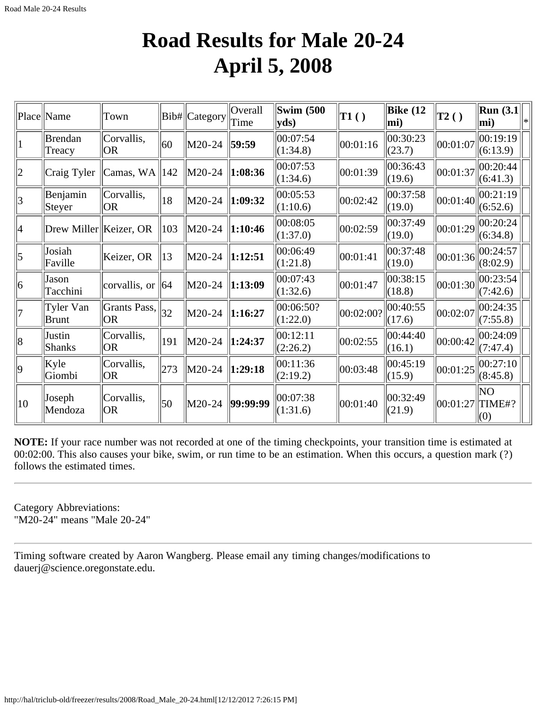### **Road Results for Male 20-24 April 5, 2008**

|                 | Place Name               | Town                        |               | Bib#  Category | Overall<br>Time | <b>Swim (500)</b><br>$ {\bf y}$ ds) | $\ T1()$  | <b>Bike</b> (12<br>mi) | $\ T_2\left(\right)\ $ | $\vert$ Run (3.1 $\vert$<br>mi) |  |
|-----------------|--------------------------|-----------------------------|---------------|----------------|-----------------|-------------------------------------|-----------|------------------------|------------------------|---------------------------------|--|
| 1               | <b>Brendan</b><br>Treacy | Corvallis,<br> OR           | 60            | M20-24         | 59:59           | 00:07:54<br>(1:34.8)                | 00:01:16  | 00:30:23<br>(23.7)     | 00:01:07               | 00:19:19<br>(6:13.9)            |  |
| $ 2\rangle$     | Craig Tyler              | Camas, $WA$   142           |               | M20-24         | $\ 1:08:36$     | 00:07:53<br>(1:34.6)                | 00:01:39  | 00:36:43<br>(19.6)     | 00:01:37               | 00:20:44<br>(6:41.3)            |  |
| $\vert 3 \vert$ | Benjamin<br>Steyer       | Corvallis,<br> OR           | $ 18\rangle$  | M20-24         | $\ 1:09:32\ $   | 00:05:53<br>(1:10.6)                | 00:02:42  | 00:37:58<br>(19.0)     | 00:01:40               | 00:21:19<br>(6:52.6)            |  |
| 4               | Drew Miller Keizer, OR   |                             | $ 103\rangle$ | M20-24         | $\ 1:10:46\ $   | 00:08:05<br>(1:37.0)                | 00:02:59  | 00:37:49<br>(19.0)     | 00:01:29               | 00:20:24<br>(6:34.8)            |  |
| $\overline{5}$  | Josiah<br>Faville        | Keizer, OR                  | $\vert$ 13    | $M20-24$       | $\ 1:12:51$     | 00:06:49<br>(1:21.8)                | 00:01:41  | 00:37:48<br>(19.0)     | 00:01:36               | 00:24:57<br>(8:02.9)            |  |
| 6               | Jason<br>Tacchini        | corvallis, or $\ 64\ $      |               | $M20-24$       | $\ 1:13:09\ $   | 00:07:43<br>(1:32.6)                | 00:01:47  | 00:38:15<br>(18.8)     | 00:01:30               | 00:23:54<br>(7:42.6)            |  |
| 17              | Tyler Van<br>Brunt       | Grants Pass, $\ $ 32<br> OR |               | M20-24         | $\ 1:16:27$     | 00:06:50?<br>(1:22.0)               | 00:02:00? | 00:40:55<br>(17.6)     | 00:02:07               | 00:24:35<br>(7:55.8)            |  |
| 8               | Justin<br><b>Shanks</b>  | Corvallis,<br> OR           | 191           | M20-24         | $\ 1:24:37$     | 00:12:11<br>(2:26.2)                | 00:02:55  | 00:44:40<br>(16.1)     | 00:00:42               | 00:24:09<br>(7:47.4)            |  |
| $ 9\rangle$     | Kyle<br>Giombi           | Corvallis,<br> OR           | 273           | M20-24         | $\ 1:29:18$     | 00:11:36<br>(2:19.2)                | 00:03:48  | 00:45:19<br>(15.9)     | 00:01:25               | 00:27:10<br>(8:45.8)            |  |
| $ 10\rangle$    | Joseph<br>Mendoza        | Corvallis,<br> OR           | 50            | $M20-24$       | 99:99:99        | 00:07:38<br>(1:31.6)                | 00:01:40  | 00:32:49<br>(21.9)     | $ 00:01:27 $ TIME#?    | lΝO<br>(0)                      |  |

**NOTE:** If your race number was not recorded at one of the timing checkpoints, your transition time is estimated at 00:02:00. This also causes your bike, swim, or run time to be an estimation. When this occurs, a question mark (?) follows the estimated times.

Category Abbreviations: "M20-24" means "Male 20-24"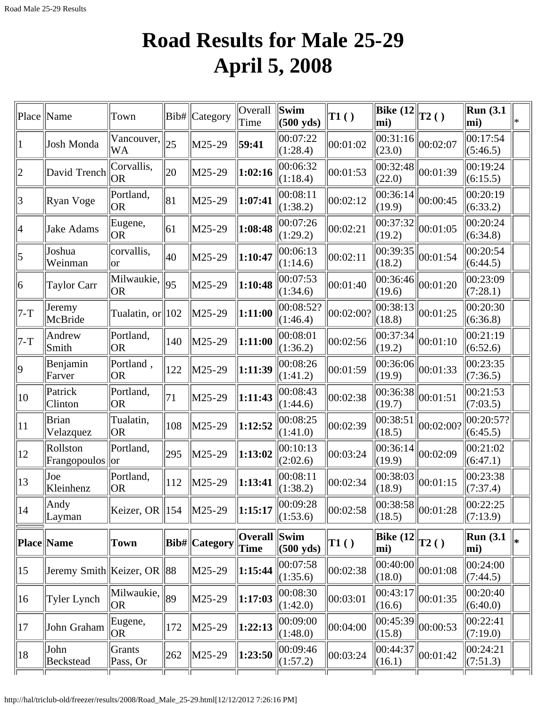# **Road Results for Male 25-29 April 5, 2008**

| Place           | Name                          | Town                                                 |     | Bib#   Category    | Overall<br>Time      | $\left\Vert \mathbf{Swim}\right\Vert$<br>$(500 \text{ yds})$ | $\vert$ T1 $()$               | Bike $(12)$<br>mi)                           | $\mathbf{T2}()$ | Run(3.1)<br>mi)       | l∗k |
|-----------------|-------------------------------|------------------------------------------------------|-----|--------------------|----------------------|--------------------------------------------------------------|-------------------------------|----------------------------------------------|-----------------|-----------------------|-----|
| 1               | Josh Monda                    | Vancouver,<br> WA                                    | 25  | M25-29             | 59:41                | 00:07:22<br>(1:28.4)                                         | 00:01:02                      | 00:31:16 <br>(23.0)                          | 00:02:07        | 00:17:54<br>(5:46.5)  |     |
| 2               | David Trench                  | Corvallis,<br> OR                                    | 20  | M25-29             | 1:02:16              | 00:06:32<br>(1:18.4)                                         | 00:01:53                      | 00:32:48 <br>(22.0)                          | 00:01:39        | 00:19:24<br>(6:15.5)  |     |
| 3               | Ryan Voge                     | Portland,<br> OR                                     | 81  | M25-29             | 1:07:41              | 00:08:11<br>(1:38.2)                                         | 00:02:12                      | 00:36:14<br>(19.9)                           | 00:00:45        | 00:20:19<br>(6:33.2)  |     |
| 4               | Jake Adams                    | Eugene,<br> OR                                       | 61  | M25-29             | 1:08:48              | 00:07:26<br>(1:29.2)                                         | 00:02:21                      | 00:37:32 <br>(19.2)                          | 00:01:05        | 00:20:24<br>(6:34.8)  |     |
| $\vert 5 \vert$ | Joshua<br>Weinman             | corvallis,<br> or                                    | 40  | M25-29             | 1:10:47              | 00:06:13<br>(1:14.6)                                         | 00:02:11                      | 00:39:35<br>(18.2)                           | 00:01:54        | 00:20:54<br>(6:44.5)  |     |
| 6               | <b>Taylor Carr</b>            | $\sqrt{\text{Milw}}$ aukie, $\sqrt{95}$<br><b>OR</b> |     | M25-29             | 1:10:48              | 00:07:53<br>(1:34.6)                                         | 00:01:40                      | 00:36:46 <br>(19.6)                          | 00:01:20        | 00:23:09<br>(7:28.1)  |     |
| 7-T             | Jeremy<br>McBride             | Tualatin, or $\parallel$ 102                         |     | M25-29             | 1:11:00              | 00:08:52?<br>(1:46.4)                                        | 00:02:00?                     | 00:38:13<br>(18.8)                           | 00:01:25        | 00:20:30<br>(6:36.8)  |     |
| $7-T$           | Andrew<br>Smith               | Portland,<br> OR                                     | 140 | M25-29             | 1:11:00              | 00:08:01<br>(1:36.2)                                         | 00:02:56                      | 00:37:34 <br>(19.2)                          | 00:01:10        | 00:21:19<br>(6:52.6)  |     |
| $ 9\rangle$     | Benjamin<br>Farver            | Portland,<br> OR                                     | 122 | M25-29             | 1:11:39              | 00:08:26<br> (1:41.2)                                        | 00:01:59                      | 00:36:06 <br>(19.9)                          | 00:01:33        | 00:23:35<br>(7:36.5)  |     |
| $ 10\rangle$    | Patrick<br>Clinton            | Portland,<br><b>OR</b>                               | 71  | M25-29             | 1:11:43              | 00:08:43<br>(1:44.6)                                         | 00:02:38                      | 00:36:38<br>(19.7)                           | 00:01:51        | 00:21:53<br>(7:03.5)  |     |
| $ 11\rangle$    | Brian<br>Velazquez            | Tualatin,<br> OR                                     | 108 | M25-29             | 1:12:52              | 00:08:25<br>(1:41.0)                                         | 00:02:39                      | 00:38:51<br>(18.5)                           | 00:02:00?       | 00:20:57?<br>(6:45.5) |     |
| $ 12\rangle$    | Rollston<br>Frangopoulos   or | Portland,                                            | 295 | M25-29             | 1:13:02              | 00:10:13<br>(2:02.6)                                         | 00:03:24                      | 00:36:14 <br>(19.9)                          | 00:02:09        | 00:21:02<br>(6:47.1)  |     |
| $ 13\rangle$    | Joe<br>Kleinhenz              | Portland,<br> OR                                     | 112 | M25-29             | 1:13:41              | 00:08:11<br>(1:38.2)                                         | 00:02:34                      | 00:38:03<br>(18.9)                           | 00:01:15        | 00:23:38<br>(7:37.4)  |     |
| 14              | $\parallel$ Andy<br>Layman    | Keizer, OR $\parallel$ 154                           |     | $\parallel$ M25-29 | 1:15:17              | 00:09:28<br>(1:53.6)                                         | 00:02:58                      | $\overline{ 00:}38:58 _{00:01:28}$<br>(18.5) |                 | 00:22:25<br>(7:13.9)  |     |
|                 | Place Name                    | Town                                                 |     | Bib#  Category     | Overall Swim<br>Time | $(500 \text{ yds})$                                          | $\vert$ T1 $\left( \ \right)$ | <b>Bike</b> (12<br>$ \text{mi}\rangle$       | T2()            | Run(3.1)<br>mi)       | l∗  |
| $ 15\rangle$    | Jeremy Smith Keizer, OR 88    |                                                      |     | M25-29             | 1:15:44              | 00:07:58<br>(1:35.6)                                         | 00:02:38                      | 00:40:00<br>(18.0)                           | 00:01:08        | 00:24:00<br>(7:44.5)  |     |
| $ 16\rangle$    | <b>Tyler Lynch</b>            | $\sqrt{\text{Milwaukie}}, \sqrt{\text{89}}$<br> OR   |     | M25-29             | 1:17:03              | 00:08:30<br>(1:42.0)                                         | 00:03:01                      | 00:43:17 <br>(16.6)                          | 00:01:35        | 00:20:40<br>(6:40.0)  |     |
| 17              | John Graham                   | Eugene,<br> OR                                       | 172 | M25-29             | 1:22:13              | 00:09:00<br>(1:48.0)                                         | 00:04:00                      | 00:45:39 <br>(15.8)                          | 00:00:53        | 00:22:41<br>(7:19.0)  |     |
| 18              | John<br><b>Beckstead</b>      | Grants<br>Pass, Or                                   | 262 | $\vert$ M25-29     | 1:23:50              | 00:09:46<br>(1:57.2)                                         | 00:03:24                      | 00:44:37<br>(16.1)                           | 00:01:42        | 00:24:21<br>(7:51.3)  |     |
|                 |                               |                                                      |     |                    |                      |                                                              |                               |                                              |                 |                       |     |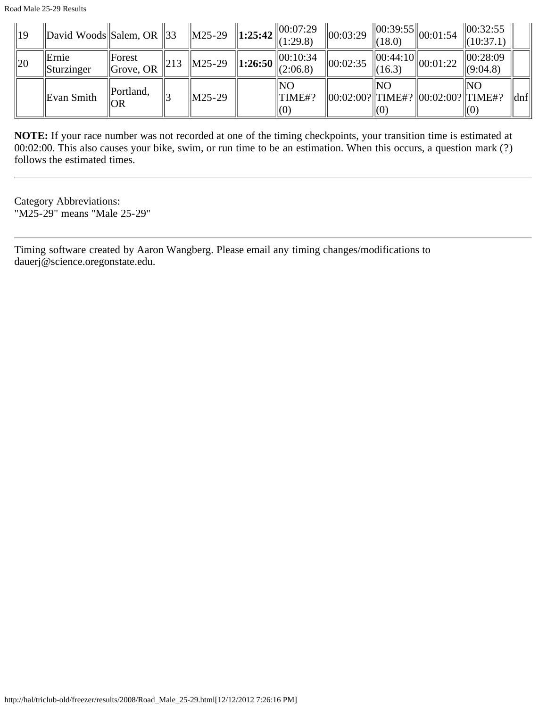| $\parallel$ 19 | $\Delta$ David Woods Salem, OR 33 |                                          |                 | $\ M25-29\ $       | 1:25:42 $\ 00:07:29$<br>(1:29.8)                                      | $\ 00:03:29\ $                        | (18.0)     | $\sim$ $\ 00:39:55\ _{00:01:54}$            | 00:32:55 <br>(10:37.1)          |                             |
|----------------|-----------------------------------|------------------------------------------|-----------------|--------------------|-----------------------------------------------------------------------|---------------------------------------|------------|---------------------------------------------|---------------------------------|-----------------------------|
| $\parallel$ 20 | Ernie<br>Sturzinger               | <b>  Forest</b><br>$\parallel$ Grove, OR | $\parallel$ 213 | $\vert$ M25-29     | <b>1:26:50</b>   00:10:34<br>   <b>1:26:50</b>    <sub>(2:06.8)</sub> | $\ 00:02:35$                          | (16.3)     | $\sim$ $\ 0\overline{0:44:}10\ _{00:01:22}$ | 00:28:09<br> (9:04.8)           |                             |
|                | Evan Smith                        | Portland,<br>  OR                        |                 | $\parallel$ M25-29 | INO<br>TIME#?<br>(0)                                                  | 00:02:00?  TIME#?   00:02:00?  TIME#? | INO<br>(0) |                                             | INO<br>$\mathsf{I}(\mathsf{U})$ | $\left  \text{dnf} \right $ |

**NOTE:** If your race number was not recorded at one of the timing checkpoints, your transition time is estimated at 00:02:00. This also causes your bike, swim, or run time to be an estimation. When this occurs, a question mark (?) follows the estimated times.

Category Abbreviations: "M25-29" means "Male 25-29"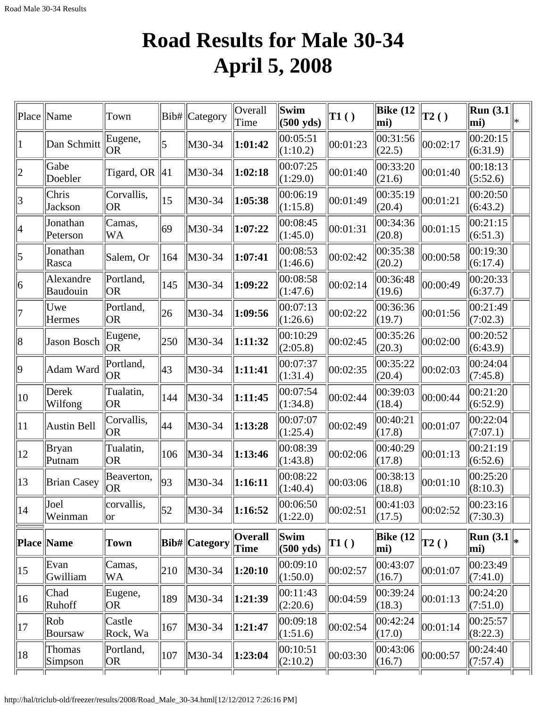# **Road Results for Male 30-34 April 5, 2008**

|                | Place   Name                        | Town                          | Bib#           | Category             | Overall<br>Time        | Swim<br>$(500 \text{ yds})$      | $\vert$ T1 $()$ | <b>Bike</b> (12<br>$ mi$ ) | $\mathbf{T2}()$ | Run $(3.1)$<br>mi)                | l∗k |
|----------------|-------------------------------------|-------------------------------|----------------|----------------------|------------------------|----------------------------------|-----------------|----------------------------|-----------------|-----------------------------------|-----|
| 1              | Dan Schmitt                         | Eugene,<br> OR                | 5              | M30-34               | 1:01:42                | 00:05:51<br>(1:10.2)             | 00:01:23        | 00:31:56<br>(22.5)         | 00:02:17        | 00:20:15<br>(6:31.9)              |     |
| $\overline{2}$ | Gabe<br>Doebler                     | Tigard, OR                    | $\parallel$ 41 | M30-34               | 1:02:18                | 00:07:25<br>(1:29.0)             | 00:01:40        | 00:33:20<br>(21.6)         | 00:01:40        | 00:18:13<br>(5:52.6)              |     |
| 3              | Chris<br>Jackson                    | Corvallis,<br> OR             | 15             | M30-34               | 1:05:38                | 00:06:19<br>(1:15.8)             | 00:01:49        | 00:35:19<br>(20.4)         | 00:01:21        | 00:20:50 <br>(6:43.2)             |     |
| 4              | Jonathan<br>Peterson                | Camas,<br>WA                  | 69             | M30-34               | 1:07:22                | 00:08:45<br>(1:45.0)             | 00:01:31        | 00:34:36<br>(20.8)         | 00:01:15        | 00:21:15<br>(6:51.3)              |     |
| 5              | Jonathan<br>Rasca                   | Salem, Or                     | 164            | M30-34               | 1:07:41                | 00:08:53<br>$\Vert(1:46.6)\Vert$ | 00:02:42        | 00:35:38<br>(20.2)         | 00:00:58        | 00:19:30<br>(6:17.4)              |     |
| 6              | Alexandre<br>Baudouin               | Portland,<br>OR <sub>1</sub>  | 145            | M30-34               | 1:09:22                | 00:08:58<br>(1:47.6)             | 00:02:14        | 00:36:48<br>(19.6)         | 00:00:49        | 00:20:33<br>(6:37.7)              |     |
| 7              | Uwe<br>Hermes                       | Portland,<br>OR.              | 26             | M30-34               | 1:09:56                | 00:07:13<br>(1:26.6)             | 00:02:22        | 00:36:36<br>(19.7)         | 00:01:56        | 00:21:49<br>(7:02.3)              |     |
| 8              | Jason Bosch                         | Eugene,<br> OR                | 250            | M30-34               | 1:11:32                | 00:10:29<br>(2:05.8)             | 00:02:45        | 00:35:26<br>(20.3)         | 00:02:00        | 00:20:52<br>(6:43.9)              |     |
| $ 9\rangle$    | Adam Ward                           | Portland,<br> OR              | $ 43\rangle$   | M30-34               | 1:11:41                | 00:07:37<br> (1:31.4)            | 00:02:35        | 00:35:22<br>(20.4)         | 00:02:03        | 00:24:04<br>(7:45.8)              |     |
| 10             | Derek<br>Wilfong                    | Tualatin,<br> OR              | 144            | M30-34               | 1:11:45                | 00:07:54<br>(1:34.8)             | 00:02:44        | 00:39:03<br>(18.4)         | 00:00:44        | 00:21:20 <br>(6:52.9)             |     |
| 11             | Austin Bell                         | Corvallis,<br> OR             | 44             | M30-34               | 1:13:28                | 00:07:07<br>(1:25.4)             | 00:02:49        | 00:40:21<br>(17.8)         | 00:01:07        | 00:22:04<br>(7:07.1)              |     |
| 12             | Bryan<br>Putnam                     | Tualatin,<br> OR              | 106            | M30-34               | 1:13:46                | 00:08:39<br>(1:43.8)             | 00:02:06        | 00:40:29<br>(17.8)         | 00:01:13        | 00:21:19<br>(6:52.6)              |     |
| 13             | <b>Brian Casey</b>                  | Beaverton,<br>OR <sub>1</sub> | 93             | M30-34               | 1:16:11                | 00:08:22<br> (1:40.4)            | 00:03:06        | 00:38:13<br>(18.8)         | 00:01:10        | 00:25:20<br>(8:10.3)              |     |
| 14             | Joel<br>Weinman                     | corvallis,<br>lor             | $\vert$ 52     | M30-34               | $\ 1:16:52$            | 00:06:50<br>(1:22.0)             | 00:02:51        | 00:41:03<br>(17.5)         | 00:02:52        | 00:23:16 <br>(7:30.3)             |     |
|                | Place Name                          | Town                          |                | <b>Bib#</b> Category | <b>Overall</b><br>Time | Swim<br>$\parallel$ (500 yds)    | TI( )           | Bike $(12)$<br>mi)         | $\mathbf{T2}()$ | $\Vert$ Run (3.1 $\Vert_*$<br>mi) |     |
| 15             | Evan<br>Gwilliam                    | Camas,<br>WA                  | 210            | M30-34               | 1:20:10                | 00:09:10<br>(1:50.0)             | 00:02:57        | 00:43:07<br>(16.7)         | 00:01:07        | $ 00:23:49\rangle$<br>(7:41.0)    |     |
| $ 16\rangle$   | Chad<br>Ruhoff                      | Eugene,<br> OR                | 189            | M30-34               | 1:21:39                | 00:11:43<br> (2:20.6)            | 00:04:59        | 00:39:24<br>(18.3)         | 00:01:13        | 00:24:20 <br>(7:51.0)             |     |
| 17             | $\vert \text{Rob} \vert$<br>Boursaw | Castle<br>Rock, Wa            | 167            | M30-34               | 1:21:47                | 00:09:18<br>(1:51.6)             | 00:02:54        | 00:42:24<br>(17.0)         | 00:01:14        | 00:25:57<br>(8:22.3)              |     |
| 18             | Thomas<br>Simpson                   | Portland,<br>OR <sub>1</sub>  | 107            | M30-34               | 1:23:04                | 00:10:51<br>(2:10.2)             | 00:03:30        | 00:43:06<br>(16.7)         | 00:00:57        | 00:24:40<br>(7:57.4)              |     |
|                |                                     |                               |                |                      |                        |                                  |                 |                            |                 |                                   |     |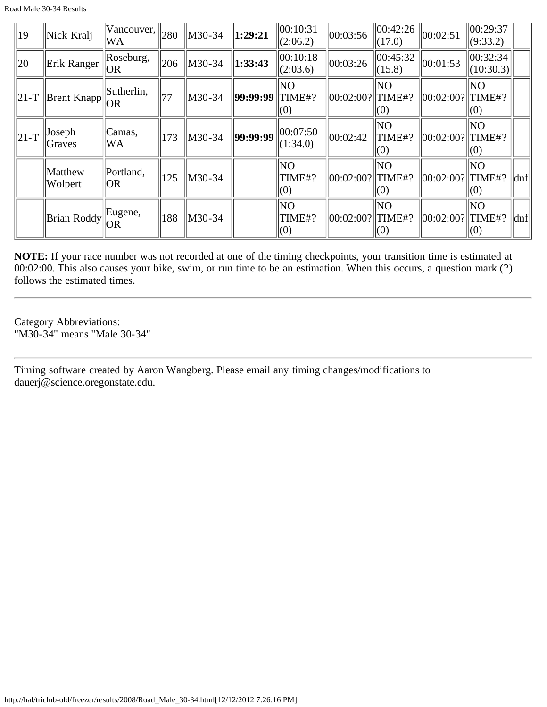| $ 19\rangle$ | Nick Kralj         | $\ $ Vancouver, $\ $ <sub>280</sub><br> WA |     | $\parallel$ M30-34 | 1:29:21  | 00:10:31<br>(2:06.2) | 00:03:56             | (17.0)               | $\ 00:42:26\ _{00:02:51}$ | $\ 00:29:37\ $<br>(9:33.2)   |     |
|--------------|--------------------|--------------------------------------------|-----|--------------------|----------|----------------------|----------------------|----------------------|---------------------------|------------------------------|-----|
| $ 20\rangle$ | Erik Ranger        | Roseburg,<br> OR                           | 206 | M30-34             | 1:33:43  | 00:10:18<br>(2:03.6) | 00:03:26             | 00:45:32<br>(15.8)   | 00:01:53                  | 00:32:34 <br>(10:30.3)       |     |
| $\ 21-T\ $   | Brent Knapp        | Sutherlin,<br> OR                          | 177 | $\ M30-34\ $       | 99:99:99 | ΝO<br>TIME#?<br>(0)  | 00:02:00?            | lΝO<br>TIME#?<br>(0) | 00:02:00?                 | NO.<br>$\Vert$ TIME#?<br>(0) |     |
| $\ 21-T\ $   | Joseph<br>Graves   | Camas,<br>IWA                              | 173 | M30-34             | 99:99:99 | 00:07:50<br>(1:34.0) | $ 00:02:42\rangle$   | NO<br>TIME#?<br>(0)  | 00:02:00?                 | NO<br>$\Vert$ TIME#?<br>(0)  |     |
|              | Matthew<br>Wolpert | Portland,<br> OR                           | 125 | M30-34             |          | NO<br>TIME#?<br>(0)  | 00:02:00?  TIME#?    | NO<br>(0)            | 00:02:00?                 | NO<br>TIME#?<br>(0)          | dnf |
|              | Brian Roddy        | Eugene,<br> OR                             | 188 | M30-34             |          | NO<br>TIME#?<br>(0)  | $ 00:02:00? $ TIME#? | NO<br>(0)            | 00:02:00?                 | lΝO<br>$\Vert$ TIME#?<br>(0) | dnf |

**NOTE:** If your race number was not recorded at one of the timing checkpoints, your transition time is estimated at 00:02:00. This also causes your bike, swim, or run time to be an estimation. When this occurs, a question mark (?) follows the estimated times.

Category Abbreviations: "M30-34" means "Male 30-34"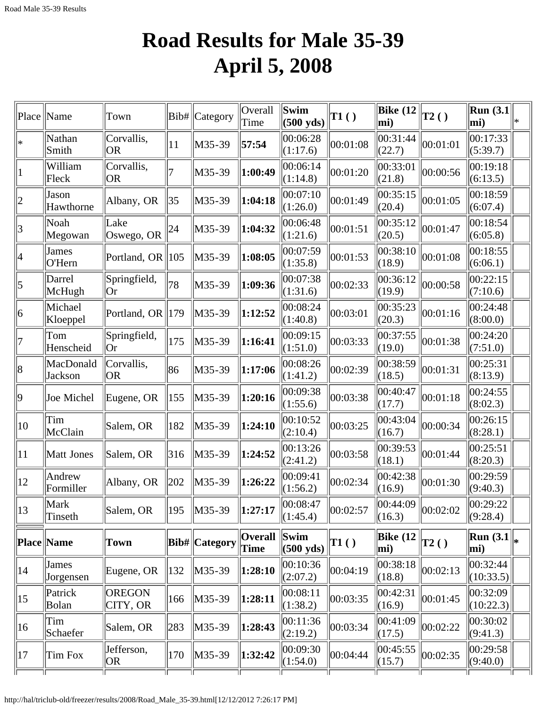# **Road Results for Male 35-39 April 5, 2008**

| Place                   | Name                 | Town                         |                 | Bib#   Category | Overall<br>Time        | Swim<br>$(500 \text{ yds})$ | T1()                          | <b>Bike (12</b><br>mi) | $\vert$ T2() | Run $(3.1)$<br>mi)              | * |
|-------------------------|----------------------|------------------------------|-----------------|-----------------|------------------------|-----------------------------|-------------------------------|------------------------|--------------|---------------------------------|---|
| $\ast$                  | Nathan<br>Smith      | Corvallis,<br> OR            | 11              | M35-39          | 57:54                  | 00:06:28<br>(1:17.6)        | 00:01:08                      | 00:31:44<br>(22.7)     | 00:01:01     | 00:17:33<br>(5:39.7)            |   |
|                         | William<br>Fleck     | Corvallis,<br> OR            | 17              | M35-39          | 1:00:49                | 00:06:14<br>(1:14.8)        | 00:01:20                      | 00:33:01<br>(21.8)     | 00:00:56     | 00:19:18<br>(6:13.5)            |   |
| $\overline{2}$          | Jason<br>Hawthorne   | Albany, OR                   | 35              | M35-39          | 1:04:18                | 00:07:10<br>(1:26.0)        | 00:01:49                      | 00:35:15<br>(20.4)     | 00:01:05     | 00:18:59<br>(6:07.4)            |   |
| $\overline{\mathbf{3}}$ | Noah<br>Megowan      | Lake<br>Oswego, OR           | 24              | M35-39          | 1:04:32                | 00:06:48<br>(1:21.6)        | 00:01:51                      | 00:35:12<br>(20.5)     | 00:01:47     | 00:18:54<br>(6:05.8)            |   |
| 4                       | James<br>O'Hern      | Portland, OR 105             |                 | M35-39          | 1:08:05                | 00:07:59<br>(1:35.8)        | 00:01:53                      | 00:38:10<br>(18.9)     | 00:01:08     | 00:18:55<br>(6:06.1)            |   |
| 5                       | Darrel<br>McHugh     | Springfield,<br> Or          | 78              | M35-39          | 1:09:36                | 00:07:38<br>(1:31.6)        | 00:02:33                      | 00:36:12<br>(19.9)     | 00:00:58     | 00:22:15<br>(7:10.6)            |   |
| 6                       | Michael<br>Kloeppel  | Portland, OR $\parallel$ 179 |                 | M35-39          | 1:12:52                | 00:08:24<br>(1:40.8)        | 00:03:01                      | 00:35:23<br>(20.3)     | 00:01:16     | 00:24:48<br>(8:00.0)            |   |
| 7                       | Tom<br>Henscheid     | Springfield,<br> Or          | 175             | M35-39          | 1:16:41                | 00:09:15<br>(1:51.0)        | 00:03:33                      | 00:37:55<br>(19.0)     | 00:01:38     | 00:24:20<br>(7:51.0)            |   |
| 8                       | MacDonald<br>Jackson | Corvallis,<br> OR            | 86              | M35-39          | 1:17:06                | 00:08:26<br>(1:41.2)        | 00:02:39                      | 00:38:59<br>(18.5)     | 00:01:31     | 00:25:31<br>(8:13.9)            |   |
| $ 9\rangle$             | Joe Michel           | Eugene, OR                   | 155             | M35-39          | 1:20:16                | 00:09:38<br>(1:55.6)        | 00:03:38                      | 00:40:47<br>(17.7)     | 00:01:18     | 00:24:55<br>(8:02.3)            |   |
| $ 10\rangle$            | Tim<br>McClain       | Salem, OR                    | 182             | M35-39          | 1:24:10                | 00:10:52<br>(2:10.4)        | 00:03:25                      | 00:43:04<br>(16.7)     | 00:00:34     | 00:26:15<br>(8:28.1)            |   |
| 11                      | Matt Jones           | Salem, OR                    | 316             | M35-39          | 1:24:52                | 00:13:26<br>(2:41.2)        | 00:03:58                      | 00:39:53<br>(18.1)     | 00:01:44     | 00:25:51<br>(8:20.3)            |   |
| 12                      | Andrew<br>Formiller  | Albany, OR                   | 202             | M35-39          | 1:26:22                | 00:09:41<br>(1:56.2)        | 00:02:34                      | 00:42:38<br>(16.9)     | 00:01:30     | 00:29:59<br>(9:40.3)            |   |
| 13                      | Mark<br>Tinseth      | Salem, OR                    | 195             | M35-39          | 1:27:17                | 00:08:47<br>(1:45.4)        | 00:02:57                      | 00:44:09<br>(16.3)     | 00:02:02     | 00:29:22 <br>(9:28.4)           |   |
|                         | <b>Place Name</b>    | <b>Town</b>                  |                 | Bib#  Category  | <b>Overall</b><br>Time | Swim<br>$(500 \text{ yds})$ | $\vert$ T1 $\left( \ \right)$ | Bike $(12)$<br>mi)     | $\vert$ T2() | <b>Run</b> $(3.1)$<br>mi)       |   |
| 14                      | James<br>Jorgensen   | Eugene, OR                   | $\parallel$ 132 | M35-39          | 1:28:10                | 00:10:36<br>(2:07.2)        | 00:04:19                      | 00:38:18<br>(18.8)     | 00:02:13     | 00:32:44 <br>(10:33.5)          |   |
| $ 15\rangle$            | Patrick<br>Bolan     | <b>OREGON</b><br>CITY, OR    | 166             | M35-39          | 1:28:11                | 00:08:11<br>(1:38.2)        | 00:03:35                      | 00:42:31<br>(16.9)     | 00:01:45     | $ 00:32:09\rangle$<br>(10:22.3) |   |
| $ 16\rangle$            | Tim<br>Schaefer      | Salem, OR                    | 283             | M35-39          | 1:28:43                | 00:11:36<br>(2:19.2)        | 00:03:34                      | 00:41:09<br>(17.5)     | 00:02:22     | 00:30:02<br>(9:41.3)            |   |
| 17                      | Tim Fox              | Jefferson,<br> OR            | $ 170\rangle$   | $ M35-39 $      | 1:32:42                | 00:09:30<br>(1:54.0)        | 00:04:44                      | 00:45:55<br>(15.7)     | 00:02:35     | 00:29:58<br>(9:40.0)            |   |
|                         |                      |                              |                 |                 |                        |                             |                               |                        |              |                                 |   |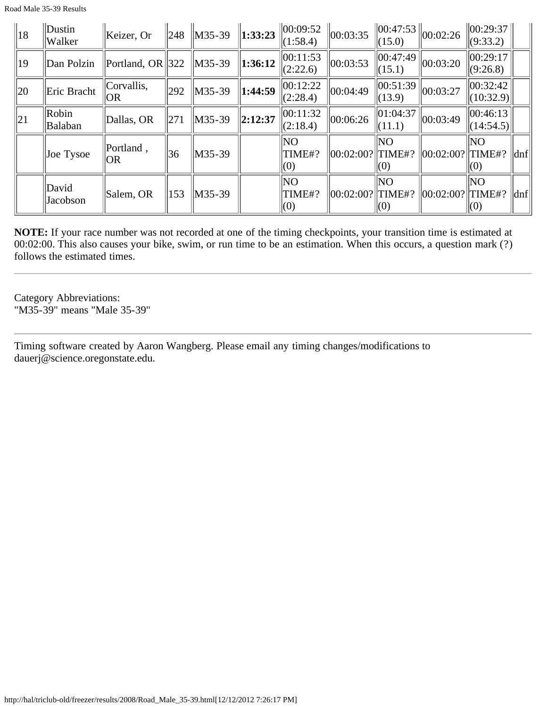Road Male 35-39 Results

| $\parallel$ 18 | Dustin<br>Walker  | Keizer, Or           |     | $\ 248\ $ M35-39   | $\ 1:33:23\ $       | $\ 00:09:52\ $<br>(1:58.4) | 00:03:35             | (15.0)                        | $\left\  00:47:53 \right\  00:02:26$ | $\ 00:29:37\ $<br>(9:33.2) |          |
|----------------|-------------------|----------------------|-----|--------------------|---------------------|----------------------------|----------------------|-------------------------------|--------------------------------------|----------------------------|----------|
| $ 19\rangle$   | Dan Polzin        | Portland, OR $ 322 $ |     | $\parallel$ M35-39 | 1:36:12             | 00:11:53<br>(2:22.6)       | 00:03:53             | 00:47:49<br>(15.1)            | $\ 00:03:20\ $                       | 00:29:17<br>(9:26.8)       |          |
| $ 20\rangle$   | Eric Bracht       | Corvallis,<br> OR    | 292 | $\ M35-39\ $       | $\parallel$ 1:44:59 | 00:12:22<br>(2:28.4)       | 00:04:49             | 00:51:39<br>(13.9)            | $\ 00:03:27$                         | 00:32:42 <br>(10:32.9)     |          |
| $\parallel$ 21 | Robin<br>Balaban  | Dallas, OR           | 271 | $\parallel$ M35-39 | $\ 2:12:37\ $       | 00:11:32<br>(2:18.4)       | 00:06:26             | $\ 01:04:37$<br>(11.1)        | $\ 00:03:49$                         | 00:46:13 <br>(14:54.5)     |          |
|                | Joe Tysoe         | Portland,<br>OR      | 36  | M35-39             |                     | NO.<br>TIME#?<br>(0)       | $ 00:02:00? $ TIME#? | <b>NO</b><br>(0)              | $  00:02:00?  $ TIME#?               | NO.<br>$\vert(0)$          | $\ $ dnf |
|                | David<br>Jacobson | Salem, OR            | 153 | $\parallel$ M35-39 |                     | <b>NO</b><br>TIME#?<br>(0) | 00:02:00?  TIME#?    | $\overline{\text{NO}}$<br>(0) | 00:02:00?                            | NO<br>TIME#?<br>(0)        | dnf      |

**NOTE:** If your race number was not recorded at one of the timing checkpoints, your transition time is estimated at 00:02:00. This also causes your bike, swim, or run time to be an estimation. When this occurs, a question mark (?) follows the estimated times.

Category Abbreviations: "M35-39" means "Male 35-39"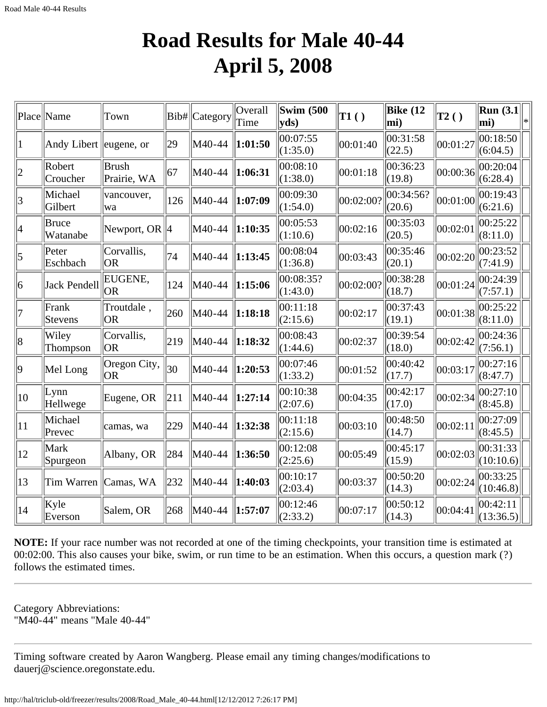### **Road Results for Male 40-44 April 5, 2008**

|              | Place  Name             | Town                        |     | Bib# Category | Overall<br>Time | Swim $(500)$<br>$ {\bf v} {\bf d} s)$ | $\mathbf{T1}()$ | Bike $(12)$<br>mi)  | $\vert$ T2() | Run(3.1)<br>mi)       | l* |
|--------------|-------------------------|-----------------------------|-----|---------------|-----------------|---------------------------------------|-----------------|---------------------|--------------|-----------------------|----|
| 11           | Andy Libert leugene, or |                             | 29  | M40-44        | 1:01:50         | 00:07:55<br>(1:35.0)                  | 00:01:40        | 00:31:58<br>(22.5)  | 00:01:27     | 00:18:50<br>(6:04.5)  |    |
| 2            | Robert<br>Croucher      | <b>Brush</b><br>Prairie, WA | 67  | M40-44        | 1:06:31         | 00:08:10<br>(1:38.0)                  | 00:01:18        | 00:36:23<br>(19.8)  | 00:00:36     | 00:20:04<br>(6:28.4)  |    |
| 3            | Michael<br>Gilbert      | vancouver,<br>wa            | 126 | M40-44        | 1:07:09         | 00:09:30<br>(1:54.0)                  | 00:02:00?       | 00:34:56?<br>(20.6) | 00:01:00     | 00:19:43<br>(6:21.6)  |    |
| 4            | Bruce<br>Watanabe       | Newport, OR $\parallel$ 4   |     | M40-44        | 1:10:35         | 00:05:53<br>(1:10.6)                  | 00:02:16        | 00:35:03<br>(20.5)  | 00:02:01     | 00:25:22<br>(8:11.0)  |    |
| 5            | Peter<br>Eschbach       | Corvallis,<br><b>OR</b>     | 74  | M40-44        | 1:13:45         | 00:08:04<br>(1:36.8)                  | 00:03:43        | 00:35:46<br>(20.1)  | 00:02:20     | 00:23:52<br>(7:41.9)  |    |
| 6            | Jack Pendell            | EUGENE,<br> OR              | 124 | M40-44        | 1:15:06         | 00:08:35?<br>(1:43.0)                 | 00:02:00?       | 00:38:28<br>(18.7)  | 00:01:24     | 00:24:39<br>(7:57.1)  |    |
| 17           | Frank<br>Stevens        | Troutdale,<br>OR            | 260 | M40-44        | 1:18:18         | 00:11:18<br>(2:15.6)                  | 00:02:17        | 00:37:43<br>(19.1)  | 00:01:38     | 00:25:22<br>(8:11.0)  |    |
| 8            | Wiley<br>Thompson       | Corvallis,<br><b>OR</b>     | 219 | M40-44        | 1:18:32         | 00:08:43<br>(1:44.6)                  | 00:02:37        | 00:39:54<br>(18.0)  | 00:02:42     | 00:24:36<br>(7:56.1)  |    |
| $ 9\rangle$  | Mel Long                | Oregon City,<br><b>OR</b>   | 30  | M40-44        | 1:20:53         | 00:07:46<br>(1:33.2)                  | 00:01:52        | 00:40:42<br>(17.7)  | 00:03:17     | 00:27:16<br>(8:47.7)  |    |
| 10           | Lynn<br>Hellwege        | Eugene, OR                  | 211 | M40-44        | 1:27:14         | 00:10:38<br>(2:07.6)                  | 00:04:35        | 00:42:17<br>(17.0)  | 00:02:34     | 00:27:10<br>(8:45.8)  |    |
| $ 11\rangle$ | Michael<br>Prevec       | camas, wa                   | 229 | M40-44        | 1:32:38         | 00:11:18<br>(2:15.6)                  | 00:03:10        | 00:48:50<br>(14.7)  | 00:02:11     | 00:27:09<br>(8:45.5)  |    |
| $ 12\rangle$ | Mark<br>Spurgeon        | Albany, OR                  | 284 | M40-44        | 1:36:50         | 00:12:08<br>(2:25.6)                  | 00:05:49        | 00:45:17<br>(15.9)  | 00:02:03     | 00:31:33<br>(10:10.6) |    |
| $ 13\rangle$ | Tim Warren              | Camas, WA                   | 232 | M40-44        | 1:40:03         | 00:10:17<br>(2:03.4)                  | 00:03:37        | 00:50:20<br>(14.3)  | 00:02:24     | 00:33:25<br>(10:46.8) |    |
| $ 14\rangle$ | Kyle<br>Everson         | Salem, OR                   | 268 | M40-44        | 1:57:07         | 00:12:46<br>(2:33.2)                  | 00:07:17        | 00:50:12<br>(14.3)  | 00:04:41     | 00:42:11<br>(13:36.5) |    |

**NOTE:** If your race number was not recorded at one of the timing checkpoints, your transition time is estimated at 00:02:00. This also causes your bike, swim, or run time to be an estimation. When this occurs, a question mark (?) follows the estimated times.

Category Abbreviations: "M40-44" means "Male 40-44"

Timing software created by Aaron Wangberg. Please email any timing changes/modifications to dauerj@science.oregonstate.edu.

http://hal/triclub-old/freezer/results/2008/Road\_Male\_40-44.html[12/12/2012 7:26:17 PM]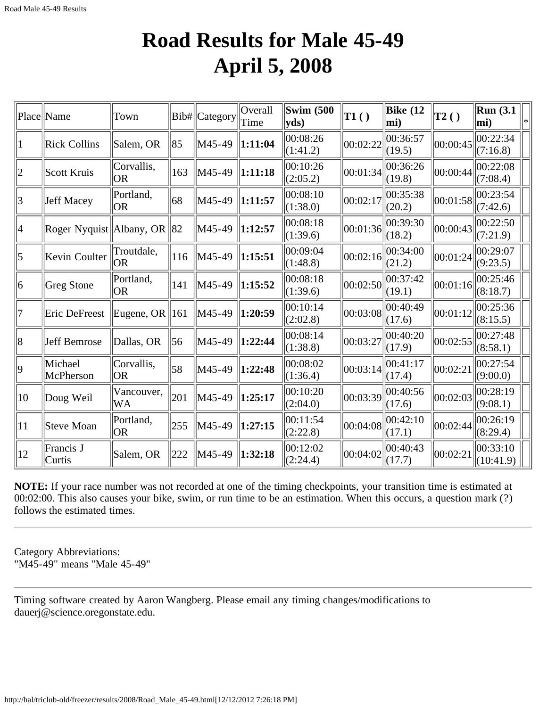#### **Road Results for Male 45-49 April 5, 2008**

|                | Place Name                      | Town                    |     | Bib# Category | Overall<br>Time         | <b>Swim (500)</b><br>$ {\bf y}$ ds) | T1()     | Bike $(12)$<br>mi) | $\mathbf{T2}()$ | <b>Run</b> (3.1)<br>$ \text{mi}\rangle$ | l∗ |
|----------------|---------------------------------|-------------------------|-----|---------------|-------------------------|-------------------------------------|----------|--------------------|-----------------|-----------------------------------------|----|
| 1              | Rick Collins                    | Salem, OR               | 85  | M45-49        | 1:11:04                 | 00:08:26<br>(1:41.2)                | 00:02:22 | 00:36:57<br>(19.5) | 00:00:45        | 00:22:34 <br>(7:16.8)                   |    |
| $ 2\rangle$    | Scott Kruis                     | Corvallis,<br><b>OR</b> | 163 | M45-49        | 1:11:18                 | 00:10:26<br>(2:05.2)                | 00:01:34 | 00:36:26<br>(19.8) | 00:00:44        | 00:22:08<br>(7:08.4)                    |    |
| $\overline{3}$ | Jeff Macey                      | Portland,<br> OR        | 68  | M45-49        | 1:11:57                 | 00:08:10<br>(1:38.0)                | 00:02:17 | 00:35:38<br>(20.2) | 00:01:58        | 00:23:54<br>(7:42.6)                    |    |
| 4              | Roger Nyquist   Albany, OR   82 |                         |     | M45-49        | 1:12:57                 | 00:08:18<br>(1:39.6)                | 00:01:36 | 00:39:30<br>(18.2) | 00:00:43        | 00:22:50<br>(7:21.9)                    |    |
| 5              | Kevin Coulter                   | Troutdale,<br> OR       | 116 | M45-49        | 1:15:51                 | 00:09:04<br>(1:48.8)                | 00:02:16 | 00:34:00<br>(21.2) | 00:01:24        | 00:29:07<br>(9:23.5)                    |    |
| 6              | Greg Stone                      | Portland,<br><b>OR</b>  | 141 | M45-49        | $\vert 1:15:52 \vert$   | 00:08:18<br>(1:39.6)                | 00:02:50 | 00:37:42<br>(19.1) | 00:01:16        | 00:25:46<br>(8:18.7)                    |    |
| 7              | Eric DeFreest                   | Eugene, OR              | 161 | M45-49        | 1:20:59                 | 00:10:14<br>(2:02.8)                | 00:03:08 | 00:40:49<br>(17.6) | 00:01:12        | 00:25:36<br>(8:15.5)                    |    |
| 8              | Jeff Bemrose                    | Dallas, OR              | 56  | M45-49        | 1:22:44                 | 00:08:14<br>(1:38.8)                | 00:03:27 | 00:40:20<br>(17.9) | 00:02:55        | 00:27:48<br>(8:58.1)                    |    |
| $ 9\rangle$    | Michael<br>McPherson            | Corvallis,<br><b>OR</b> | 58  | M45-49        | $\vert 1:22:48 \rangle$ | 00:08:02<br>(1:36.4)                | 00:03:14 | 00:41:17<br>(17.4) | 00:02:21        | 00:27:54<br>(9:00.0)                    |    |
| 10             | Doug Weil                       | Vancouver,<br>WA        | 201 | M45-49        | 1:25:17                 | 00:10:20<br>(2:04.0)                | 00:03:39 | 00:40:56<br>(17.6) | 00:02:03        | 00:28:19<br>(9:08.1)                    |    |
| 11             | Steve Moan                      | Portland,<br><b>OR</b>  | 255 | M45-49        | 1:27:15                 | 00:11:54<br>(2:22.8)                | 00:04:08 | 00:42:10<br>(17.1) | 00:02:44        | 00:26:19<br>(8:29.4)                    |    |
| 12             | Francis J<br>Curtis             | Salem, OR               | 222 | M45-49        | 1:32:18                 | 00:12:02<br>(2:24.4)                | 00:04:02 | 00:40:43<br>(17.7) | 00:02:21        | 00:33:10<br>(10:41.9)                   |    |

**NOTE:** If your race number was not recorded at one of the timing checkpoints, your transition time is estimated at 00:02:00. This also causes your bike, swim, or run time to be an estimation. When this occurs, a question mark (?) follows the estimated times.

Category Abbreviations: "M45-49" means "Male 45-49"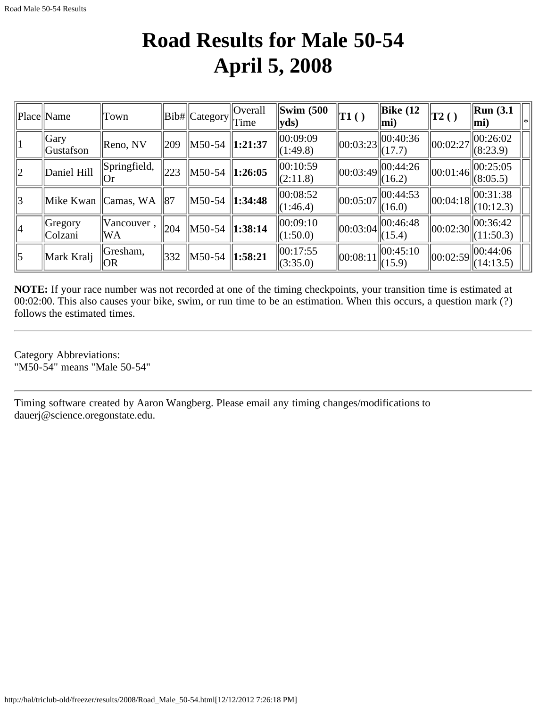### **Road Results for Male 50-54 April 5, 2008**

|                | Place Name             | Town                  |     | Bib#  Category                         | $\vert$ Overall<br>Time | $\sim$ Swim (500)<br>$ {\bf v} {\bf d} s)$ | T1()     | $\parallel$ Bike (12<br>lmi)                   | $\vert$ T2()                   | $\vert$ Run (3.1<br>$\vert$ mi) |  |
|----------------|------------------------|-----------------------|-----|----------------------------------------|-------------------------|--------------------------------------------|----------|------------------------------------------------|--------------------------------|---------------------------------|--|
|                | Gary <br>Gustafson     | Reno, NV              | 209 | $\parallel$ M50-54 $\parallel$ 1:21:37 |                         | 00:09:09<br>$\Vert$ (1:49.8)               |          | $\left\  00:03:23 \right\  00:40:36$<br>(17.7) | $\ 00:02:27$                   | 00:26:02<br>(8:23.9)            |  |
| $ 2\rangle$    | Daniel Hill            | Springfield,<br>( )r  | 223 | $\parallel$ M50-54 $\parallel$ 1:26:05 |                         | 00:10:59<br>(2:11.8)                       |          | $\ 00:03:49\ 00:\overline{44:26}$<br>(16.2)    | $\ 00:01:46\ $                 | 00:25:05<br>(8:05.5)            |  |
| 3              | Mike Kwan              | Camas, WA             | 87  | M50-54 1:34:48                         |                         | 00:08:52<br> (1:46.4)                      | 00:05:07 | $\ 00:44:53$<br>(16.0)                         | $\ 00:04:18\ $                 | 00:31:38<br>(10:12.3)           |  |
| 4              | $ G$ regory<br>Colzani | Vancouver,<br>WA      | 204 | M50-54                                 | $\ 1:38:14$             | 00:09:10 <br>(1:50.0)                      |          | $\ 00:03:04\  00:\overline{46:48}$<br>(15.4)   | $\vert\vert 00$ :02:30 $\vert$ | $ 00:36:42\rangle$<br>(11:50.3) |  |
| $\overline{5}$ | Mark Kralj             | Gresham,<br><b>OR</b> | 332 | $\vert$ M50-54                         | $\ 1:58:21$             | 00:17:55<br>(3:35.0)                       | 00:08:11 | 00:45:10<br>$\ $ (15.9)                        | 00:02:59                       | 00:44:06<br>(14:13.5)           |  |

**NOTE:** If your race number was not recorded at one of the timing checkpoints, your transition time is estimated at 00:02:00. This also causes your bike, swim, or run time to be an estimation. When this occurs, a question mark (?) follows the estimated times.

Category Abbreviations: "M50-54" means "Male 50-54"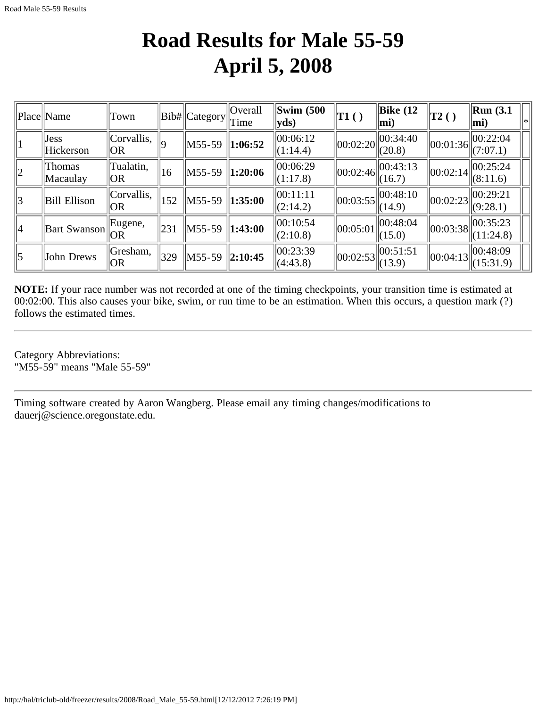### **Road Results for Male 55-59 April 5, 2008**

|             | Place Name                | Town               |     | $  Bib#  $ Category $  $ Time | <b>Overall</b> | Swim $(500)$<br>$ {\bf v} {\bf d} s)$ | $\vert$ T1 ( )                 | $\vert$ Bike (12<br>$ mi\rangle$                  | $\vert$ T2()                                               | Run(3.1)<br>$ mi$ )                    |
|-------------|---------------------------|--------------------|-----|-------------------------------|----------------|---------------------------------------|--------------------------------|---------------------------------------------------|------------------------------------------------------------|----------------------------------------|
|             | <b>Jess</b><br>Hickerson  | Corvallis,<br> OR  | lq  | $\sim$ M55-59                 | $\ 1:06:52\ $  | 00:06:12<br>(1:14.4)                  | $\vert\vert 00$ :02:20 $\vert$ | $\ 00:34:40$<br>(20.8)                            | $\left\ \overline{00:01:36}\right\ ^{00:22:04}_{(7:07.1)}$ |                                        |
| $ 2\rangle$ | <b>Thomas</b><br>Macaulay | Tualatin,<br> OR   | 16  | $M55-59$                      | $\ 1:20:06\ $  | 00:06:29<br>(1:17.8)                  |                                | $\ 00:02:46\ _{\infty}^{00:43:13}$<br>(16.7)      | $\ 00:02:14\ $                                             | $\ 00:25:24$<br>(8:11.6)               |
| 3           | Bill Ellison              | Corvallis,<br> OR  | 152 | M55-59                        | $\ 1:35:00\ $  | $\ 00:11:11$<br>(2:14.2)              |                                | $\left\  00:03:55 \right\ _{(14.9)}^{(00:48:10)}$ | $\vert 00:02:23 \vert$                                     | 00:29:21<br>(9:28.1)                   |
| $ 4\rangle$ | <b>Bart Swanson</b>       | $ $ Eugene,<br>IOR | 231 | M55-59                        | $\ 1:43:00\ $  | 00:10:54<br>(2:10.8)                  | 00:05:01                       | 00:48:04<br>(15.0)                                |                                                            | $\ 00:03:38\ ^{00:35:23}$<br>(11:24.8) |
| $\vert$ 5   | John Drews                | Gresham,<br> OR    | 329 | $M55-59$                      | $\ 2:10:45$    | 00:23:39<br>(4:43.8)                  | $\ 00:02:53\ $                 | 00:51:51<br>(13.9)                                | $\ 00:04:13\ $                                             | $\ 00:48:09$<br>(15:31.9)              |

**NOTE:** If your race number was not recorded at one of the timing checkpoints, your transition time is estimated at 00:02:00. This also causes your bike, swim, or run time to be an estimation. When this occurs, a question mark (?) follows the estimated times.

Category Abbreviations: "M55-59" means "Male 55-59"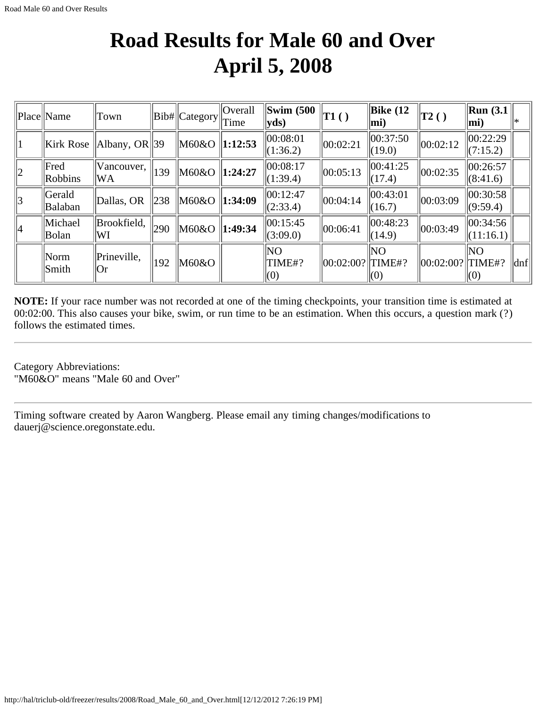## **Road Results for Male 60 and Over April 5, 2008**

|    | Place Name        | Town                       |                 | Bib#  Category      | <b>Overall</b><br>Time | Swim $(500)$<br>$ {\bf v} {\bf d} s)$   | $\ T1()$             | $\vert$ Bike (12<br>$ mi$ ) | T2()                     | $\vert$ Run (3.1)<br>$ mi$ ) |                           |
|----|-------------------|----------------------------|-----------------|---------------------|------------------------|-----------------------------------------|----------------------|-----------------------------|--------------------------|------------------------------|---------------------------|
|    |                   | Kirk Rose   Albany, OR  39 |                 | M60&O   1:12:53     |                        | 00:08:01<br>(1:36.2)                    | 00:02:21             | $\ 00:37:50$<br>(19.0)      | $\ 00:02:12\ $           | 00:22:29<br>(7:15.2)         |                           |
| 2  | Fred<br>Robbins   | Vancouver,<br>WA           | 139             | $\ M60\&O\ 1:24:27$ |                        | 00:08:17<br> (1:39.4)                   | 00:05:13             | 00:41:25<br>(17.4)          | $\vert 00:02:35 \rangle$ | 00:26:57<br>(8:41.6)         |                           |
| 3  | Gerald<br>Balaban | Dallas, OR                 | $\parallel 238$ | M60&O   1:34:09     |                        | 00:12:47<br>(2:33.4)                    | 00:04:14             | 00:43:01<br>(16.7)          | 00:03:09                 | 00:30:58<br> (9:59.4)        |                           |
| 14 | Michael<br>Bolan  | Brookfield,<br>WI          | $ 290\rangle$   | M60&O               | $\ 1:49:34$            | 00:15:45<br>(3:09.0)                    | 00:06:41             | 00:48:23<br>(14.9)          | 00:03:49                 | 00:34:56 <br>(11:16.1)       |                           |
|    | Norm<br>Smith     | Prineville,<br> Or         | 192             | M60&O               |                        | N <sub>O</sub><br>TIME#?<br>$\vert (0)$ | $ 00:02:00? $ TIME#? | NO<br>(0)                   | 00:02:00?  TIME#?        | NO<br>(0)                    | $\vert \vert$ dnf $\vert$ |

**NOTE:** If your race number was not recorded at one of the timing checkpoints, your transition time is estimated at 00:02:00. This also causes your bike, swim, or run time to be an estimation. When this occurs, a question mark (?) follows the estimated times.

Category Abbreviations: "M60&O" means "Male 60 and Over"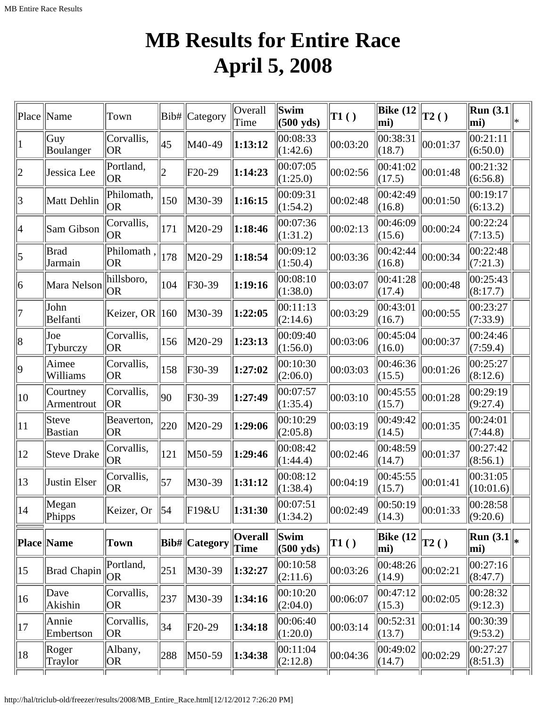# **MB Results for Entire Race April 5, 2008**

| Place           | Name                            | Town                    | Bib#            | Category            | Overall<br>Time               | Swim<br>$(500 \text{ yds})$ | $\vert$ T1 $\left( \ \right)$ | <b>Bike</b> (12<br>$ \text{mi}\rangle$ | $\vert$ T2() | Run $(3.1)$<br>$ mi$ )         | l∗k |
|-----------------|---------------------------------|-------------------------|-----------------|---------------------|-------------------------------|-----------------------------|-------------------------------|----------------------------------------|--------------|--------------------------------|-----|
| $ 1 \>$         | Guy<br>Boulanger                | Corvallis,<br>OR        | 45              | M40-49              | 1:13:12                       | 00:08:33<br>(1:42.6)        | 00:03:20                      | 00:38:31<br>(18.7)                     | 00:01:37     | 00:21:11<br>(6:50.0)           |     |
| $ 2\rangle$     | Jessica Lee                     | Portland,<br> OR        | $\overline{2}$  | F <sub>20</sub> -29 | 1:14:23                       | 00:07:05<br>(1:25.0)        | 00:02:56                      | 00:41:02<br>(17.5)                     | 00:01:48     | 00:21:32<br>(6:56.8)           |     |
| 3               | Matt Dehlin                     | Philomath,<br> OR       | 150             | M30-39              | 1:16:15                       | 00:09:31<br>(1:54.2)        | 00:02:48                      | 00:42:49<br>(16.8)                     | 00:01:50     | 00:19:17<br>(6:13.2)           |     |
| 4               | Sam Gibson                      | Corvallis,<br><b>OR</b> | 171             | M20-29              | 1:18:46                       | 00:07:36<br>(1:31.2)        | 00:02:13                      | 00:46:09<br>(15.6)                     | 00:00:24     | 00:22:24<br>(7:13.5)           |     |
| $\vert 5 \vert$ | <b>Brad</b><br>Jarmain          | Philomath,<br> OR       | 178             | M20-29              | 1:18:54                       | 00:09:12<br>(1:50.4)        | 00:03:36                      | 00:42:44<br>(16.8)                     | 00:00:34     | 00:22:48<br>(7:21.3)           |     |
| 6               | Mara Nelson                     | hillsboro,<br> OR       | 104             | F30-39              | 1:19:16                       | 00:08:10<br>(1:38.0)        | 00:03:07                      | 00:41:28<br>(17.4)                     | 00:00:48     | 00:25:43<br>(8:17.7)           |     |
| 17              | John<br>Belfanti                | Keizer, OR              | $\parallel$ 160 | M30-39              | 1:22:05                       | 00:11:13<br>(2:14.6)        | 00:03:29                      | 00:43:01<br>(16.7)                     | 00:00:55     | 00:23:27<br>(7:33.9)           |     |
| 8               | Joe<br>Tyburczy                 | Corvallis,<br> OR       | 156             | M20-29              | 1:23:13                       | 00:09:40<br>(1:56.0)        | 00:03:06                      | 00:45:04<br>(16.0)                     | 00:00:37     | 00:24:46<br>(7:59.4)           |     |
| $ 9\rangle$     | Aimee<br>Williams               | Corvallis,<br> OR       | 158             | F30-39              | 1:27:02                       | 00:10:30<br>(2:06.0)        | 00:03:03                      | 00:46:36<br>(15.5)                     | 00:01:26     | 00:25:27<br>(8:12.6)           |     |
| $ 10\rangle$    | Courtney<br>Armentrout          | Corvallis,<br> OR       | $ 90\rangle$    | F30-39              | 1:27:49                       | 00:07:57<br>(1:35.4)        | 00:03:10                      | 00:45:55<br>(15.7)                     | 00:01:28     | 00:29:19<br>(9:27.4)           |     |
| $ 11\rangle$    | Steve<br>Bastian                | Beaverton,<br>OR.       | 220             | M20-29              | 1:29:06                       | 00:10:29<br>(2:05.8)        | 00:03:19                      | 00:49:42<br>(14.5)                     | 00:01:35     | 00:24:01<br>(7:44.8)           |     |
| $ 12\rangle$    | <b>Steve Drake</b>              | Corvallis,<br>OR        | 121             | M50-59              | 1:29:46                       | 00:08:42<br>(1:44.4)        | 00:02:46                      | 00:48:59<br>(14.7)                     | 00:01:37     | $ 00:27:42\rangle$<br>(8:56.1) |     |
| $ 13\rangle$    | Justin Elser                    | Corvallis,<br> OR       | 57              | M30-39              | 1:31:12                       | 00:08:12<br>(1:38.4)        | 00:04:19                      | 00:45:55<br>(15.7)                     | 00:01:41     | 00:31:05<br>(10:01.6)          |     |
| 14              | $\sqrt{\text{Megan}}$<br>Phipps | Keizer, Or              | $\vert$ 54      | F19&U               | 1:31:30                       | 00:07:51 <br>(1:34.2)       | 00:02:49                      | $\boxed{00:50:19}$<br>(14.3)           | 00:01:33     | 00:28:58 <br>(9:20.6)          |     |
|                 | Place Name                      | Town                    |                 | Bib#  Category      | <b>Overall</b><br><b>Time</b> | Swim<br>$(500 \text{ yds})$ | $\vert$ T1()                  | Bike $(12)$<br>mi)                     | T2()         | Run $(3.1)$<br>mi)             |     |
| $ 15\rangle$    | <b>Brad Chapin</b>              | Portland,<br> OR        | 251             | M30-39              | 1:32:27                       | 00:10:58<br>(2:11.6)        | 00:03:26                      | 00:48:26<br>(14.9)                     | 00:02:21     | 00:27:16 <br>(8:47.7)          |     |
| $ 16\rangle$    | $\vert$ Dave<br>Akishin         | Corvallis,<br> OR       | 237             | M30-39              | 1:34:16                       | 00:10:20<br>(2:04.0)        | 00:06:07                      | 00:47:12<br>(15.3)                     | 00:02:05     | 00:28:32<br>(9:12.3)           |     |
| 17              | Annie<br>Embertson              | Corvallis,<br> OR       | 34              | F20-29              | 1:34:18                       | 00:06:40<br>(1:20.0)        | 00:03:14                      | 00:52:31<br>(13.7)                     | 00:01:14     | 00:30:39<br>(9:53.2)           |     |
| 18              | Roger<br>Traylor                | Albany,<br> OR          | 288             | M50-59              | 1:34:38                       | 00:11:04<br>(2:12.8)        | 00:04:36                      | 00:49:02<br>(14.7)                     | 00:02:29     | 00:27:27<br>(8:51.3)           |     |
|                 |                                 |                         |                 |                     |                               |                             |                               |                                        |              |                                |     |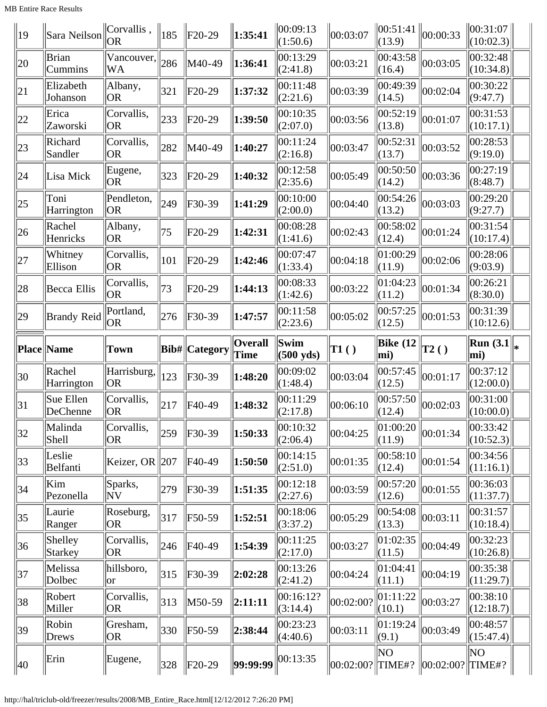MB Entire Race Results

| 19                | Sara Neilson            | Corvallis,<br><b>OR</b>        | $\parallel$ 185 | $F20-29$              | 1:35:41        | 00:09:13<br>(1:50.6)  | 00:03:07                      | 00:51:41<br>(13.9) | 00:00:33          | 00:31:07 <br>(10:02.3)          |  |
|-------------------|-------------------------|--------------------------------|-----------------|-----------------------|----------------|-----------------------|-------------------------------|--------------------|-------------------|---------------------------------|--|
| 20                | <b>Brian</b><br>Cummins | Vancouver,<br><b>WA</b>        | 286             | M40-49                | 1:36:41        | 00:13:29<br>(2:41.8)  | 00:03:21                      | 00:43:58<br>(16.4) | 00:03:05          | 00:32:48<br>(10:34.8)           |  |
| 21                | Elizabeth<br>Johanson   | Albany,<br> OR                 | 321             | F20-29                | 1:37:32        | 00:11:48<br>(2:21.6)  | 00:03:39                      | 00:49:39<br>(14.5) | 00:02:04          | 00:30:22<br>(9:47.7)            |  |
| 22                | Erica<br>Zaworski       | Corvallis,<br> OR              | 233             | F20-29                | 1:39:50        | 00:10:35<br>(2:07.0)  | 00:03:56                      | 00:52:19<br>(13.8) | 00:01:07          | 00:31:53<br>(10:17.1)           |  |
| $ 23\rangle$      | Richard<br>Sandler      | Corvallis,<br><b>OR</b>        | 282             | M40-49                | 1:40:27        | 00:11:24<br>(2:16.8)  | 00:03:47                      | 00:52:31<br>(13.7) | 00:03:52          | 00:28:53<br>(9:19.0)            |  |
| 24                | Lisa Mick               | Eugene,<br><b>OR</b>           | 323             | F20-29                | 1:40:32        | 00:12:58<br>(2:35.6)  | 00:05:49                      | 00:50:50<br>(14.2) | 00:03:36          | 00:27:19<br>(8:48.7)            |  |
| 25                | Toni<br>Harrington      | Pendleton,<br> OR              | 249             | F30-39                | 1:41:29        | 00:10:00<br>(2:00.0)  | 00:04:40                      | 00:54:26<br>(13.2) | 00:03:03          | 00:29:20<br>(9:27.7)            |  |
| 26                | Rachel<br>Henricks      | Albany,<br><b>OR</b>           | 75              | F20-29                | 1:42:31        | 00:08:28<br>(1:41.6)  | 00:02:43                      | 00:58:02<br>(12.4) | 00:01:24          | 00:31:54<br>(10:17.4)           |  |
| 27                | Whitney<br>Ellison      | Corvallis,<br> OR              | 101             | F20-29                | 1:42:46        | 00:07:47<br>(1:33.4)  | 00:04:18                      | 01:00:29<br>(11.9) | 00:02:06          | 00:28:06<br>(9:03.9)            |  |
| 28                | <b>Becca Ellis</b>      | Corvallis,<br> OR              | 73              | F20-29                | 1:44:13        | 00:08:33<br>(1:42.6)  | 00:03:22                      | 01:04:23<br>(11.2) | 00:01:34          | 00:26:21<br>(8:30.0)            |  |
| 29                | <b>Brandy Reid</b>      | Portland,<br> OR               | 276             | $F30-39$              | 1:47:57        | 00:11:58<br>(2:23.6)  | 00:05:02                      | 00:57:25<br>(12.5) | 00:01:53          | 00:31:39<br>(10:12.6)           |  |
|                   |                         |                                |                 |                       | <b>Overall</b> | Swim                  |                               | <b>Bike (12</b>    |                   | <b>Run</b> $(3.1)$              |  |
| <b>Place Name</b> |                         | <b>Town</b>                    |                 | <b>Bib#</b>  Category | Time           | $(500 \text{ yds})$   | $\vert$ T1 $\left( \ \right)$ | mi)                | $\overline{12}()$ | mi)                             |  |
| 30                | Rachel<br>Harrington    | Harrisburg,<br> OR             | 123             | F30-39                | 1:48:20        | 00:09:02<br>(1:48.4)  | 00:03:04                      | 00:57:45<br>(12.5) | 00:01:17          | 00:37:12<br>(12:00.0)           |  |
| 31                | Sue Ellen<br>DeChenne   | Corvallis,<br> OR              | 217             | F40-49                | 1:48:32        | 00:11:29<br>(2:17.8)  | 00:06:10                      | 00:57:50<br>(12.4) | 00:02:03          | 00:31:00<br>(10:00.0)           |  |
| 32                | Malinda<br>Shell        | Corvallis,<br> OR              | 259             | $F30-39$              | 1:50:33        | 00:10:32<br>(2:06.4)  | 00:04:25                      | 01:00:20<br>(11.9) | 00:01:34          | $ 00:33:42\rangle$<br>(10:52.3) |  |
| $ 33\rangle$      | Leslie<br>Belfanti      | Keizer, OR $\ 207\ $           |                 | F40-49                | 1:50:50        | 00:14:15<br>(2:51.0)  | 00:01:35                      | 00:58:10<br>(12.4) | 00:01:54          | 00:34:56<br>(11:16.1)           |  |
| 34                | Kim<br>Pezonella        | Sparks,<br>$ {\rm NV} \rangle$ | 279             | $F30-39$              | 1:51:35        | 00:12:18<br>(2:27.6)  | 00:03:59                      | 00:57:20<br>(12.6) | 00:01:55          | 00:36:03<br>(11:37.7)           |  |
| 35                | Laurie<br>Ranger        | Roseburg,<br> OR               | 317             | F50-59                | 1:52:51        | 00:18:06<br>(3:37.2)  | 00:05:29                      | 00:54:08<br>(13.3) | 00:03:11          | 00:31:57<br>(10:18.4)           |  |
| 36                | Shelley<br>Starkey      | Corvallis,<br> OR              | 246             | F40-49                | 1:54:39        | 00:11:25<br>(2:17.0)  | 00:03:27                      | 01:02:35<br>(11.5) | 00:04:49          | 00:32:23<br>(10:26.8)           |  |
| 37                | Melissa<br>Dolbec       | hillsboro,<br> or              | 315             | $F30-39$              | 2:02:28        | 00:13:26<br>(2:41.2)  | 00:04:24                      | 01:04:41<br>(11.1) | 00:04:19          | 00:35:38 <br>(11:29.7)          |  |
| 38                | Robert<br>Miller        | Corvallis,<br> OR              | 313             | M50-59                | 2:11:11        | 00:16:12?<br>(3:14.4) | 00:02:00?                     | 01:11:22<br>(10.1) | 00:03:27          | 00:38:10<br>(12:18.7)           |  |
| 39                | Robin<br>Drews          | Gresham,<br> OR                | 330             | F50-59                | 2:38:44        | 00:23:23<br>(4:40.6)  | 00:03:11                      | 01:19:24<br>(9.1)  | 00:03:49          | 00:48:57<br>(15:47.4)           |  |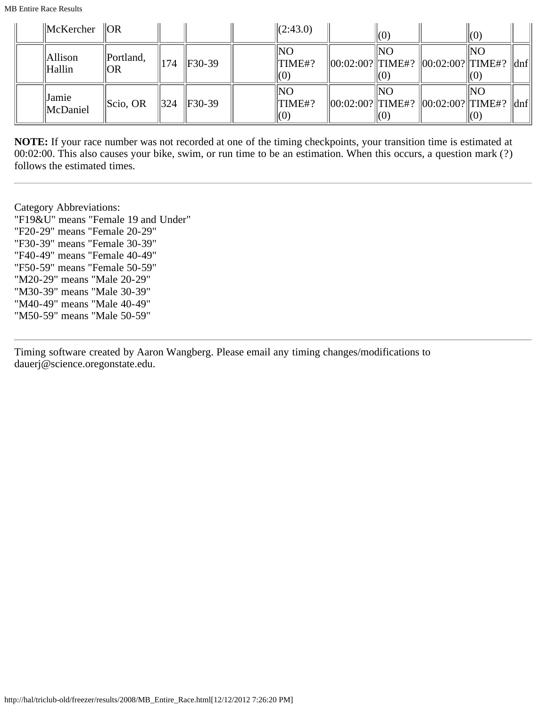| $\parallel$ McKercher    | $\ OR$               |                 |              | $\ $ (2:43.0)              | (0) |                                                                |    |     |
|--------------------------|----------------------|-----------------|--------------|----------------------------|-----|----------------------------------------------------------------|----|-----|
| <b>Allison</b><br>Hallin | Portland,<br> OR     | 174             | $IF30-39$    | NΟ<br>TIME#?<br>(0)        | NΟ  | $\ 00:02:00?\ $ TIME#? $\ 00:02:00?\ $ TIME#?                  |    | dnf |
| Jamie<br>McDaniel        | $\parallel$ Scio, OR | $\parallel$ 324 | $\ F30-39\ $ | NO<br>TIME#?<br>$\vert(0)$ | NO  | $  00:02:00?  $ TIME#? $  00:02:00?  $ TIME#? $  \text{dnf}  $ | NO |     |

**NOTE:** If your race number was not recorded at one of the timing checkpoints, your transition time is estimated at 00:02:00. This also causes your bike, swim, or run time to be an estimation. When this occurs, a question mark (?) follows the estimated times.

Category Abbreviations: "F19&U" means "Female 19 and Under" "F20-29" means "Female 20-29" "F30-39" means "Female 30-39" "F40-49" means "Female 40-49" "F50-59" means "Female 50-59" "M20-29" means "Male 20-29" "M30-39" means "Male 30-39" "M40-49" means "Male 40-49" "M50-59" means "Male 50-59"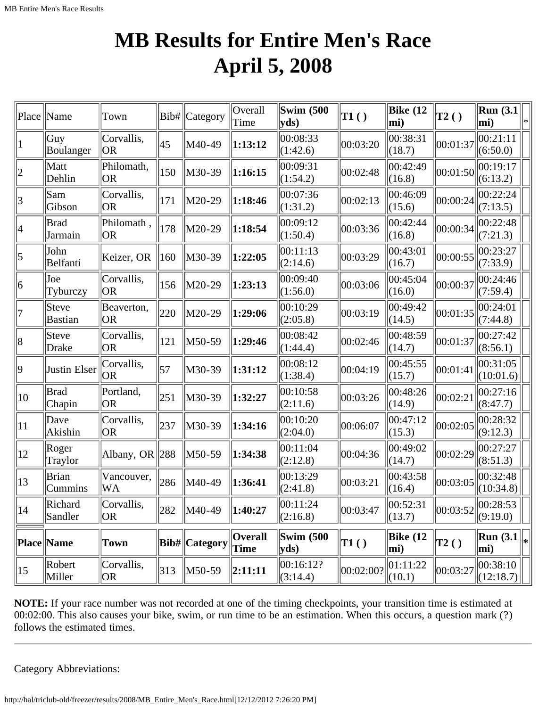# **MB Results for Entire Men's Race April 5, 2008**

| Place           | Name                    | Town                    | Bib#          | Category               | Overall<br>Time        | <b>Swim (500</b><br>$ {\bf y}$ ds)         | $\mathbf{T1}()$               | Bike $(12)$<br>$\vert$ mi) | T2()                          | Run(3.1)<br>$\vert$ mi)                                   | ∣∗ |
|-----------------|-------------------------|-------------------------|---------------|------------------------|------------------------|--------------------------------------------|-------------------------------|----------------------------|-------------------------------|-----------------------------------------------------------|----|
| 1               | Guy<br>Boulanger        | Corvallis,<br> OR       | 45            | M40-49                 | 1:13:12                | 00:08:33<br>(1:42.6)                       | 00:03:20                      | 00:38:31<br>(18.7)         | 00:01:37                      | 00:21:11<br>(6:50.0)                                      |    |
| 2               | Matt<br>Dehlin          | Philomath,<br> OR       | 150           | M30-39                 | 1:16:15                | 00:09:31<br>(1:54.2)                       | 00:02:48                      | 00:42:49<br>(16.8)         | 00:01:50                      | 00:19:17<br>(6:13.2)                                      |    |
| 3               | Sam<br>Gibson           | Corvallis,<br> OR       | 171           | M20-29                 | 1:18:46                | 00:07:36<br>(1:31.2)                       | 00:02:13                      | 00:46:09<br>(15.6)         | 00:00:24                      | 00:22:24<br>(7:13.5)                                      |    |
| 4               | Brad<br>Jarmain         | Philomath,<br> OR       | 178           | M20-29                 | 1:18:54                | 00:09:12<br>(1:50.4)                       | 00:03:36                      | 00:42:44<br>(16.8)         | 00:00:34                      | 00:22:48<br>(7:21.3)                                      |    |
| $\vert 5 \vert$ | John<br>Belfanti        | Keizer, OR              | 160           | M30-39                 | 1:22:05                | 00:11:13<br>(2:14.6)                       | 00:03:29                      | 00:43:01<br>(16.7)         | 00:00:55                      | 00:23:27<br>(7:33.9)                                      |    |
| 6               | Joe<br>Tyburczy         | Corvallis,<br> OR       | 156           | M20-29                 | 1:23:13                | 00:09:40<br>(1:56.0)                       | 00:03:06                      | 00:45:04<br>(16.0)         | 00:00:37                      | 00:24:46<br>(7:59.4)                                      |    |
| 17              | Steve<br><b>Bastian</b> | Beaverton,<br> OR       | 220           | M20-29                 | 1:29:06                | 00:10:29<br>(2:05.8)                       | 00:03:19                      | 00:49:42<br>(14.5)         | 00:01:35                      | 00:24:01<br>(7:44.8)                                      |    |
| 8               | Steve<br><b>Drake</b>   | Corvallis,<br> OR       | 121           | M50-59                 | 1:29:46                | 00:08:42<br>(1:44.4)                       | 00:02:46                      | 00:48:59<br>(14.7)         | 00:01:37                      | 00:27:42<br>(8:56.1)                                      |    |
| $ 9\rangle$     | Justin Elser            | Corvallis,<br> OR       | 57            | M30-39                 | 1:31:12                | 00:08:12<br>(1:38.4)                       | 00:04:19                      | 00:45:55<br>(15.7)         | 00:01:41                      | 00:31:05<br>(10:01.6)                                     |    |
| 10              | Brad<br>Chapin          | Portland,<br> OR        | 251           | M30-39                 | 1:32:27                | 00:10:58<br>(2:11.6)                       | 00:03:26                      | 00:48:26<br>(14.9)         | 00:02:21                      | 00:27:16<br>(8:47.7)                                      |    |
| $ 11\rangle$    | Dave<br>Akishin         | Corvallis,<br> OR       | 237           | M30-39                 | 1:34:16                | 00:10:20<br>(2:04.0)                       | 00:06:07                      | 00:47:12<br>(15.3)         | 00:02:05                      | 00:28:32<br>(9:12.3)                                      |    |
| $ 12\rangle$    | Roger<br>Traylor        | Albany, OR $ 288$       |               | M50-59                 | 1:34:38                | 00:11:04<br>(2:12.8)                       | 00:04:36                      | 00:49:02<br> (14.7)        | 00:02:29                      | 00:27:27<br>(8:51.3)                                      |    |
| 13              | <b>Brian</b><br>Cummins | Vancouver,<br><b>WA</b> | 286           | M40-49                 | 1:36:41                | 00:13:29<br>(2:41.8)                       | 00:03:21                      | 00:43:58<br>(16.4)         | 00:03:05                      | 00:32:48<br>(10:34.8)                                     |    |
| 14              | Richard<br>Sandler      | Corvallis,<br><b>OR</b> | 282           | M40-49                 | 1:40:27                | 00:11:24<br>(2:16.8)                       | 00:03:47                      | 00:52:31<br>(13.7)         |                               | $\left\  00:03:52 \right\ _{\infty} 00:28:53$<br>(9:19.0) |    |
|                 | <b>Place Name</b>       | Town                    |               | <b>Bib#</b>   Category | <b>Overall</b><br>Time | <b>Swim (500)</b><br>$ {\bf v} {\bf d} s)$ | $\vert$ T1 $\left( \ \right)$ | Bike $(12)$<br>$\vert$ mi) | $\vert$ T2 $\left( \ \right)$ | <b>Run</b> (3.1 $\  \_* \ $<br>mi)                        |    |
| $ 15\rangle$    | Robert<br>Miller        | Corvallis,<br> OR       | $ 313\rangle$ | $\vert M50-59 \rangle$ | 2:11:11                | 00:16:12?<br>(3:14.4)                      | 00:02:00?                     | 01:11:22<br>(10.1)         | 00:03:27                      | $ 00:38:10\rangle$<br> (12:18.7)                          |    |

**NOTE:** If your race number was not recorded at one of the timing checkpoints, your transition time is estimated at 00:02:00. This also causes your bike, swim, or run time to be an estimation. When this occurs, a question mark (?) follows the estimated times.

Category Abbreviations: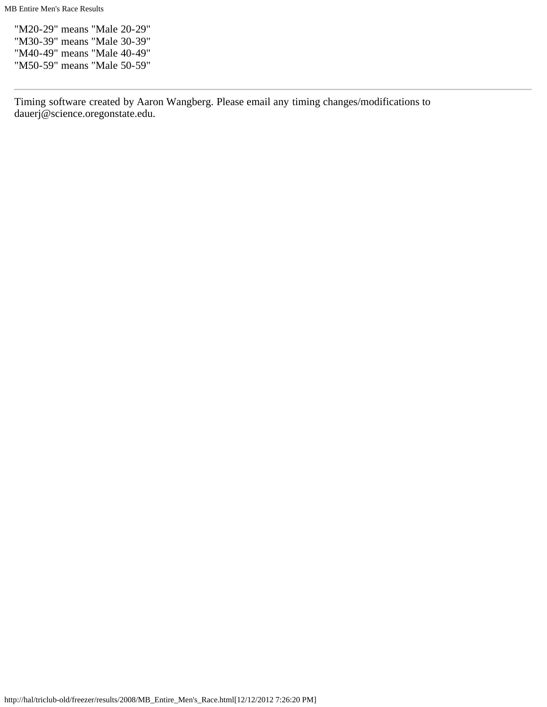"M20-29" means "Male 20-29" "M30-39" means "Male 30-39" "M40-49" means "Male 40-49" "M50-59" means "Male 50-59"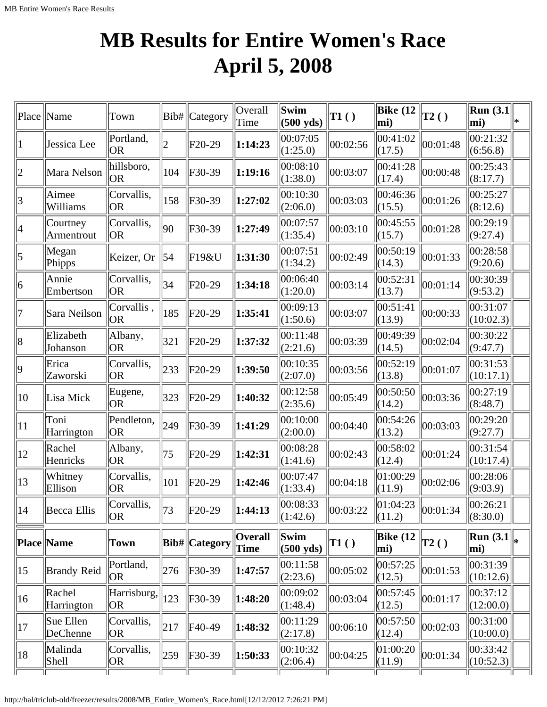# **MB Results for Entire Women's Race April 5, 2008**

| Place          | Name                   | Town                    |                | Bib#   Category | Overall<br>Time        | Swim<br>$(500 \text{ yds})$ | TI( )    | <b>Bike</b> (12<br>$ mi$ )         | T2()     | Run $(3.1)$<br>mi)              | l* |
|----------------|------------------------|-------------------------|----------------|-----------------|------------------------|-----------------------------|----------|------------------------------------|----------|---------------------------------|----|
|                | Jessica Lee            | Portland,<br><b>OR</b>  | $\overline{2}$ | $F20-29$        | 1:14:23                | 00:07:05<br>(1:25.0)        | 00:02:56 | 00:41:02<br>(17.5)                 | 00:01:48 | 00:21:32<br>(6:56.8)            |    |
| $\overline{2}$ | Mara Nelson            | hillsboro,<br> OR       | 104            | F30-39          | 1:19:16                | 00:08:10<br>(1:38.0)        | 00:03:07 | 00:41:28<br>(17.4)                 | 00:00:48 | $ 00:25:43\rangle$<br>(8:17.7)  |    |
| $\overline{3}$ | Aimee<br>Williams      | Corvallis,<br> OR       | 158            | F30-39          | 1:27:02                | 00:10:30<br>(2:06.0)        | 00:03:03 | 00:46:36<br>(15.5)                 | 00:01:26 | 00:25:27<br>(8:12.6)            |    |
| 4              | Courtney<br>Armentrout | Corvallis,<br> OR       | 90             | F30-39          | 1:27:49                | 00:07:57<br>(1:35.4)        | 00:03:10 | 00:45:55<br>(15.7)                 | 00:01:28 | 00:29:19 <br>(9:27.4)           |    |
| 5              | Megan<br>Phipps        | Keizer, Or              | 54             | F19&U           | 1:31:30                | 00:07:51<br>(1:34.2)        | 00:02:49 | 00:50:19<br>(14.3)                 | 00:01:33 | 00:28:58<br>(9:20.6)            |    |
| 6              | Annie<br>Embertson     | Corvallis,<br> OR       | 34             | $F20-29$        | 1:34:18                | 00:06:40<br>(1:20.0)        | 00:03:14 | 00:52:31<br>(13.7)                 | 00:01:14 | 00:30:39 <br>(9:53.2)           |    |
| 7              | Sara Neilson           | Corvallis,<br> OR       | 185            | $F20-29$        | 1:35:41                | 00:09:13<br>(1:50.6)        | 00:03:07 | 00:51:41<br>(13.9)                 | 00:00:33 | 00:31:07<br>(10:02.3)           |    |
| 8              | Elizabeth<br>Johanson  | Albany,<br> OR          | 321            | $F20-29$        | 1:37:32                | 00:11:48<br>(2:21.6)        | 00:03:39 | 00:49:39<br>(14.5)                 | 00:02:04 | 00:30:22<br>(9:47.7)            |    |
| $ 9\rangle$    | Erica<br>Zaworski      | Corvallis,<br> OR       | 233            | $F20-29$        | 1:39:50                | 00:10:35<br>(2:07.0)        | 00:03:56 | 00:52:19<br>(13.8)                 | 00:01:07 | 00:31:53 <br>(10:17.1)          |    |
| 10             | Lisa Mick              | Eugene,<br> OR          | 323            | $F20-29$        | 1:40:32                | 00:12:58<br>(2:35.6)        | 00:05:49 | 00:50:50<br>(14.2)                 | 00:03:36 | 00:27:19<br>(8:48.7)            |    |
| 11             | Toni<br>Harrington     | Pendleton,<br> OR       | 249            | $F30-39$        | 1:41:29                | 00:10:00<br>(2:00.0)        | 00:04:40 | 00:54:26<br>(13.2)                 | 00:03:03 | 00:29:20<br>(9:27.7)            |    |
| 12             | Rachel<br>Henricks     | Albany,<br> OR          | 75             | $F20-29$        | 1:42:31                | 00:08:28<br>(1:41.6)        | 00:02:43 | 00:58:02<br>(12.4)                 | 00:01:24 | 00:31:54<br>(10:17.4)           |    |
| 13             | Whitney<br>Ellison     | Corvallis,<br> OR       | 101            | $F20-29$        | 1:42:46                | 00:07:47<br>(1:33.4)        | 00:04:18 | 01:00:29<br>(11.9)                 | 00:02:06 | 00:28:06<br>(9:03.9)            |    |
| 14             | Becca Ellis            | Corvallis,<br> OR       | 73             | $ F20-29$       | 1:44:13                | 00:08:33<br>(1:42.6)        | 00:03:22 | $\vert 01:04:23 \rangle$<br>(11.2) | 00:01:34 | 00:26:21 <br>(8:30.0)           |    |
|                | Place Name             | Town                    |                | Bib#  Category  | <b>Overall</b><br>Time | Swim<br>$(500 \text{ yds})$ | T1()     | Bike $(12)$<br>mi)                 | T2()     | <b>Run</b> $(3.1)$<br>mi)       |    |
| $ 15\rangle$   | <b>Brandy Reid</b>     | Portland,<br><b>OR</b>  | 276            | F30-39          | 1:47:57                | 00:11:58<br>(2:23.6)        | 00:05:02 | 00:57:25<br>(12.5)                 | 00:01:53 | 00:31:39<br>(10:12.6)           |    |
| 16             | Rachel<br>Harrington   | Harrisburg,<br> OR      | 123            | F30-39          | 1:48:20                | 00:09:02<br>(1:48.4)        | 00:03:04 | 00:57:45<br>(12.5)                 | 00:01:17 | $ 00:37:12\rangle$<br>(12:00.0) |    |
| 17             | Sue Ellen<br>DeChenne  | Corvallis,<br><b>OR</b> | 217            | F40-49          | 1:48:32                | 00:11:29<br>(2:17.8)        | 00:06:10 | 00:57:50<br>(12.4)                 | 00:02:03 | 00:31:00<br>(10:00.0)           |    |
| 18             | Malinda<br>Shell       | Corvallis,<br> OR       | 259            | F30-39          | 1:50:33                | 00:10:32<br>(2:06.4)        | 00:04:25 | 01:00:20<br>(11.9)                 | 00:01:34 | 00:33:42 <br>(10:52.3)          |    |
|                |                        |                         |                |                 |                        |                             |          |                                    |          |                                 |    |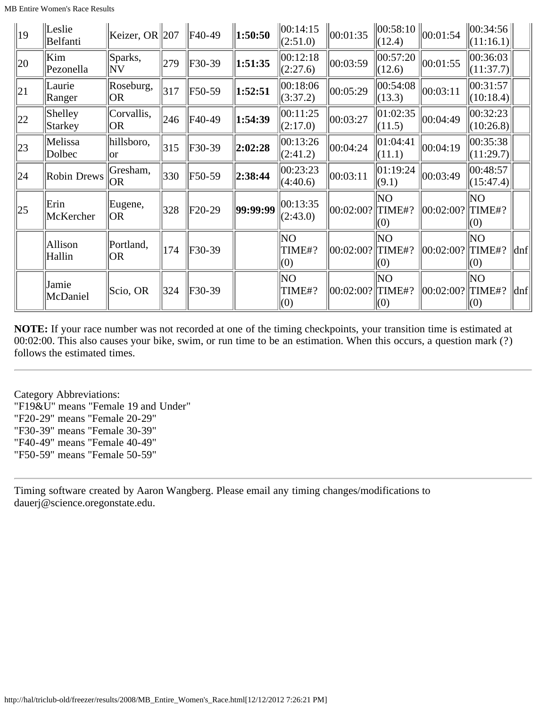| $ 19\rangle$ | Leslie<br>Belfanti        | Keizer, OR 207          |     | F40-49   | 1:50:50  | $\ 00:14:15$<br>(2:51.0) | 00:01:35  | (12.4)               | $\ 00:58:10\ _{00:01:54}$ | 00:34:56 <br>(11:16.1)               |                     |
|--------------|---------------------------|-------------------------|-----|----------|----------|--------------------------|-----------|----------------------|---------------------------|--------------------------------------|---------------------|
| 20           | Kim<br>Pezonella          | Sparks,<br>$ {\rm NV} $ | 279 | F30-39   | 1:51:35  | 00:12:18<br>(2:27.6)     | 00:03:59  | 00:57:20<br>(12.6)   | 00:01:55                  | 00:36:03 <br>$\vert (11:37.7) \vert$ |                     |
| 21           | Laurie<br>Ranger          | Roseburg,<br> OR        | 317 | F50-59   | 1:52:51  | 00:18:06<br>(3:37.2)     | 00:05:29  | 00:54:08<br>(13.3)   | 00:03:11                  | 00:31:57 <br>$\Vert (10:18.4) \Vert$ |                     |
| 22           | Shelley<br><b>Starkey</b> | Corvallis,<br> OR       | 246 | F40-49   | 1:54:39  | 00:11:25<br>(2:17.0)     | 00:03:27  | 01:02:35<br>(11.5)   | 00:04:49                  | 00:32:23 <br>(10:26.8)               |                     |
| 23           | Melissa<br>Dolbec         | hillsboro,<br>lor       | 315 | F30-39   | 2:02:28  | 00:13:26<br>(2:41.2)     | 00:04:24  | 01:04:41<br>(11.1)   | 00:04:19                  | 00:35:38 <br>$\vert (11:29.7) \vert$ |                     |
| 24           | <b>Robin Drews</b>        | Gresham,<br> OR         | 330 | F50-59   | 2:38:44  | 00:23:23 <br>(4:40.6)    | 00:03:11  | 01:19:24<br>(9.1)    | 00:03:49                  | 00:48:57<br> (15:47.4)               |                     |
| 25           | Erin<br>McKercher         | Eugene,<br> OR          | 328 | $F20-29$ | 99:99:99 | 00:13:35<br>(2:43.0)     | 00:02:00? | ΝO<br>TIME#?<br>(0)  | 00:02:00?                 | NO<br>TIME#?<br>(0)                  |                     |
|              | Allison<br>Hallin         | Portland,<br>OR.        | 174 | $F30-39$ |          | lΝO<br>TIME#?<br>(0)     | 00:02:00? | lΝO<br>TIME#?<br>(0) | 00:02:00?                 | lΝO<br>TIME#?<br>(0)                 | $\ $ dnf $\ $       |
|              | Jamie<br>McDaniel         | Scio, OR                | 324 | $F30-39$ |          | NO<br>TIME#?<br>(0)      | 00:02:00? | ΝO<br>TIME#?<br>(0)  | 00:02:00?                 | NO.<br>TIME#?<br>(0)                 | $\vert$ dnf $\vert$ |

**NOTE:** If your race number was not recorded at one of the timing checkpoints, your transition time is estimated at 00:02:00. This also causes your bike, swim, or run time to be an estimation. When this occurs, a question mark (?) follows the estimated times.

Category Abbreviations: "F19&U" means "Female 19 and Under" "F20-29" means "Female 20-29" "F30-39" means "Female 30-39" "F40-49" means "Female 40-49" "F50-59" means "Female 50-59"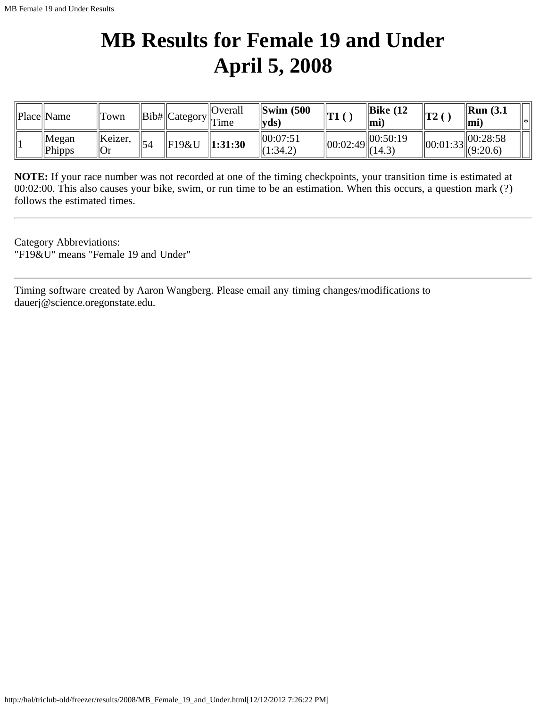# **MB Results for Female 19 and Under April 5, 2008**

| Place  Name                      | Town           |    |       | $\vert$ Overall<br>$\sim$ n   Bib#  Category   $\Gamma$ ime | $\left\Vert \text{Swim }$ (500<br>$ {\bf v} {\bf d} {\bf s} $ | T1<br>1 L L | $\parallel$ Bike (12<br>$\mathbf{m}$ | $\mathbf{T2}$  | $\parallel$ Run (3.1<br>$\mathbf{m}$ i | *∣ |
|----------------------------------|----------------|----|-------|-------------------------------------------------------------|---------------------------------------------------------------|-------------|--------------------------------------|----------------|----------------------------------------|----|
| $\parallel$ Megan<br>$\ $ Phipps | Keizer<br>  Or | 54 | F19&U | 1:31:30                                                     | 100:07:51<br>(1:34.2)                                         | 00:02:49    | 00:50:19<br>(14.3)                   | $\ 00:01:33\ $ | 00:28:58<br>$\ $ (9:20.6)              |    |

**NOTE:** If your race number was not recorded at one of the timing checkpoints, your transition time is estimated at 00:02:00. This also causes your bike, swim, or run time to be an estimation. When this occurs, a question mark (?) follows the estimated times.

Category Abbreviations: "F19&U" means "Female 19 and Under"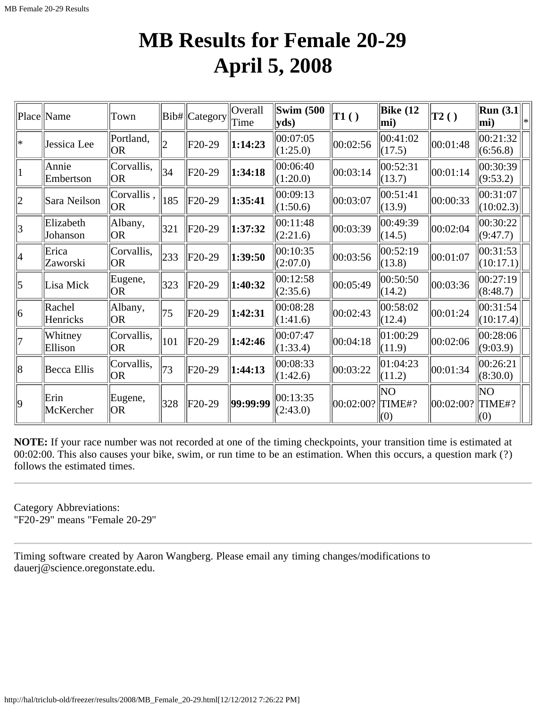### **MB Results for Female 20-29 April 5, 2008**

|                | Place Name            | Town               |     | Bib#  Category | Overall<br>Time | <b>Swim (500</b><br>$ {\bf y}$ ds) | $\ T1()$  | <b>Bike</b> (12<br>mi) | T2()      | $\vert$ Run (3.1 $\vert$<br>mi) |  |
|----------------|-----------------------|--------------------|-----|----------------|-----------------|------------------------------------|-----------|------------------------|-----------|---------------------------------|--|
| *              | Jessica Lee           | Portland,<br> OR   | 2   | F20-29         | 1:14:23         | 00:07:05<br>(1:25.0)               | 00:02:56  | 00:41:02<br>(17.5)     | 00:01:48  | 00:21:32<br>(6:56.8)            |  |
| $\vert$ 1      | Annie<br>Embertson    | Corvallis,<br>OR.  | 34  | F20-29         | 1:34:18         | 00:06:40<br>(1:20.0)               | 00:03:14  | 00:52:31<br>(13.7)     | 00:01:14  | 00:30:39<br>(9:53.2)            |  |
| $ 2\rangle$    | Sara Neilson          | Corvallis,<br> OR  | 185 | F20-29         | 1:35:41         | 00:09:13<br>(1:50.6)               | 00:03:07  | 00:51:41<br>(13.9)     | 00:00:33  | 00:31:07<br>(10:02.3)           |  |
| $\overline{3}$ | Elizabeth<br>Johanson | Albany,<br>lOR.    | 321 | F20-29         | 1:37:32         | 00:11:48<br>(2:21.6)               | 00:03:39  | 00:49:39<br>(14.5)     | 00:02:04  | 00:30:22<br>(9:47.7)            |  |
| 4              | Erica<br>Zaworski     | Corvallis,<br>IOR. | 233 | F20-29         | 1:39:50         | 00:10:35<br>(2:07.0)               | 00:03:56  | 00:52:19<br>(13.8)     | 00:01:07  | 00:31:53<br>(10:17.1)           |  |
| $\vert$ 5      | Lisa Mick             | Eugene,<br>IOR.    | 323 | F20-29         | 1:40:32         | 00:12:58<br>(2:35.6)               | 00:05:49  | 00:50:50<br>(14.2)     | 00:03:36  | 00:27:19<br>(8:48.7)            |  |
| 6              | Rachel<br>Henricks    | Albany,<br>OR.     | 75  | F20-29         | 1:42:31         | 00:08:28<br>(1:41.6)               | 00:02:43  | 00:58:02<br>(12.4)     | 00:01:24  | 00:31:54<br>(10:17.4)           |  |
| 7              | Whitney<br>Ellison    | Corvallis,<br>OR.  | 101 | F20-29         | 1:42:46         | 00:07:47<br>(1:33.4)               | 00:04:18  | 01:00:29<br>(11.9)     | 00:02:06  | 00:28:06<br>(9:03.9)            |  |
| 8              | Becca Ellis           | Corvallis,<br> OR  | 73  | F20-29         | 1:44:13         | 00:08:33<br>(1:42.6)               | 00:03:22  | 01:04:23<br>(11.2)     | 00:01:34  | 00:26:21<br>(8:30.0)            |  |
| $ 9\rangle$    | Erin<br>McKercher     | Eugene,<br> OR     | 328 | F20-29         | 99:99:99        | 00:13:35<br>(2:43.0)               | 00:02:00? | ΝO<br>TIME#?<br>(0)    | 00:02:00? | NO<br>TIME#?<br>(0)             |  |

**NOTE:** If your race number was not recorded at one of the timing checkpoints, your transition time is estimated at 00:02:00. This also causes your bike, swim, or run time to be an estimation. When this occurs, a question mark (?) follows the estimated times.

Category Abbreviations: "F20-29" means "Female 20-29"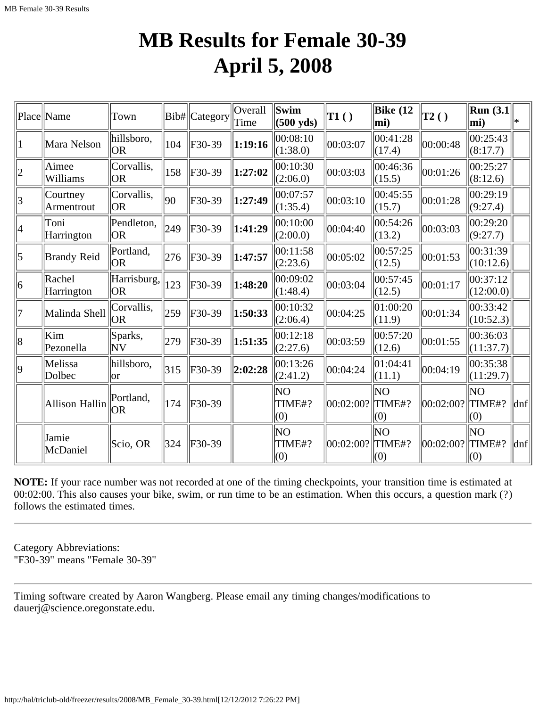### **MB Results for Female 30-39 April 5, 2008**

|             | Place Name             | Town                    |             | Bib# Category | Overall<br>Time | Swim<br>$(500 \text{ yds})$ | $\mathbf{T1}()$      | Bike $(12)$<br>$\vert$ mi)         | T2()      | Run $(3.1)$<br>$ \text{mi}\rangle$ | ∥∗                          |
|-------------|------------------------|-------------------------|-------------|---------------|-----------------|-----------------------------|----------------------|------------------------------------|-----------|------------------------------------|-----------------------------|
|             | Mara Nelson            | hillsboro,<br> OR       | 104         | F30-39        | 1:19:16         | 00:08:10<br>(1:38.0)        | 00:03:07             | 00:41:28<br> (17.4)                | 00:00:48  | $ 00:25:43\rangle$<br>(8:17.7)     |                             |
| $ 2\rangle$ | Aimee<br>Williams      | Corvallis,<br><b>OR</b> | 158         | F30-39        | 1:27:02         | 00:10:30<br>(2:06.0)        | 00:03:03             | 00:46:36<br>(15.5)                 | 00:01:26  | 00:25:27<br>(8:12.6)               |                             |
| $ 3\rangle$ | Courtney<br>Armentrout | Corvallis,<br><b>OR</b> | 90          | F30-39        | 1:27:49         | 00:07:57<br>(1:35.4)        | 00:03:10             | 00:45:55<br>(15.7)                 | 00:01:28  | 00:29:19<br>(9:27.4)               |                             |
| 4           | Toni<br>Harrington     | Pendleton,<br> OR       | 249         | F30-39        | 1:41:29         | 00:10:00<br>(2:00.0)        | 00:04:40             | 00:54:26<br>(13.2)                 | 00:03:03  | 00:29:20<br>(9:27.7)               |                             |
| 5           | <b>Brandy Reid</b>     | Portland,<br>lor        | 276         | F30-39        | 1:47:57         | 00:11:58<br>(2:23.6)        | 00:05:02             | 00:57:25<br>(12.5)                 | 00:01:53  | 00:31:39<br>(10:12.6)              |                             |
| 6           | Rachel<br>Harrington   | Harrisburg,<br>lor      | $\vert$ 123 | F30-39        | 1:48:20         | 00:09:02<br>(1:48.4)        | 00:03:04             | 00:57:45<br>(12.5)                 | 00:01:17  | $ 00:37:12\rangle$<br>(12:00.0)    |                             |
| 7           | Malinda Shell          | Corvallis,<br>lor       | 259         | $F30-39$      | 1:50:33         | 00:10:32<br>(2:06.4)        | 00:04:25             | 01:00:20<br>(11.9)                 | 00:01:34  | $ 00:33:42\rangle$<br>(10:52.3)    |                             |
| 8           | Kim<br>Pezonella       | Sparks,<br>ΝV           | 279         | $F30-39$      | 1:51:35         | 00:12:18<br>(2:27.6)        | 00:03:59             | 00:57:20<br>(12.6)                 | 00:01:55  | 00:36:03<br>(11:37.7)              |                             |
| 9           | Melissa<br>Dolbec      | hillsboro,<br>lor       | 315         | F30-39        | 2:02:28         | 00:13:26<br>(2:41.2)        | 00:04:24             | 01:04:41<br>(11.1)                 | 00:04:19  | 00:35:38<br>(11:29.7)              |                             |
|             | Allison Hallin         | Portland.<br>lor        | 174         | $F30-39$      |                 | ΝO<br>TIME#?<br>(0)         | $ 00:02:00? $ TIME#? | NO<br>(0)                          | 00:02:00? | ΝO<br>TIME#?<br>(0)                | $ $ dnf                     |
|             | Jamie<br>McDaniel      | Scio, OR                | 324         | F30-39        |                 | lΝO<br>TIME#?<br>(0)        | 00:02:00?            | <b>NO</b><br>$\vert$ TIME#?<br>(0) | 00:02:00? | NO.<br>TIME#?<br>(0)               | $\left  \text{dnf} \right $ |

**NOTE:** If your race number was not recorded at one of the timing checkpoints, your transition time is estimated at 00:02:00. This also causes your bike, swim, or run time to be an estimation. When this occurs, a question mark (?) follows the estimated times.

Category Abbreviations: "F30-39" means "Female 30-39"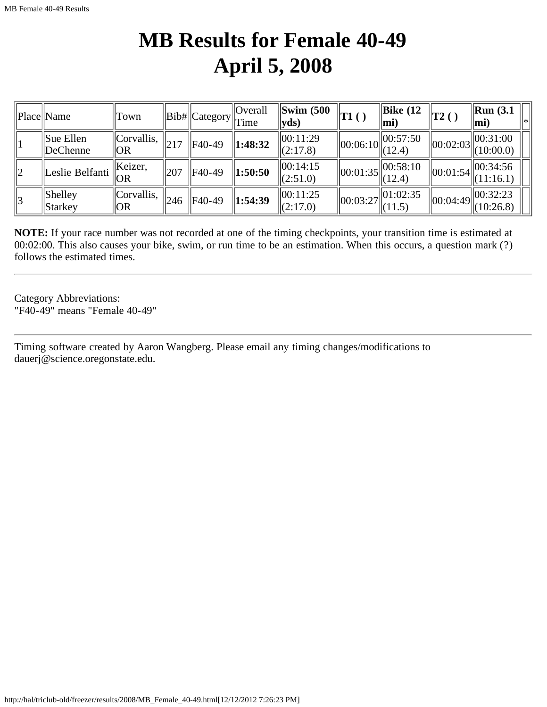## **MB Results for Female 40-49 April 5, 2008**

|             | Place Name                        | Town              |     | Bib#  Category <sup> '</sup> | Overall<br>$\ $ Time | $\left  \text{Swim } (500 \right $<br>$ {\bf y}$ ds) | $\ T1$ ( )                                     | $\parallel$ Bike (12<br>$ \mathbf{mi} $        | 'T2()          | $\mathbf{Run}$ (3.1)<br>∥∗∣<br>mi) |
|-------------|-----------------------------------|-------------------|-----|------------------------------|----------------------|------------------------------------------------------|------------------------------------------------|------------------------------------------------|----------------|------------------------------------|
|             | $\parallel$ Sue Ellen<br>DeChenne | Corvallis <br> OR |     | F40-49                       | 1:48:32              | 00:11:29<br>(2:17.8)                                 |                                                | $\left\  00:06:10 \right\  00:57:50$<br>(12.4) | 00:02:03       | $\ 00:31:00\ $<br>(10:00.0)        |
| $ 2\rangle$ | Leslie Belfanti                   | Keizer,<br> OR    | 207 | F40-49                       | 1:50:50              | 00:14:15<br>(2:51.0)                                 |                                                | $\left\  00:01:35 \right\  00:58:10$<br>(12.4) | $\ 00:01:54\ $ | 00:34:56<br>(11:16.1)              |
| 3           | <b>Shelley</b><br>Starkey         | Corvallis,<br> OR | 246 | $\ $ F40-49                  | 1:54:39              | 00:11:25<br>(2:17.0)                                 | $\left\  00:03:27 \right\  01:02:35$<br>(11.5) |                                                | $\ 00:04:49\ $ | 00:32:23<br>(10:26.8)              |

**NOTE:** If your race number was not recorded at one of the timing checkpoints, your transition time is estimated at 00:02:00. This also causes your bike, swim, or run time to be an estimation. When this occurs, a question mark (?) follows the estimated times.

Category Abbreviations: "F40-49" means "Female 40-49"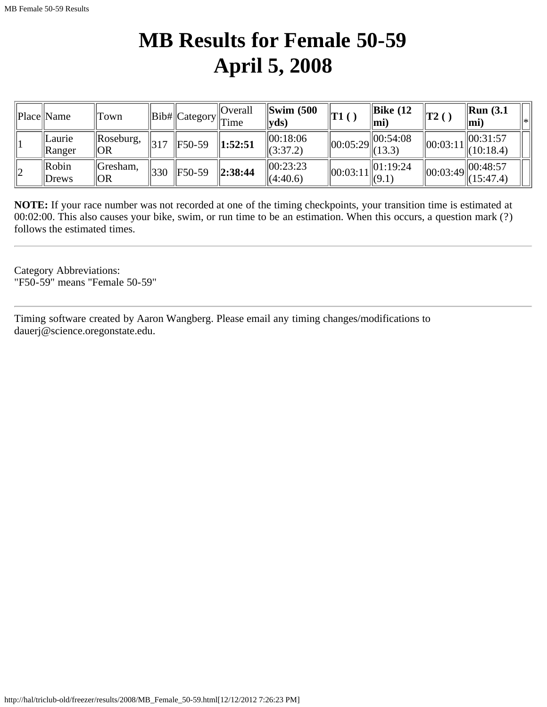# **MB Results for Female 50-59 April 5, 2008**

|    | Place  Name                          | Town                  |                 |                    | Overall<br>$\ Bib\ $ Category $\ T\ $ | $\left  \text{Swim } (500 \right $<br>$ {\bf v} {\bf d} {\bf s} $ | <b>T1</b> | $\vert$ Bike (12<br>lmi)                       | $ T2$ ( )      | $\parallel$ Run (3.1<br>ll∗<br>∥mi, |
|----|--------------------------------------|-----------------------|-----------------|--------------------|---------------------------------------|-------------------------------------------------------------------|-----------|------------------------------------------------|----------------|-------------------------------------|
|    | <i><u>ILaurie</u></i><br>$\ $ Ranger | Roseburg,<br> OR      | 317             | $\parallel$ F50-59 | $\ 1:52:51$                           | $\ 00:18:06$<br>$\ (3:37.2)$                                      |           | $\left\  00:05:29 \right\  00:54:08$<br>(13.3) | 00:03:11       | 00:31:57<br>$\ (10:18.4)$           |
| 12 | $\mathbb{R}$ obin<br>$\vert$ Drews   | Gresham,<br><b>OR</b> | $^{\prime}$ 330 | $ F50-59$          | $\ 2:38:44$                           | 00:23:23<br>(4:40.6)                                              | 00:03:11  | $\ 01:19:24$<br>$\ $ (9.1)                     | $\ 00:03:49\ $ | 00:48:57<br>(15:47.4)               |

**NOTE:** If your race number was not recorded at one of the timing checkpoints, your transition time is estimated at 00:02:00. This also causes your bike, swim, or run time to be an estimation. When this occurs, a question mark (?) follows the estimated times.

Category Abbreviations: "F50-59" means "Female 50-59"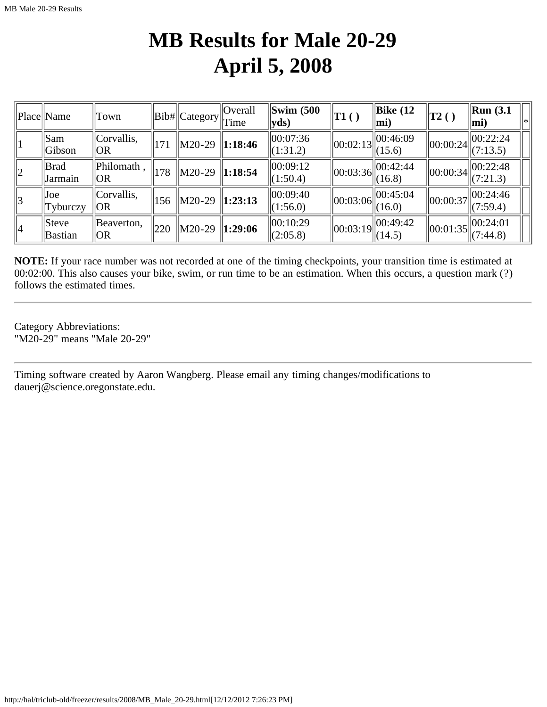### **MB Results for Male 20-29 April 5, 2008**

|             | Place Name                    | Town              |                 | $\ Bib\ $ Category $\ $ Time | Overall       | $\left\Vert \text{Swim }$ (500<br>$ {\bf v}$ ds) | T1()                                           | $\parallel$ Bike (12<br>$\vert$ mi)                             | $\ {\rm T2~}$ ( )              | Run(3.1)<br>l∗<br>$\vert$ mi)                  |
|-------------|-------------------------------|-------------------|-----------------|------------------------------|---------------|--------------------------------------------------|------------------------------------------------|-----------------------------------------------------------------|--------------------------------|------------------------------------------------|
|             | <b>Sam</b><br>Gibson          | Corvallis,<br>IOR | 171             | M20-29                       | $\ 1:18:46$   | 00:07:36<br>$\Vert (1:31.2)$                     |                                                | $\left\  00:02:13 \right\  00:46:09$<br>(15.6)                  | $\ 00:00:24\ $                 | 00:22:24<br>(7:13.5)                           |
| $ 2\rangle$ | <b>Brad</b><br><b>Jarmain</b> | Philomath<br> OR  | 178             | M20-29                       | $\ 1:18:54$   | 100:09:12<br>(1:50.4)                            | $\left\  00:03:36 \right\  00:42:44$<br>(16.8) |                                                                 | $\ 00:00:34\ $                 | $\left\  00:22:48 \atop (7:21.3) \right\ $     |
| 3           | Joe<br>$ $ Tyburczy           | Corvallis.<br> OR | $\vert$ 156     | M20-29                       | $\ 1:23:13$   | 00:09:40<br>$\Vert (1:56.0) \Vert$               | $\ 00:03:06\ $                                 | $\frac{1}{100:45:04}$<br>(16.0)                                 | $\vert\vert 00$ :00:37 $\vert$ | 00:24:46<br>(7:59.4)                           |
| 4           | Steve<br>Bastian              | Beaverton,<br> OR | $\parallel$ 220 | M20-29                       | $\ 1:29:06\ $ | 00:10:29<br> (2:05.8)                            |                                                | $\left\  00:03:19 \right\  \left\  00:49:42 \right\ $<br>(14.5) |                                | $\ 00:01:35\ _{\infty}^{00:24:01}$<br>(7:44.8) |

**NOTE:** If your race number was not recorded at one of the timing checkpoints, your transition time is estimated at 00:02:00. This also causes your bike, swim, or run time to be an estimation. When this occurs, a question mark (?) follows the estimated times.

Category Abbreviations: "M20-29" means "Male 20-29"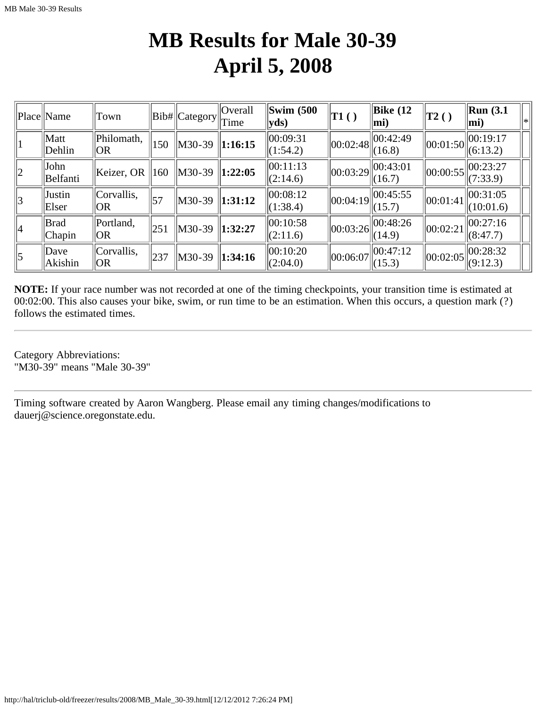### **MB Results for Male 30-39 April 5, 2008**

|                 | Place Name       | Town              |            | Bib#  Category | <b>Overall</b><br>Time  | Swim $(500)$<br>$ {\bf v} {\bf d} s)$ | $\vert$ T1() | $\vert$ Bike (12<br>$ mi$ )                               | $\vert$ T2() | $\vert$ Run (3.1<br>l∗k<br>$ mi$ ) |
|-----------------|------------------|-------------------|------------|----------------|-------------------------|---------------------------------------|--------------|-----------------------------------------------------------|--------------|------------------------------------|
|                 | Matt<br>Dehlin   | Philomath,<br> OR | 150        | M30-39         | 1:16:15                 | 00:09:31<br>(1:54.2)                  | 00:02:48     | 00:42:49<br>(16.8)                                        | 00:01:50     | 00:19:17<br>(6:13.2)               |
| $ 2\rangle$     | John<br>Belfanti | Keizer, OR        | 160        | M30-39         | 1:22:05                 | 00:11:13<br>(2:14.6)                  |              | $\left\  00:03:29 \right\  00:\overline{43:01}$<br>(16.7) |              | $\ 00:00:55\ $<br>(7:33.9)         |
| 3               | Justin<br>Elser  | Corvallis,<br> OR | $\vert$ 57 | M30-39         | $\vert 1:31:12 \vert$   | 00:08:12<br>(1:38.4)                  | 00:04:19     | $\ 00:45:55$<br>(15.7)                                    | 00:01:41     | 00:31:05<br>(10:01.6)              |
| 4               | Brad<br>Chapin   | Portland,<br> OR  | 251        | M30-39         | $\vert 1:32:27 \rangle$ | 00:10:58<br>(2:11.6)                  |              | $\left\  00:03:26 \right\  00:\overline{48:26}$<br>(14.9) | 00:02:21     | 00:27:16<br>(8:47.7)               |
| $\vert 5 \vert$ | Dave<br>Akishin  | Corvallis,<br> OR | 237        | M30-39         | $\ 1:34:16$             | 00:10:20<br>(2:04.0)                  | 00:06:07     | 00:47:12<br>(15.3)                                        | 00:02:05     | 00:28:32<br>(9:12.3)               |

**NOTE:** If your race number was not recorded at one of the timing checkpoints, your transition time is estimated at 00:02:00. This also causes your bike, swim, or run time to be an estimation. When this occurs, a question mark (?) follows the estimated times.

Category Abbreviations: "M30-39" means "Male 30-39"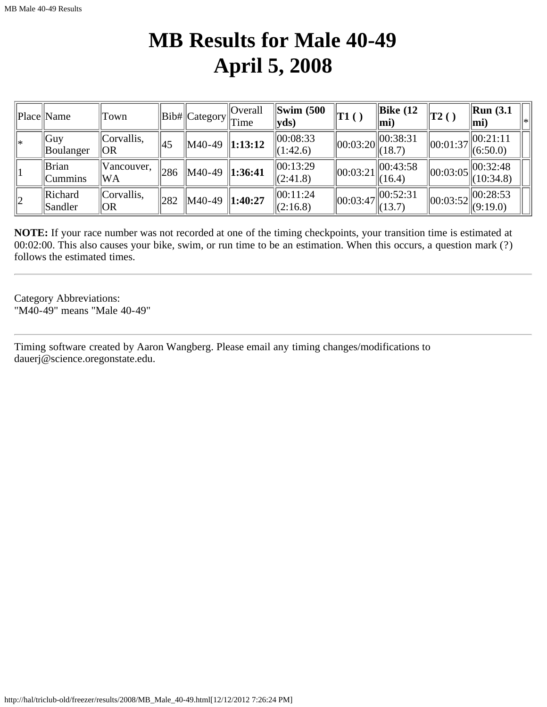### **MB Results for Male 40-49 April 5, 2008**

|             | Place  Name                      | Town                          |      | $\ Bib\# \ $ Category $\ $ Time        | Overall     | $\left\Vert \text{Swim }$ (500)<br>$ yds\rangle$ | $\ T1$ ( )     | Bike $(12)$<br>lmi)                             | T2()                                                   | $\mathbf{Run}$ (3.1)<br> *∣<br>$\vert$ mi)        |
|-------------|----------------------------------|-------------------------------|------|----------------------------------------|-------------|--------------------------------------------------|----------------|-------------------------------------------------|--------------------------------------------------------|---------------------------------------------------|
| l∗          | $\vert$ Guy<br>$\vert$ Boulanger | Corvallis,<br> OR             | 45   | $\parallel$ M40-49 $\parallel$ 1:13:12 |             | 00:08:33<br>$\Vert(1:42.6)\Vert$                 |                | $\ 00:38:31$<br>$\ 00:03:20\ _{(18.7)}^{\circ}$ | 00:01:37                                               | $\vert$  00:21:11<br>$\ $ (6:50.0)                |
|             | Brian<br>$ $ Cummins             | $\mathsf{N}$ ancouver,<br> WA | 286  | $\big  M40-49 \big  1:36:41 \big $     |             | 00:13:29<br>$\Vert(2:41.8)\Vert$                 | 00:03:21       | 00:43:58<br>(16.4)                              |                                                        | $\left\  00:03:05 \right\  00:32:48$<br>(10:34.8) |
| $ 2\rangle$ | Richard<br><b>Sandler</b>        | Corvallis,<br> OR             | 1282 | M40-49                                 | $\ 1:40:27$ | 00:11:24<br> (2:16.8)                            | $\ 00:03:47\ $ | $\ 00:52:31$<br>$\ $ (13.7)                     | $\left\  00:03:52 \right\  00:28:53 \newline (9:19.0)$ |                                                   |

**NOTE:** If your race number was not recorded at one of the timing checkpoints, your transition time is estimated at 00:02:00. This also causes your bike, swim, or run time to be an estimation. When this occurs, a question mark (?) follows the estimated times.

Category Abbreviations: "M40-49" means "Male 40-49"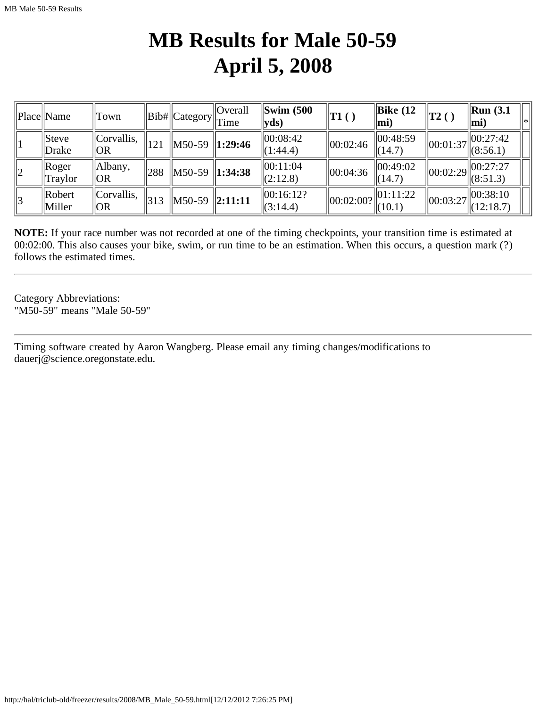## **MB Results for Male 50-59 April 5, 2008**

|             | Place  Name                    | Town              |     | $\ Bib\ $ Category $\ T\ $             | Overall     | $\left\Vert \text{Swim }$ (500<br>$ yds\rangle$ | T1()                            | $\parallel$ Bike (12<br>$\left\vert \text{mi}\right\rangle$ | $\vert$ T2()                     | $\mathbf{Run}$ (3.1)<br> ∗ <br>$ \mathbf{mi} $     |
|-------------|--------------------------------|-------------------|-----|----------------------------------------|-------------|-------------------------------------------------|---------------------------------|-------------------------------------------------------------|----------------------------------|----------------------------------------------------|
|             | $ $ Steve<br>Drake             | Corvallis,<br> OR | 121 | $\parallel$ M50-59 $\parallel$ 1:29:46 |             | $ 00:08:42\rangle$<br>$\Vert$ (1:44.4)          | $\vert 00:02:46 \rangle$        | 00:48:59<br>(14.7)                                          | 00:01:37                         | $ 100:27:42\rangle$<br>$\ (8:56.1)$                |
| $ 2\rangle$ | $\ $ Roger<br>Traylor          | Albany,<br> OR    | 288 | $\big  M50-59 \big  1:34:38$           |             | 00:11:04<br> (2:12.8)                           | 00:04:36                        | 00:49:02<br>(14.7)                                          | $\left\Vert 00:02:29\right\Vert$ | 00:27:27<br> (8:51.3)                              |
| 3           | $\parallel$ Robert<br>  Miller | Corvallis.<br> OR | 313 | M50-59                                 | $\ 2:11:11$ | 00:16:12?<br>$\Vert$ (3:14.4)                   | $\vert\vert 00$ :02:00? $\vert$ | 01:11:22<br>(10.1)                                          |                                  | $\log_{100}: 03:27$ $\approx 0.38:10$<br>(12:18.7) |

**NOTE:** If your race number was not recorded at one of the timing checkpoints, your transition time is estimated at 00:02:00. This also causes your bike, swim, or run time to be an estimation. When this occurs, a question mark (?) follows the estimated times.

Category Abbreviations: "M50-59" means "Male 50-59"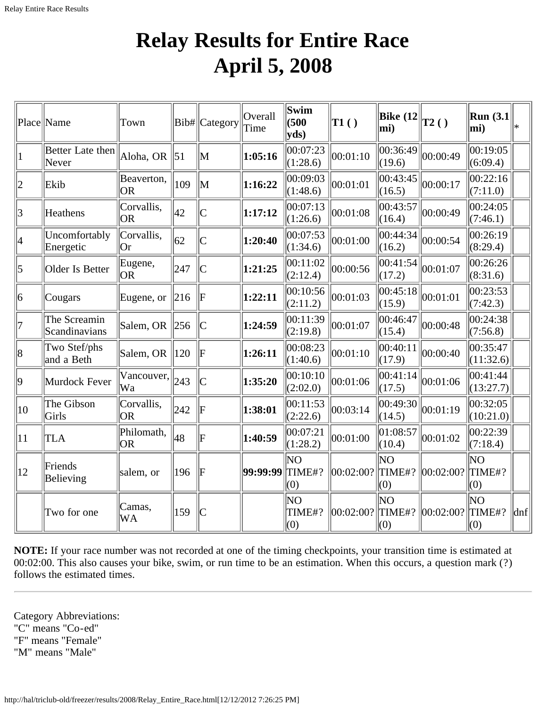# **Relay Results for Entire Race April 5, 2008**

|                | Place Name                    | Town                    |                  | Bib# Category                              | Overall<br>Time | Swim<br>(500)<br>$ {\bf v} {\bf d} s)$ | TI( )     | <b>Bike</b> (12<br>mi) | $\vert$ T2() | <b>Run</b> (3.1)<br>$ \text{mi}\rangle$ | l*                          |
|----------------|-------------------------------|-------------------------|------------------|--------------------------------------------|-----------------|----------------------------------------|-----------|------------------------|--------------|-----------------------------------------|-----------------------------|
|                | Better Late then<br>Never     | Aloha, OR               | $\vert 51 \vert$ | M                                          | 1:05:16         | 00:07:23<br>(1:28.6)                   | 00:01:10  | 00:36:49<br>(19.6)     | 00:00:49     | 00:19:05<br>(6:09.4)                    |                             |
| $\overline{2}$ | Ekib                          | Beaverton,<br><b>OR</b> | 109              | M                                          | 1:16:22         | 00:09:03<br>(1:48.6)                   | 00:01:01  | 00:43:45<br>(16.5)     | 00:00:17     | 00:22:16<br>(7:11.0)                    |                             |
| 3              | Heathens                      | Corvallis,<br><b>OR</b> | 42               | $\overline{C}$                             | 1:17:12         | 00:07:13<br>(1:26.6)                   | 00:01:08  | 00:43:57<br>(16.4)     | 00:00:49     | 00:24:05<br>(7:46.1)                    |                             |
| 4              | Uncomfortably<br>Energetic    | Corvallis,<br> Or       | 62               | $\overline{C}$                             | 1:20:40         | 00:07:53<br>(1:34.6)                   | 00:01:00  | 00:44:34<br>(16.2)     | 00:00:54     | 00:26:19<br>(8:29.4)                    |                             |
| $\overline{5}$ | Older Is Better               | Eugene,<br> OR          | 247              | $\overline{\text{C}}$                      | 1:21:25         | 00:11:02<br>(2:12.4)                   | 00:00:56  | 00:41:54<br>(17.2)     | 00:01:07     | 00:26:26<br>(8:31.6)                    |                             |
| 6              | Cougars                       | Eugene, or              | 216              | F                                          | 1:22:11         | 00:10:56<br>(2:11.2)                   | 00:01:03  | 00:45:18<br>(15.9)     | 00:01:01     | 00:23:53 <br>(7:42.3)                   |                             |
| 7              | The Screamin<br>Scandinavians | Salem, OR               | 256              | ІС                                         | 1:24:59         | 00:11:39<br>(2:19.8)                   | 00:01:07  | 00:46:47<br>(15.4)     | 00:00:48     | 00:24:38<br>(7:56.8)                    |                             |
| 8              | Two Stef/phs<br>and a Beth    | Salem, OR               | 120              | $\bf \rm F$                                | 1:26:11         | 00:08:23<br>(1:40.6)                   | 00:01:10  | 00:40:11<br>(17.9)     | 00:00:40     | 00:35:47<br>(11:32.6)                   |                             |
| 9              | Murdock Fever                 | Vancouver,<br> Wa       | 243              | $\mathsf{C}% _{0}\left( \mathbb{C}\right)$ | 1:35:20         | 00:10:10<br>(2:02.0)                   | 00:01:06  | 00:41:14<br>(17.5)     | 00:01:06     | 00:41:44<br>(13:27.7)                   |                             |
| 10             | The Gibson<br>Girls           | Corvallis,<br><b>OR</b> | 242              | F                                          | 1:38:01         | 00:11:53<br>(2:22.6)                   | 00:03:14  | 00:49:30<br>(14.5)     | 00:01:19     | 00:32:05<br>(10:21.0)                   |                             |
| 11             | TLA                           | Philomath,<br> OR       | 48               | F                                          | 1:40:59         | 00:07:21<br>(1:28.2)                   | 00:01:00  | 01:08:57<br>(10.4)     | 00:01:02     | 00:22:39<br>(7:18.4)                    |                             |
| $ 12\rangle$   | Friends<br>Believing          | salem, or               | 196              | F                                          | 99:99:99        | NO<br>TIME#?<br>(0)                    | 00:02:00? | ΝO<br>TIME#?<br>(0)    | 00:02:00?    | ΝO<br>TIME#?<br>(0)                     |                             |
|                | Two for one                   | Camas,<br><b>WA</b>     | 159              | C                                          |                 | NO<br>TIME#?<br>(0)                    | 00:02:00? | ΝO<br>TIME#?<br>(0)    | 00:02:00?    | lΝO<br>TIME#?<br>(0)                    | $\left  \text{dnf} \right $ |

**NOTE:** If your race number was not recorded at one of the timing checkpoints, your transition time is estimated at 00:02:00. This also causes your bike, swim, or run time to be an estimation. When this occurs, a question mark (?) follows the estimated times.

Category Abbreviations: "C" means "Co-ed" "F" means "Female" "M" means "Male"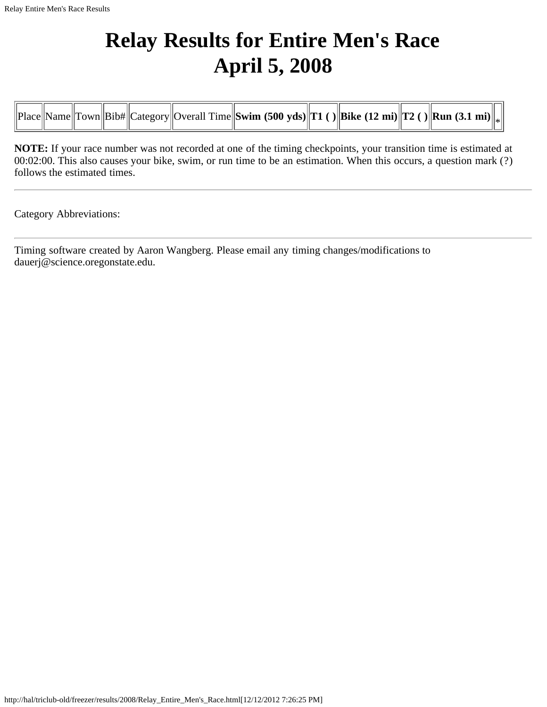# **Relay Results for Entire Men's Race April 5, 2008**

|  |  | Place  Name  Town  Bib#  Category  Overall Time  Swim (500 yds)  T1 ()  Bike (12 mi)  T2 ()  Run (3.1 mi)   <sub>*</sub> |
|--|--|--------------------------------------------------------------------------------------------------------------------------|
|--|--|--------------------------------------------------------------------------------------------------------------------------|

**NOTE:** If your race number was not recorded at one of the timing checkpoints, your transition time is estimated at 00:02:00. This also causes your bike, swim, or run time to be an estimation. When this occurs, a question mark (?) follows the estimated times.

Category Abbreviations: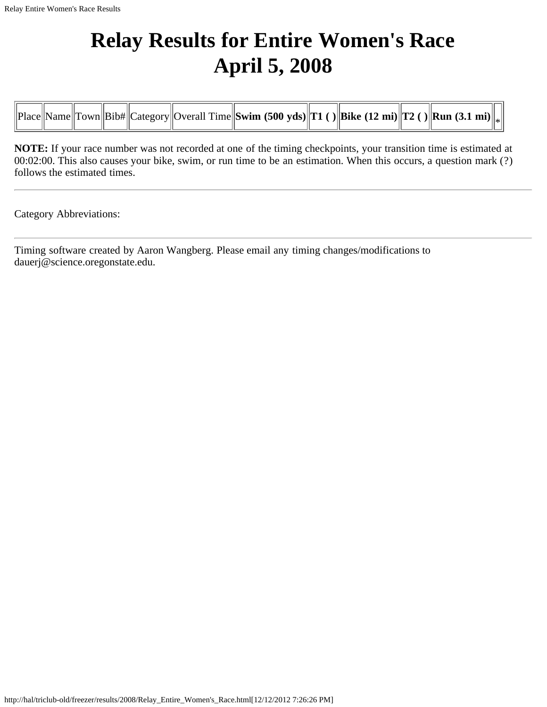## **Relay Results for Entire Women's Race April 5, 2008**

**NOTE:** If your race number was not recorded at one of the timing checkpoints, your transition time is estimated at 00:02:00. This also causes your bike, swim, or run time to be an estimation. When this occurs, a question mark (?) follows the estimated times.

Category Abbreviations: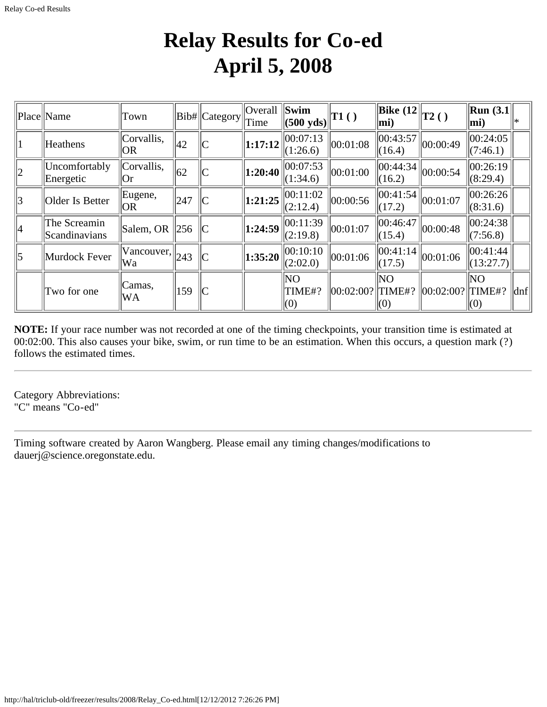## **Relay Results for Co-ed April 5, 2008**

|             | Place Name                    | Town                          |                 | Bib#  Category | <b>Overall</b><br>Time | Swim<br>$(500 \text{ yds})$ | T1()              | $\ \widehat{\text{Bike}}(12\ _{T2} )$<br>mi) |           | $\vert$ Run (3.1 $\vert$<br>mi) |     |
|-------------|-------------------------------|-------------------------------|-----------------|----------------|------------------------|-----------------------------|-------------------|----------------------------------------------|-----------|---------------------------------|-----|
|             | Heathens                      | Corvallis,<br> OR             | 42              |                | 1:17:12                | 00:07:13<br>(1:26.6)        | 00:01:08          | 00:43:57<br> (16.4)                          | 00:00:49  | 00:24:05<br>(7:46.1)            |     |
| $ 2\rangle$ | Uncomfortably<br>Energetic    | Corvallis,<br> Or             | 62              |                | 1:20:40                | 00:07:53 <br>(1:34.6)       | 00:01:00          | 00:44:34<br>(16.2)                           | 00:00:54  | 00:26:19<br>(8:29.4)            |     |
| 3           | Older Is Better               | Eugene,<br> OR                | 247             |                | 1:21:25                | 00:11:02<br>(2:12.4)        | 00:00:56          | 00:41:54<br>(17.2)                           | 00:01:07  | 00:26:26 <br>(8:31.6)           |     |
| 4           | The Screamin<br>Scandinavians | $\beta$ Salem, OR $\beta$ 256 |                 |                | 1:24:59                | 00:11:39<br>(2:19.8)        | 00:01:07          | 00:46:47<br> (15.4)                          | 00:00:48  | 00:24:38<br>(7:56.8)            |     |
| 5           | Murdock Fever                 | Vancouver,<br> Wa             | $\parallel$ 243 |                | 1:35:20                | 00:10:10<br>(2:02.0)        | 00:01:06          | 00:41:14<br>(17.5)                           | 00:01:06  | 00:41:44 <br>(13:27.7)          |     |
|             | Two for one                   | Camas,<br>WA                  | 159             | C              |                        | <b>NO</b><br>TIME#?<br>(0)  | 00:02:00?  TIME#? | NO<br>(0)                                    | 00:02:00? | NO.<br>TIME#?<br>(0)            | dnf |

**NOTE:** If your race number was not recorded at one of the timing checkpoints, your transition time is estimated at 00:02:00. This also causes your bike, swim, or run time to be an estimation. When this occurs, a question mark (?) follows the estimated times.

Category Abbreviations: "C" means "Co-ed"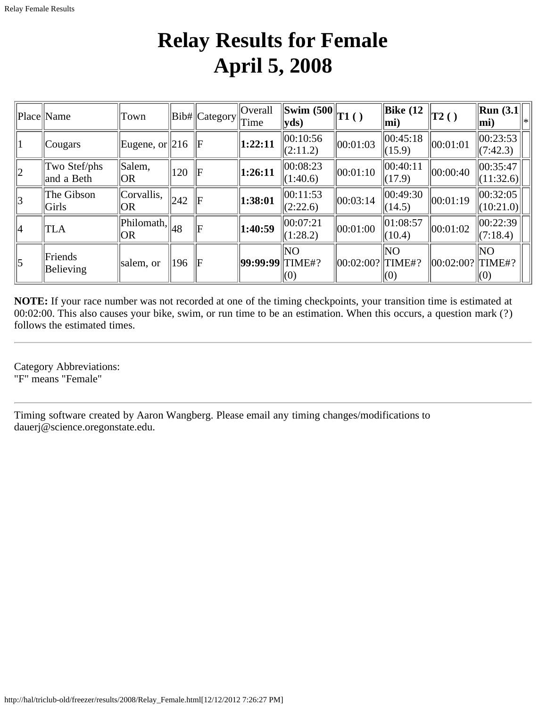## **Relay Results for Female April 5, 2008**

|               | Place  Name                | Town                                                                   |     | Bib#  Category | $\vert$ Overall<br>Time  | $\ \overline{\text{Swim }(500\ _{T1}^{\text{}})}$ ( )<br>$ {\bf v} {\bf d} s $ |                      | $\vert$ Bike (12<br>$\vert$ mi) | $\vert$ T2()                      | $\vert$ Run (3.1 $\vert$<br>$ \text{mi}\rangle$ |
|---------------|----------------------------|------------------------------------------------------------------------|-----|----------------|--------------------------|--------------------------------------------------------------------------------|----------------------|---------------------------------|-----------------------------------|-------------------------------------------------|
| 1             | $  \mathcal{C}$ ougars     | Eugene, or $\ 216\ $ F                                                 |     |                | $\vert 1:22:11 \rangle$  | 00:10:56<br>(2:11.2)                                                           | $\ 00:01:03$         | 00:45:18<br>$\Vert (15.9)$      | $\ 00:01:01$                      | 00:23:53 <br>$\vert (7:42.3) \vert$             |
| $\ 2\ $       | Two Stef/phs<br>and a Beth | Salem,<br><b>OR</b>                                                    | 120 | $\mathbb{I}$ F | $\vert 1:26:11 \vert$    | 00:08:23<br>(1:40.6)                                                           | $\ 00:01:10$         | 00:40:11<br>(17.9)              | 00:00:40                          | 00:35:47<br>(11:32.6)                           |
| $\parallel$ 3 | The Gibson<br>Girls        | Corvallis,<br> OR                                                      | 242 | lЕ             | 1:38:01                  | 00:11:53<br>(2:22.6)                                                           | 00:03:14             | 00:49:30<br>(14.5)              | 00:01:19                          | 00:32:05<br> (10:21.0)                          |
| 4             | <b>TLA</b>                 | $\sqrt{\frac{1}{1}}$ Philomath, $\left\  \frac{1}{48} \right\ $<br> OR |     | lЕ             | $\vert 1:40:59 \rangle$  | 00:07:21<br>(1:28.2)                                                           | 00:01:00             | $\ 01:08:57$<br>$\ $ (10.4)     | $\ 00:01:02\ $                    | 00:22:39<br>(7:18.4)                            |
| $\parallel$ 5 | Friends<br>Believing       | salem, or                                                              | 196 | $\parallel$ F  | <b>99:99:99</b>   TIME#? | NO<br>(0)                                                                      | $ 00:02:00? $ TIME#? | NO<br>$\parallel$ (0)           | $\left\Vert 00:02:00?\right\Vert$ | NO<br>TIME#?<br>(0)                             |

**NOTE:** If your race number was not recorded at one of the timing checkpoints, your transition time is estimated at 00:02:00. This also causes your bike, swim, or run time to be an estimation. When this occurs, a question mark (?) follows the estimated times.

Category Abbreviations: "F" means "Female"